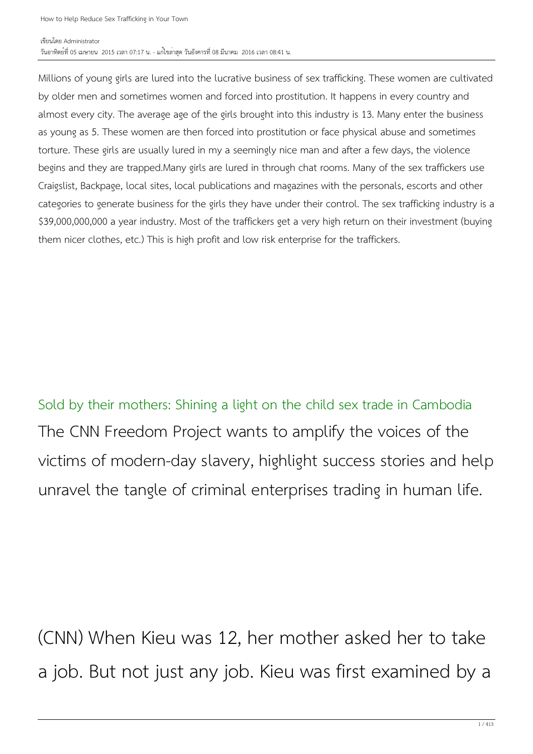Millions of young girls are lured into the lucrative business of sex trafficking. These women are cultivated by older men and sometimes women and forced into prostitution. It happens in every country and almost every city. The average age of the girls brought into this industry is 13. Many enter the business as young as 5. These women are then forced into prostitution or face physical abuse and sometimes torture. These girls are usually lured in my a seemingly nice man and after a few days, the violence begins and they are trapped.Many girls are lured in through chat rooms. Many of the sex traffickers use Craigslist, Backpage, local sites, local publications and magazines with the personals, escorts and other categories to generate business for the girls they have under their control. The sex trafficking industry is a \$39,000,000,000 a year industry. Most of the traffickers get a very high return on their investment (buying them nicer clothes, etc.) This is high profit and low risk enterprise for the traffickers.

Sold by their mothers: Shining a light on the child sex trade in Cambodia The CNN Freedom Project wants to amplify the voices of the victims of modern-day slavery, highlight success stories and help unravel the tangle of criminal enterprises trading in human life.

(CNN) When Kieu was 12, her mother asked her to take a job. But not just any job. Kieu was first examined by a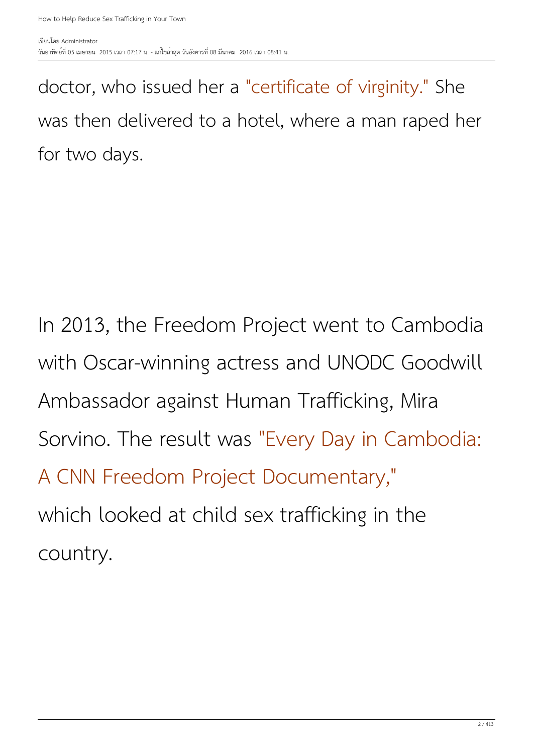doctor, who issued her a "certificate of virginity." She was then delivered to a hotel, where a man raped her for two days.

In 2013, the Freedom Project went to Cambodia with Oscar-winning actress and UNODC Goodwill Ambassador against Human Trafficking, Mira Sorvino. The result was "Every Day in Cambodia: A CNN Freedom Project Documentary," which looked at child sex trafficking in the country.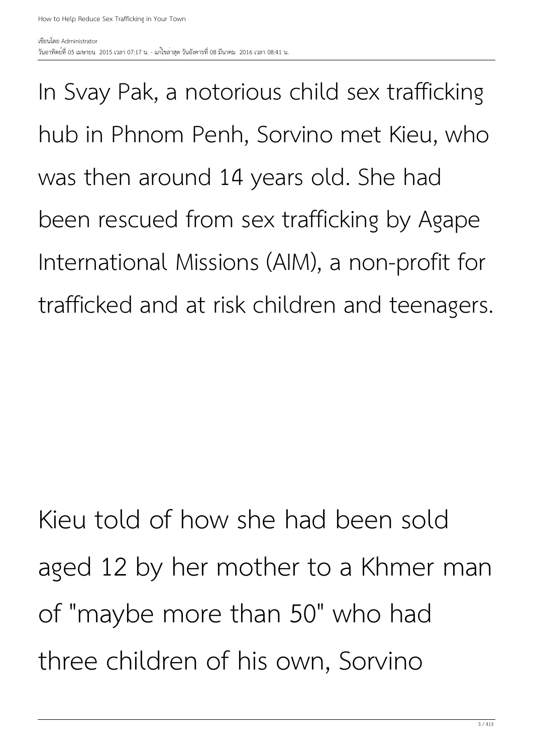In Svay Pak, a notorious child sex trafficking hub in Phnom Penh, Sorvino met Kieu, who was then around 14 years old. She had been rescued from sex trafficking by Agape International Missions (AIM), a non-profit for trafficked and at risk children and teenagers.

Kieu told of how she had been sold aged 12 by her mother to a Khmer man of "maybe more than 50" who had three children of his own, Sorvino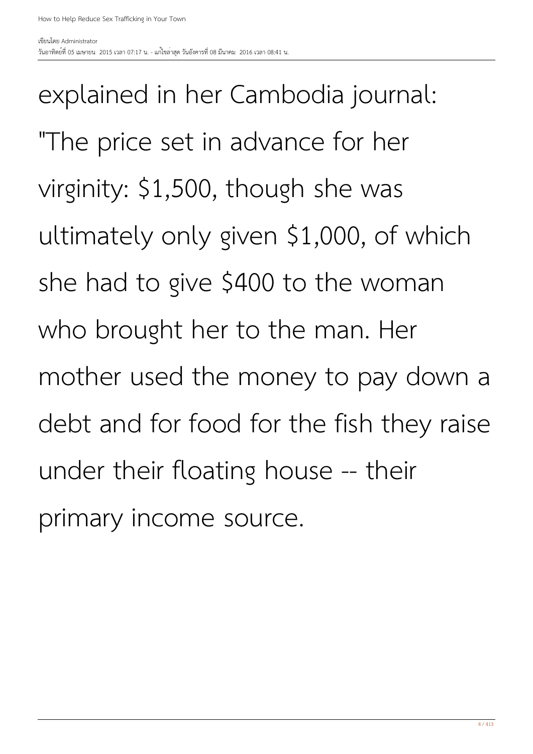explained in her Cambodia journal: "The price set in advance for her virginity: \$1,500, though she was ultimately only given \$1,000, of which she had to give \$400 to the woman who brought her to the man. Her mother used the money to pay down a debt and for food for the fish they raise under their floating house -- their primary income source.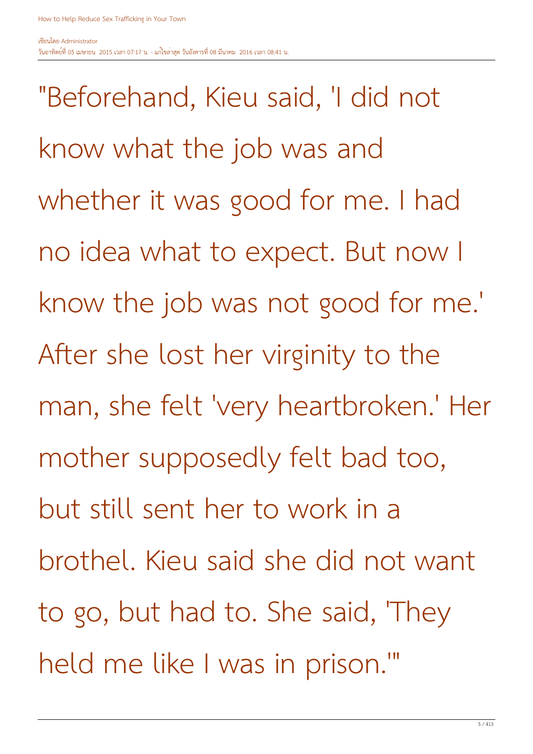"Beforehand, Kieu said, 'I did not know what the job was and whether it was good for me. I had no idea what to expect. But now I know the job was not good for me.' After she lost her virginity to the man, she felt 'very heartbroken.' Her mother supposedly felt bad too, but still sent her to work in a brothel. Kieu said she did not want to go, but had to. She said, 'They held me like I was in prison.'"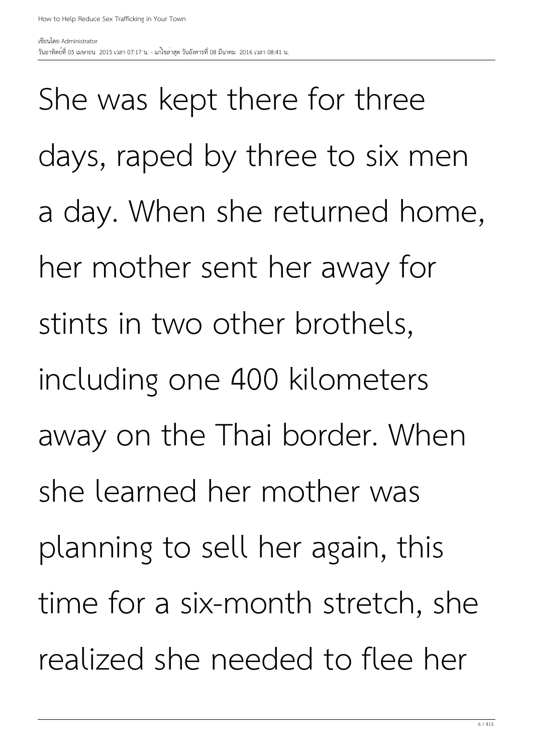She was kept there for three days, raped by three to six men a day. When she returned home, her mother sent her away for stints in two other brothels, including one 400 kilometers away on the Thai border. When she learned her mother was planning to sell her again, this time for a six-month stretch, she realized she needed to flee her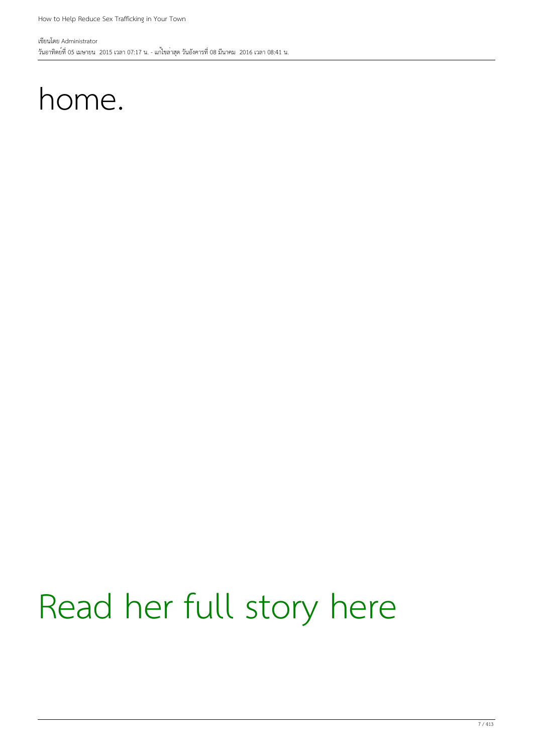#### home.

#### Read her full story here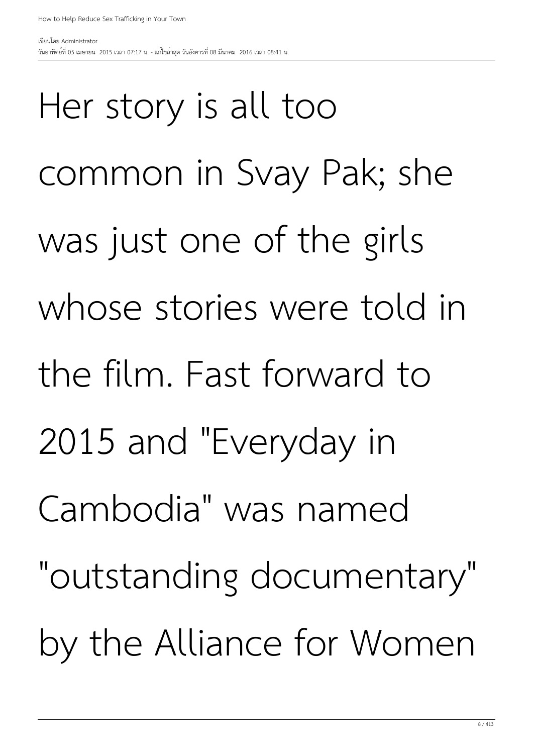Her story is all too common in Svay Pak; she was just one of the girls whose stories were told in the film. Fast forward to 2015 and "Everyday in Cambodia" was named "outstanding documentary" by the Alliance for Women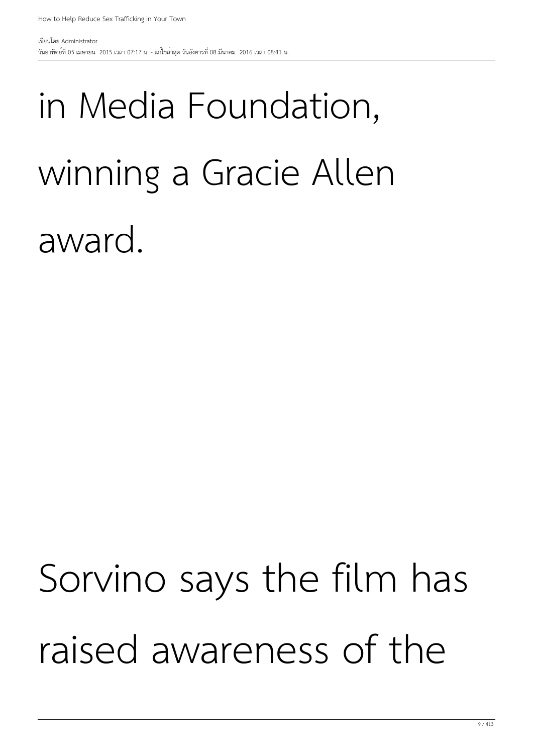#### in Media Foundation, winning a Gracie Allen award.

#### Sorvino says the film has raised awareness of the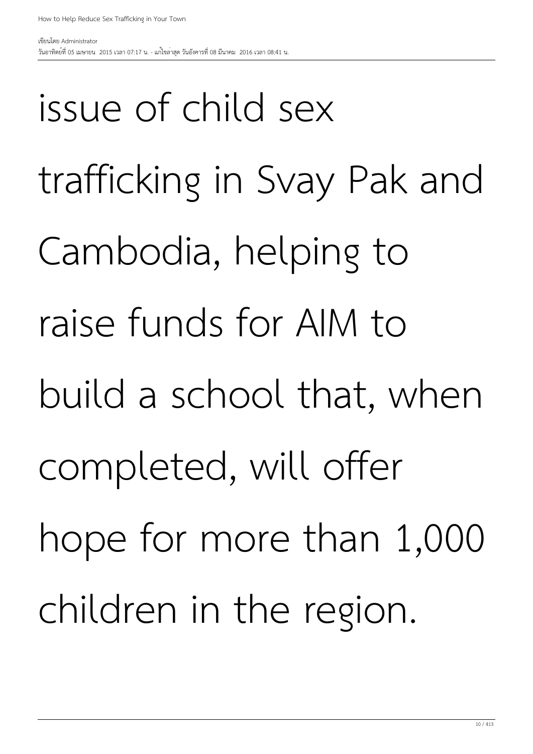issue of child sex trafficking in Svay Pak and Cambodia, helping to raise funds for AIM to build a school that, when completed, will offer hope for more than 1,000 children in the region.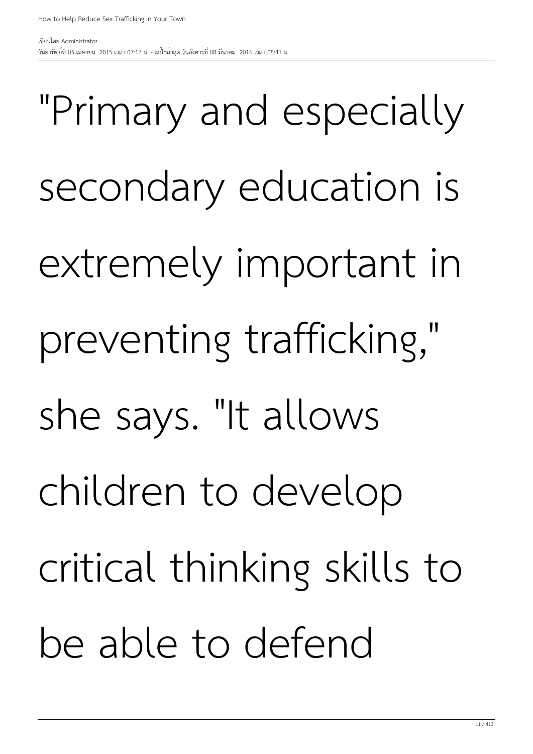"Primary and especially secondary education is extremely important in preventing trafficking," she says. "It allows children to develop critical thinking skills to be able to defend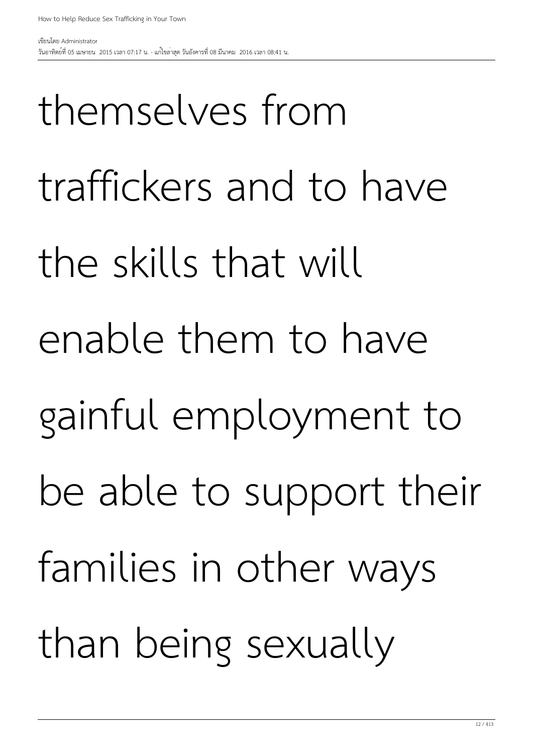themselves from traffickers and to have the skills that will enable them to have gainful employment to be able to support their families in other ways than being sexually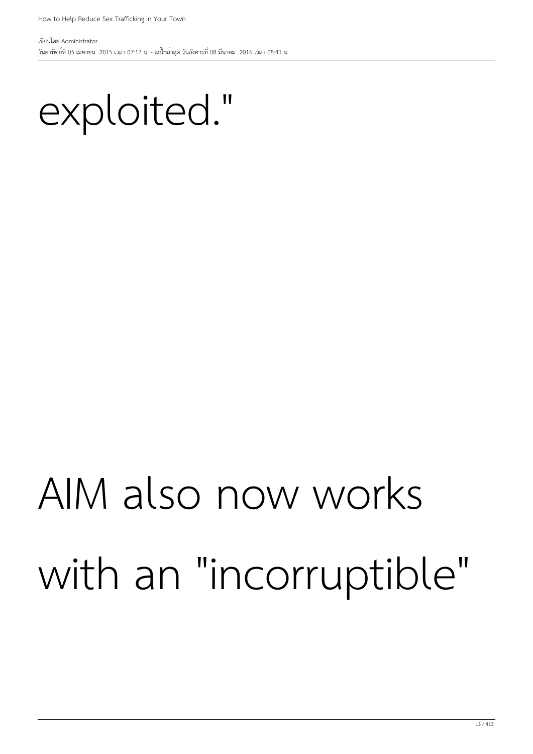#### exploited."

#### AIM also now works with an "incorruptible"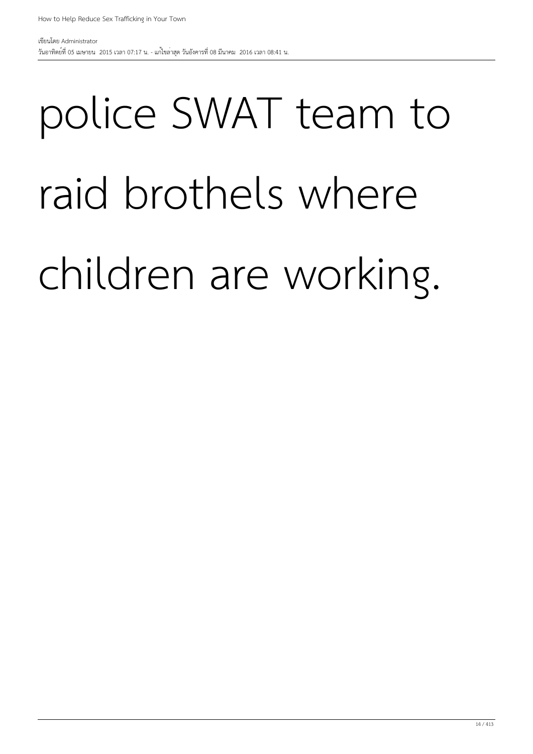### police SWAT team to raid brothels where children are working.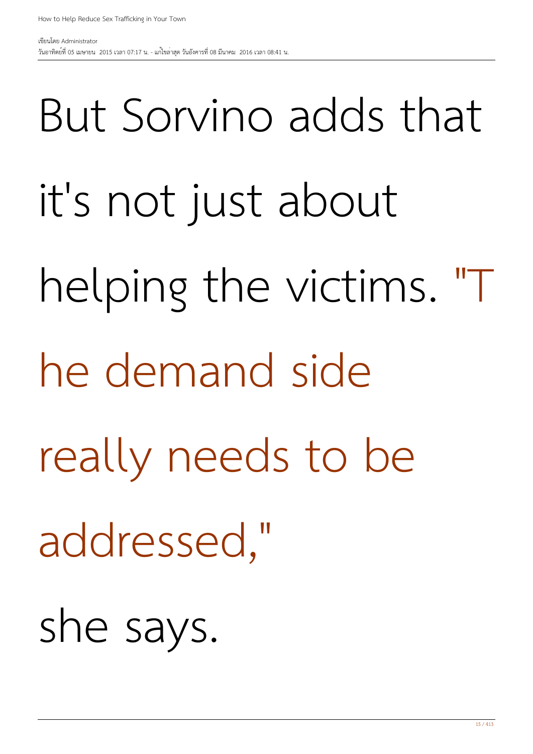## But Sorvino adds that it's not just about helping the victims. "T he demand side really needs to be addressed," she says.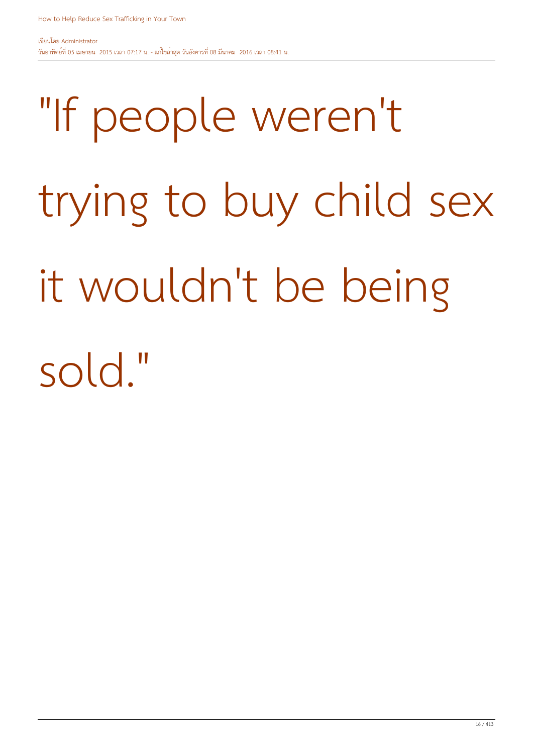### "If people weren't trying to buy child sex it wouldn't be being sold."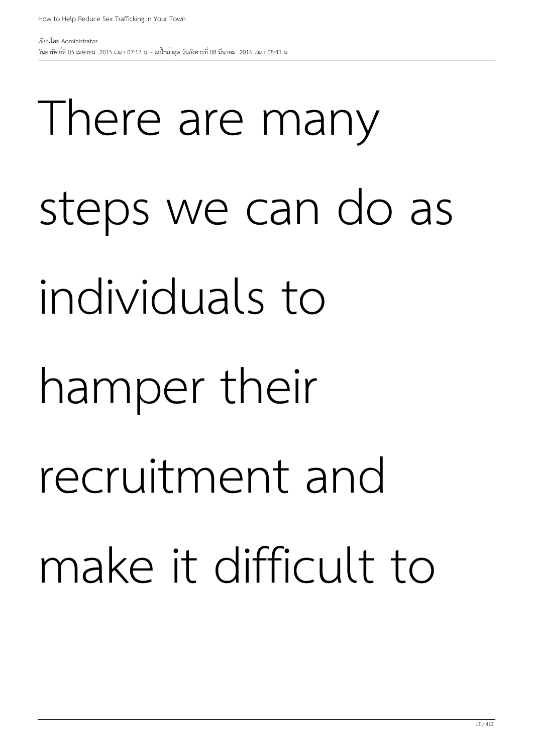# There are many steps we can do as individuals to hamper their recruitment and make it difficult to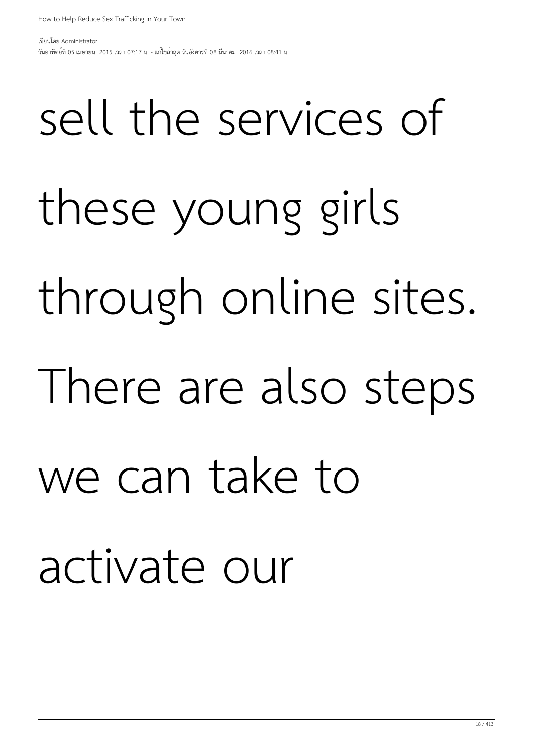# sell the services of these young girls through online sites. There are also steps we can take to activate our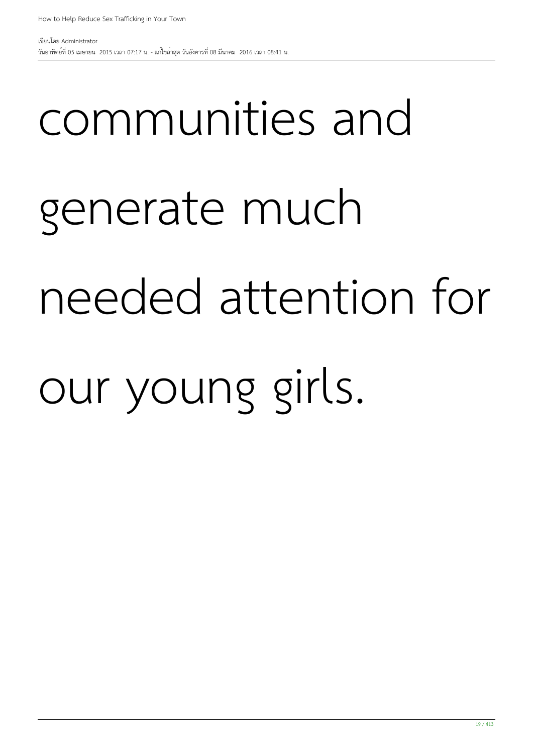### communities and generate much needed attention for our young girls.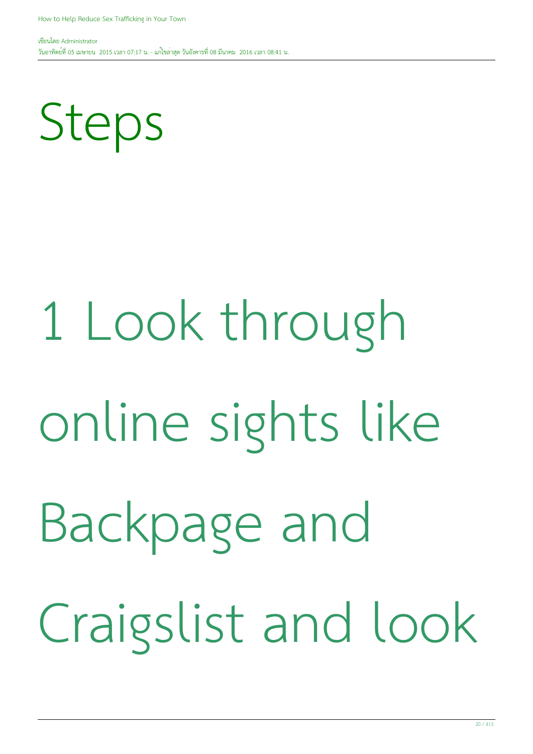Steps

# 1 Look through online sights like Backpage and Craigslist and look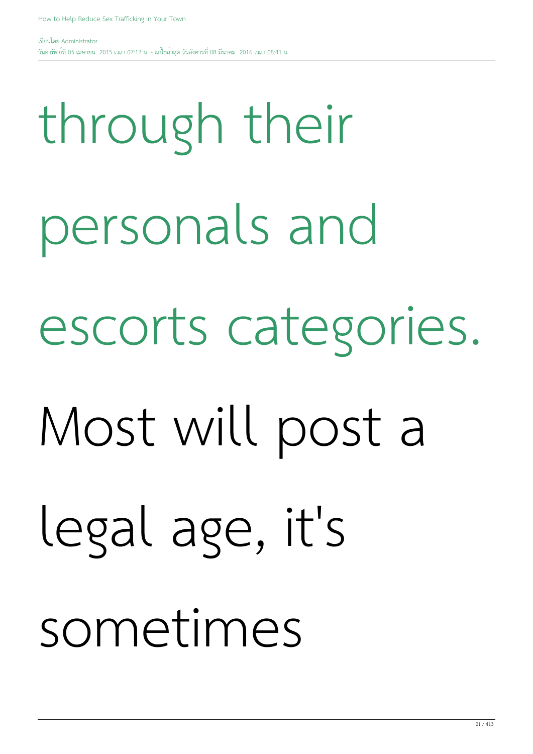through their personals and escorts categories. Most will post a legal age, it's sometimes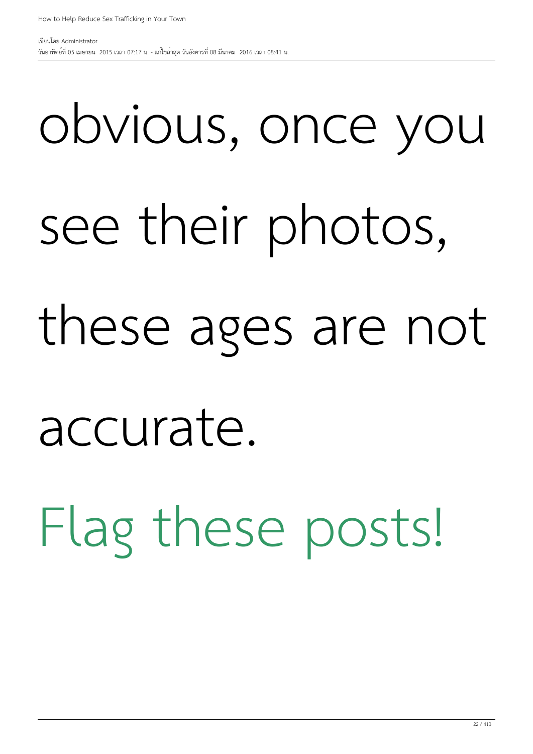## obvious, once you

### see their photos,

#### these ages are not

#### accurate.

### Flag these posts!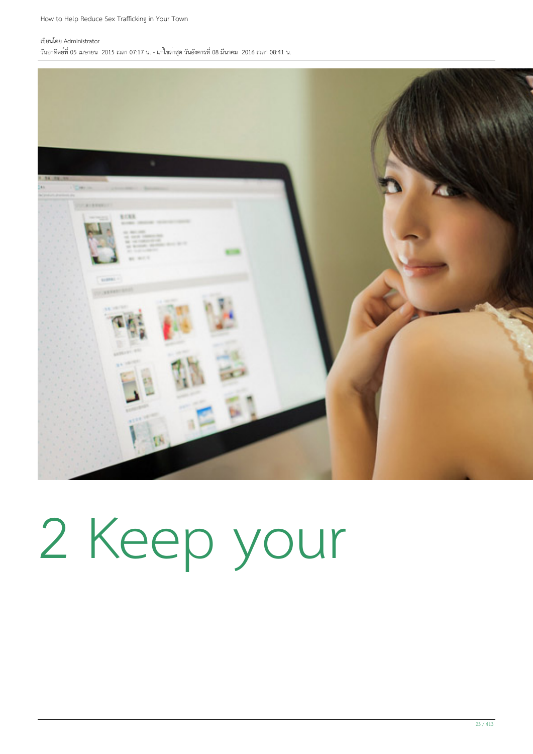#### เขียนโดย Administrator

วันอาทิตย์ที่ 05 เมษายน 2015 เวลา 07:17 น. - แก้ไขล่าสุด วันอังคารที่ 08 มีนาคม 2016 เวลา 08:41 น.



### 2 Keep your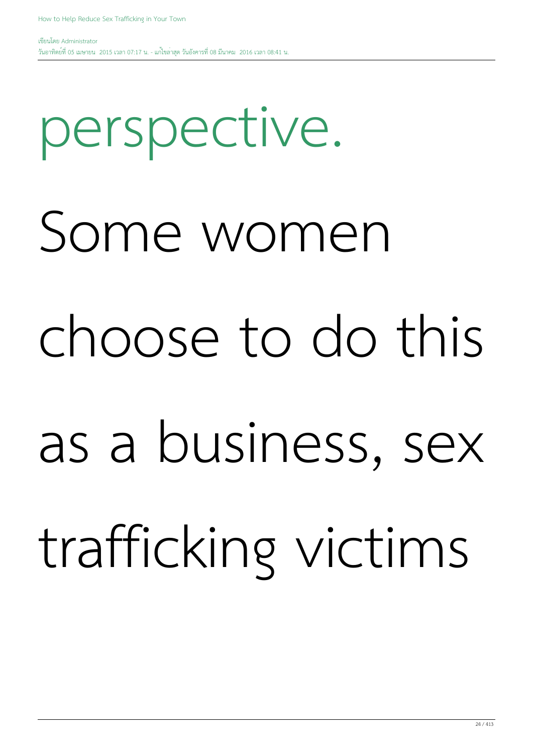เขียนโดย Administrator วันอาทิตย์ที่ 05 เมษายน 2015 เวลา 07:17 น. - แก้ไขล่าสุด วันอังคารที่ 08 มีนาคม 2016 เวลา 08:41 น.

perspective. Some women choose to do this as a business, sex trafficking victims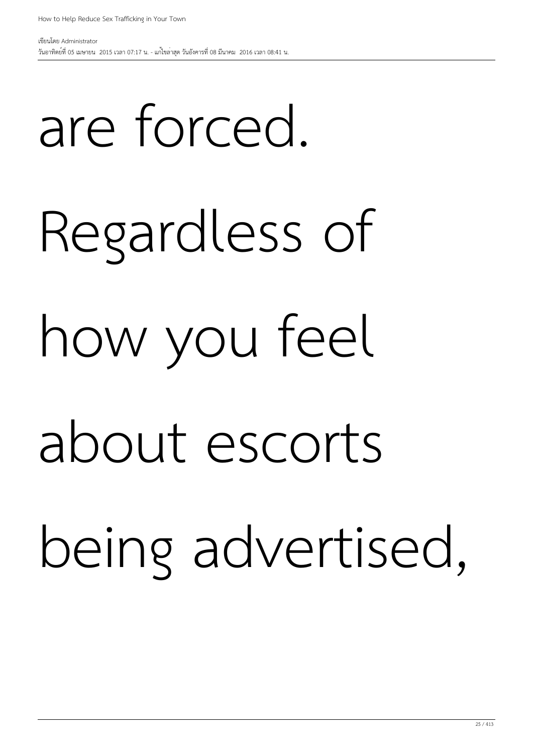# are forced. Regardless of how you feel about escorts being advertised,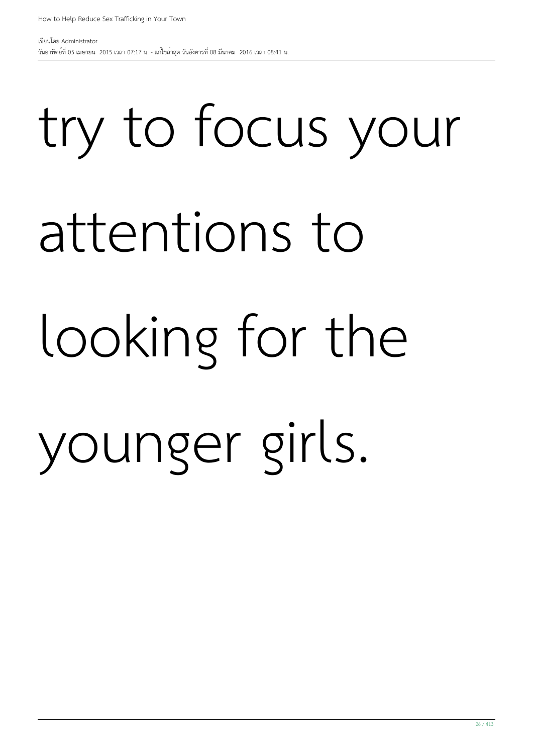### try to focus your

#### attentions to

# looking for the

#### younger girls.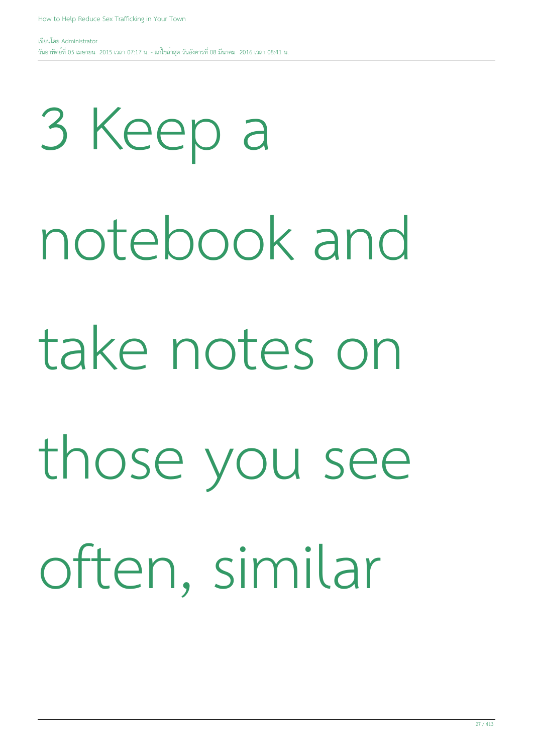# 3 Keep a notebook and take notes on those you see often, similar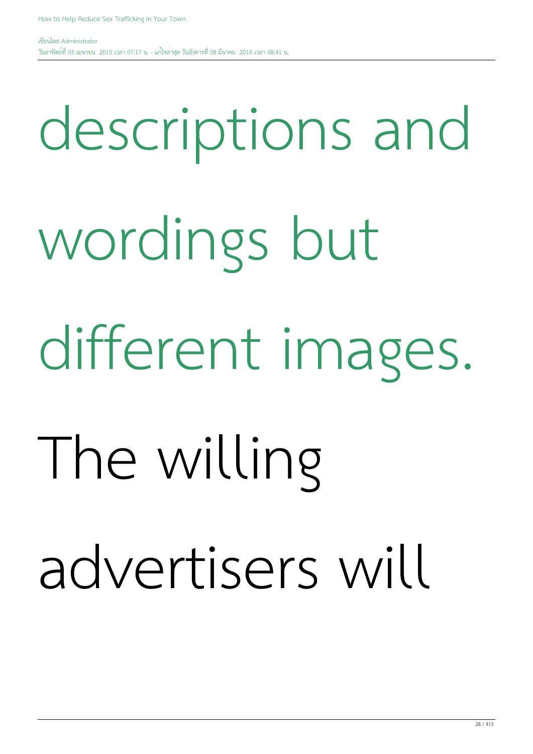### descriptions and

wordings but

#### different images.

### The willing

#### advertisers will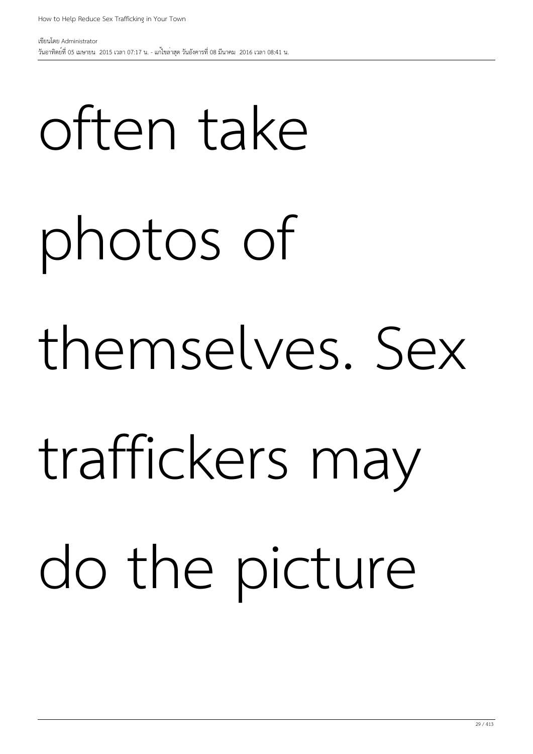เขียนโดย Administrator วันอาทิตย์ที่ 05 เมษายน 2015 เวลา 07:17 น. - แก้ไขล่าสุด วันอังคารที่ 08 มีนาคม 2016 เวลา 08:41 น.

# often take photos of themselves. Sex traffickers may do the picture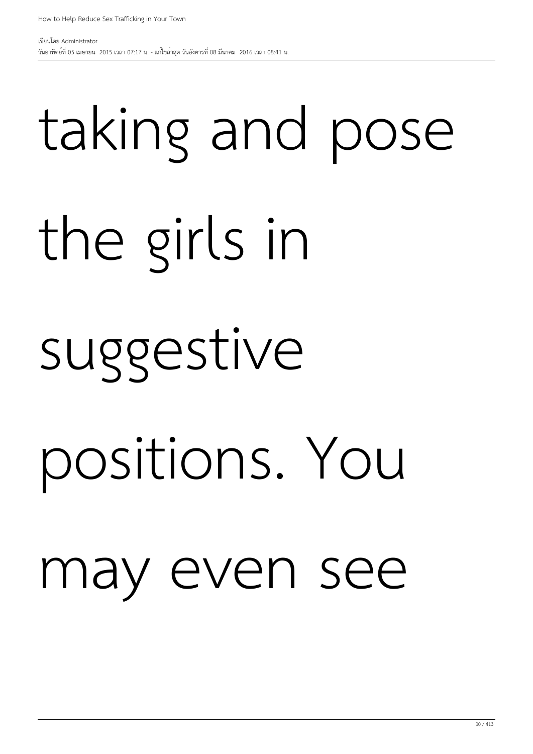# the girls in suggestive positions. You may even see

taking and pose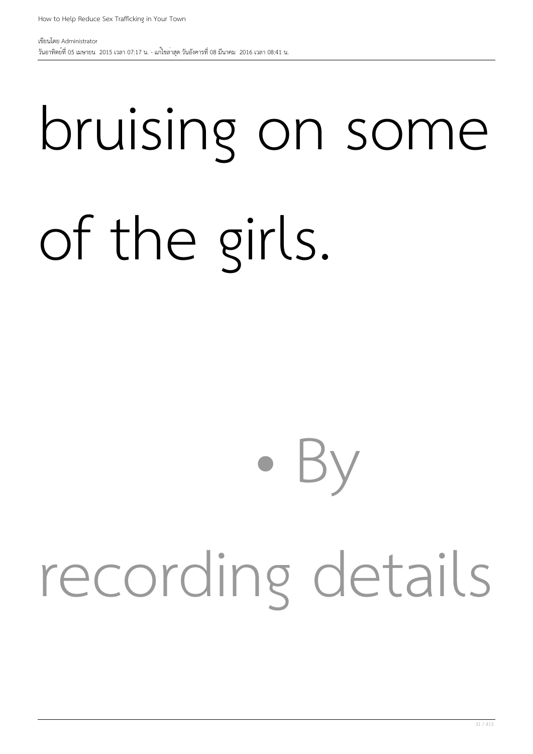#### bruising on some

### of the girls.

# • By recording details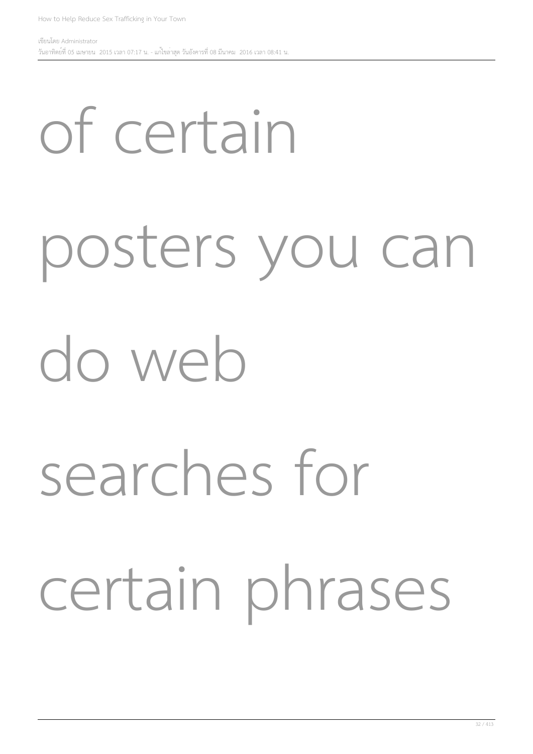เขียนโดย Administrator วันอาทิตย์ที่ 05 เมษายน 2015 เวลา 07:17 น. - แก้ไขล่าสุด วันอังคารที่ 08 มีนาคม 2016 เวลา 08:41 น.

# of certain posters you can do web searches for certain phrases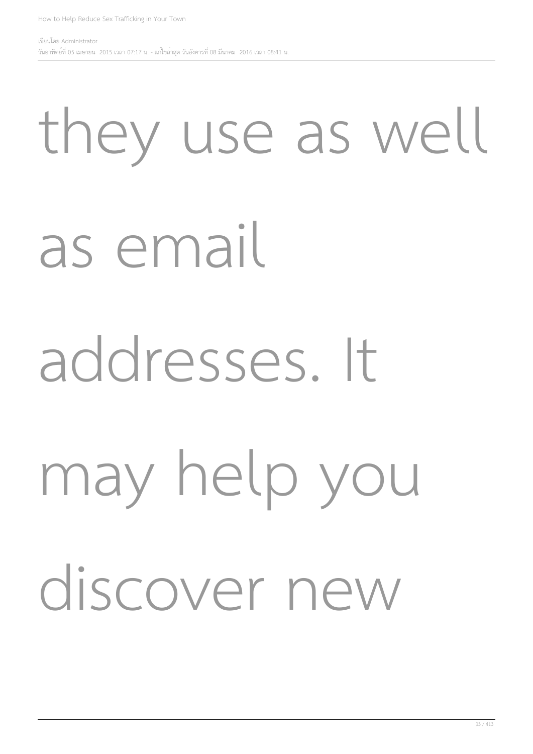### they use as well

# as email addresses. It may help you discover new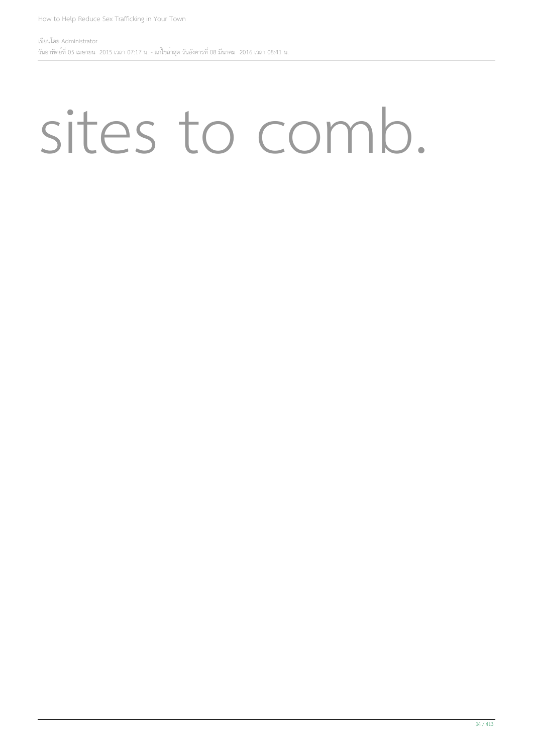#### sites to comb.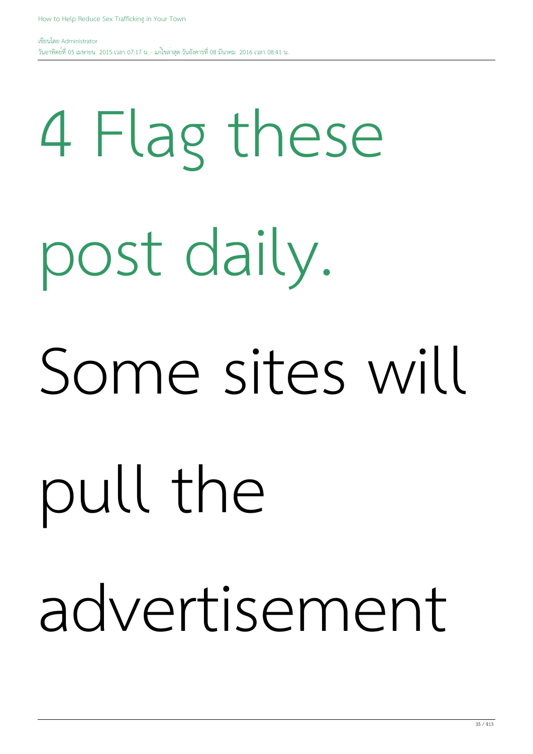# 4 Flag these post daily. Some sites will pull the advertisement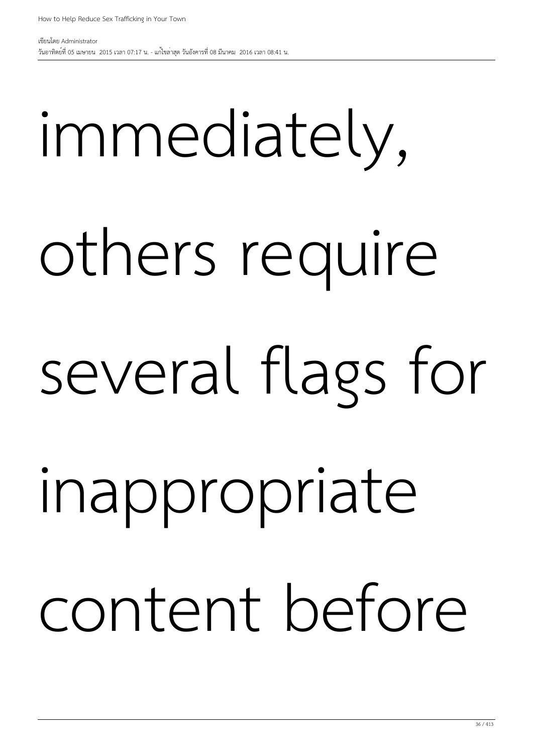# immediately, others require several flags for inappropriate content before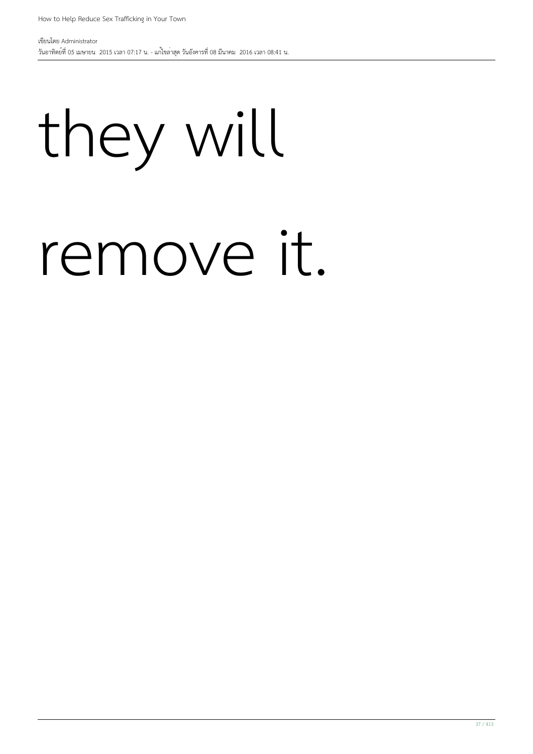### they will

#### remove it.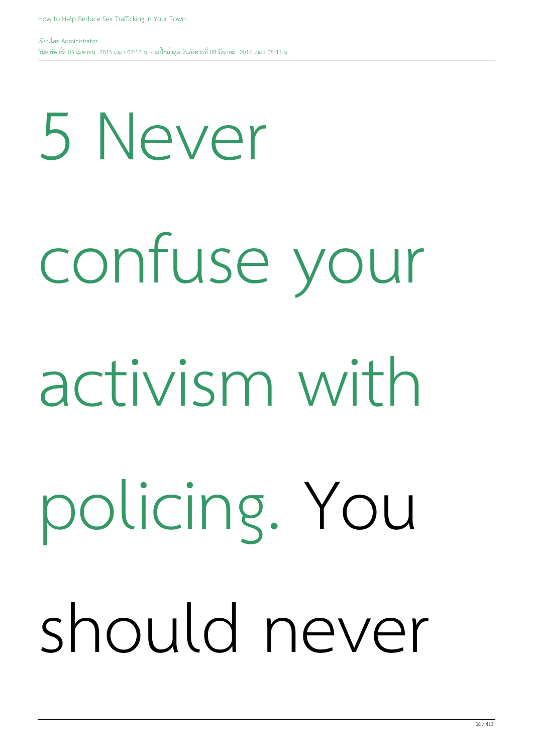## 5 Never confuse your activism with policing. You should never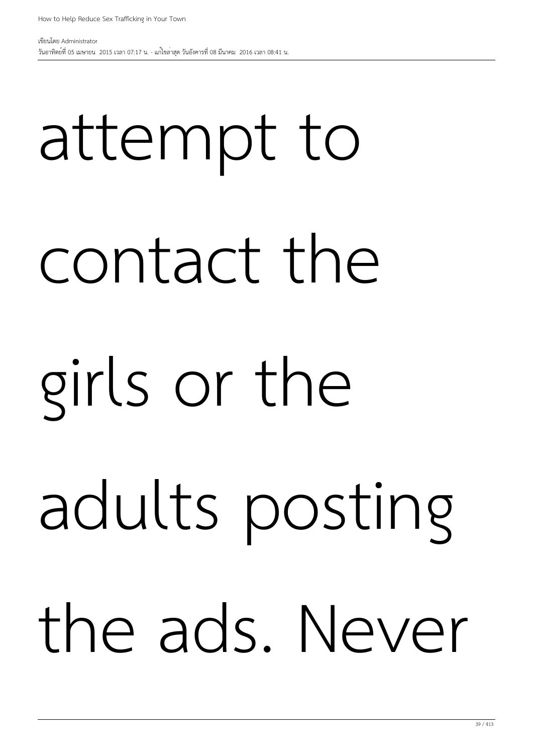## attempt to contact the girls or the adults posting the ads. Never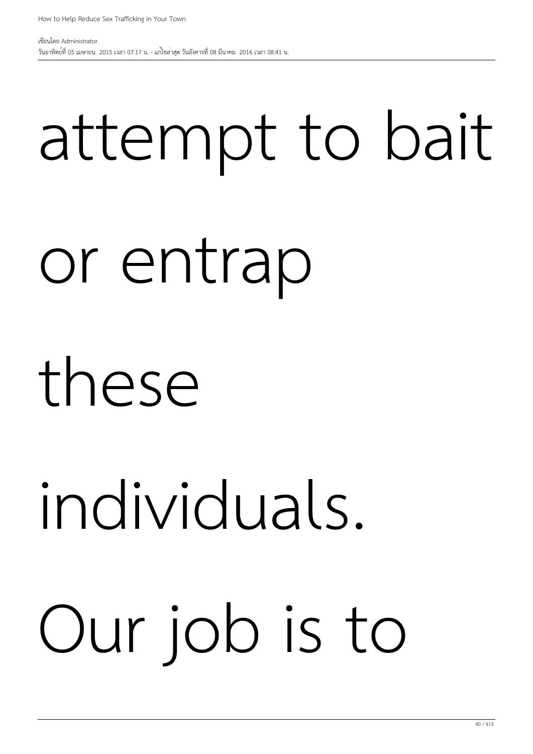### attempt to bait

#### or entrap

#### these

### individuals. Our job is to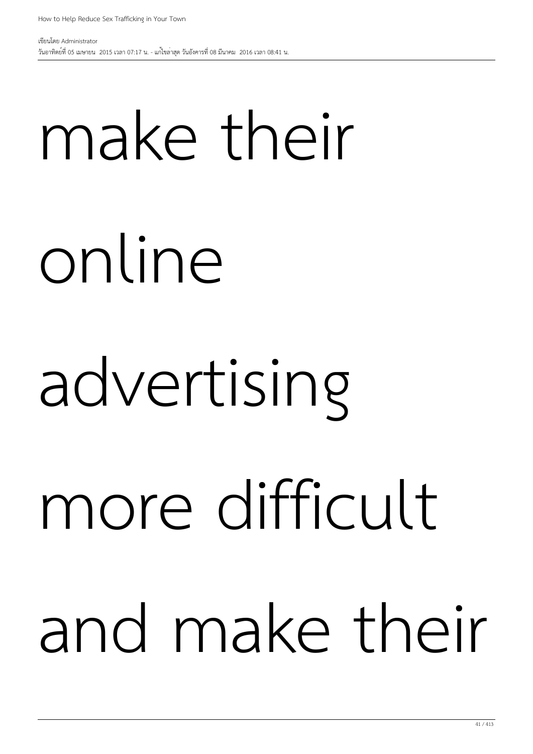#### make their

#### online

#### advertising

### more difficult and make their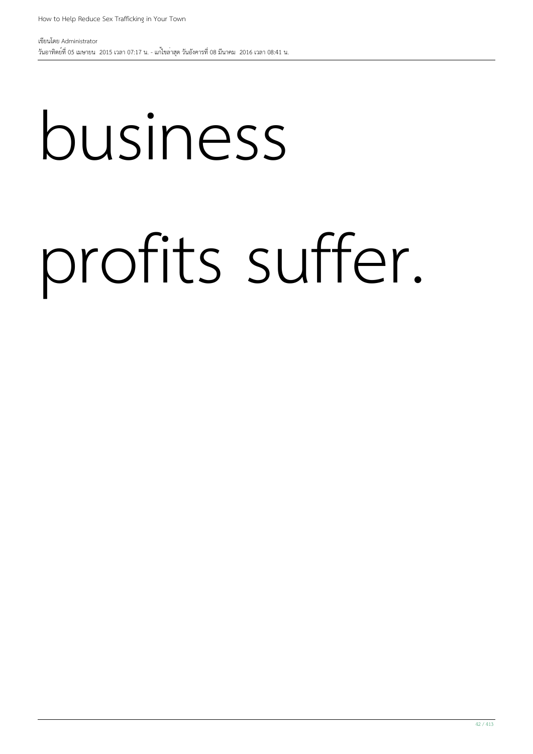### business profits suffer.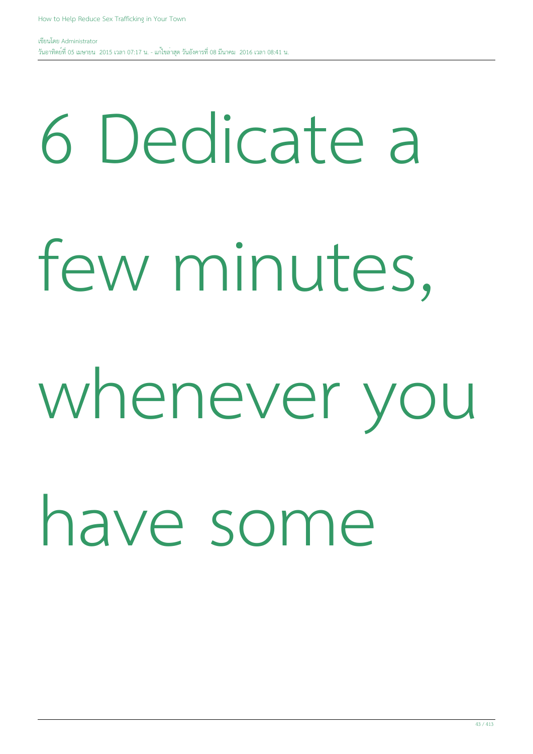## 6 Dedicate a few minutes, whenever you have some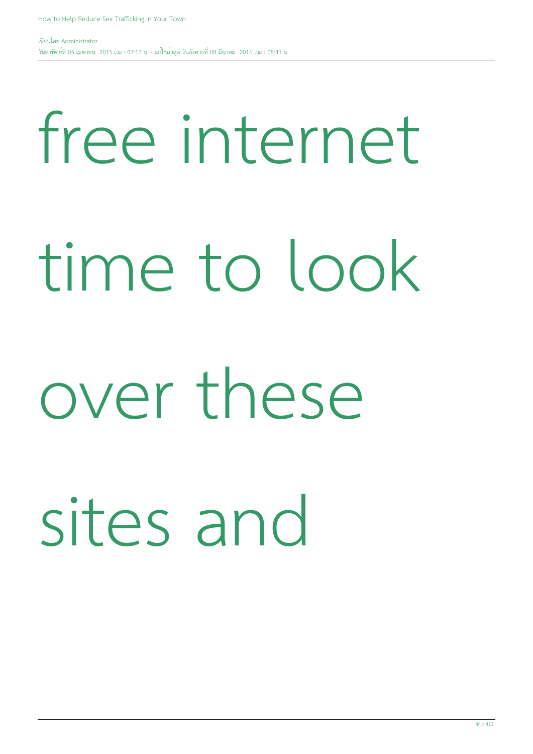## free internet time to look over these sites and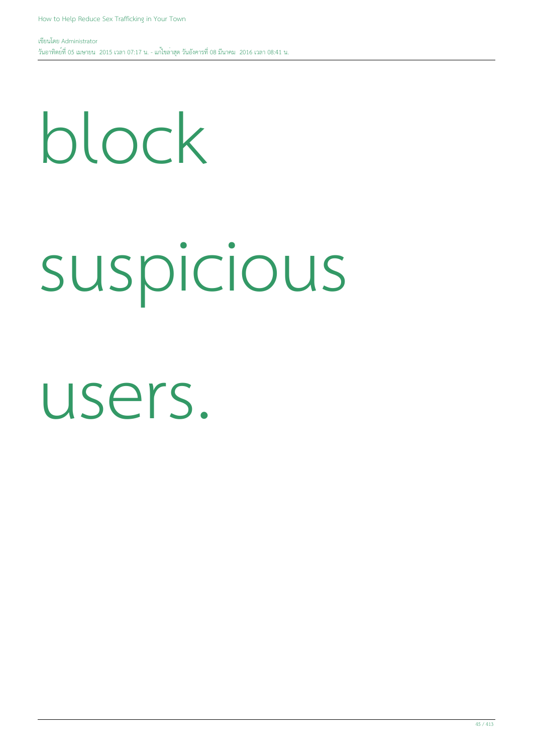## block suspicious

users.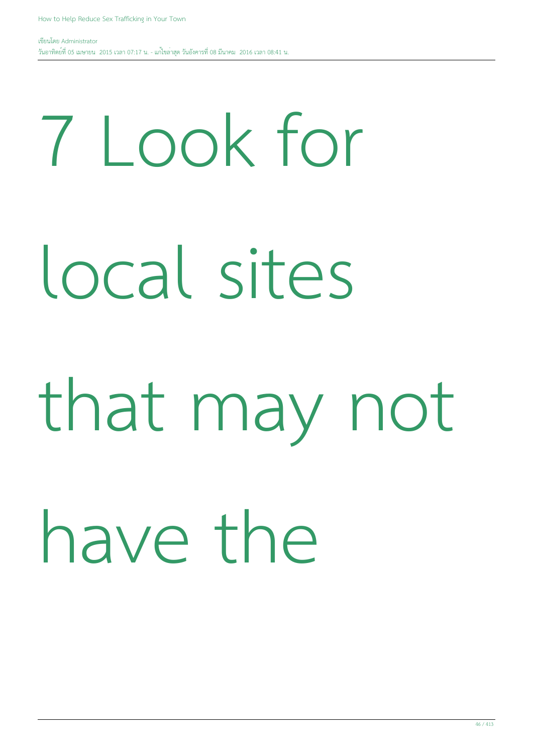## 7 Look for local sites that may not have the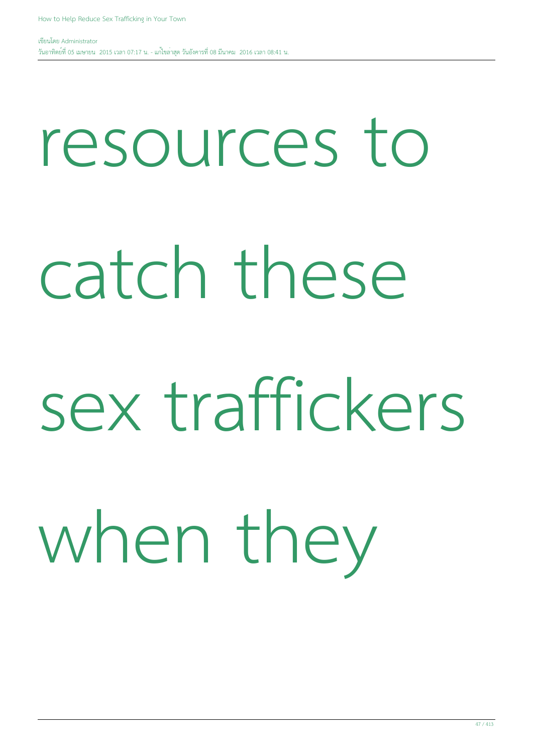## resources to catch these sex traffickers when they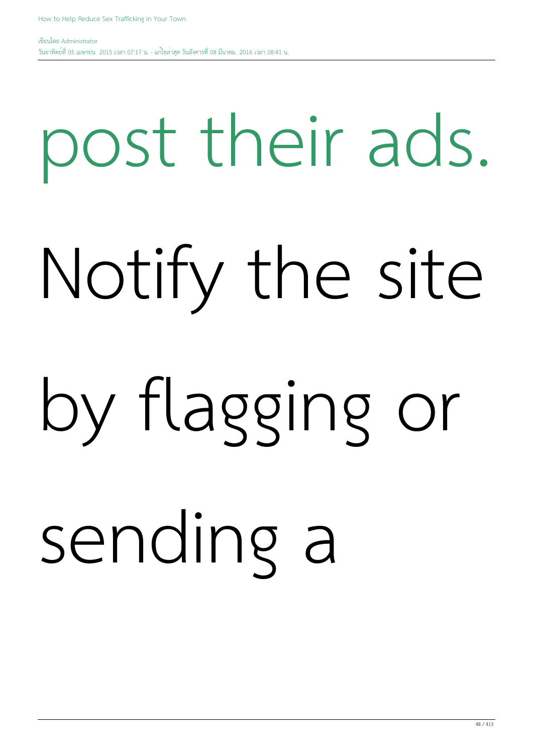## post their ads. Notify the site

### by flagging or

#### sending a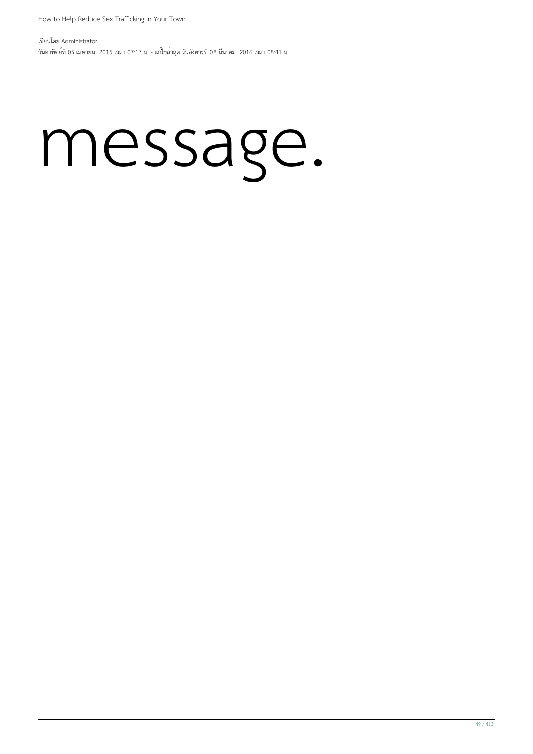#### message.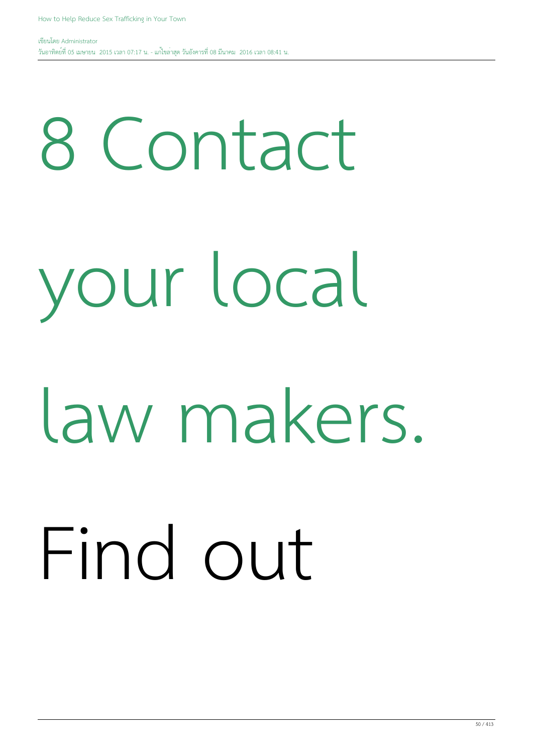## 8 Contact your local law makers. Find out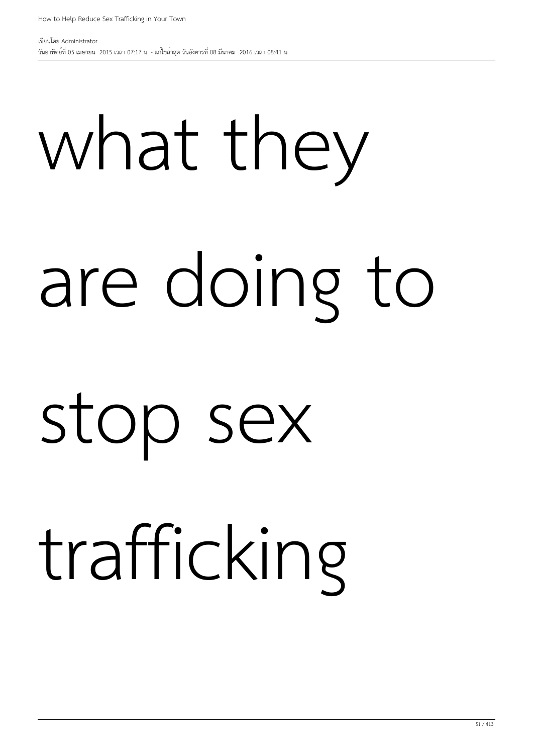## what they are doing to

#### stop sex

### trafficking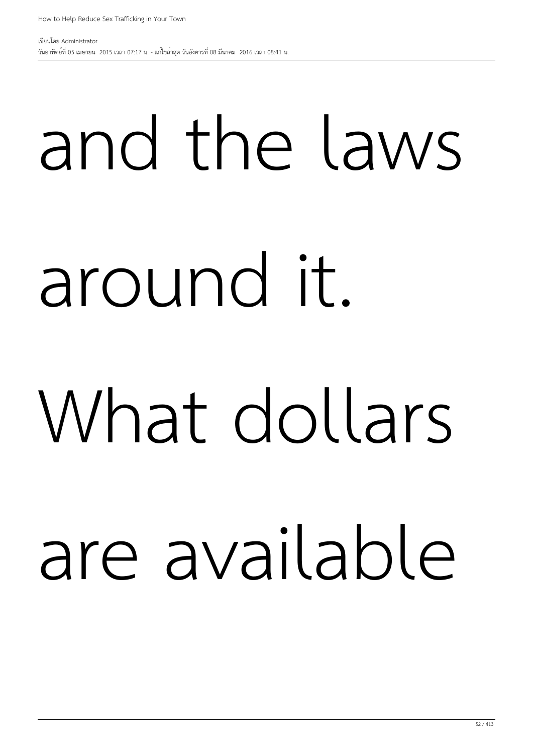## and the laws around it. What dollars are available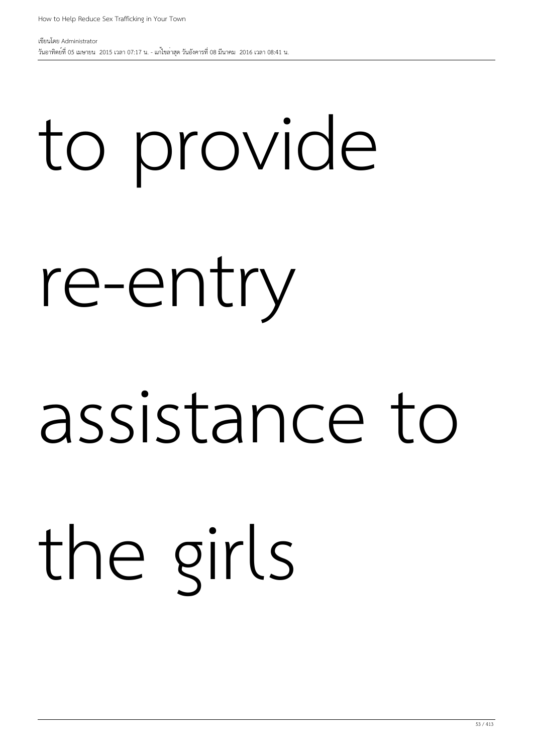## to provide re-entry

#### assistance to

### the girls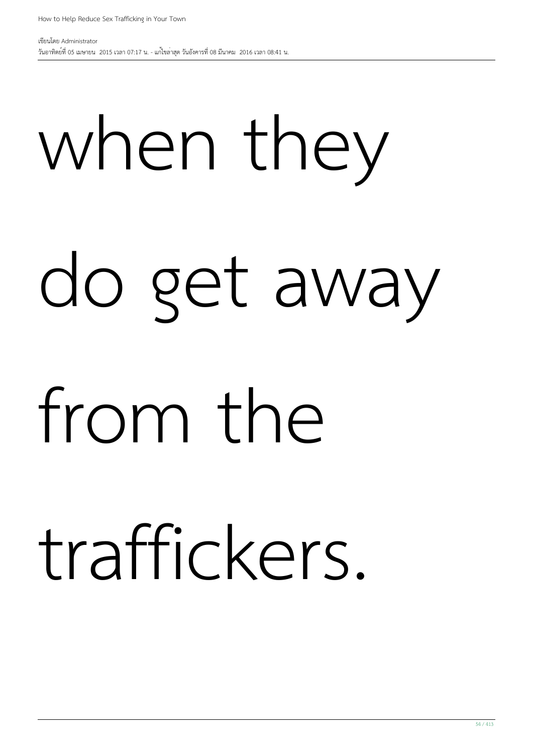# when they do get away

#### from the

#### traffickers.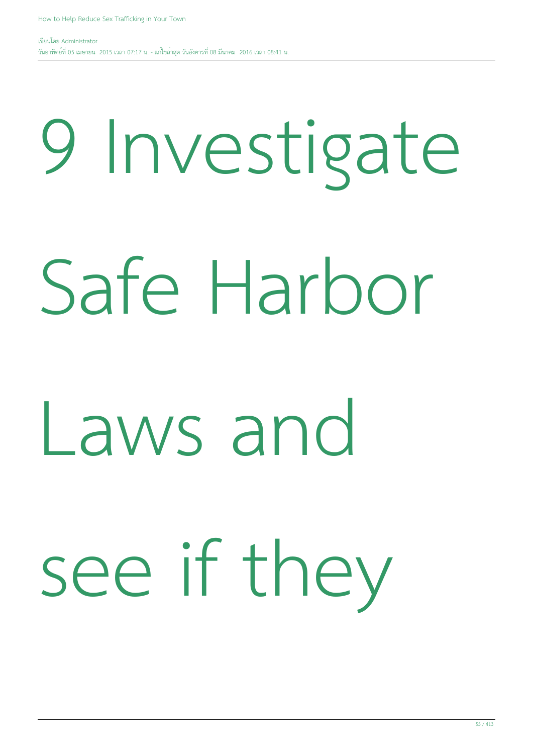# 9 Investigate Safe Harbor Laws and see if they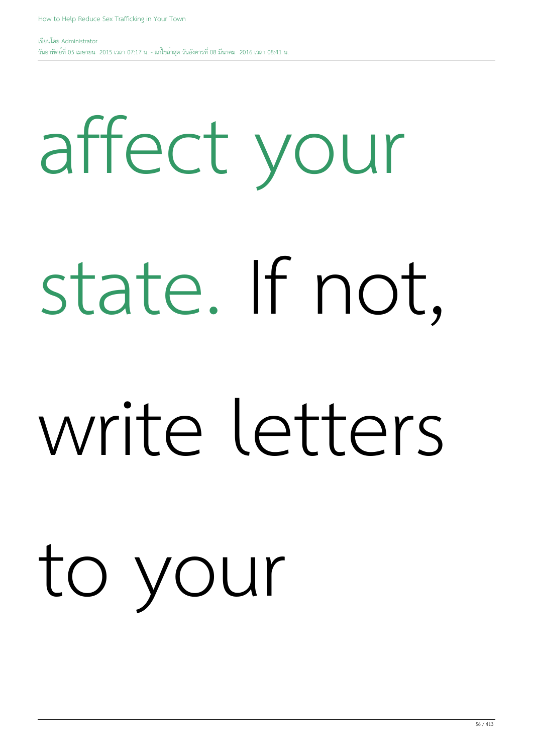## affect your state. If not, write letters to your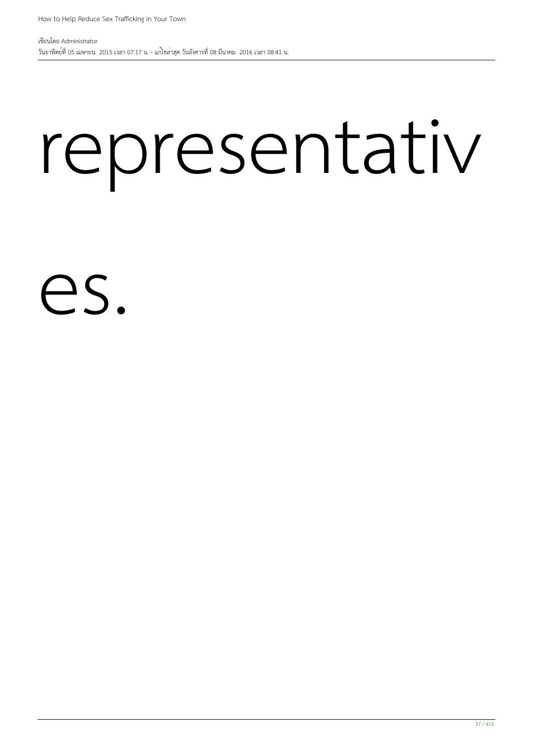#### representativ

es.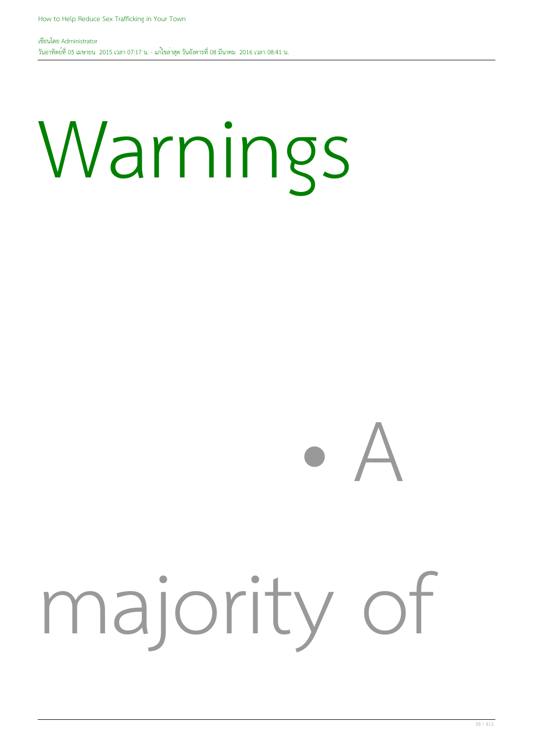#### Warnings

## • A

### majority of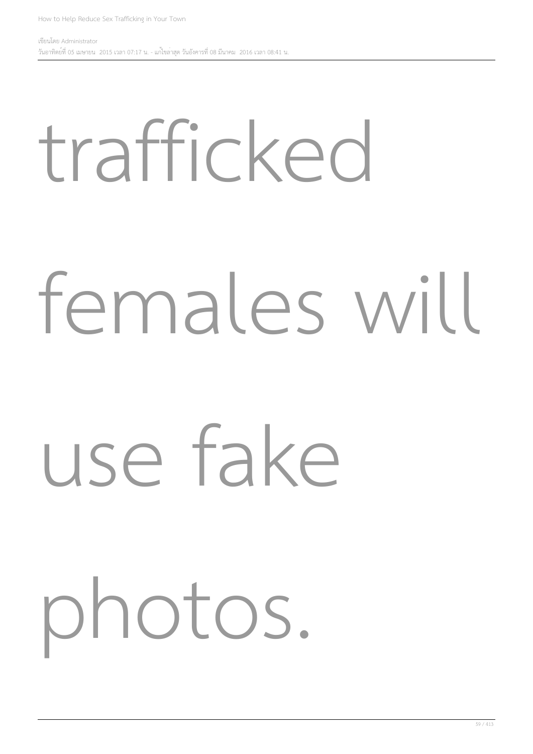# trafficked females will use fake photos.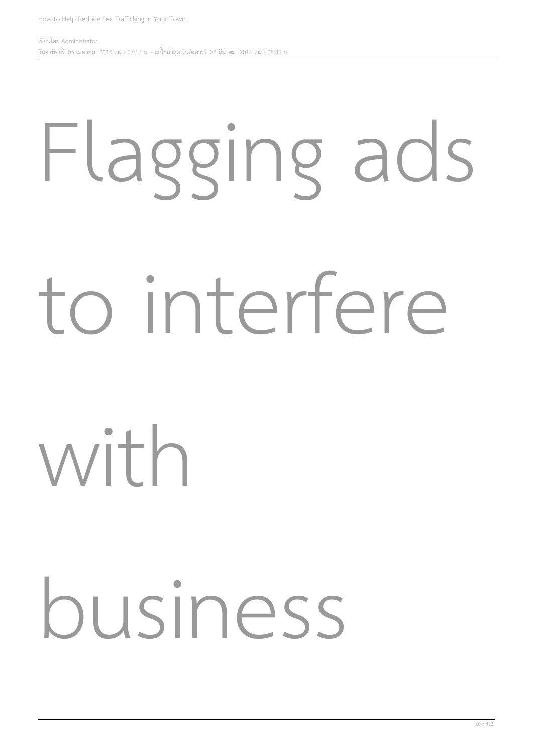# Flagging ads to interfere

### with

#### business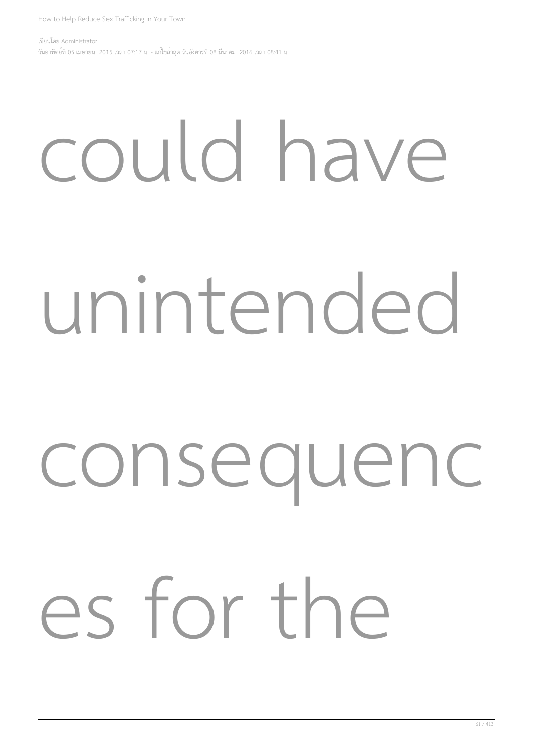# could have unintended consequenc es for the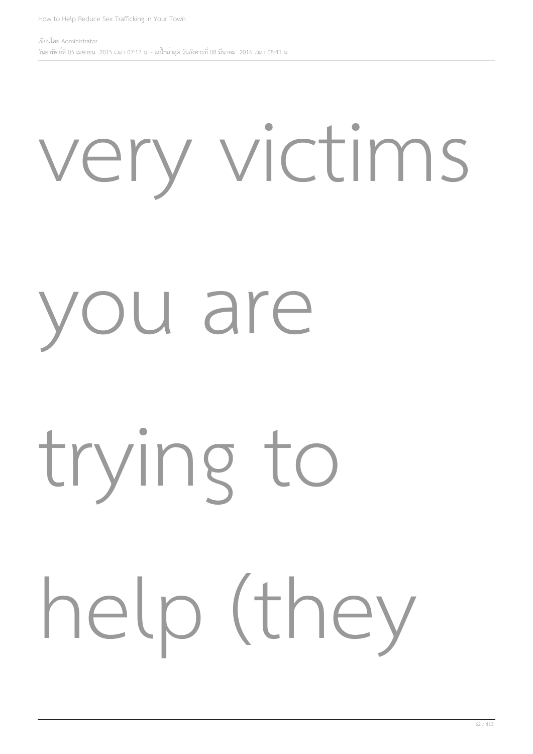# very victims you are trying to help (they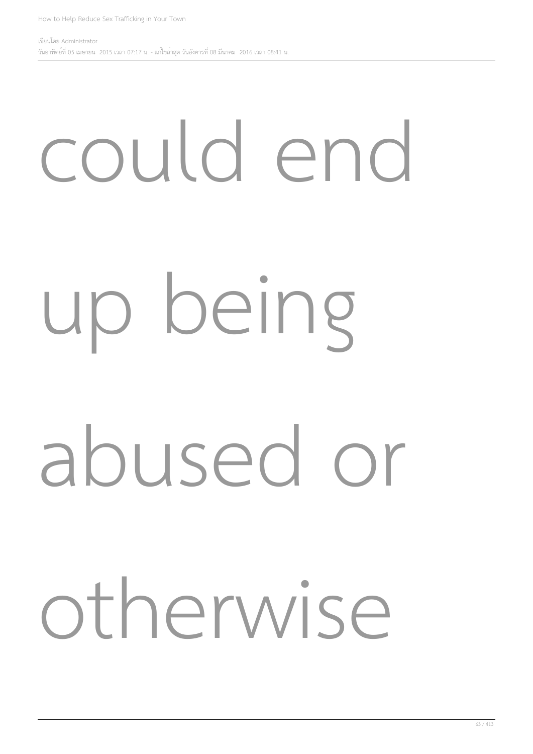# could end up being abused or otherwise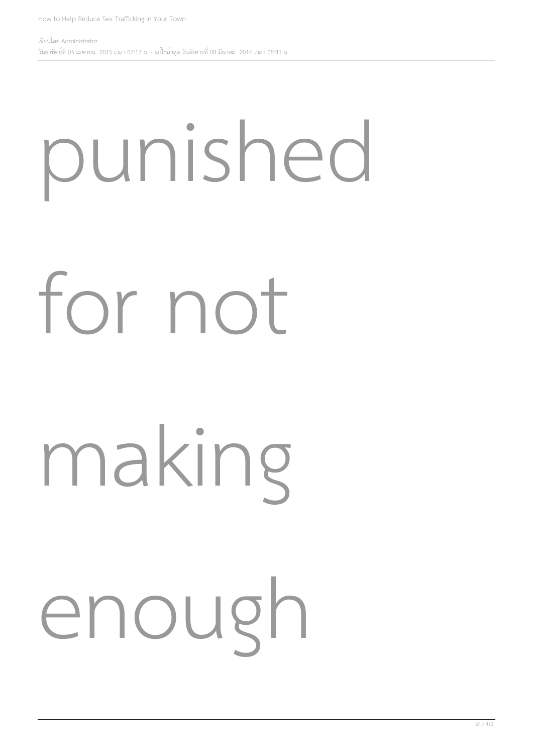# punished for not making enough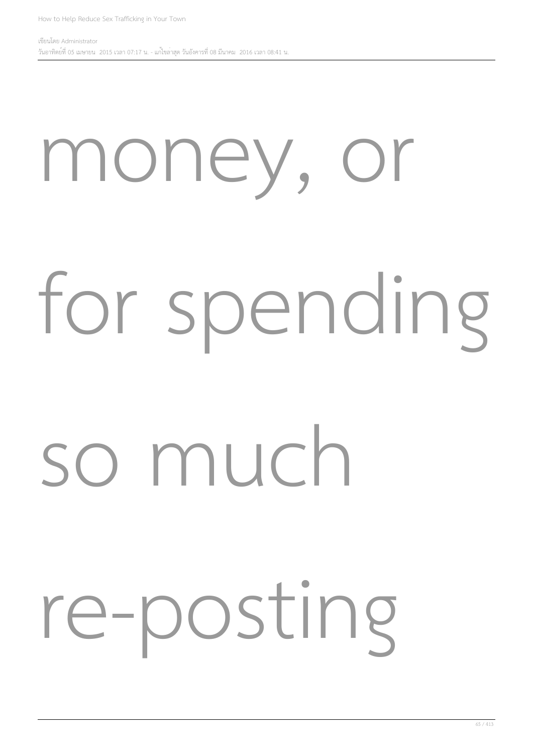# money, or for spending so much re-posting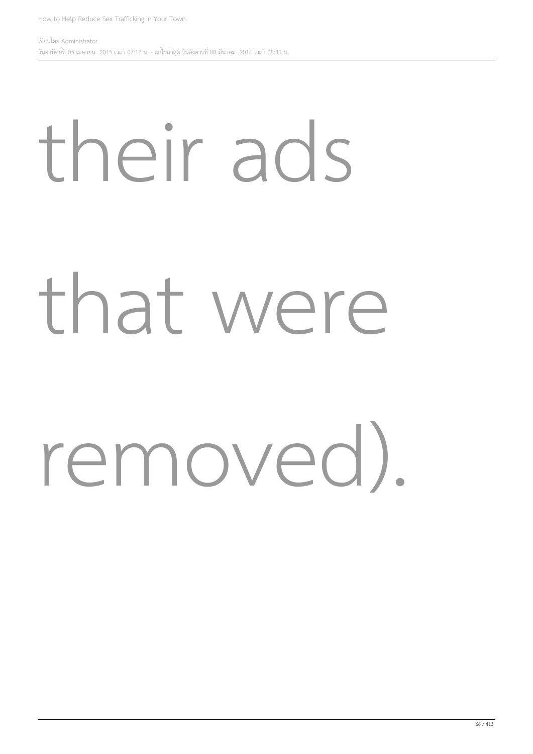# their ads that were removed).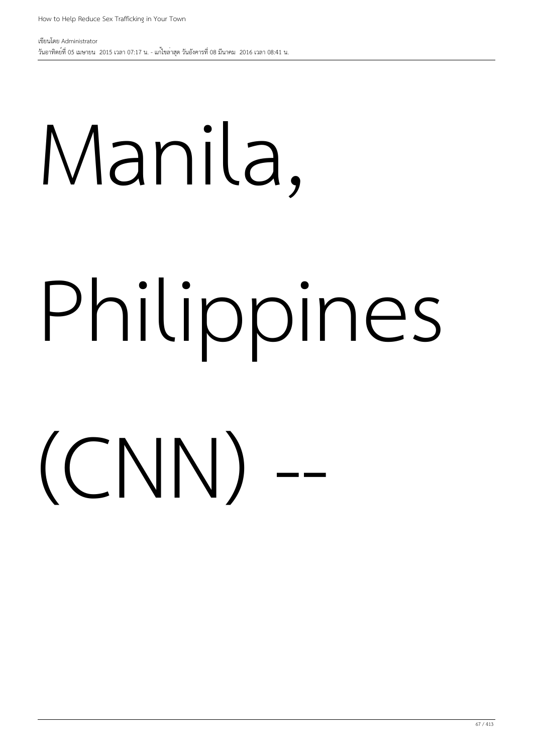# Manila, Philippines (CNN) --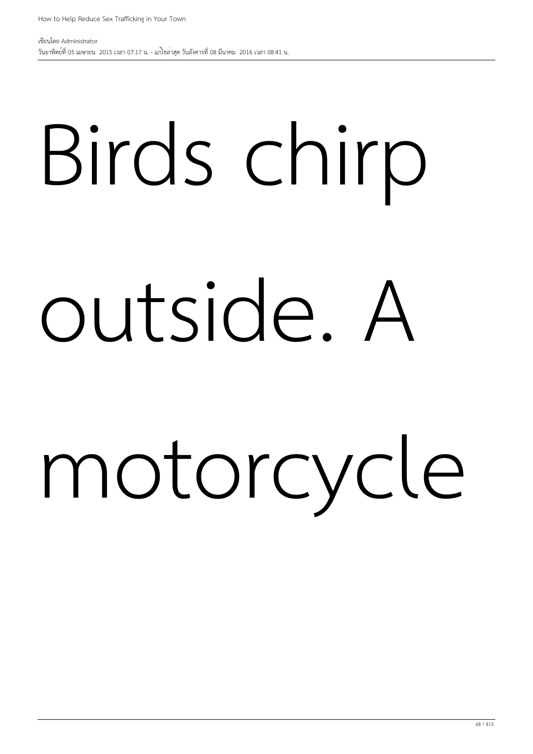# Birds chirp outside. A motorcycle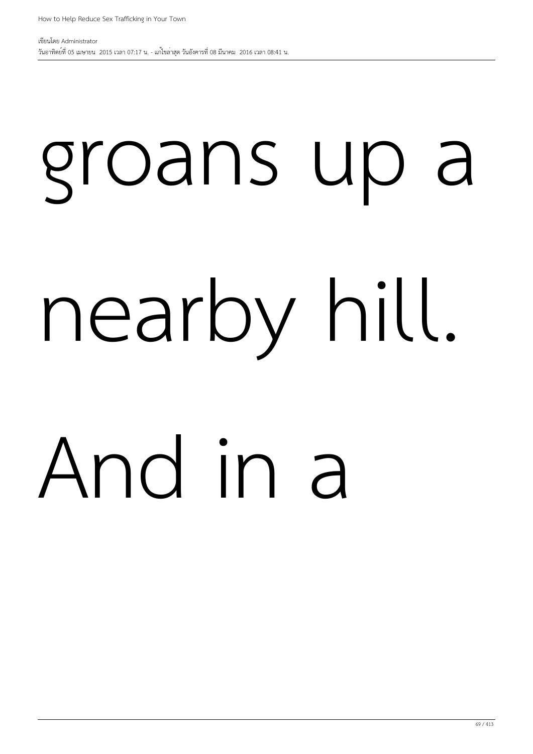# groans up a nearby hill. And in a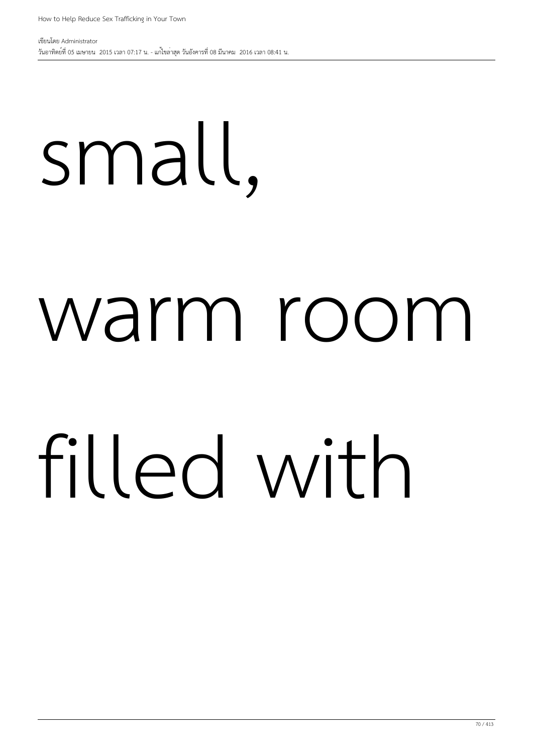# small, warm room filled with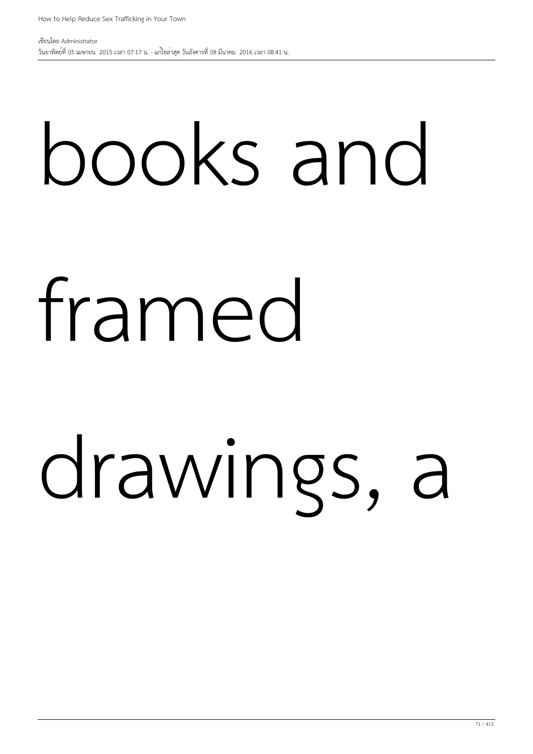# books and framed

### drawings, a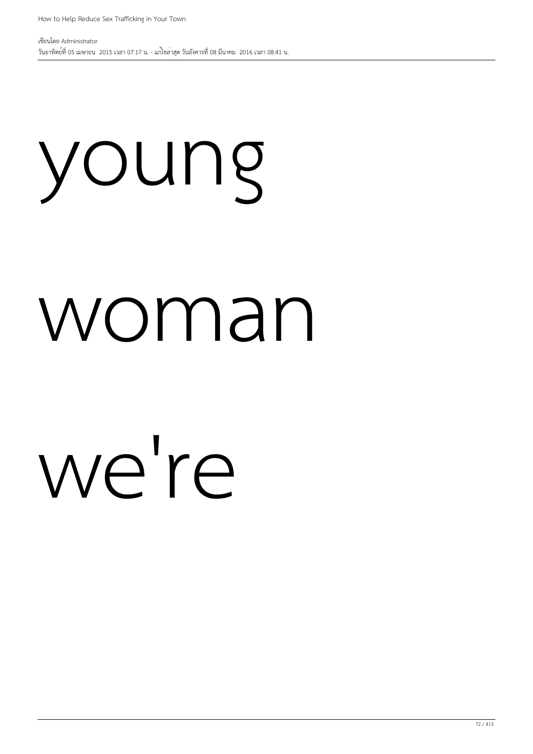## young woman we're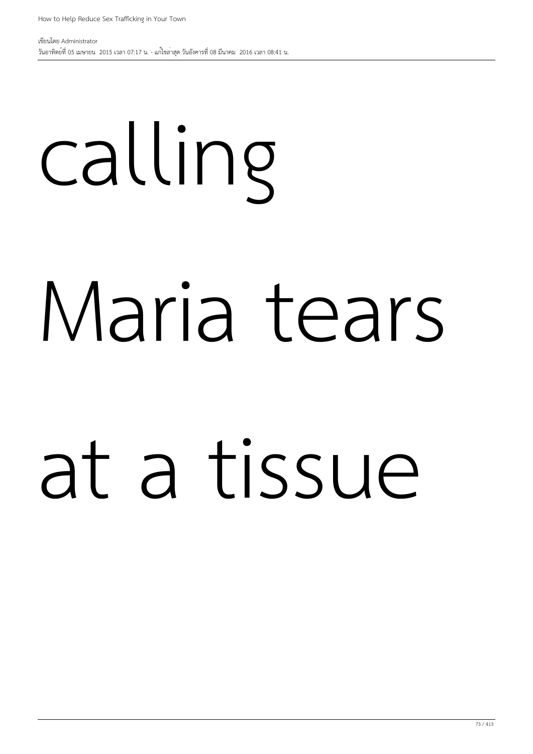### calling Maria tears at a tissue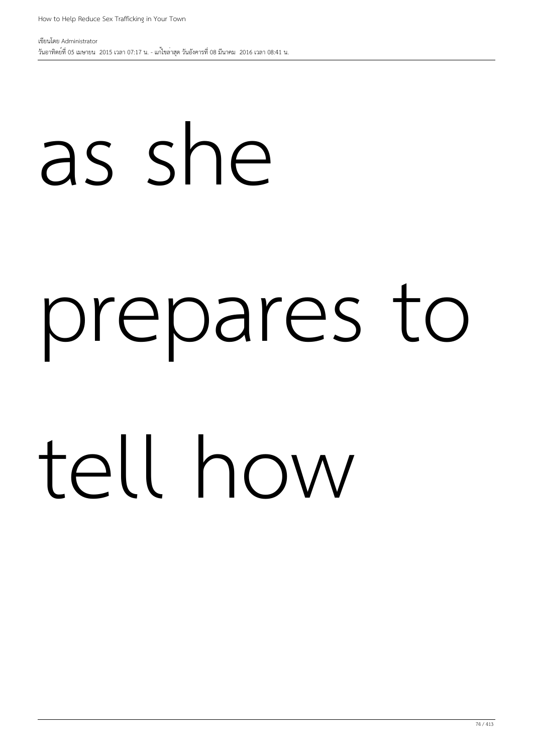### as she prepares to tell how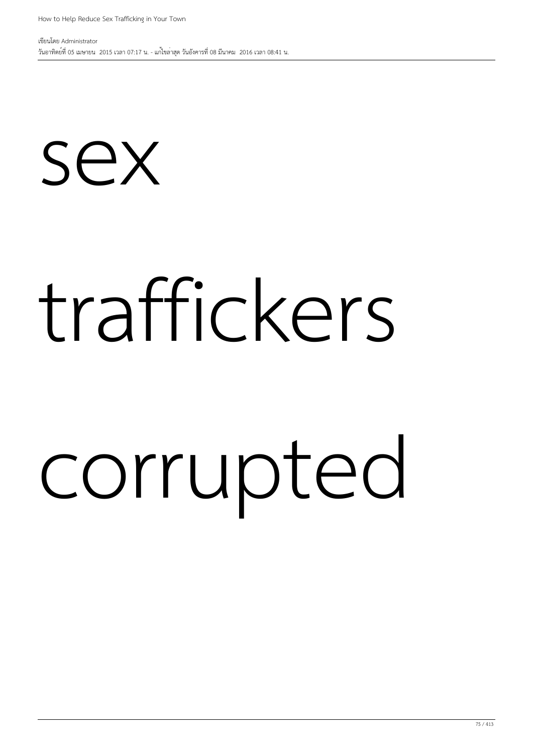#### sex

#### traffickers

#### corrupted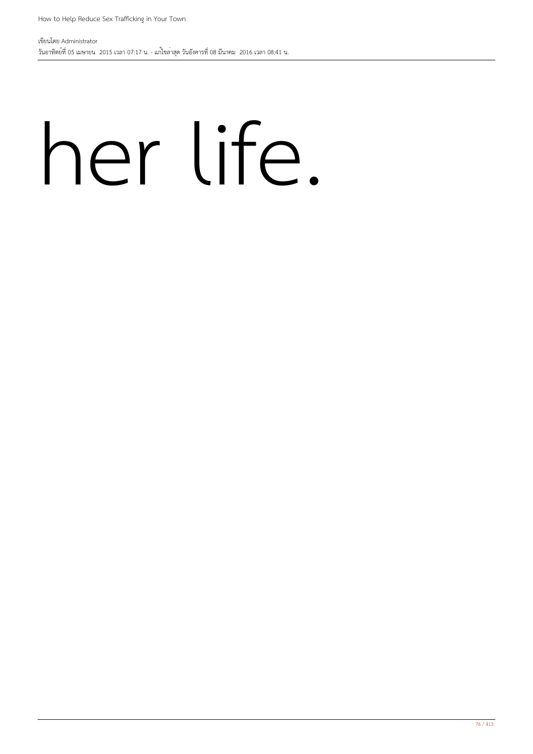#### her life.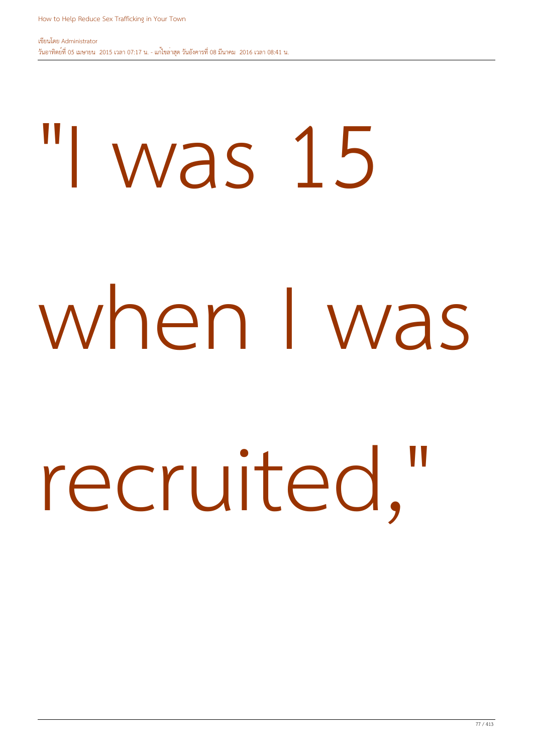## "I was 15 when I was recruited,"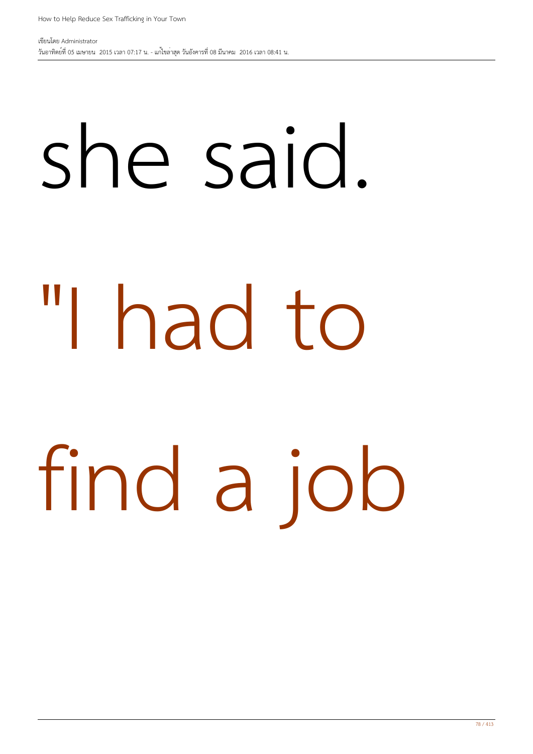## she said. "I had to find a job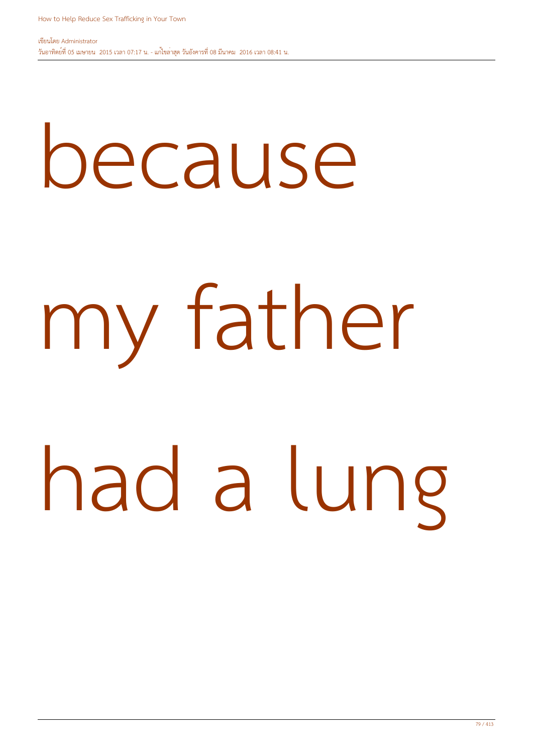#### because

#### my father had a lung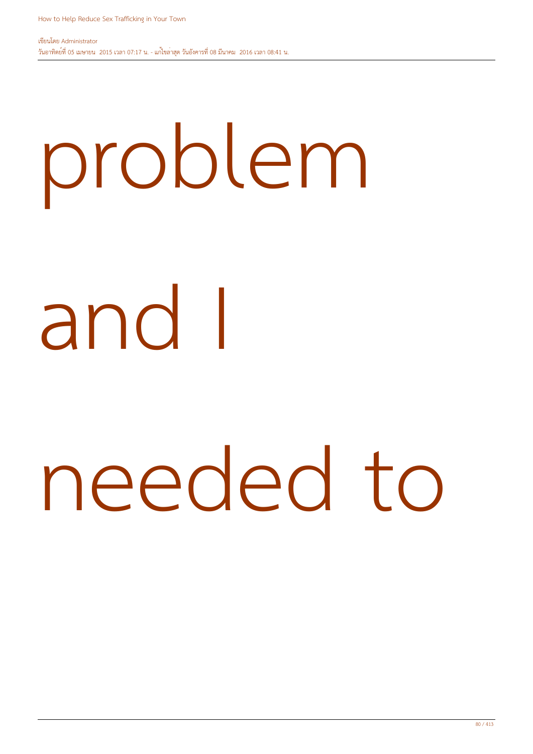#### problem and I

#### needed to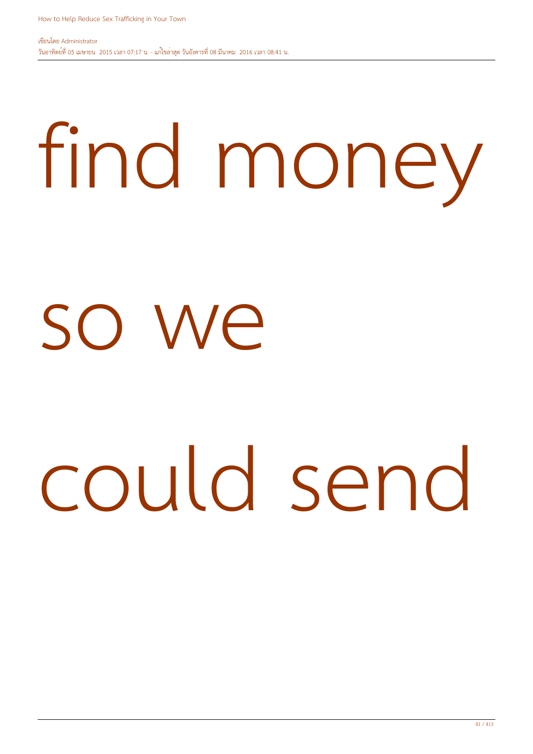#### find money

#### so we

#### could send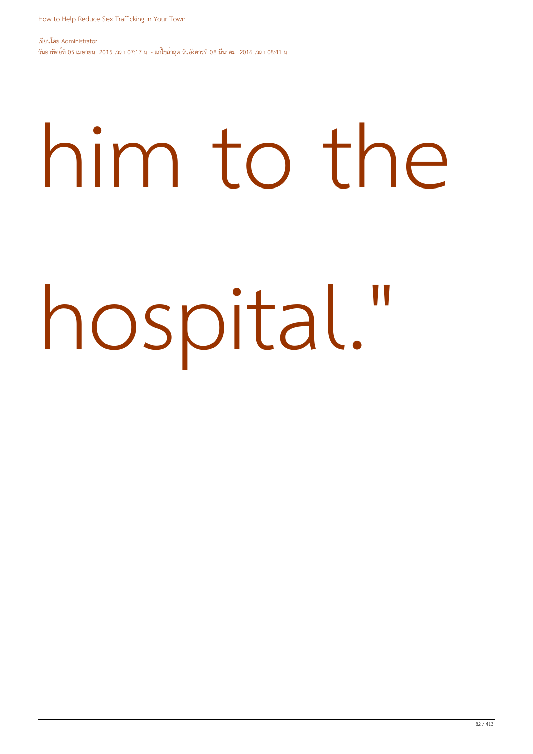### him to the hospital."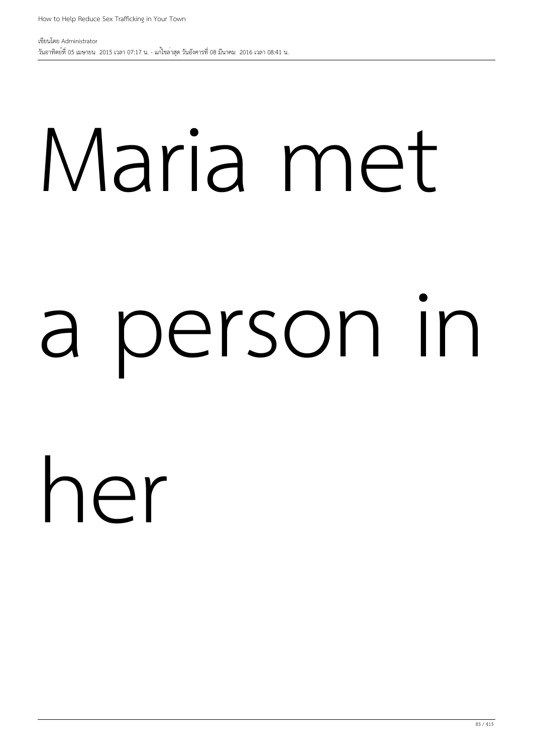### Maria met a person in her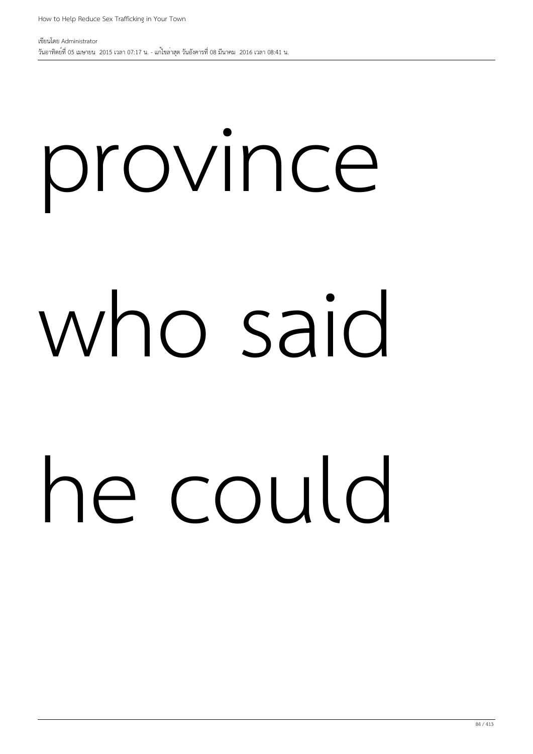## province who said he could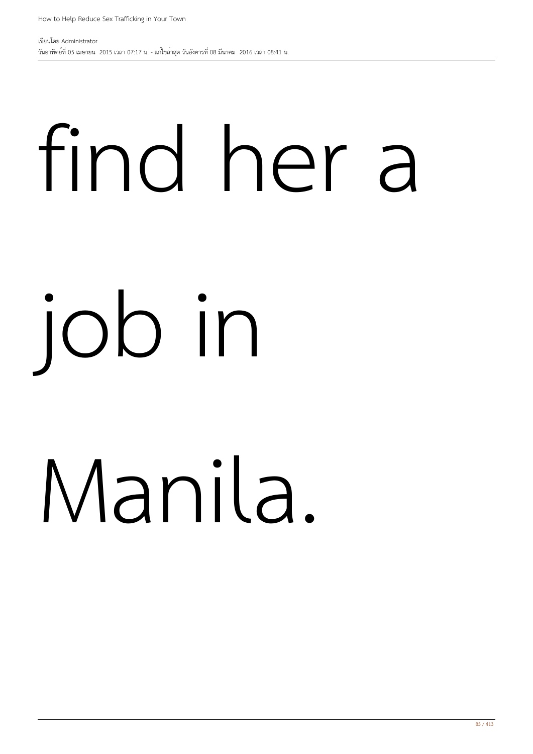## find her a job in Manila.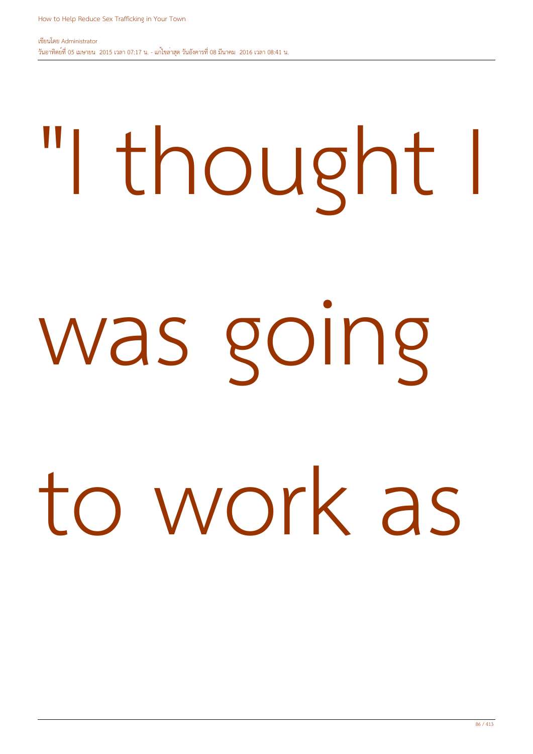# "I thought I was going to work as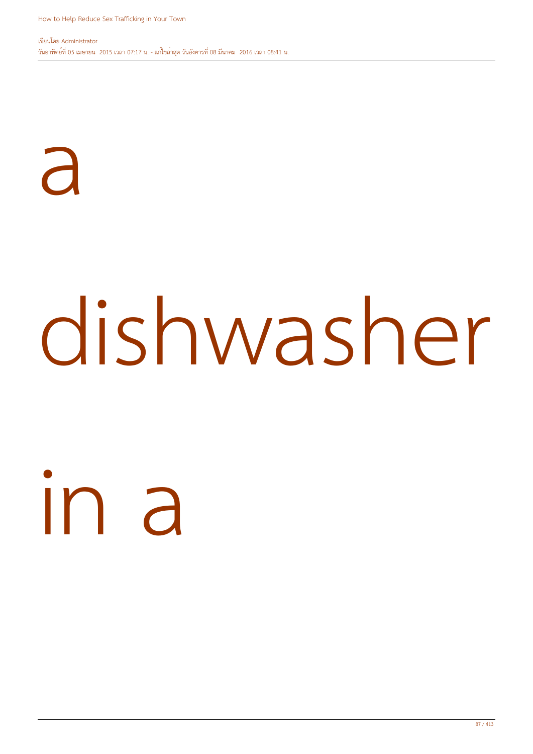### a dishwasher in a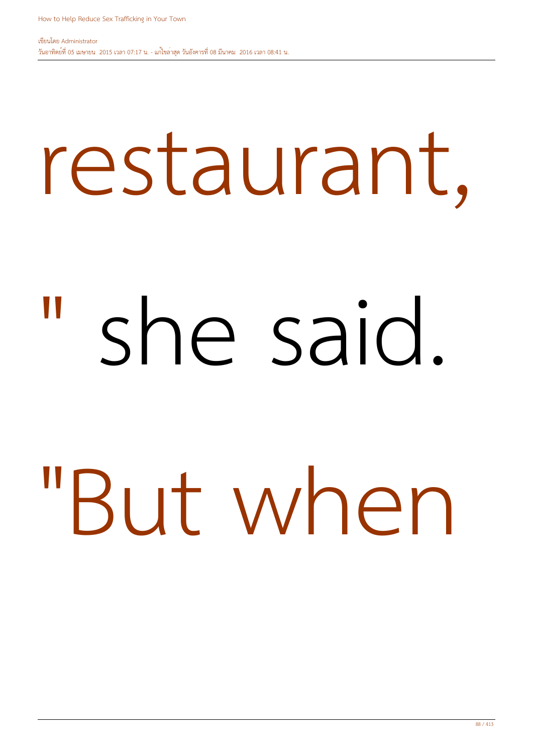## restaurant, she said. "But when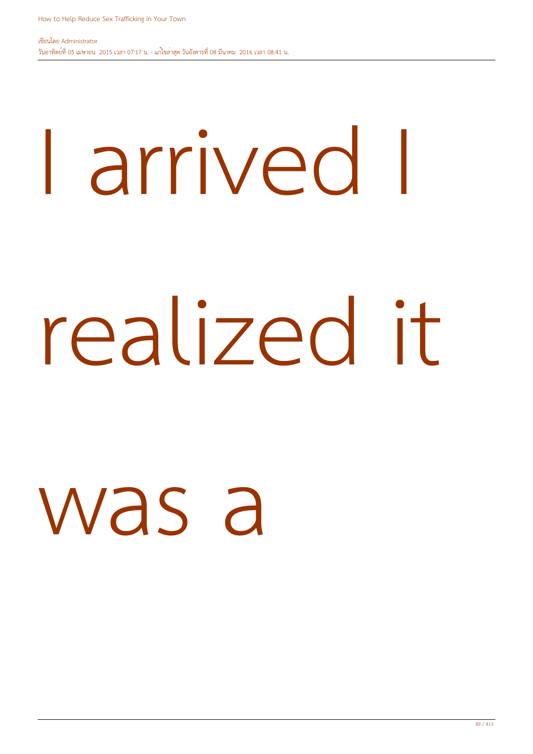# I arrived I realized it

#### was a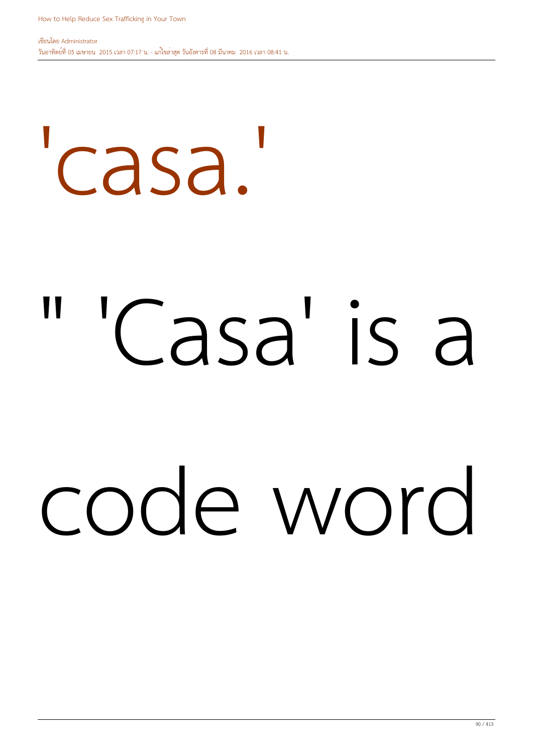## 'casa.' " 'Casa' is a code word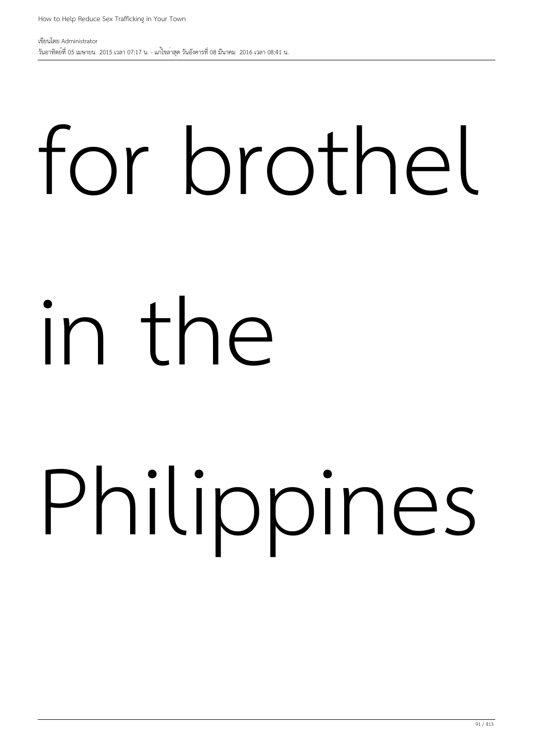# for brothel in the Philippines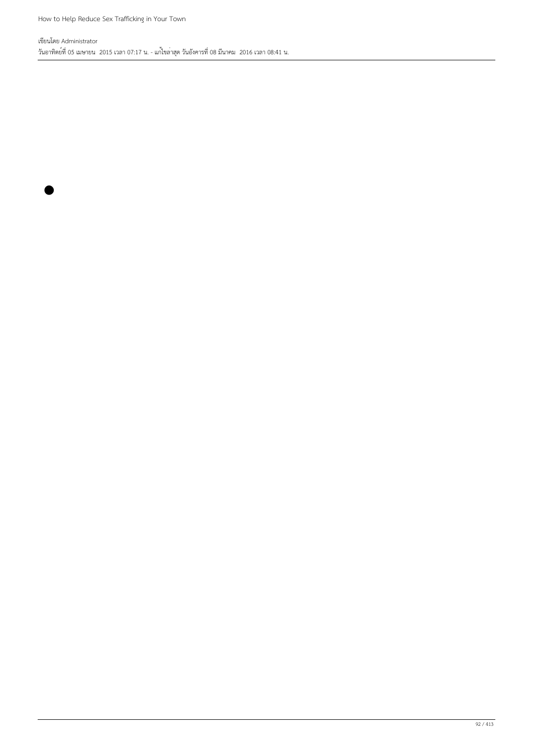.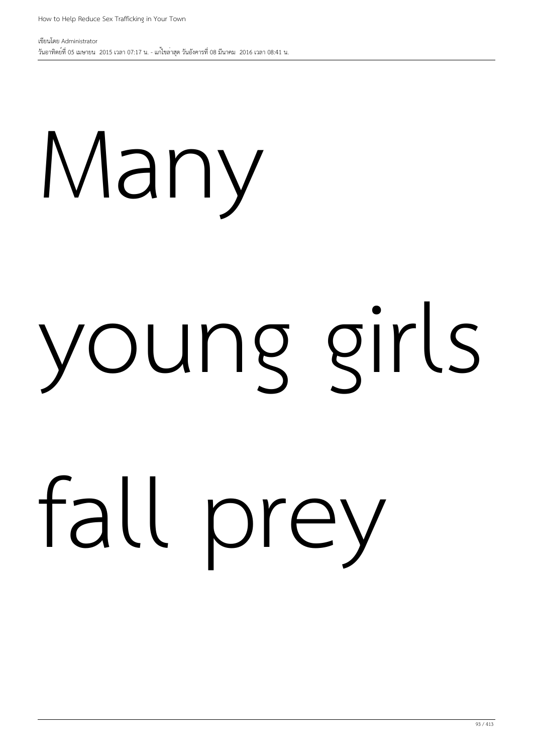# Many young girls fall prey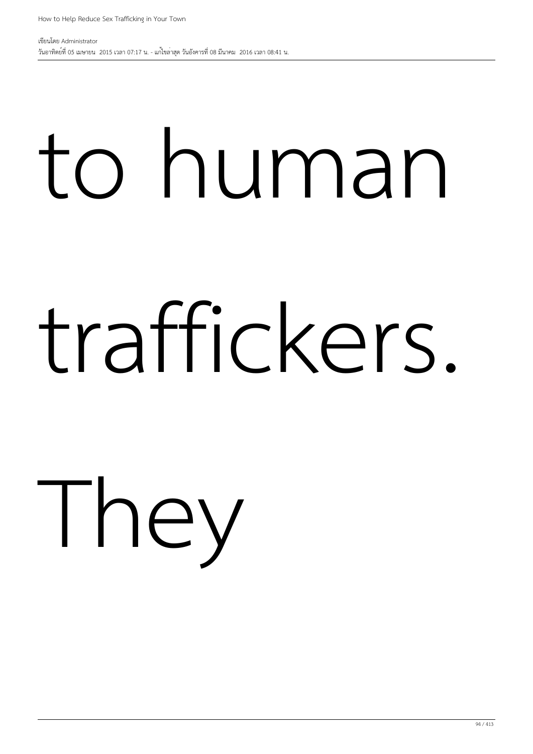### to human traffickers.

They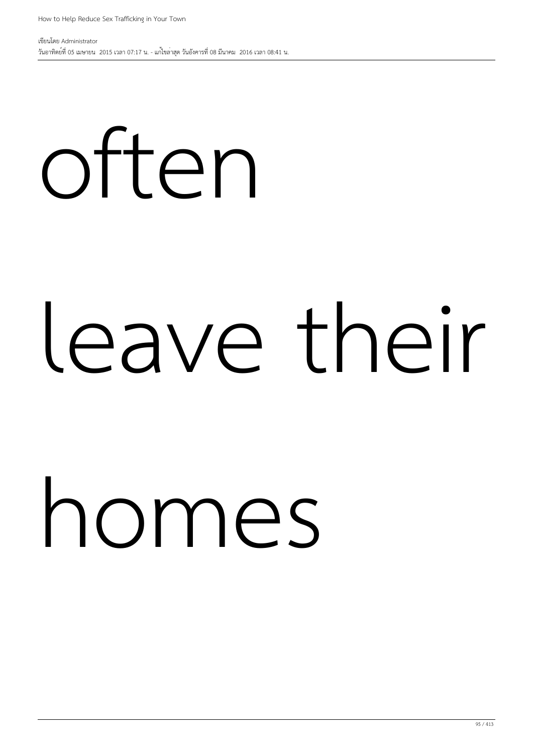# often leave their homes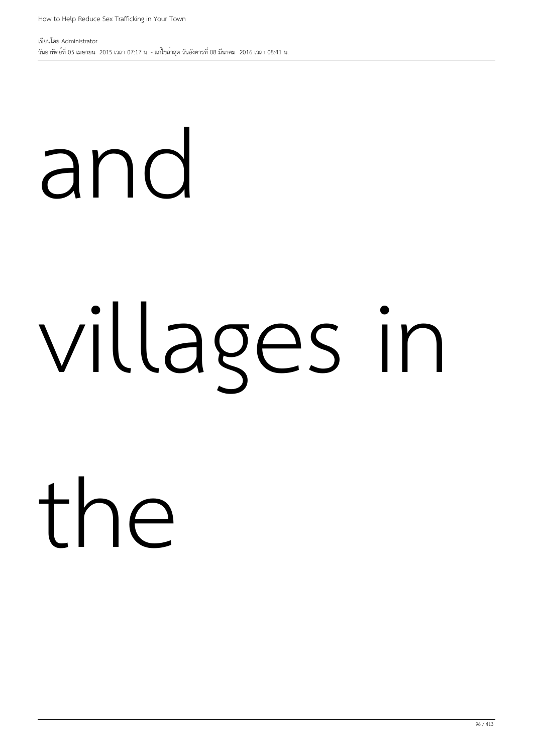## and villages in the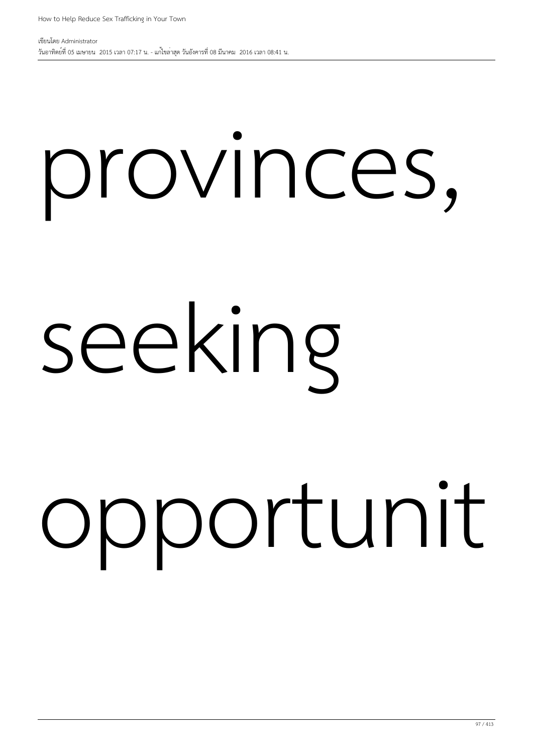#### provinces, seeking

#### opportunit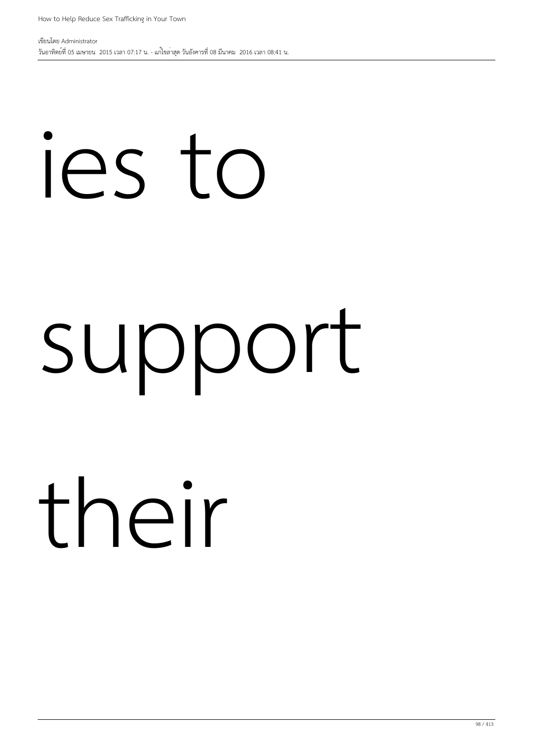# ies to support their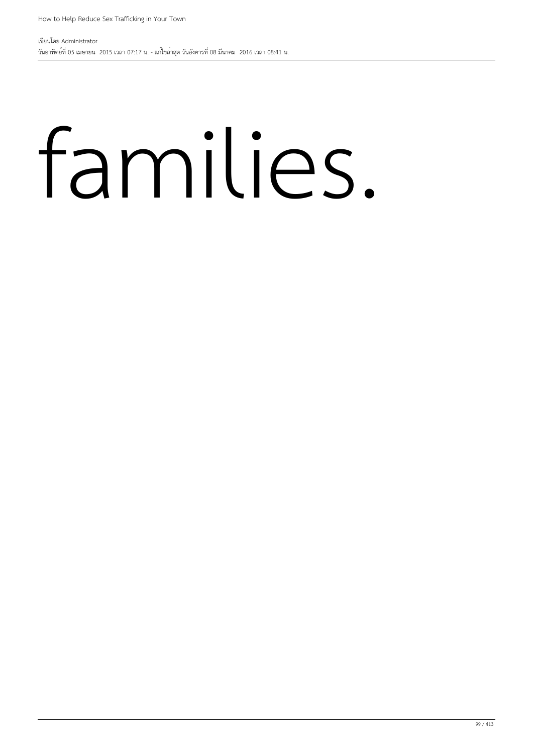#### families.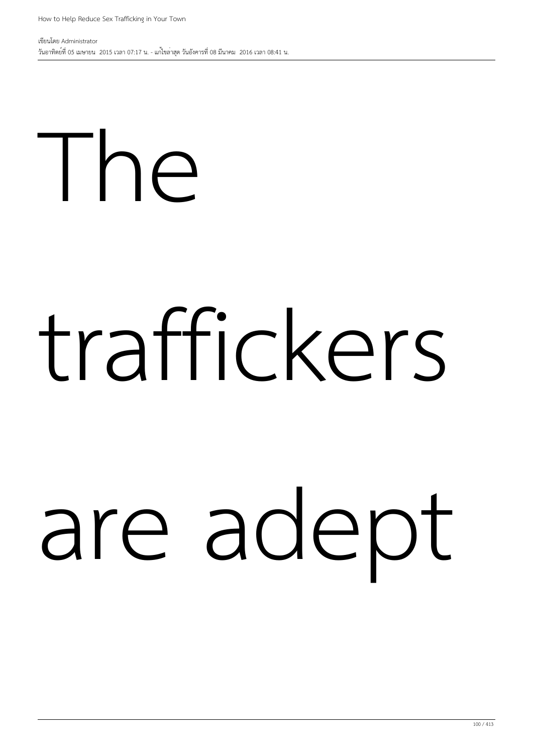# The traffickers are adept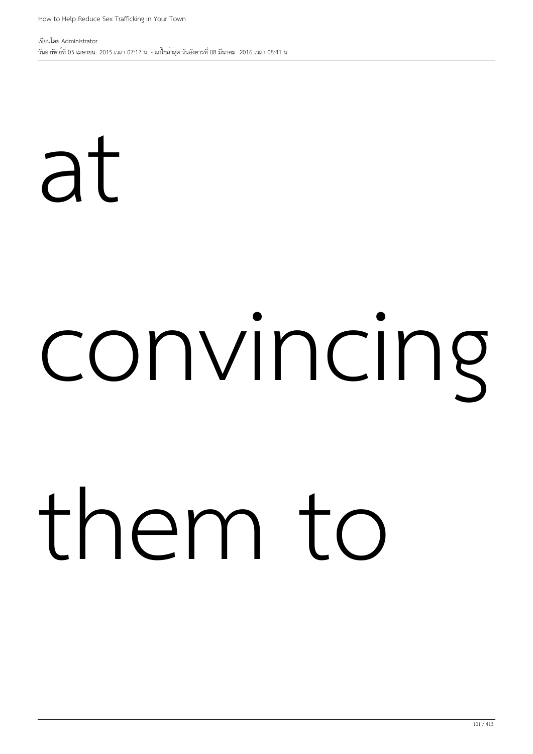# at convincing them to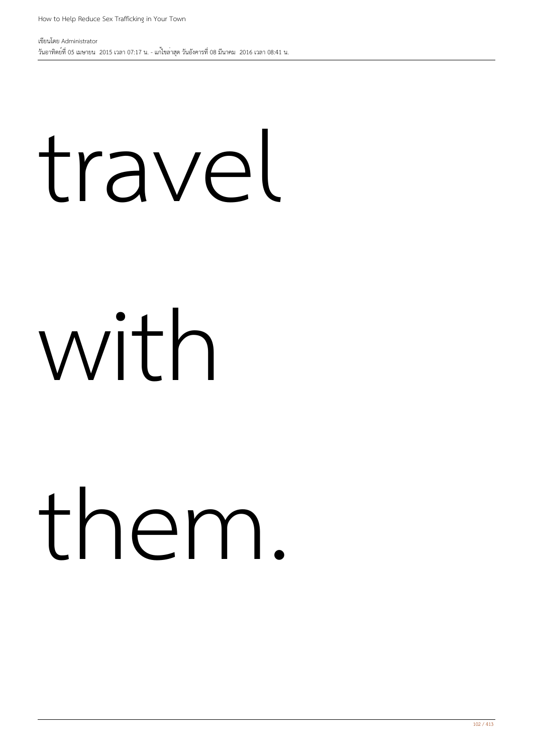## travel with them.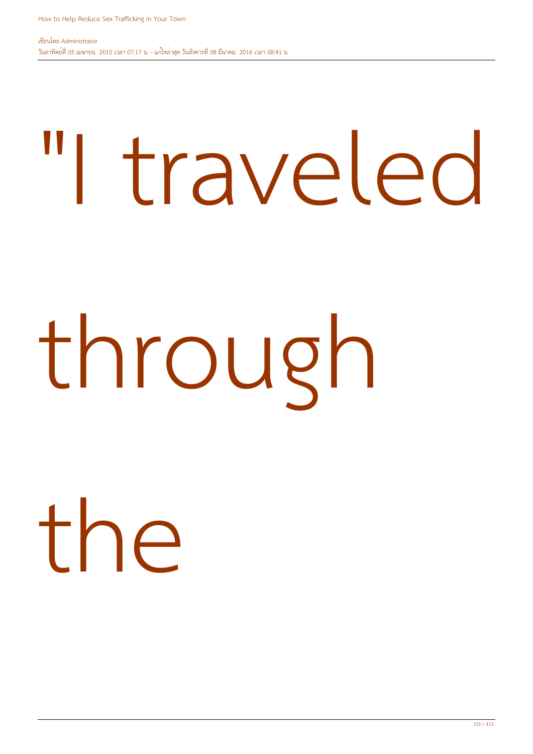# "I traveled

#### through

the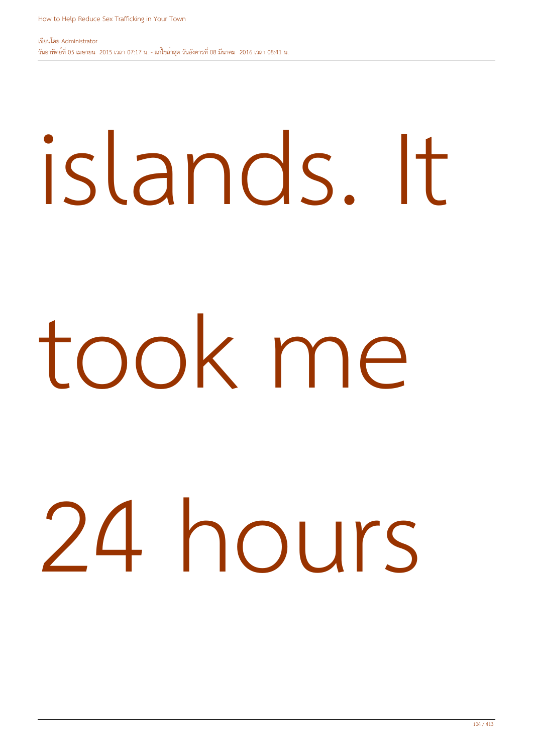#### islands. It

#### took me

#### 24 hours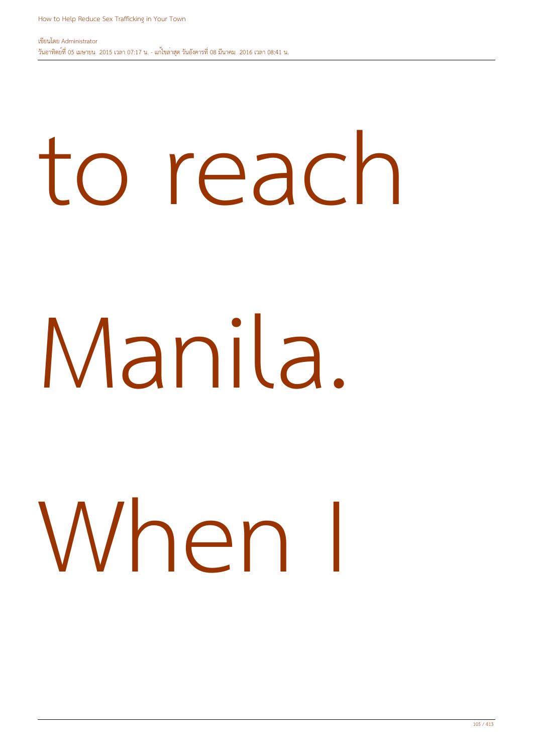# to reach Manila.

When I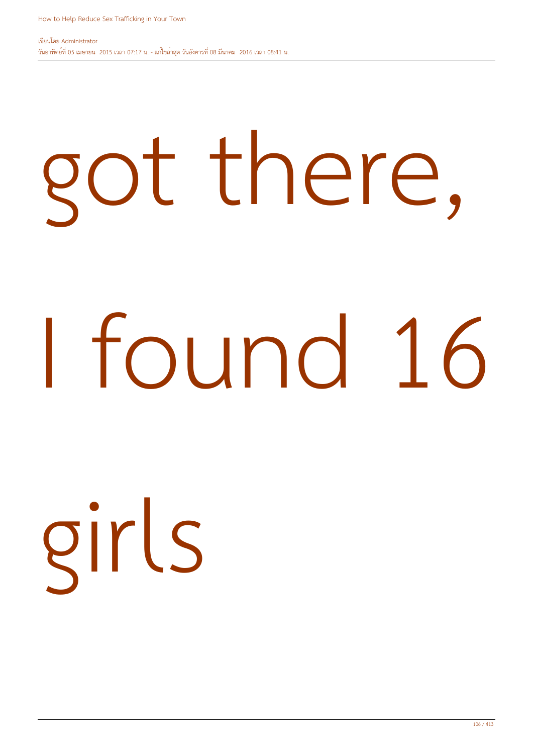# got there, I found 16

girls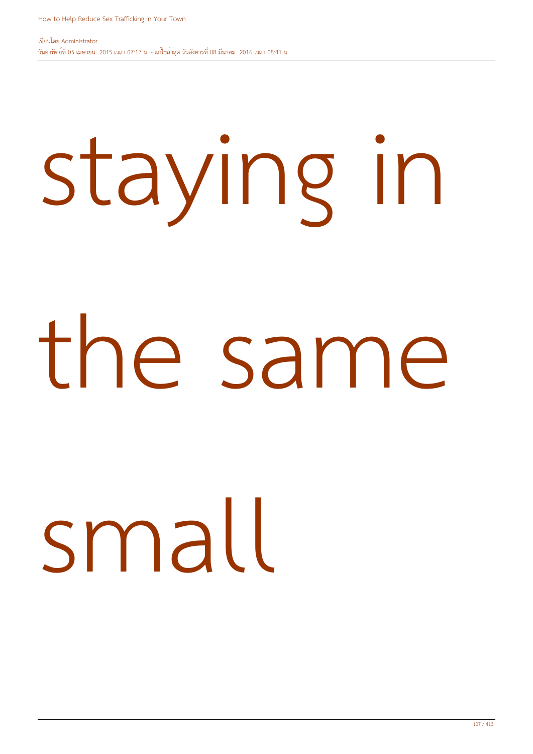### staying in the same

#### small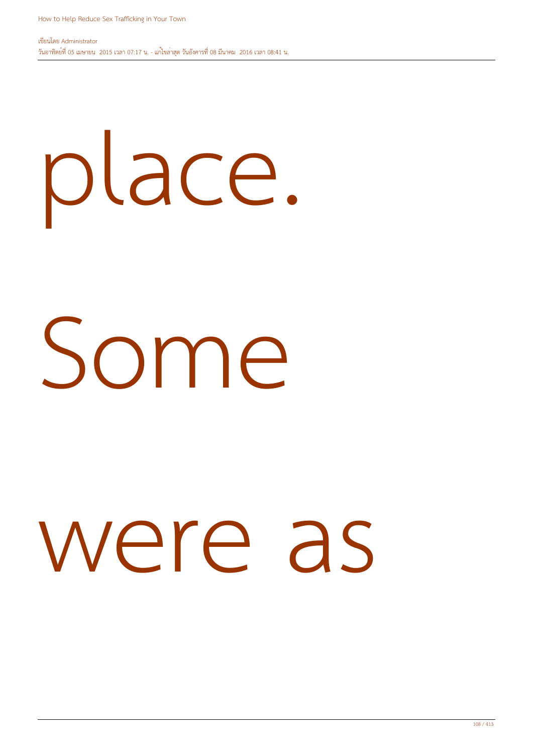#### place.

#### Some

#### were as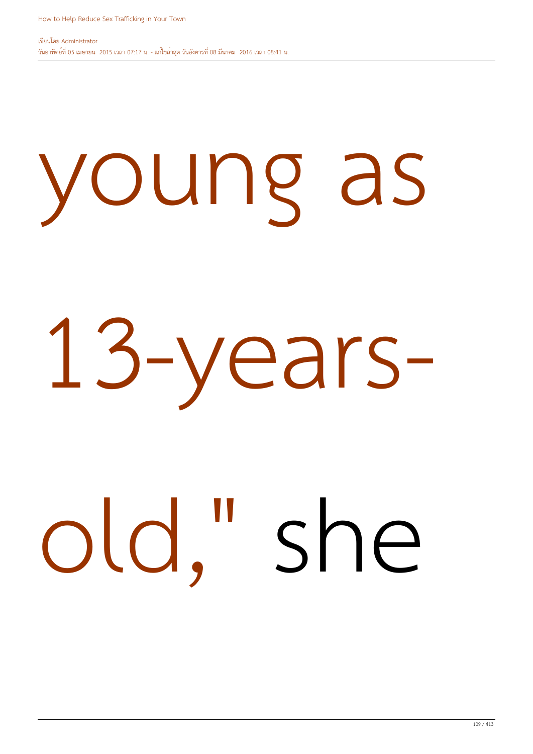เขียนโดย Administrator วันอาทิตย์ที่ 05 เมษายน 2015 เวลา 07:17 น. - แก้ไขล่าสุด วันอังคารที่ 08 มีนาคม 2016 เวลา 08:41 น.

# young as 13-yearsold," she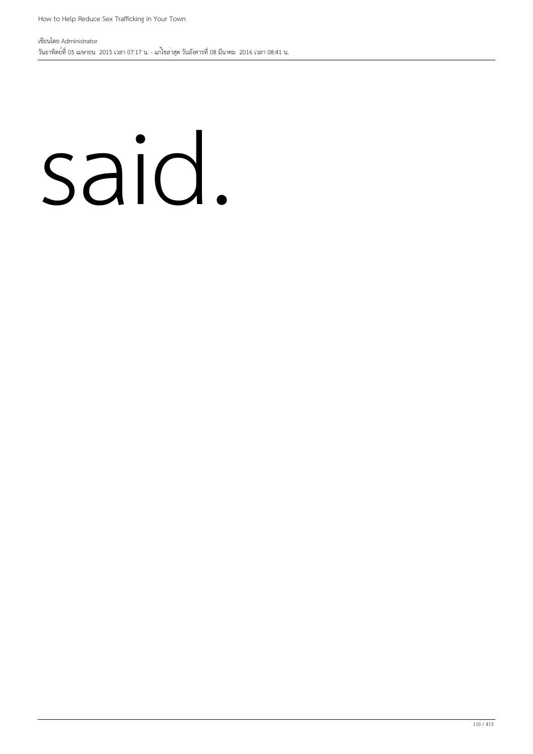### said.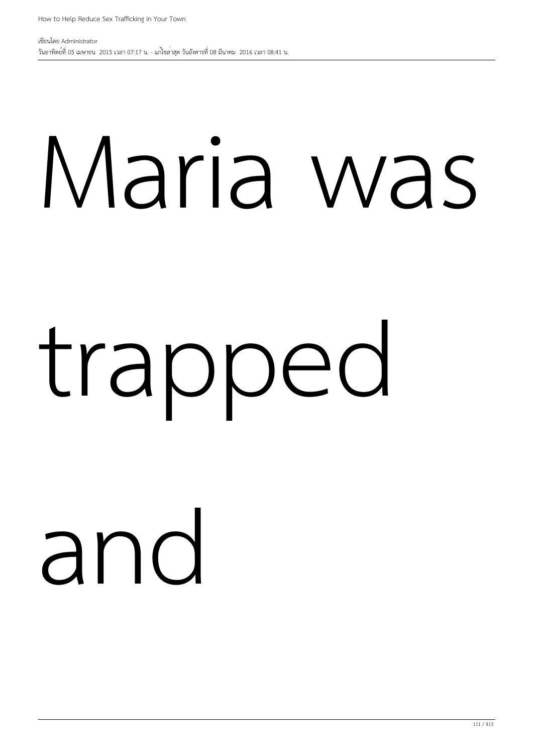## Maria was

# trapped

### and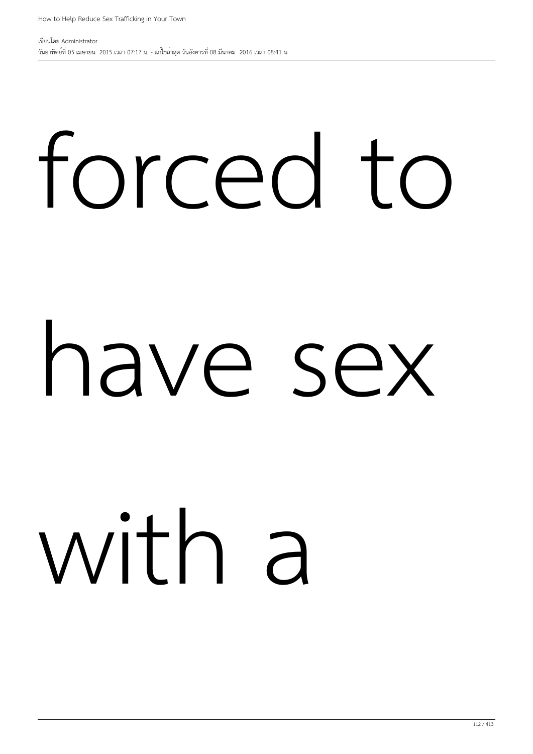# forced to

### have sex

### with a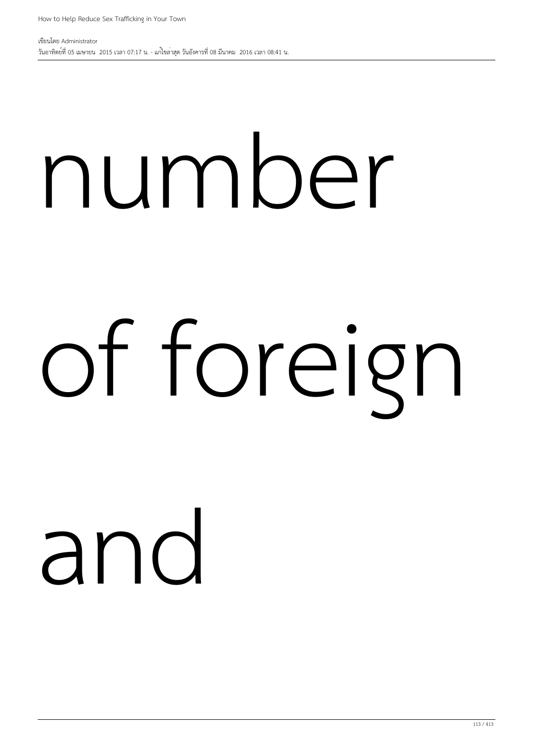# number of foreign

### and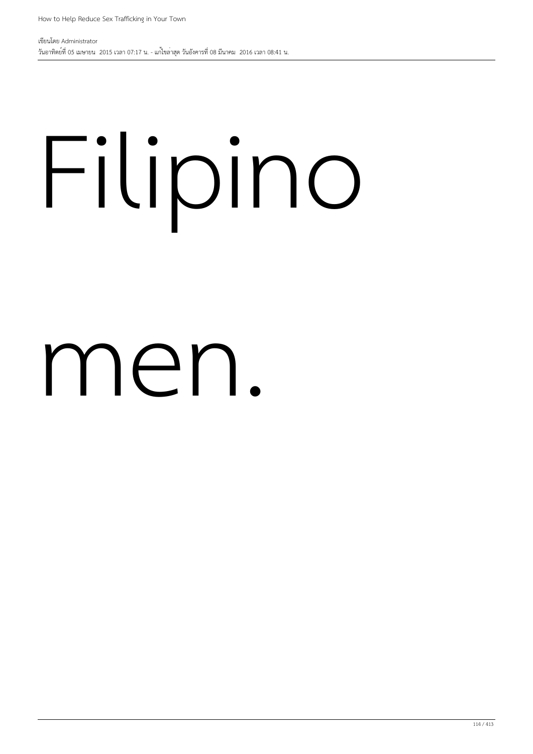# Filipino

#### men.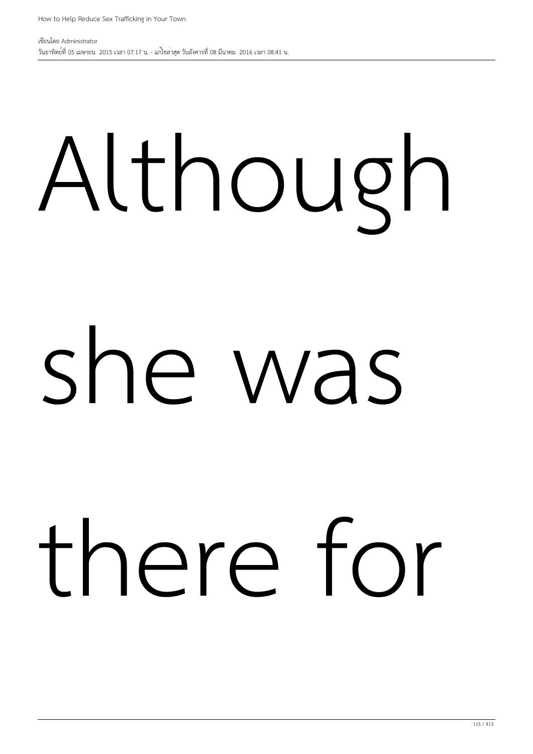# Although

### she was

## there for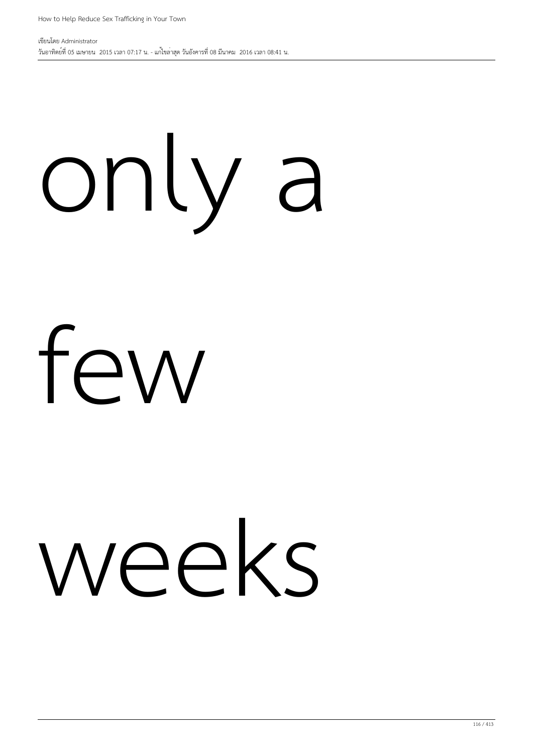# only a

few

### weeks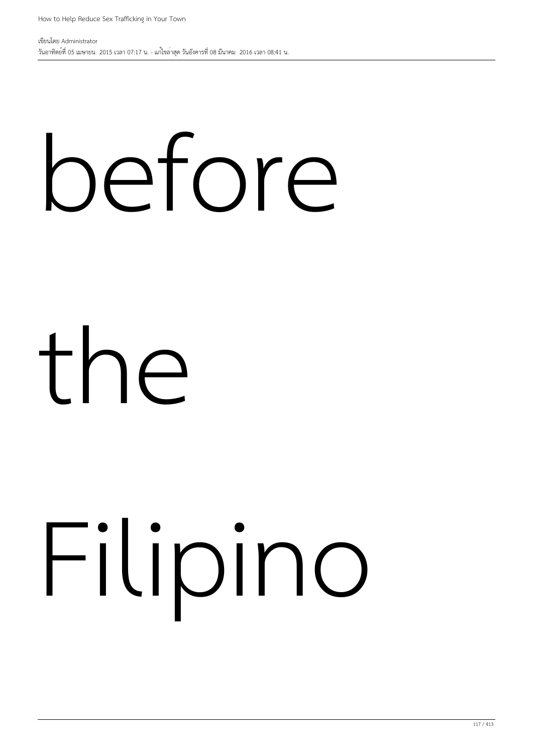### before

the

# Filipino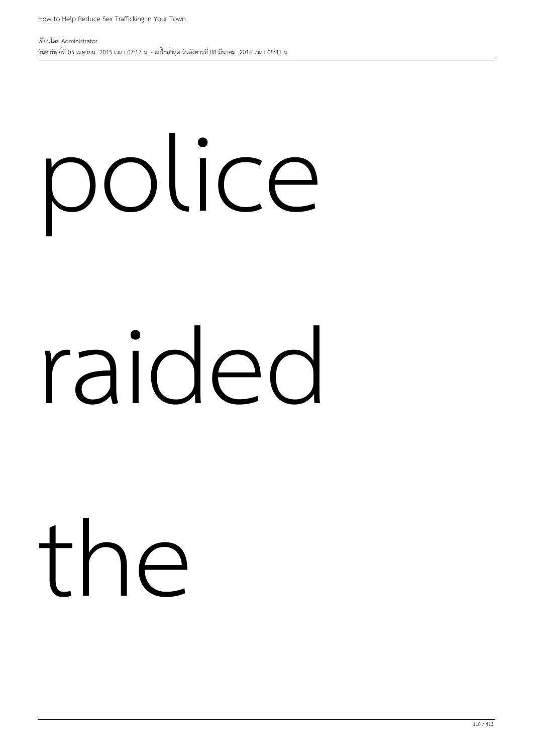# police raided

### the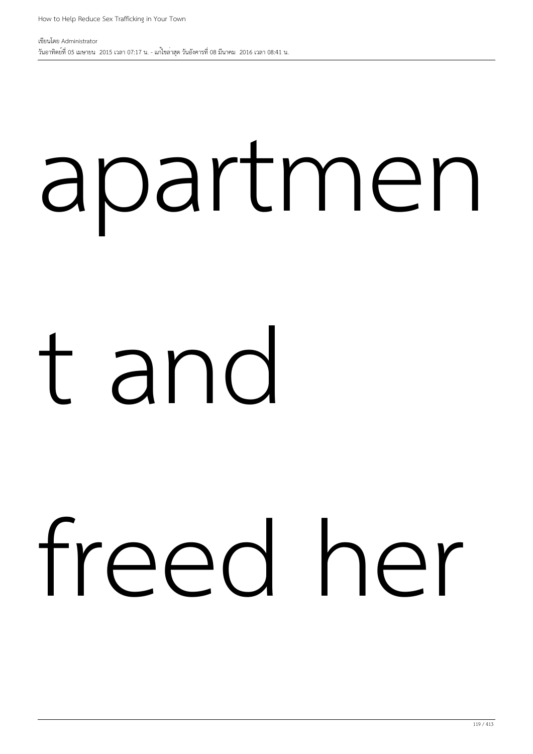# apartmen

### t and

## freed her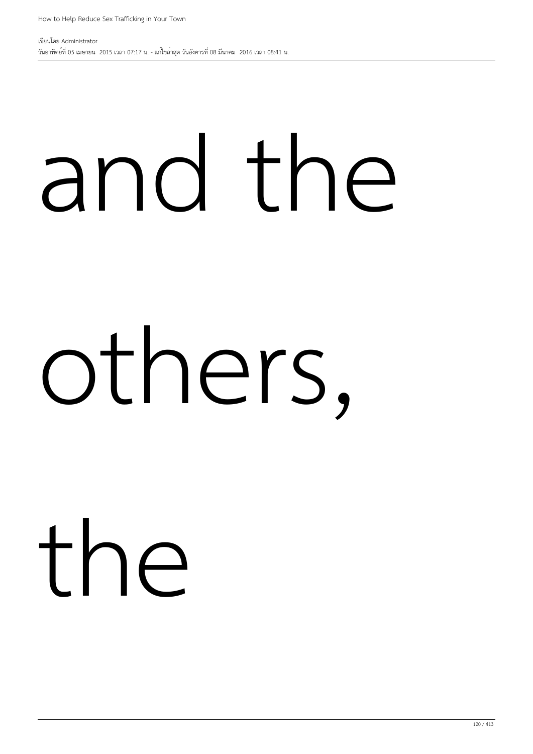# and the others,

the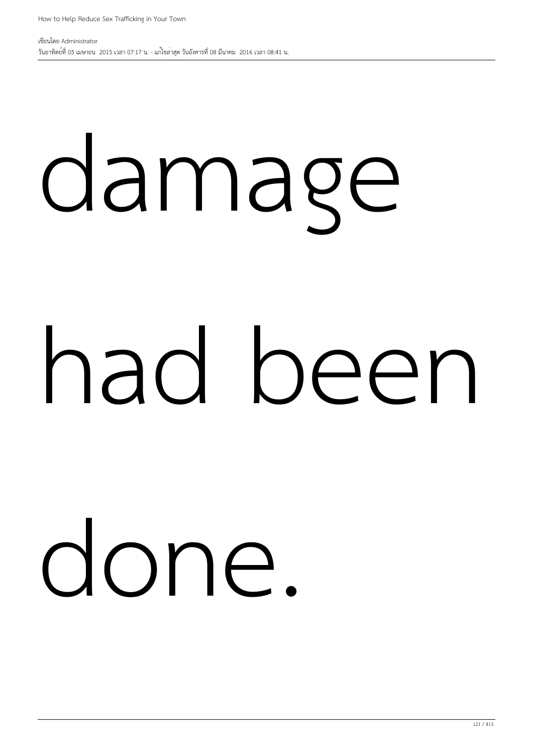# damage had been

### done.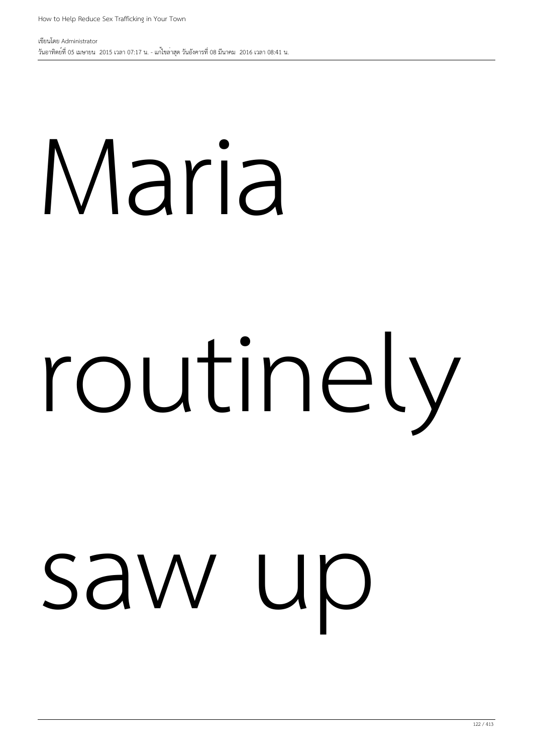# Maria

# routinely

### saw up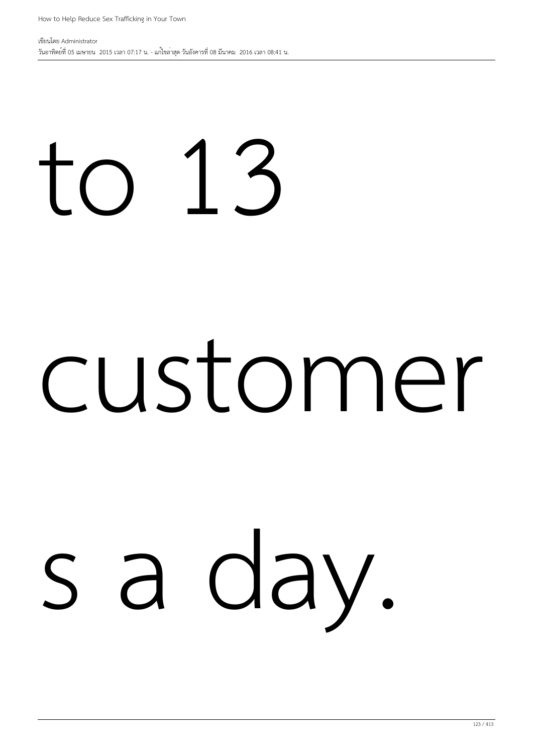# to 13

### customer

# s a day.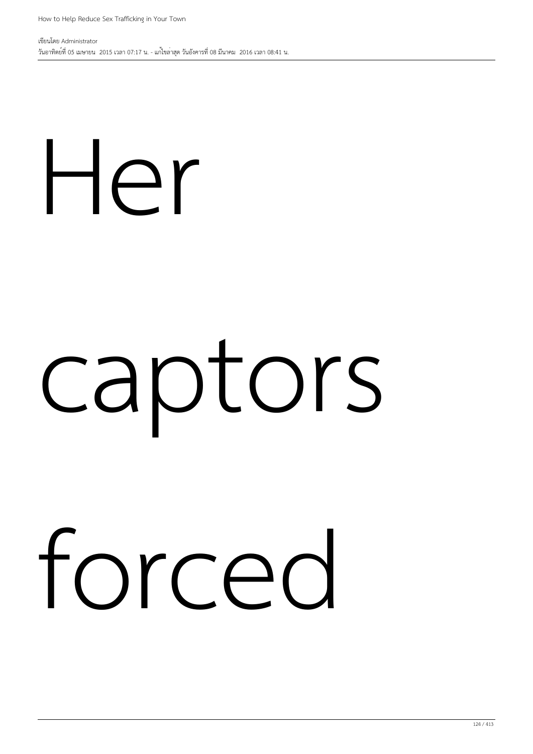# Her captors

### forced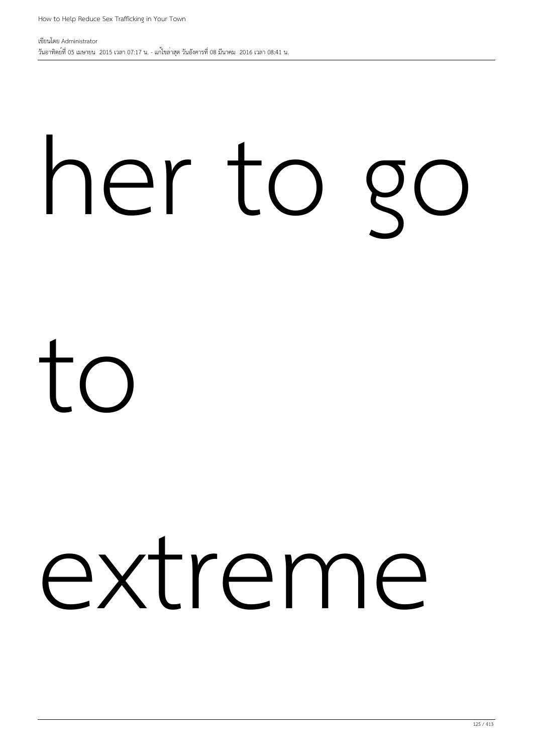# her to g

to

### extreme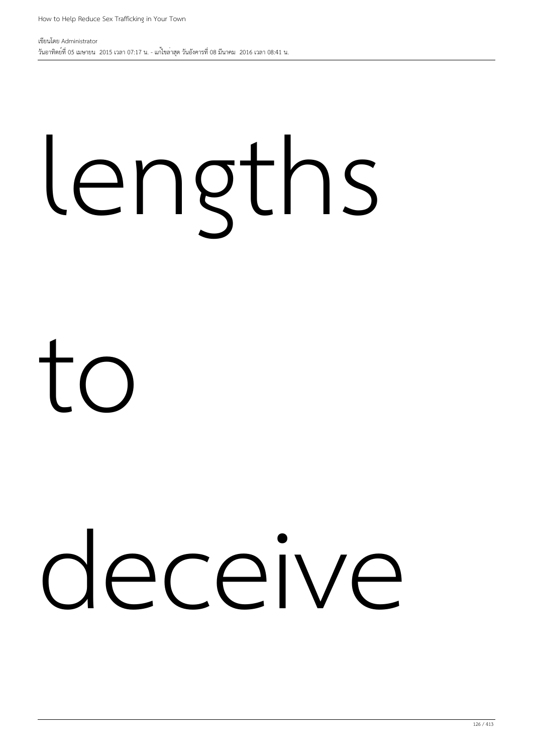# lengths

to

### deceive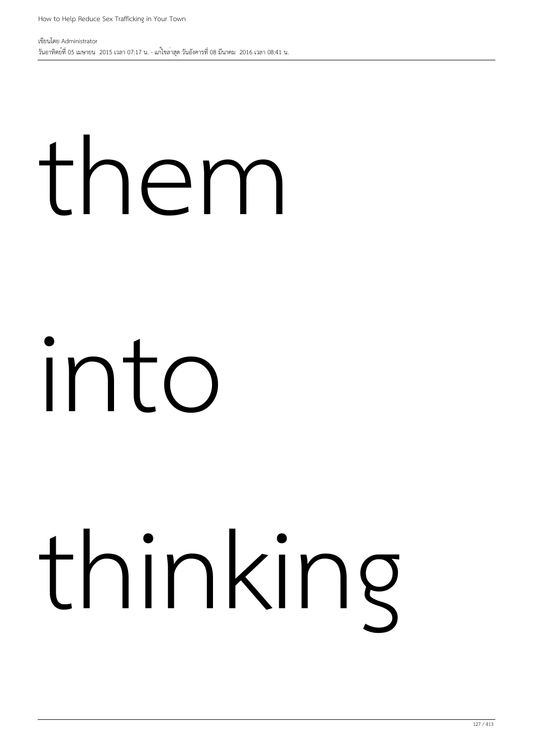# them

### into

# thinking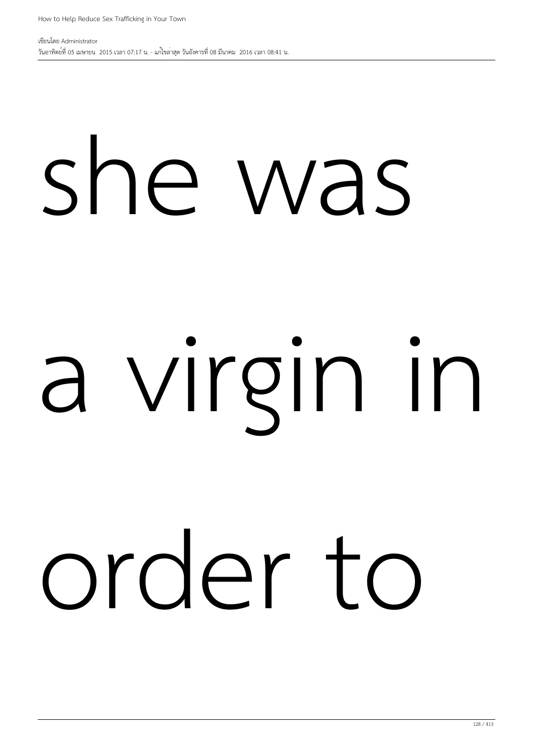## she was

# a virgin in

### order to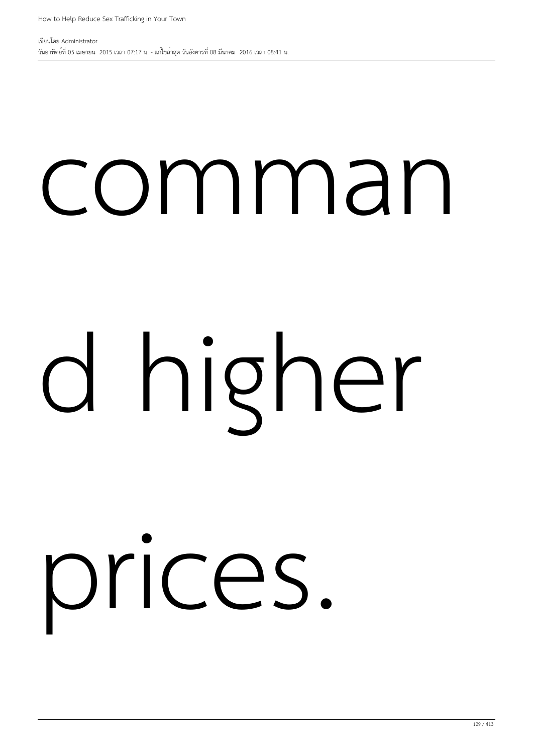# comman

# d higher

### prices.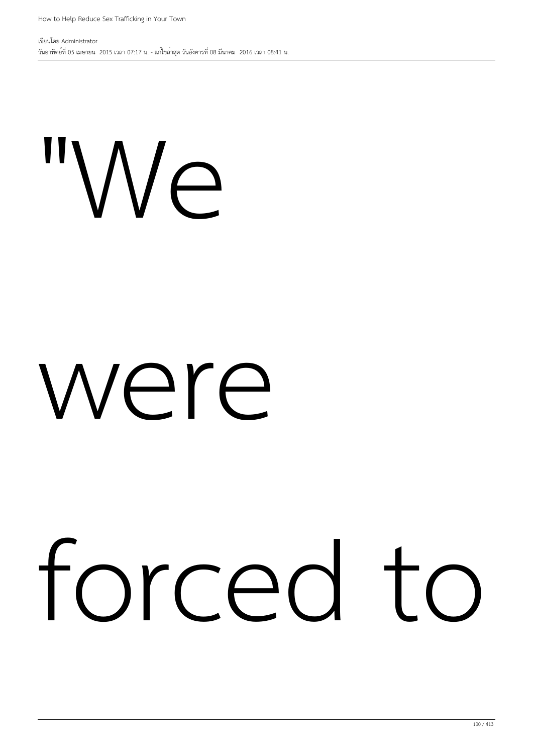"We

#### were

### forced to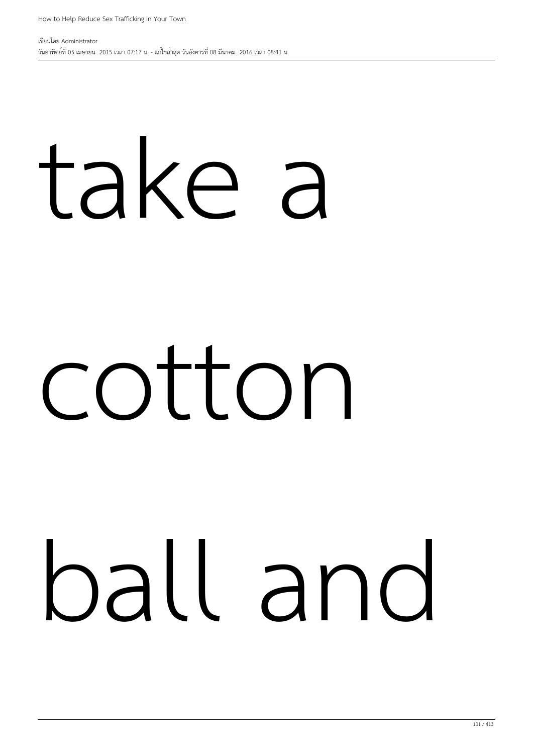## take a

### cotton

## ball and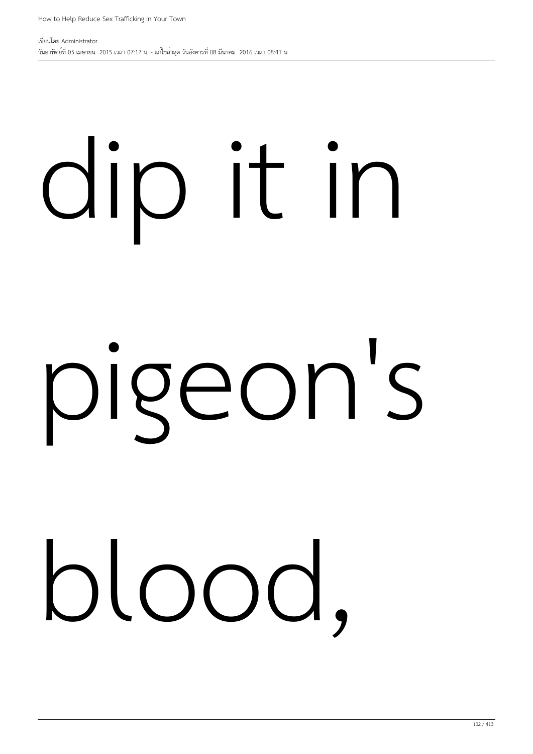# dip it in pigeon's

## blood,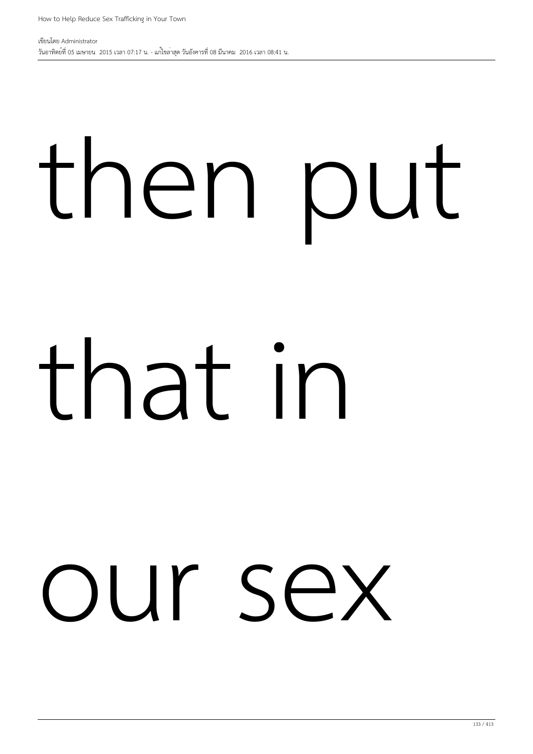# then put

## that in

#### our sex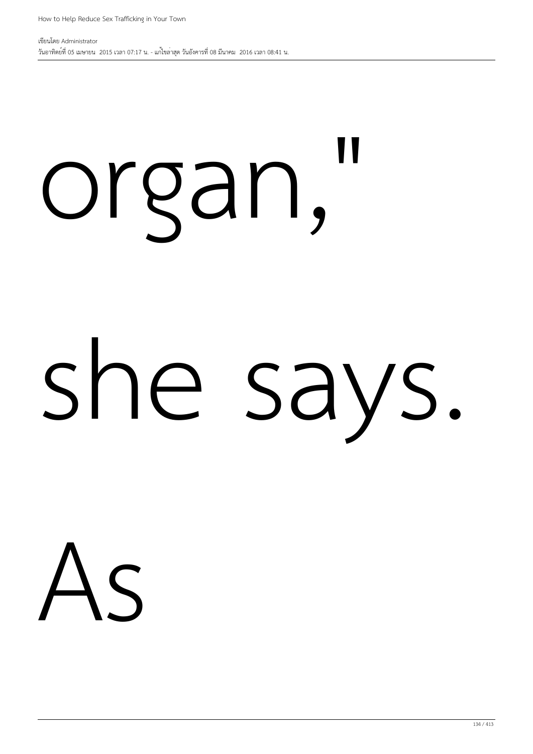# organ," she says.

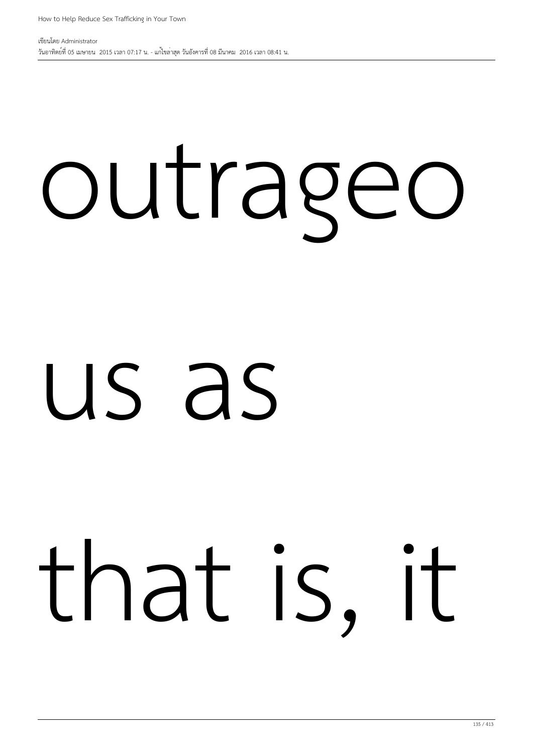# outrageo

#### us as

## that is, it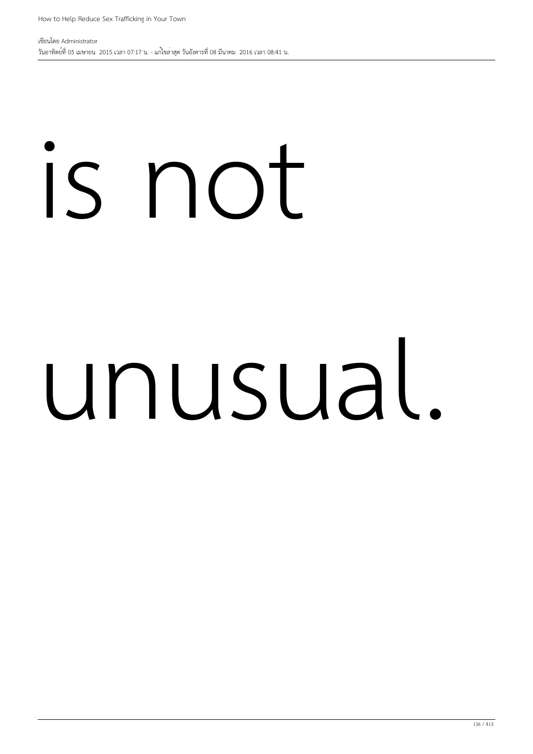# is not unusual.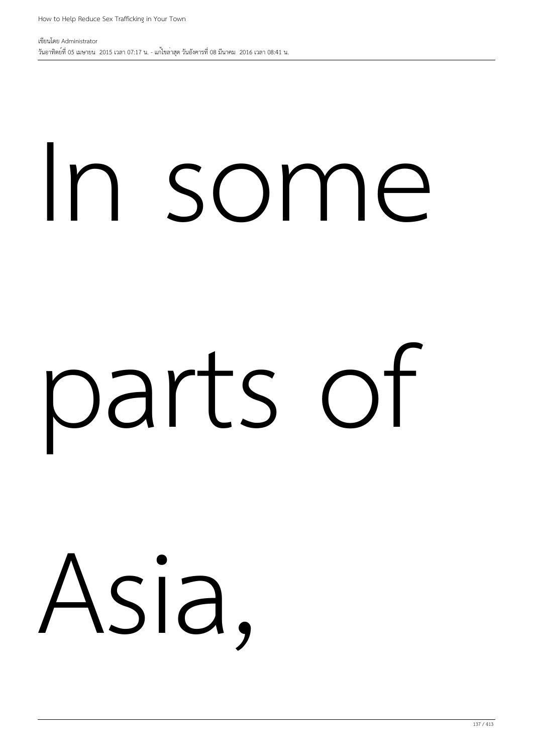# In some

# parts of

## Asia,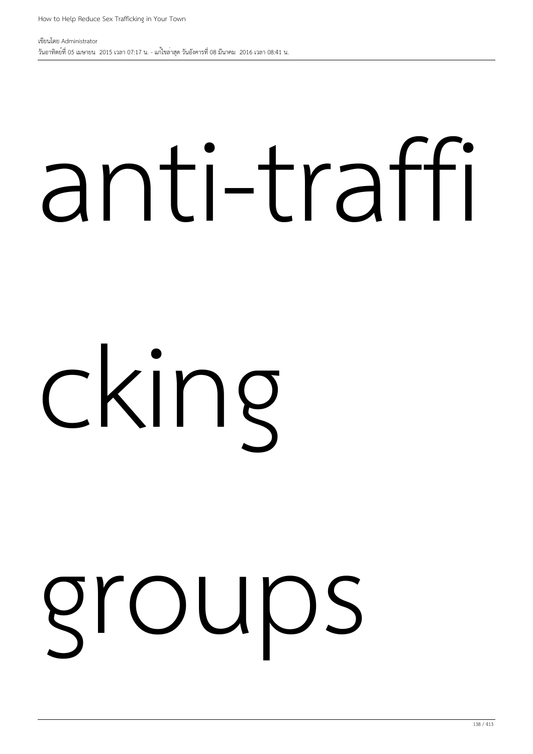# anti-traffi

# cking

## groups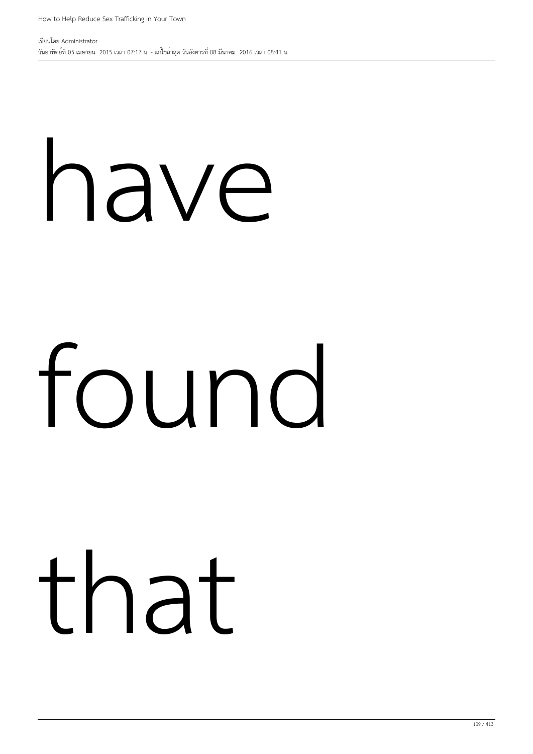### have

# found

### that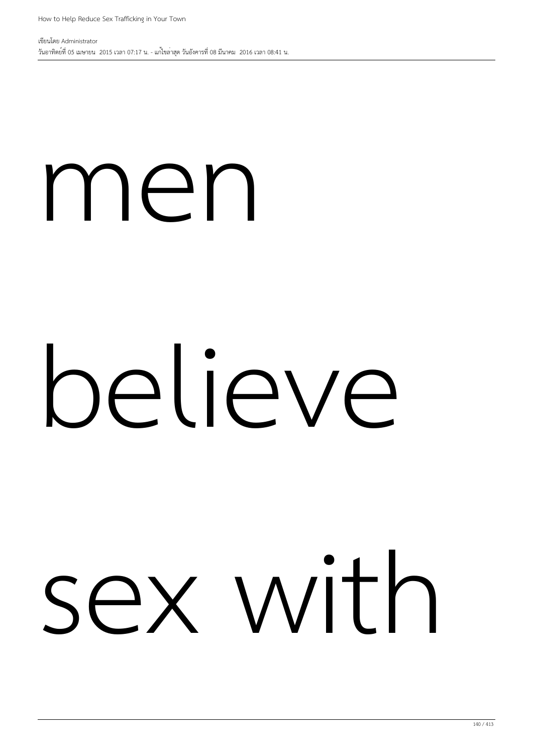### men

## believe

### sex with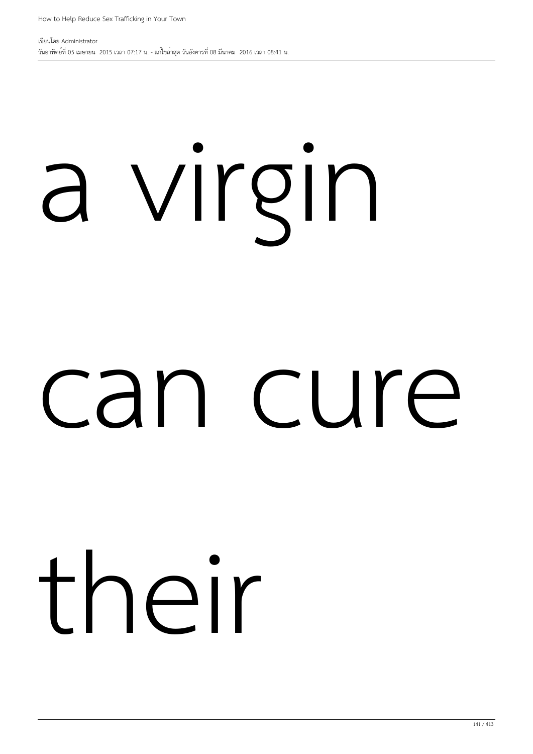# a virgin

### can cure

## their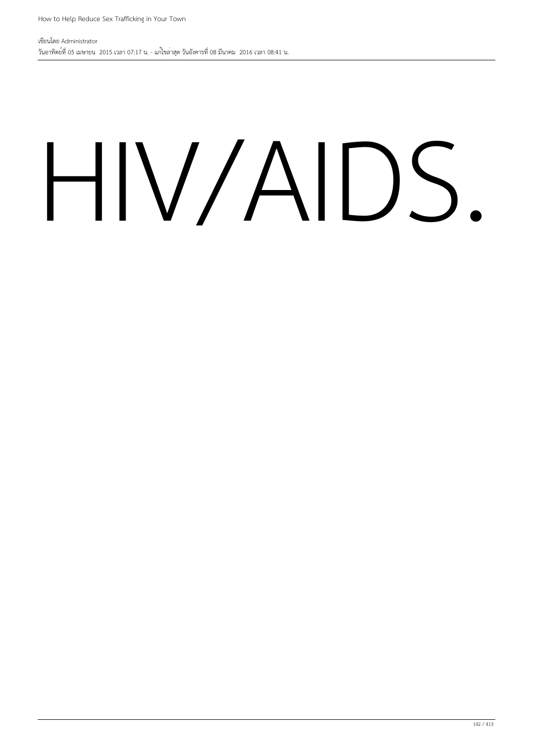# HIV/AIDS.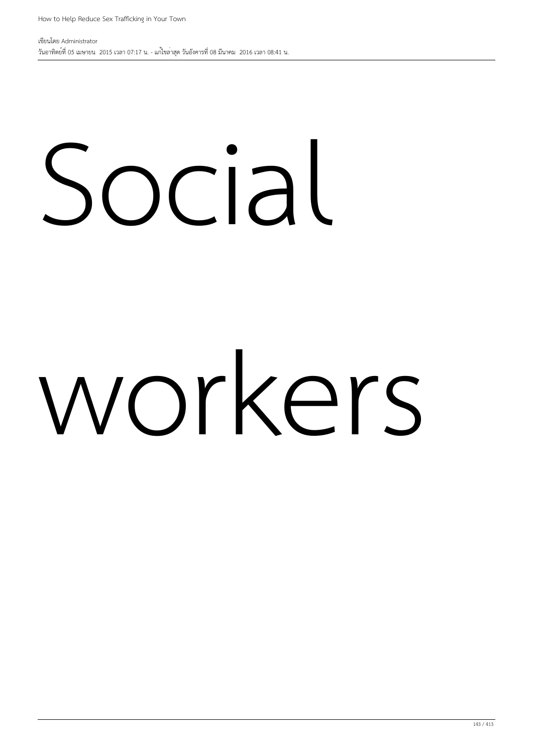# Social

### workers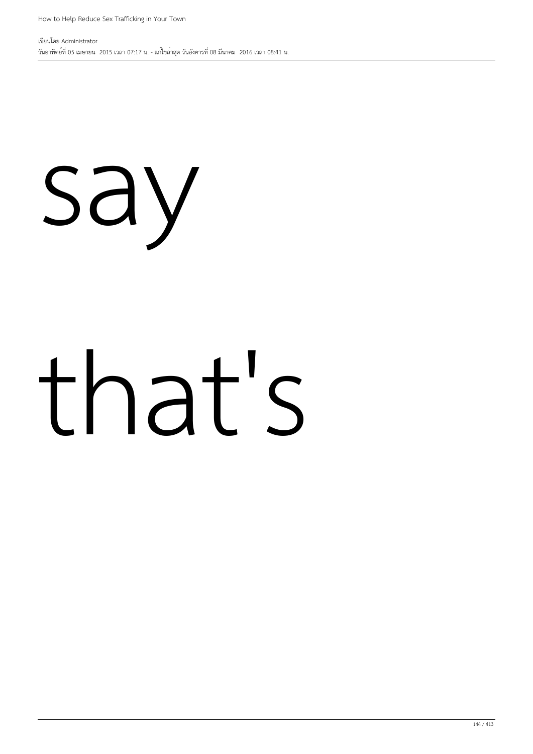# say that's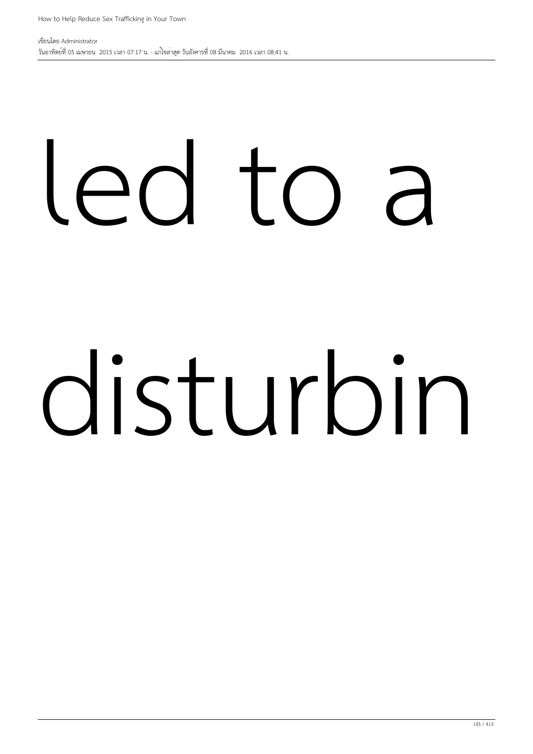## led to a disturbin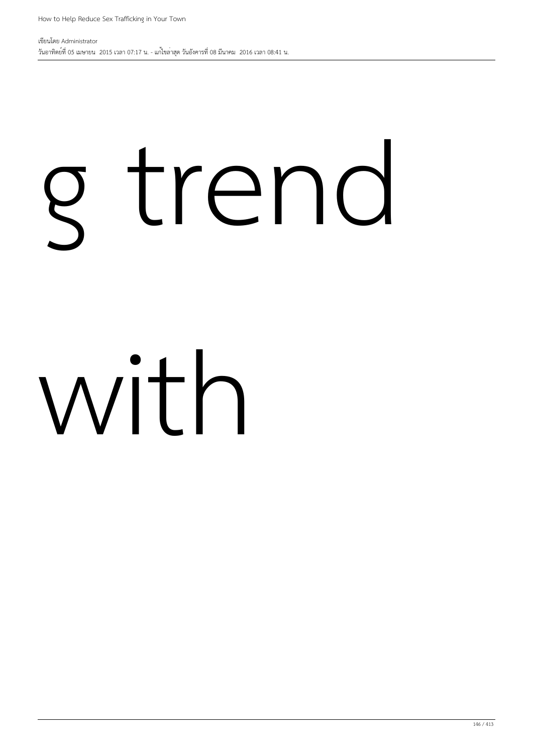# g trend with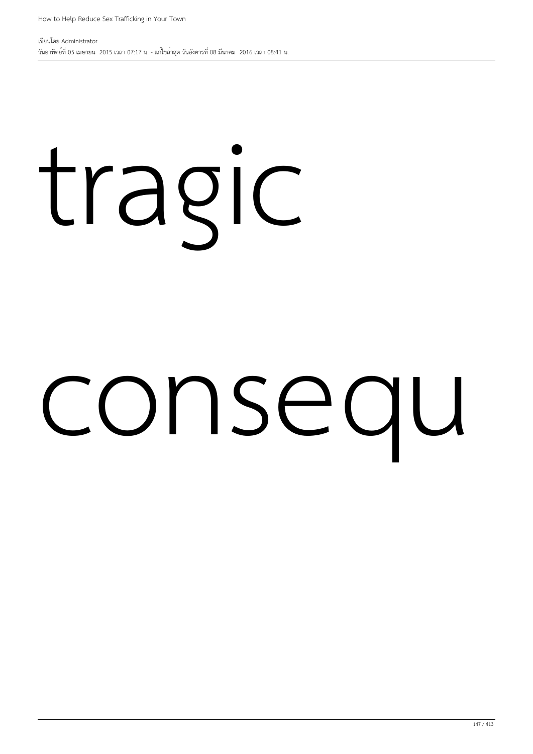## tragic

#### consequ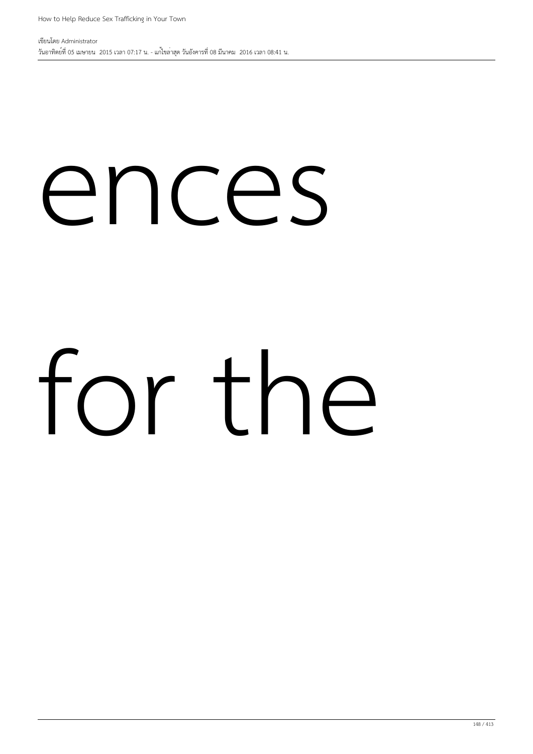#### ences

#### for the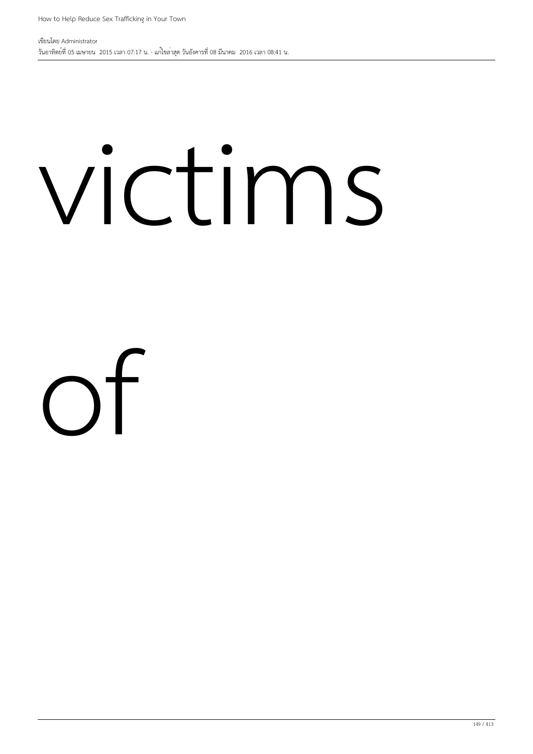### victims

of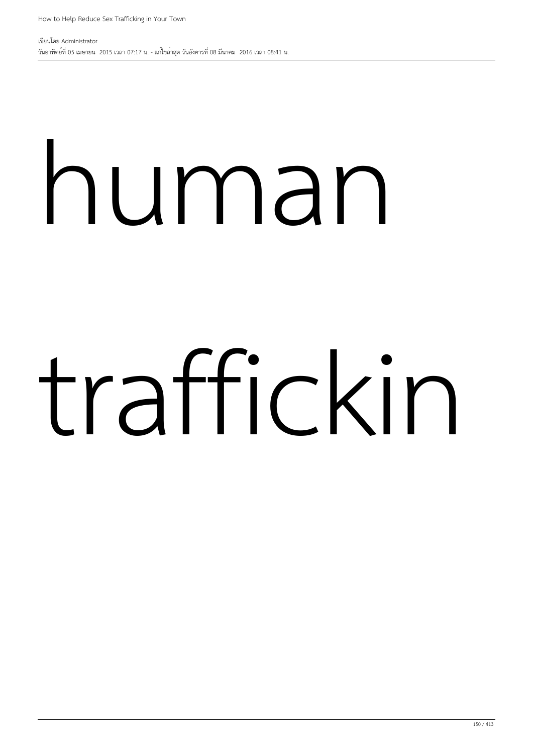## human

### traffickin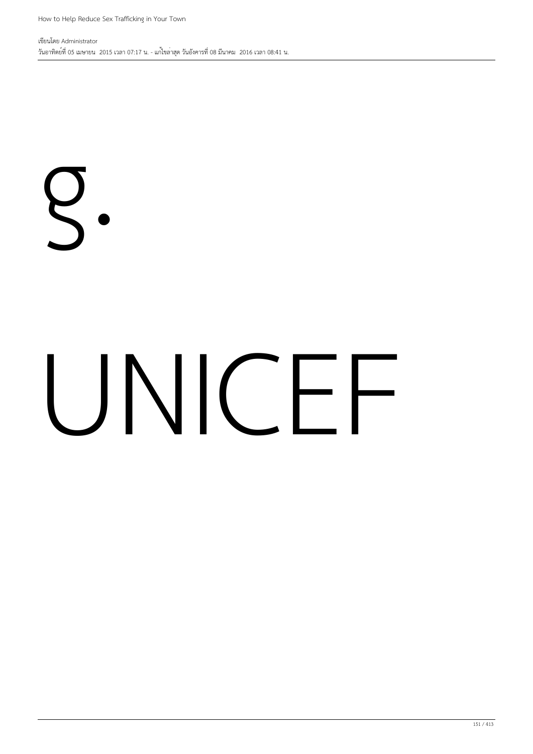## g. UNICEF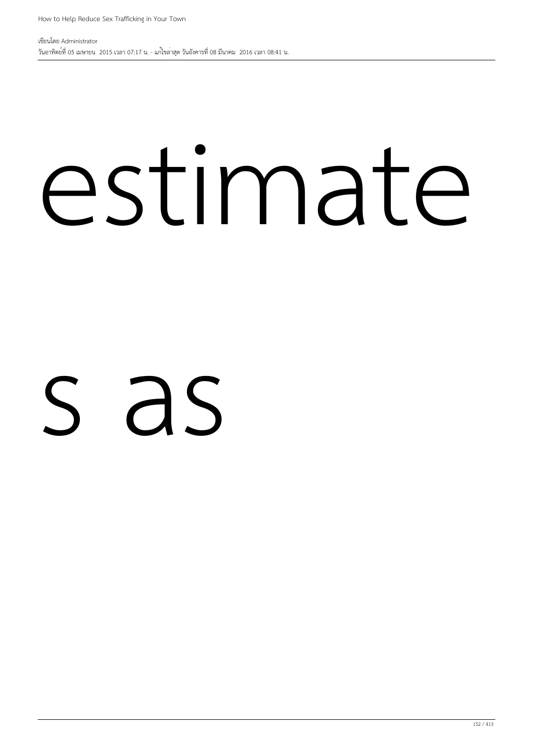### estimate

#### s as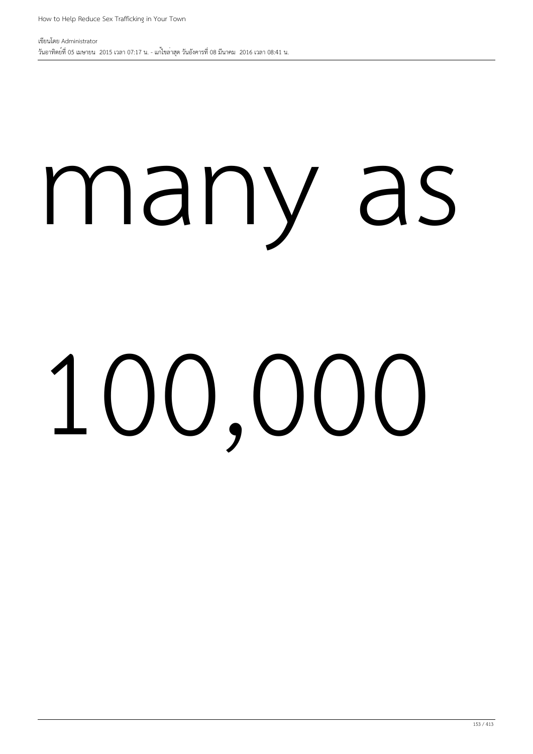## many as 100,000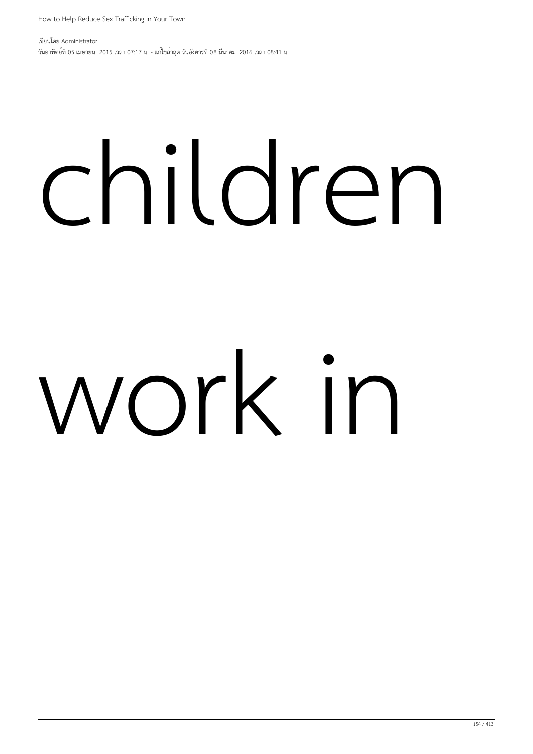# children

#### work in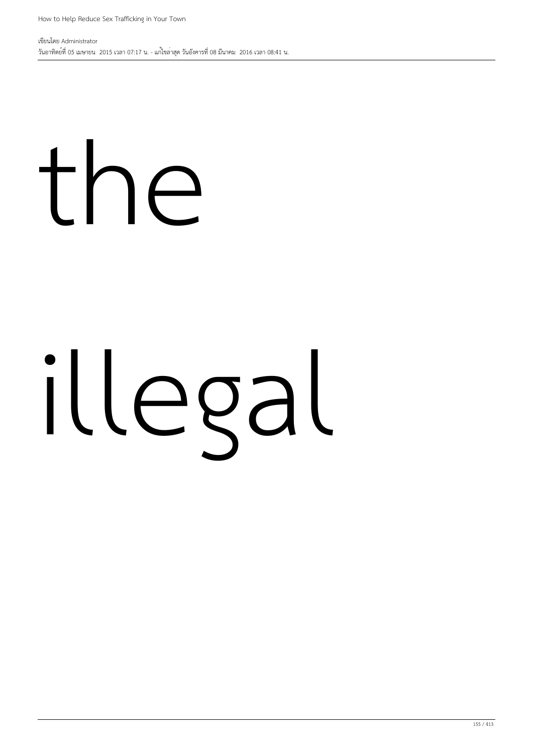# the illegal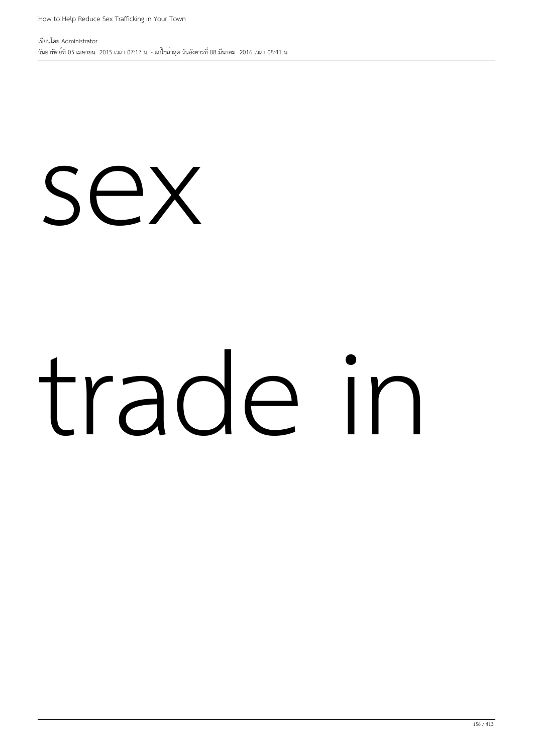#### sex

#### trade in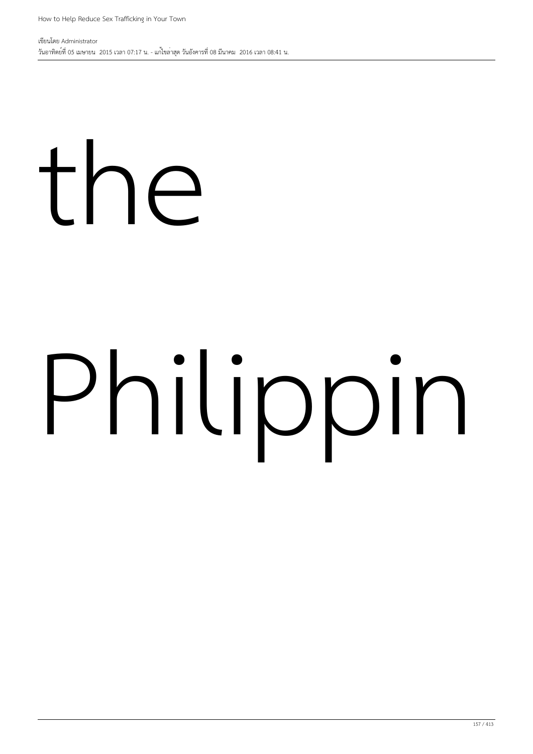# the Philippin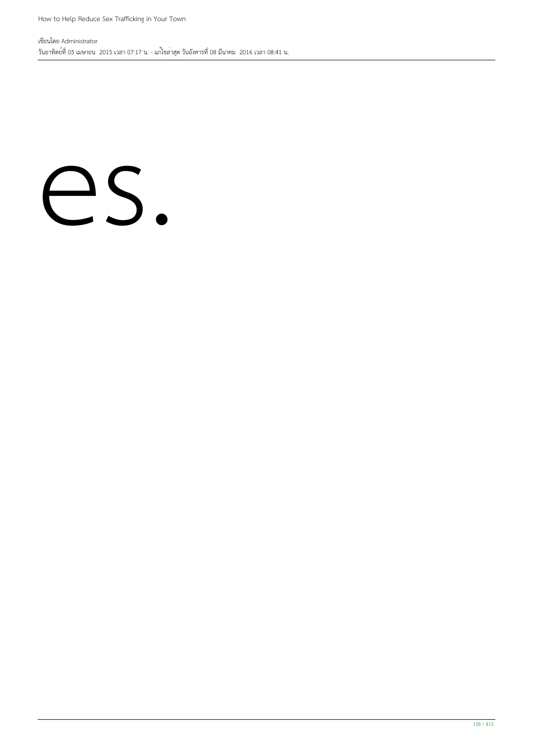#### es.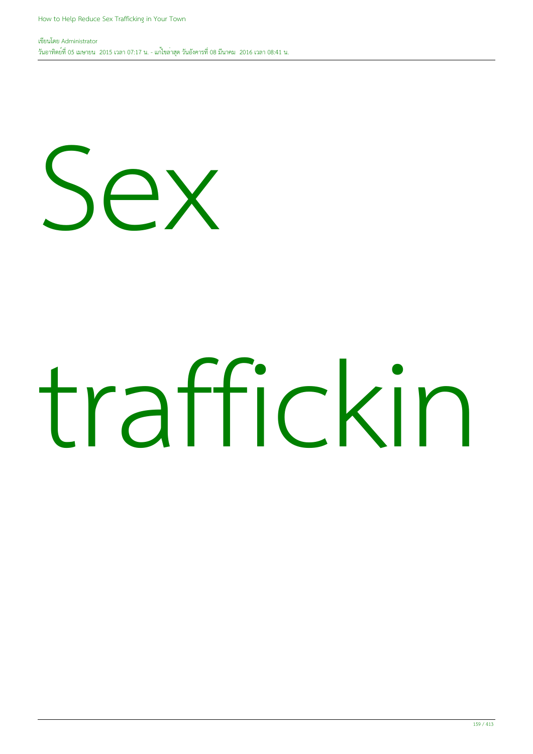

#### traffickin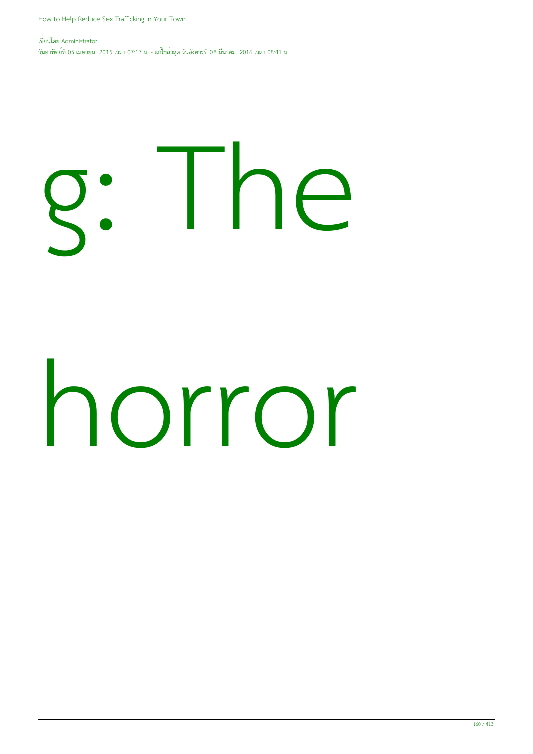## g: The

#### horror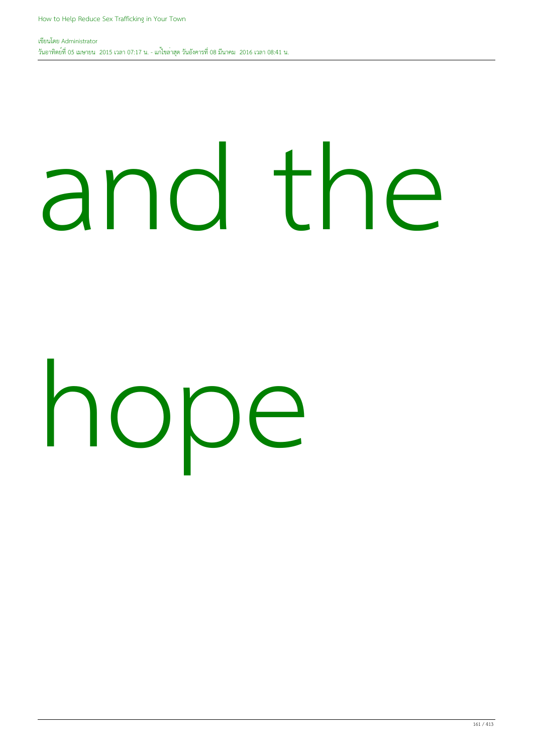## and the

## hope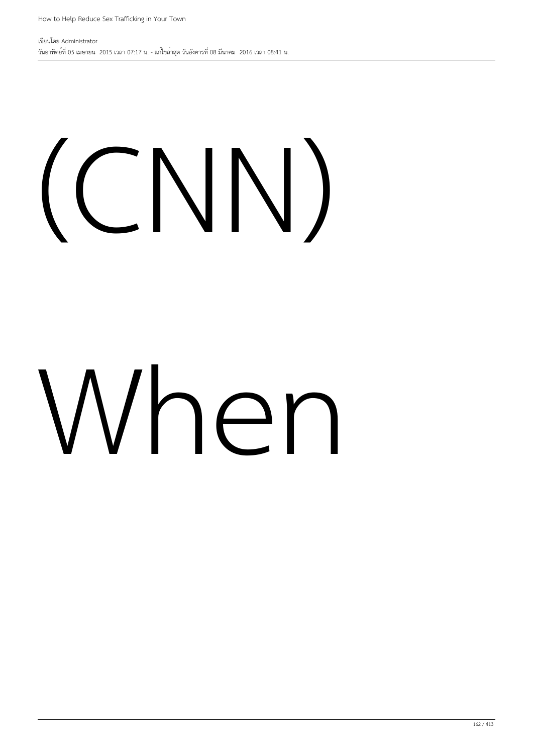## (CNN)

### When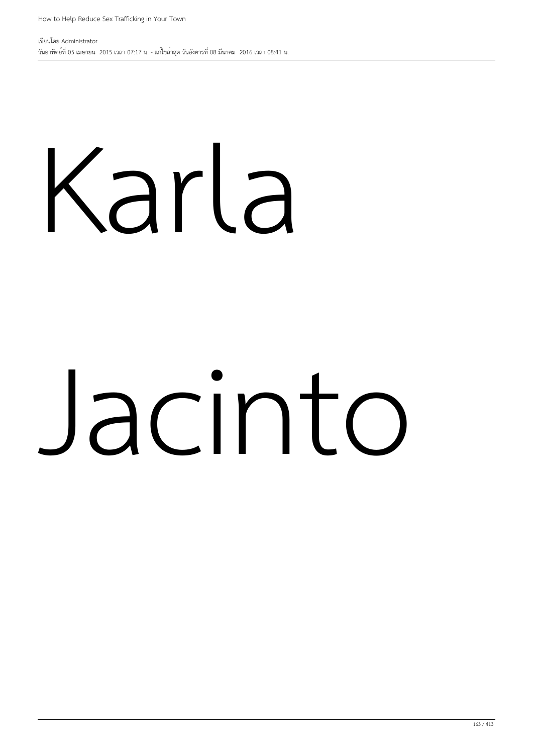### Karla

#### Jacinto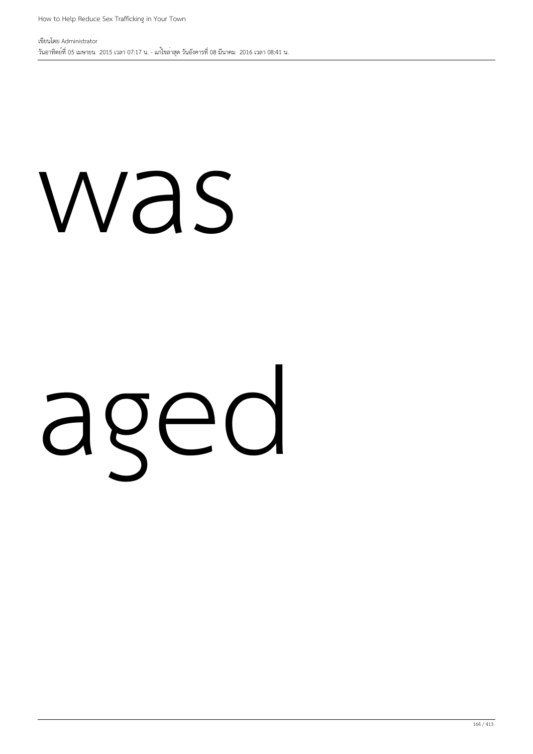#### was

## aged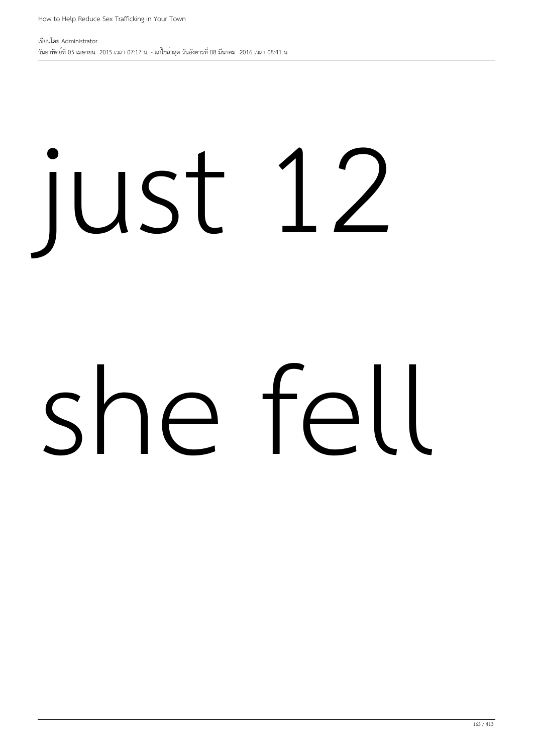## just 12

### she fell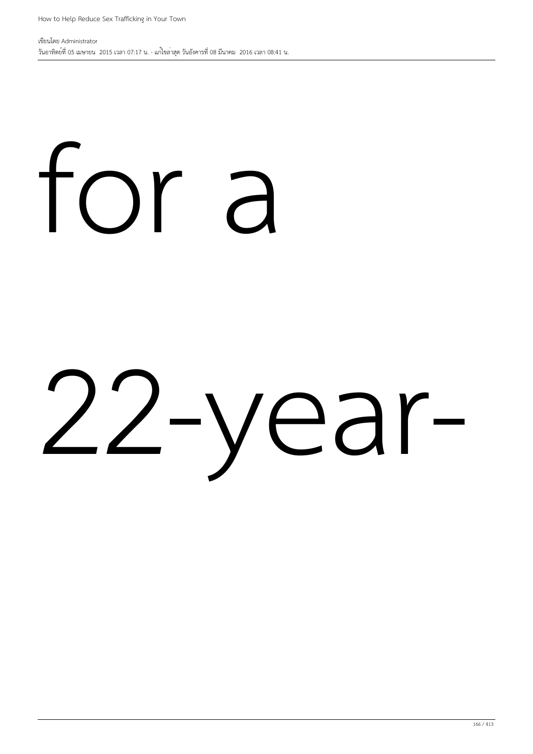## for a

## 22-year-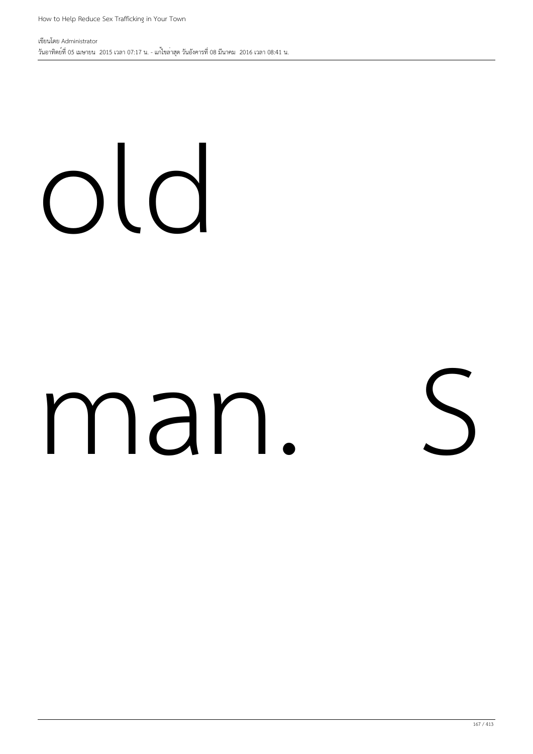### old

#### man.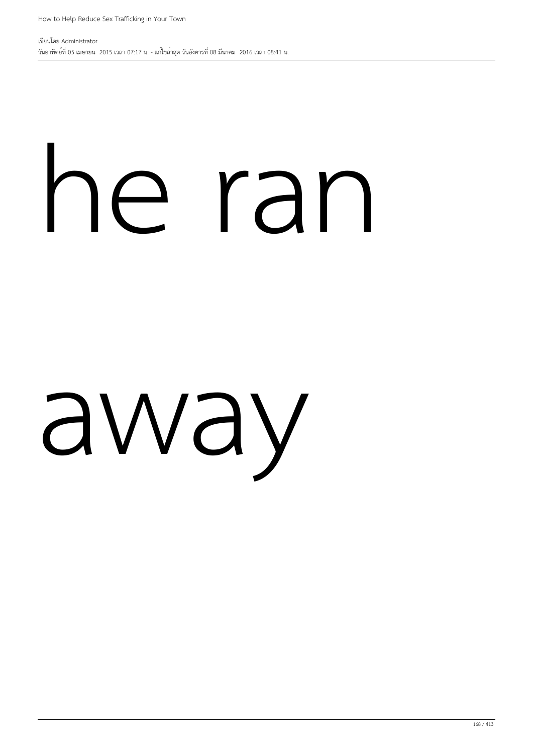### he ran

#### away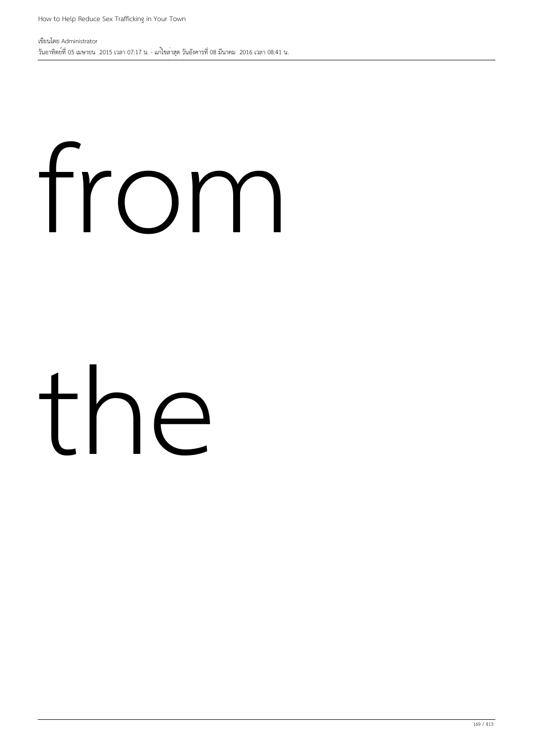## from

### the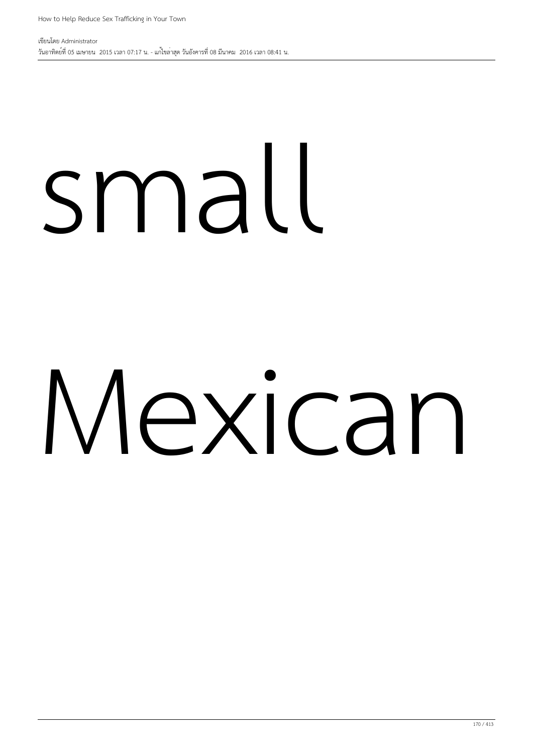# small

#### Mexican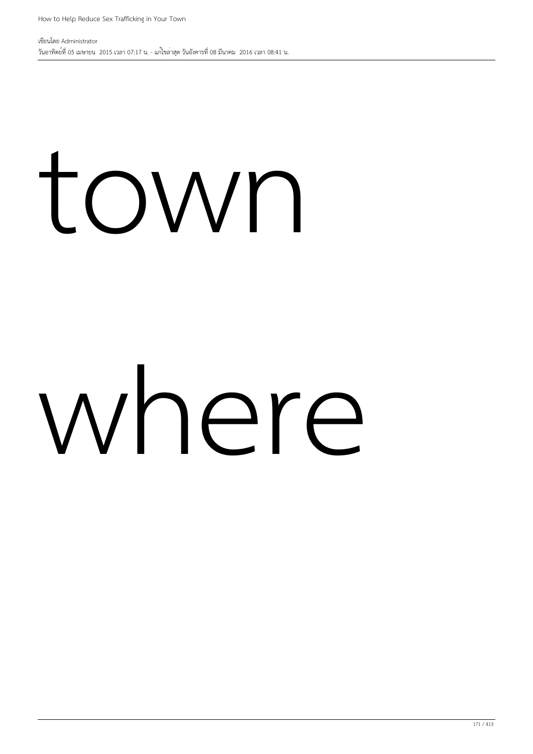## town

#### where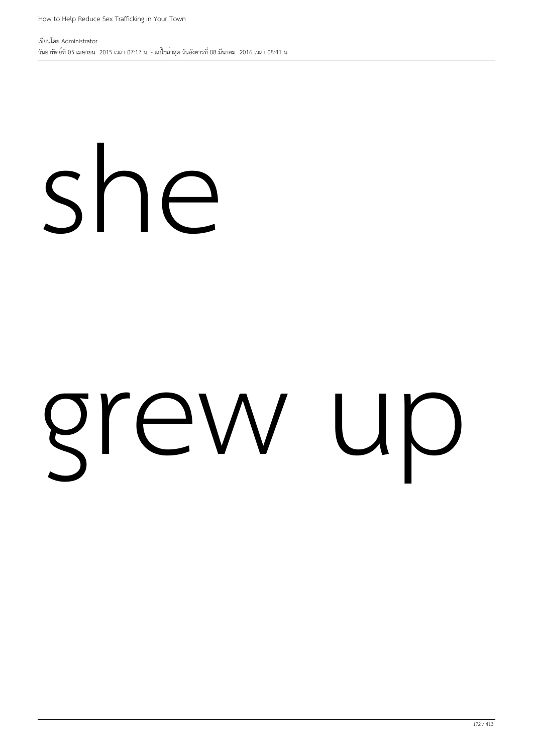### she

### grew up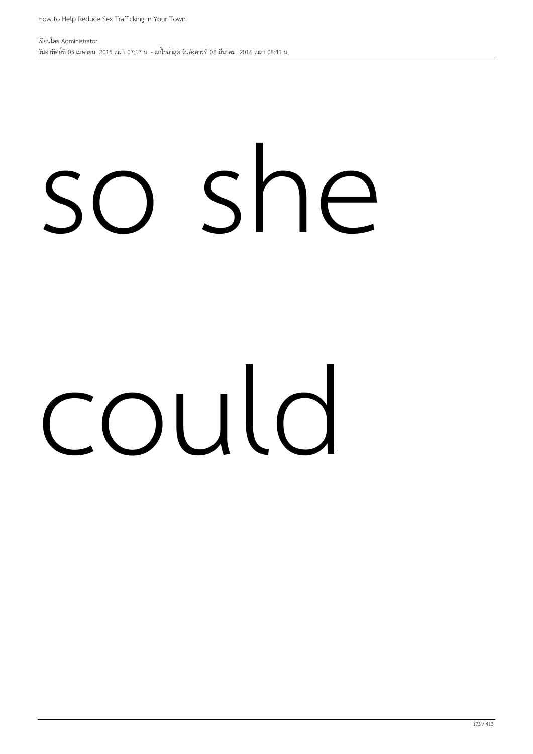# so she could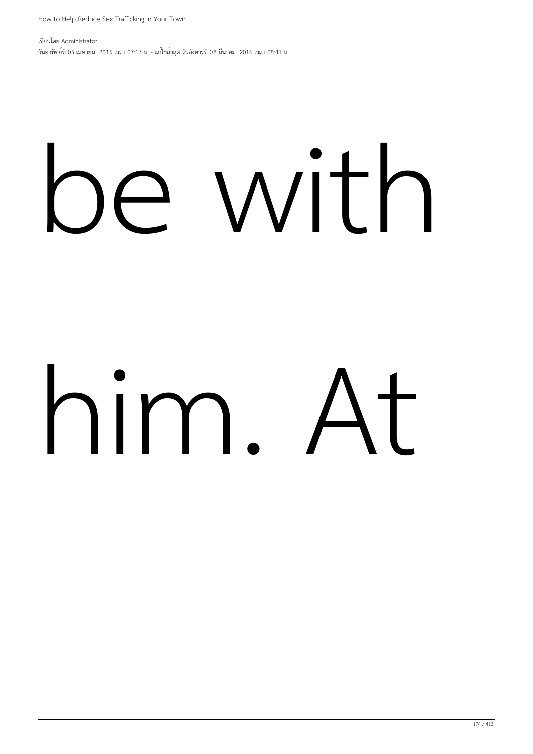## be with

#### him. A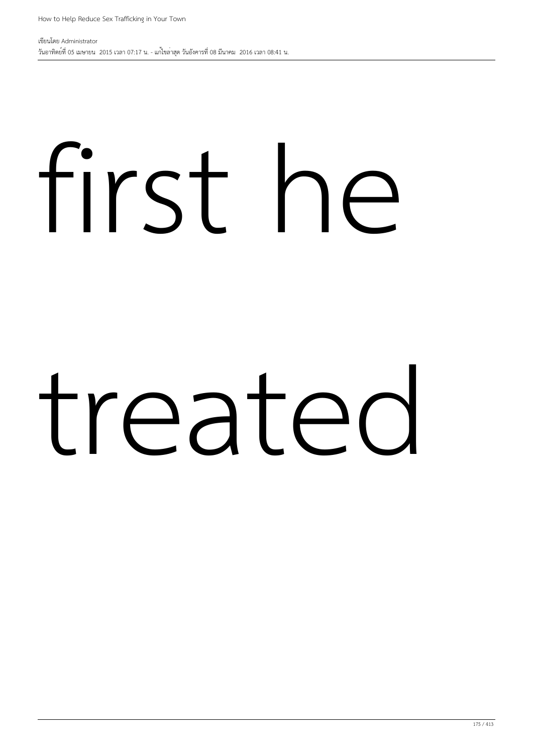## first he

### treated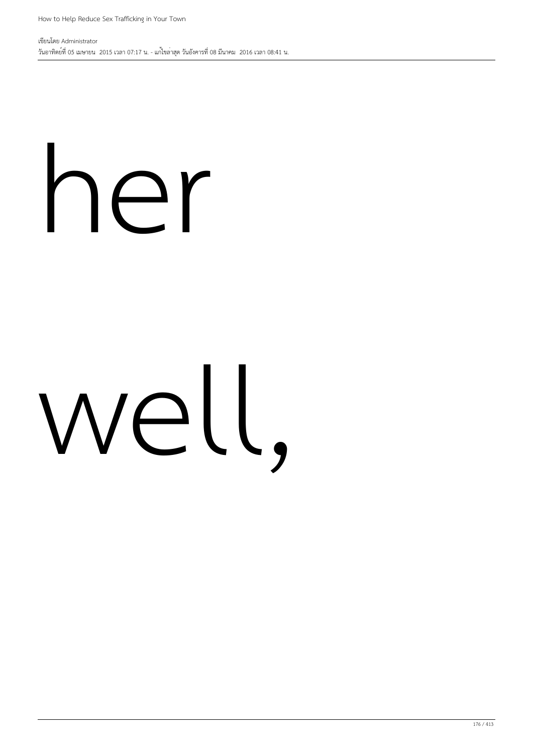## her well,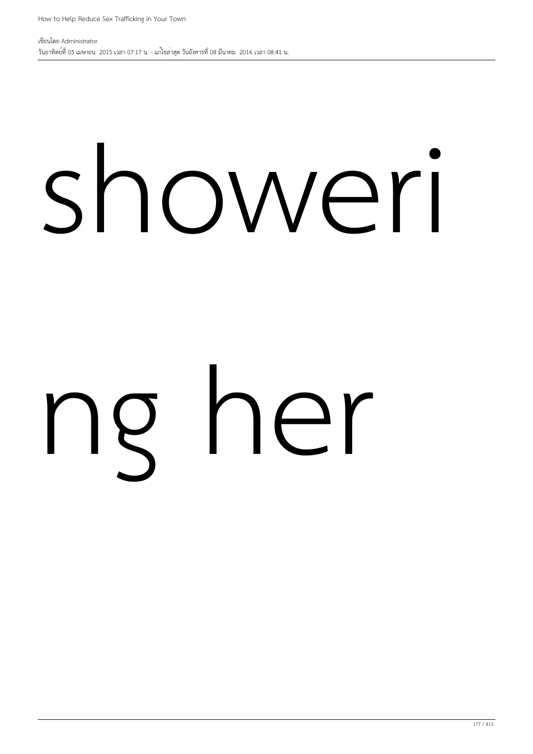## showeri

## ng her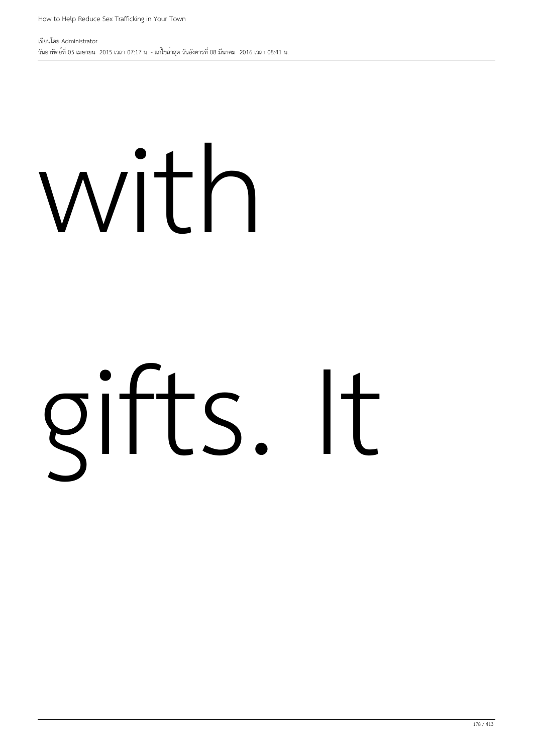## with

## gifts. It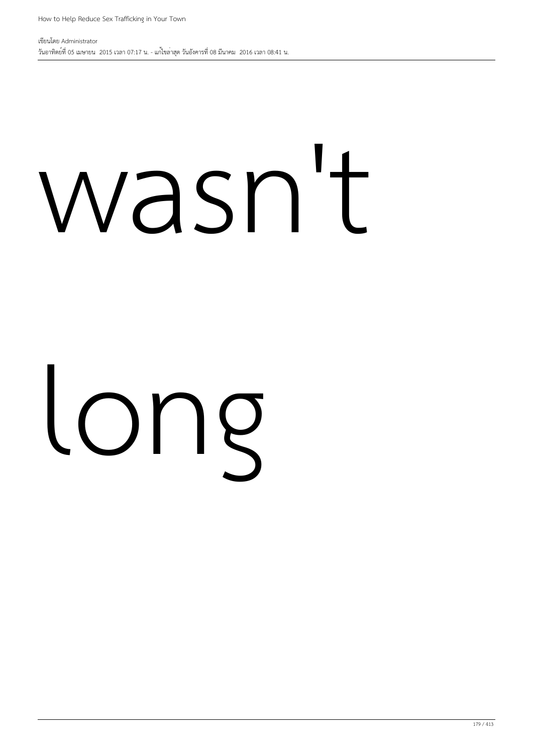## wasn't

## long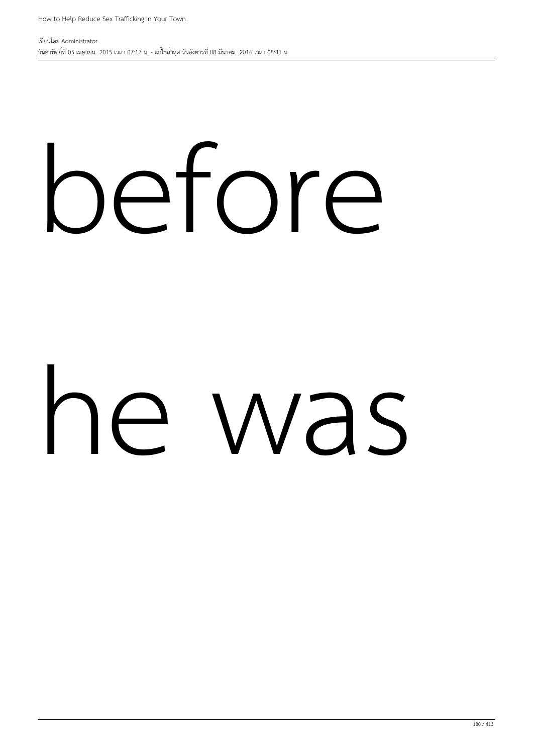## before

#### he was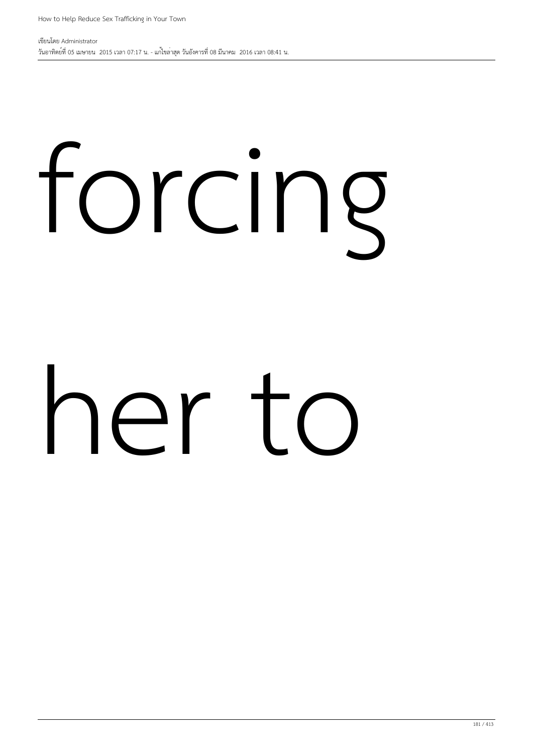## forcing

#### her to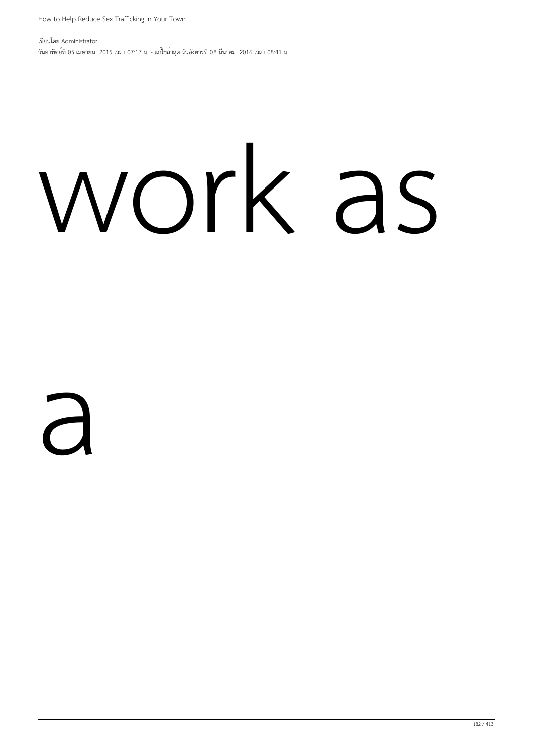### work as

a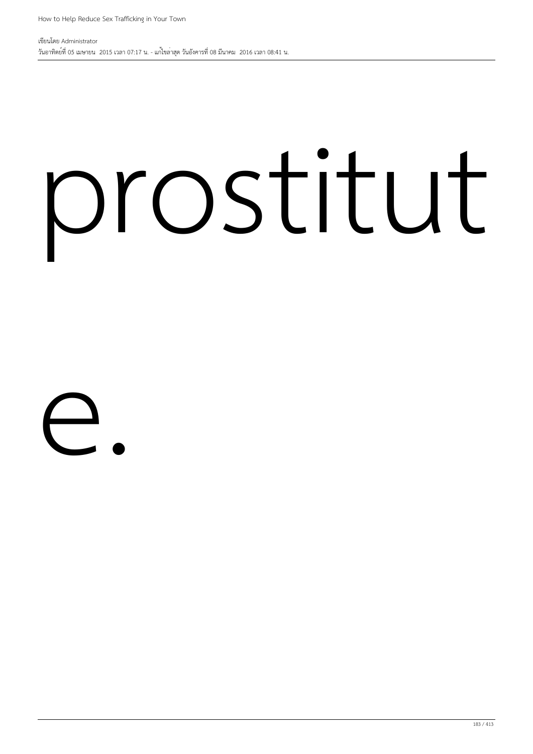### prostitut

e.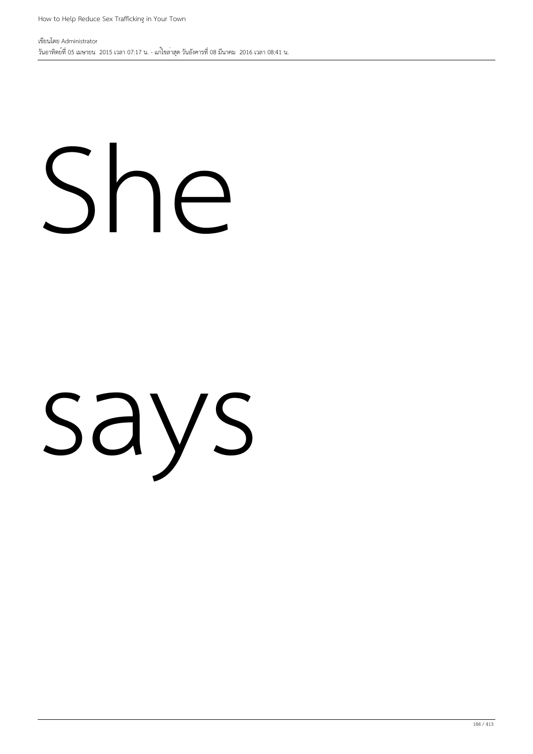### She

#### says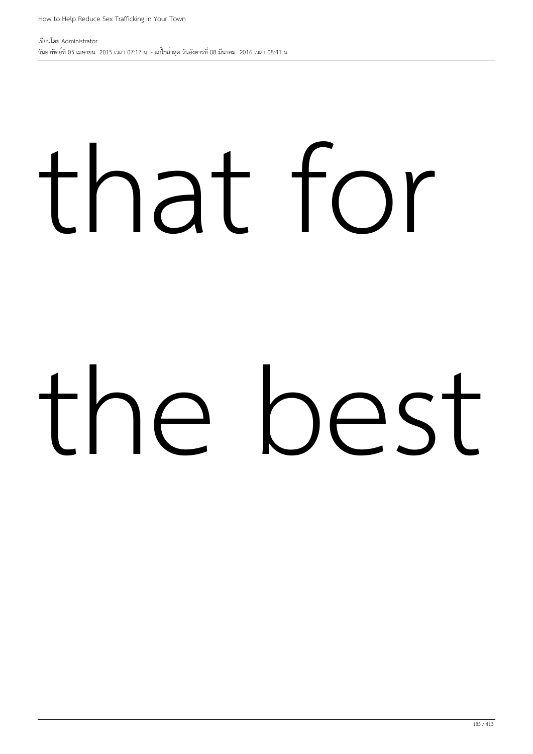## that for the best

#### 185 / 413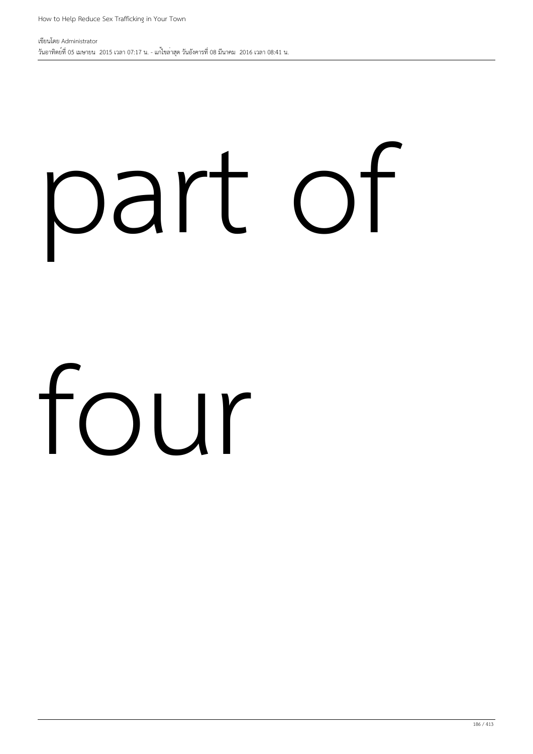### part of

### four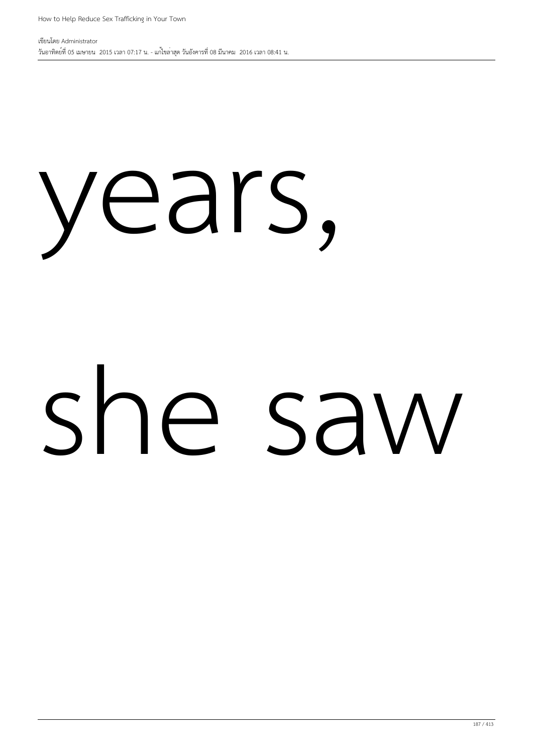#### years,

#### she saw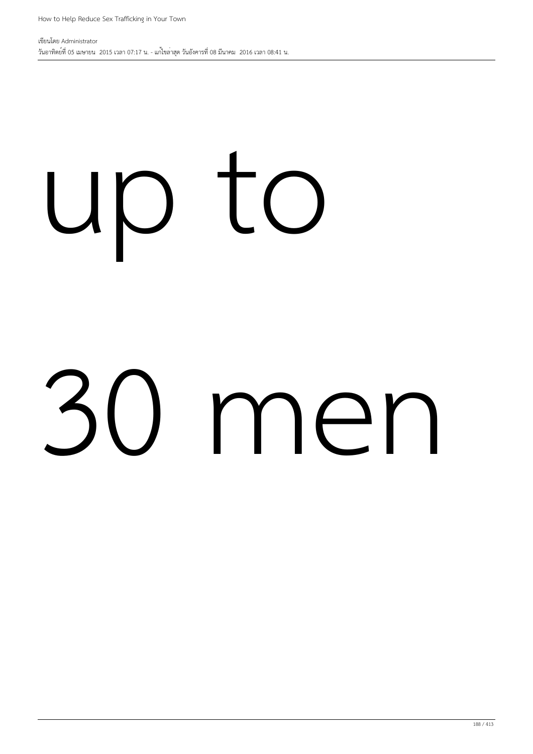## up to 30 men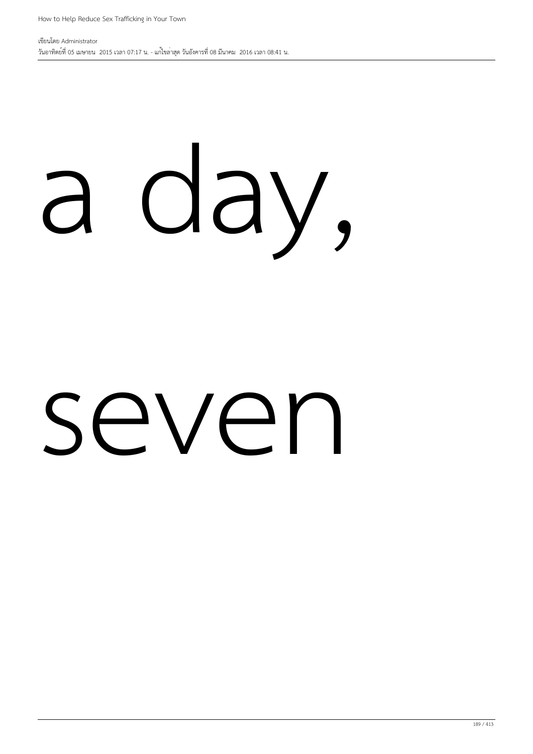### a day,

#### seven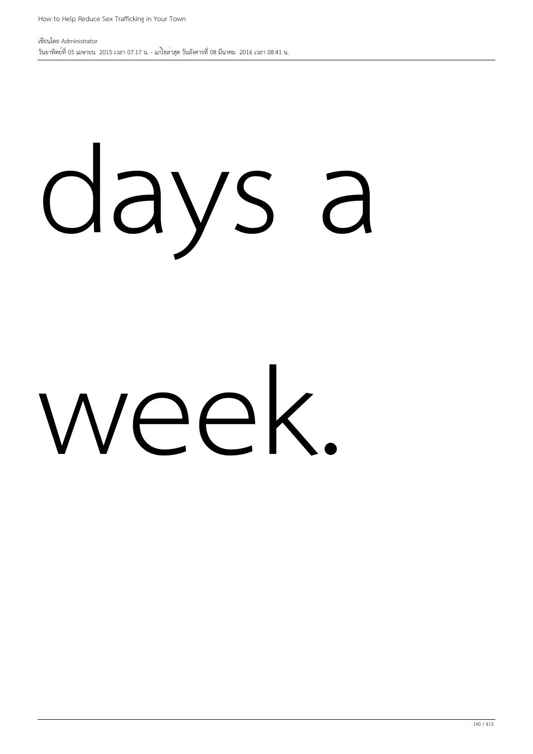## days a

#### week.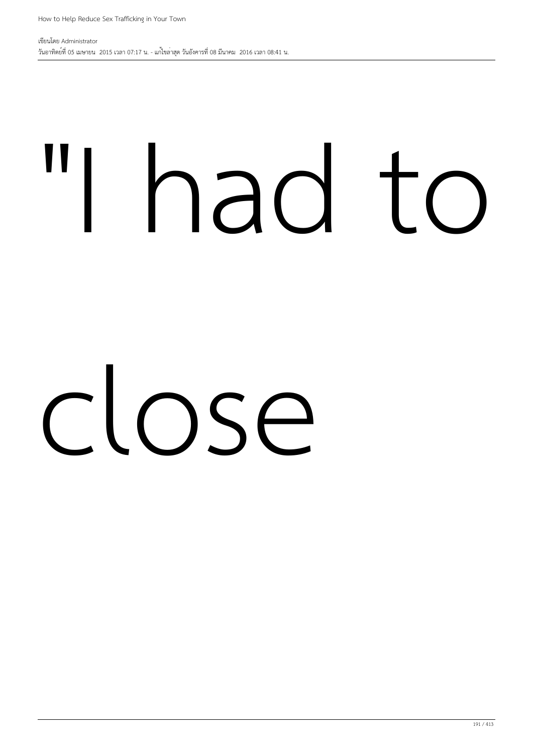### had to

#### close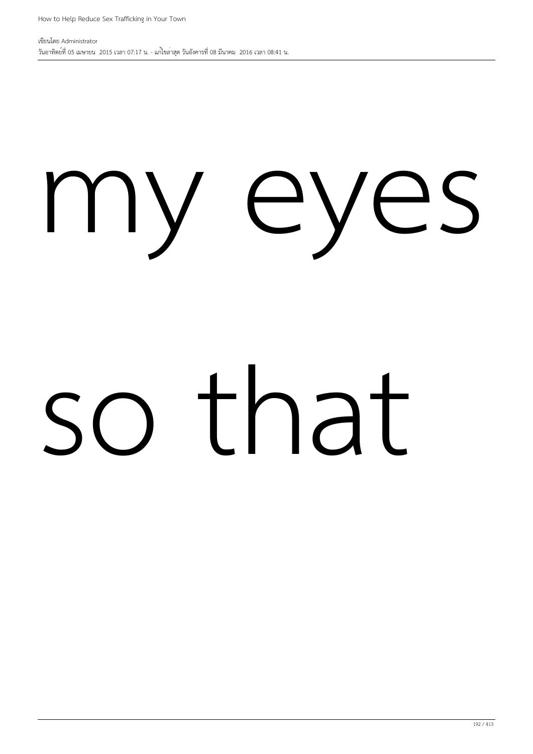### my eyes

### so that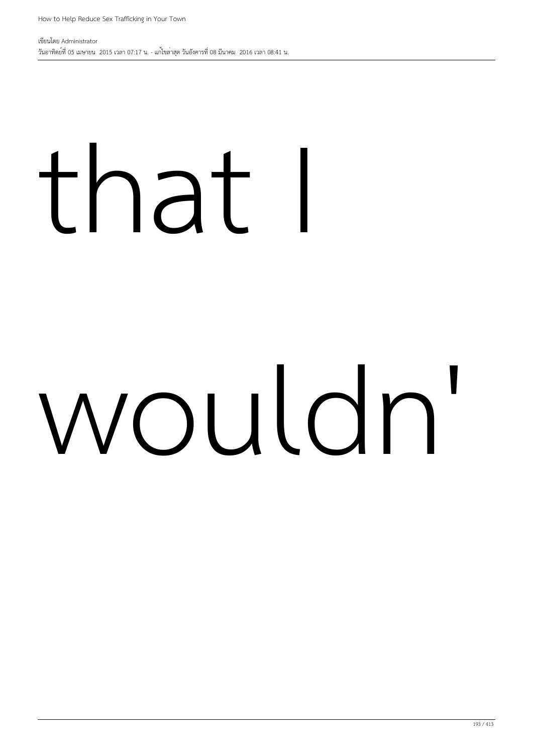## that I

#### wouldn'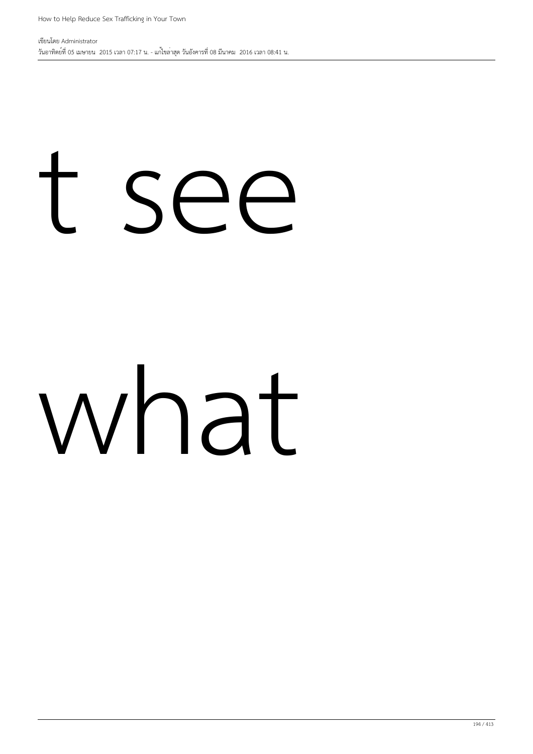#### t see

#### what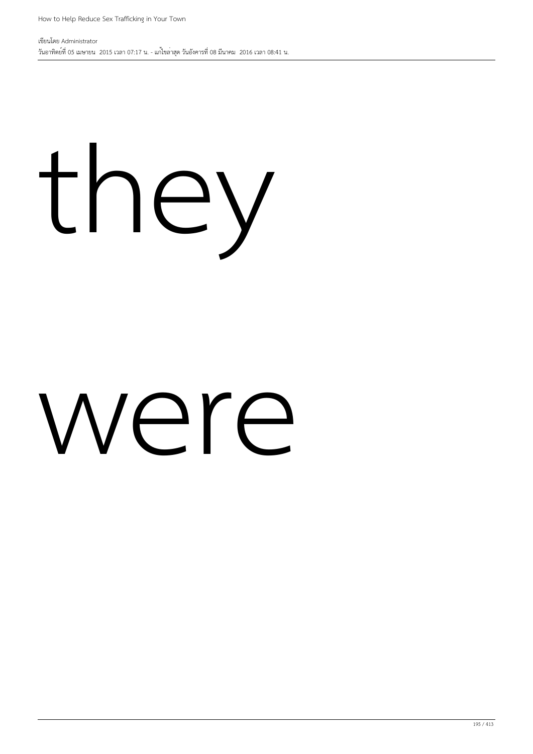### they

#### were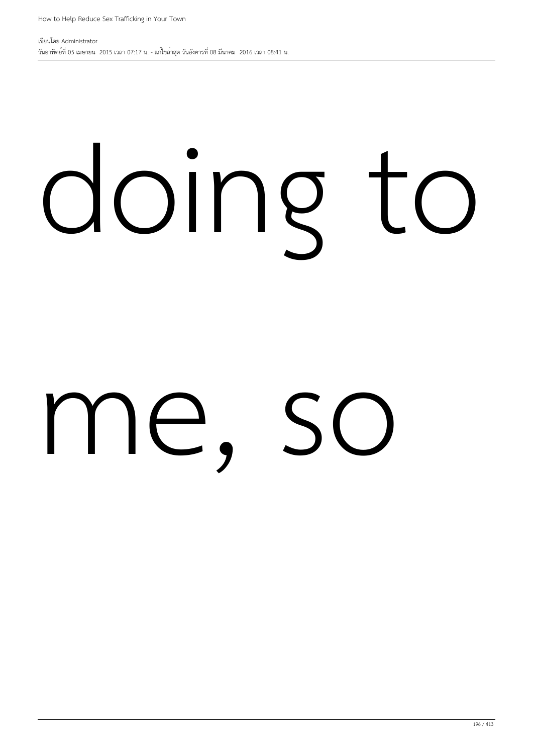## doing to

#### me, so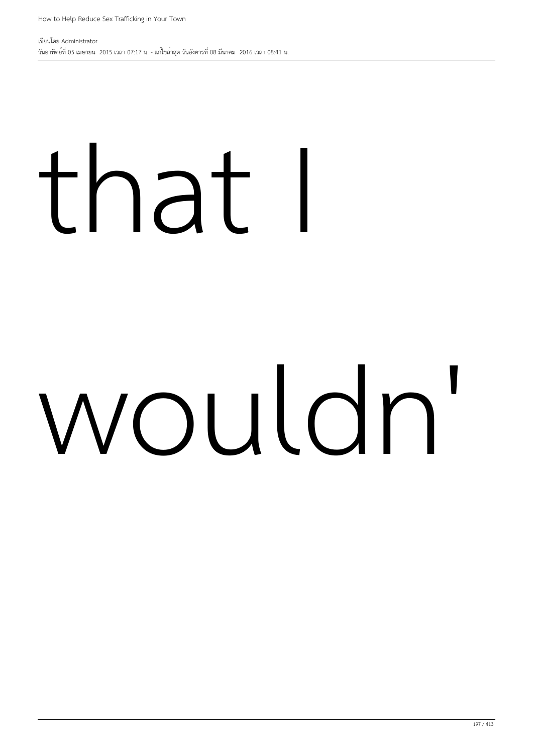## that I

#### wouldn'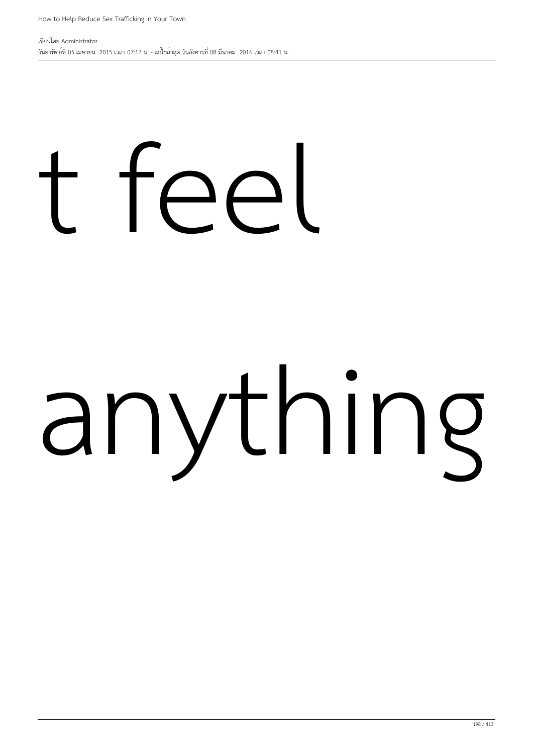### teel

### anything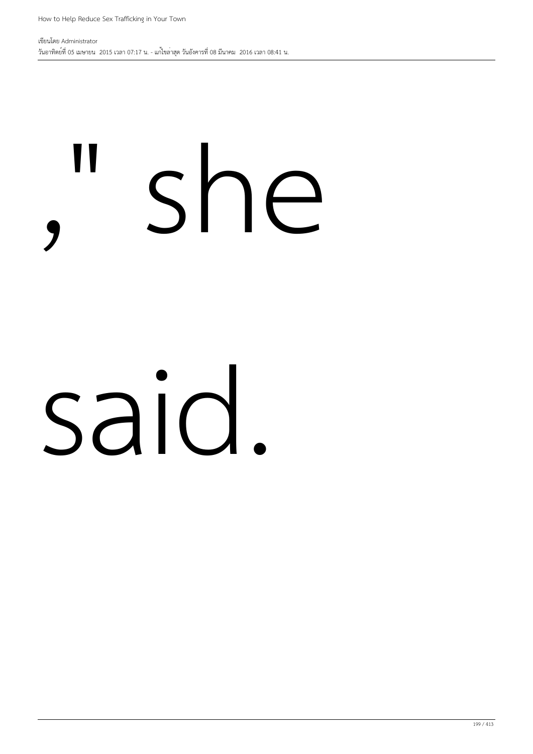## she said.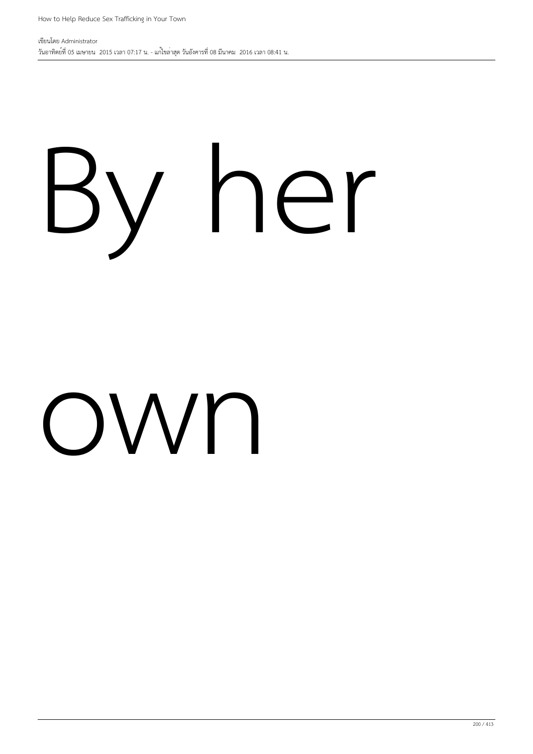### By her

#### own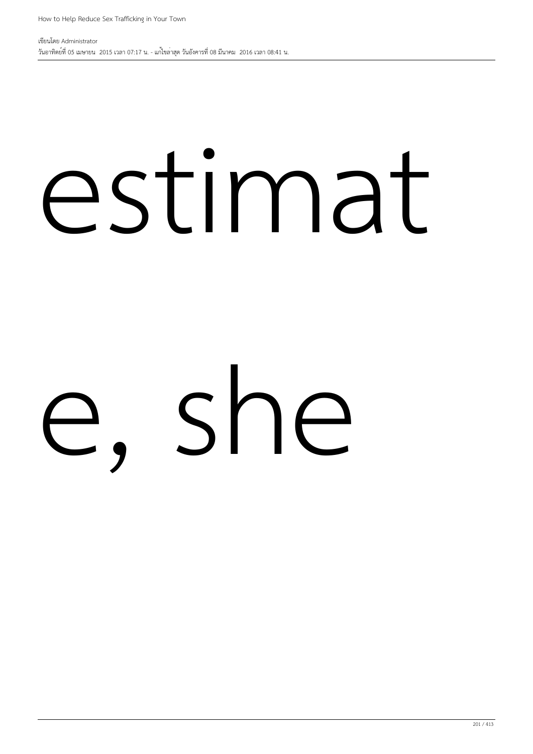## estimat

### e, she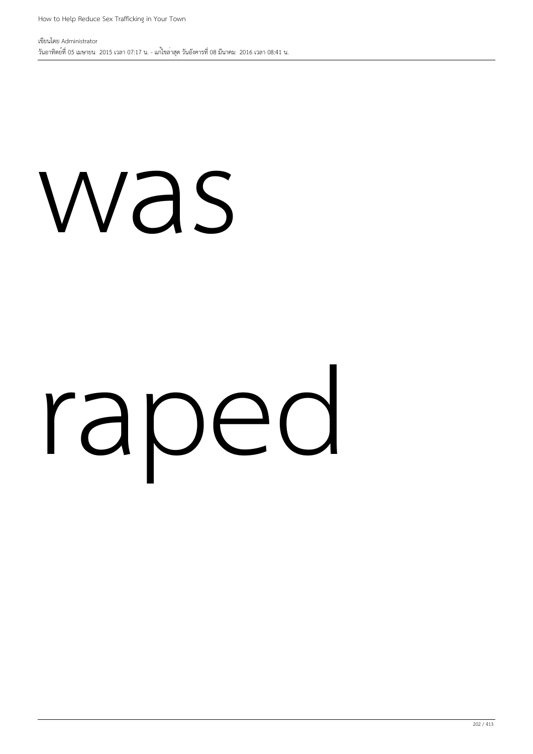#### was

### raped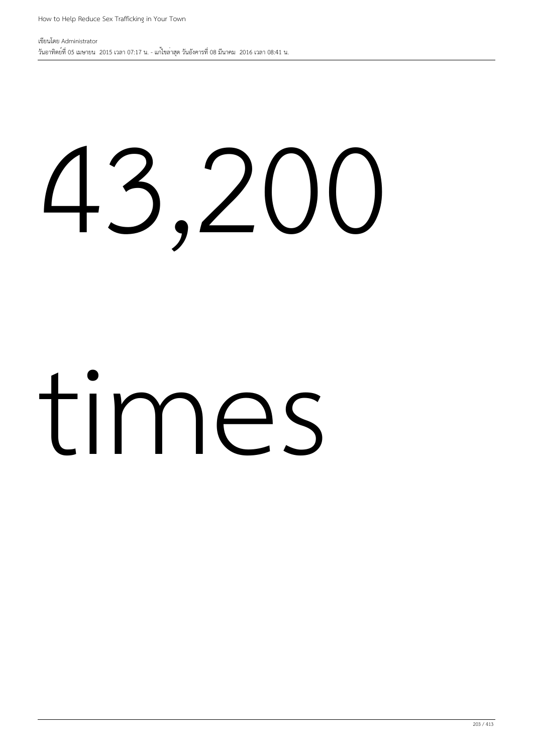### 43,200

#### times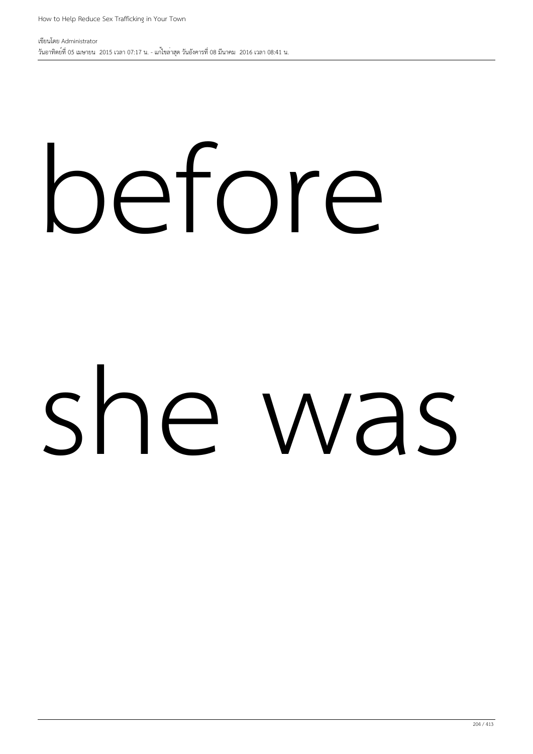### before

#### she was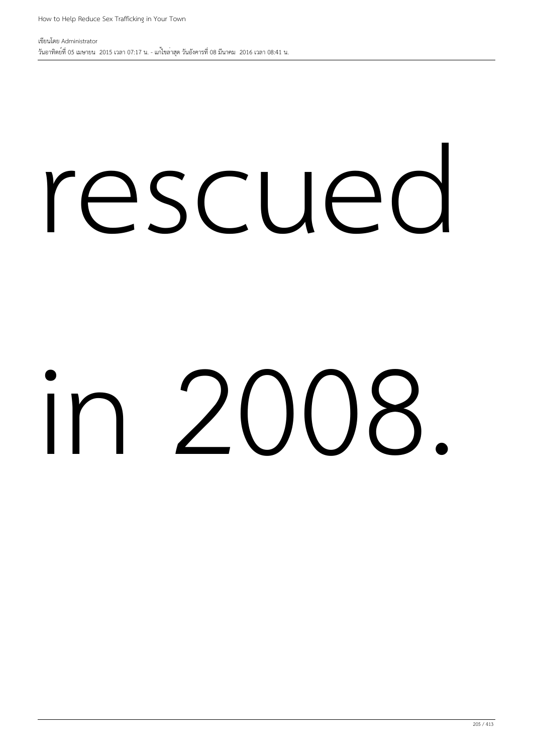### rescued

### in 2008.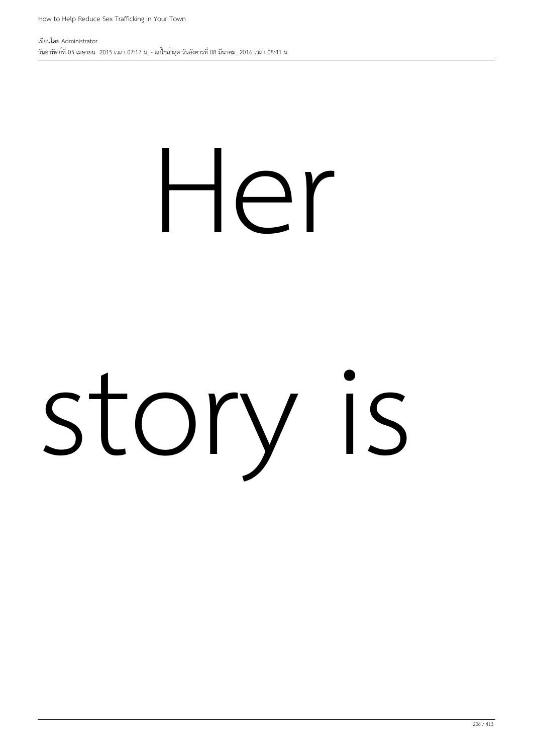### Her

### story is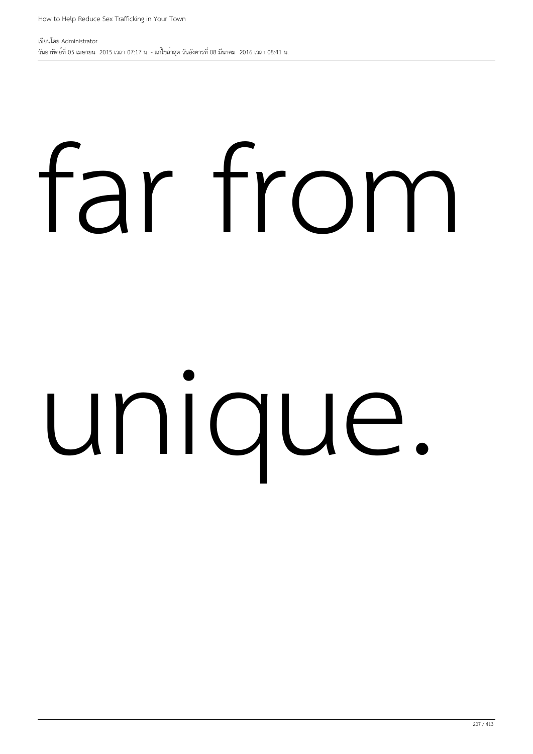### far from

### unique.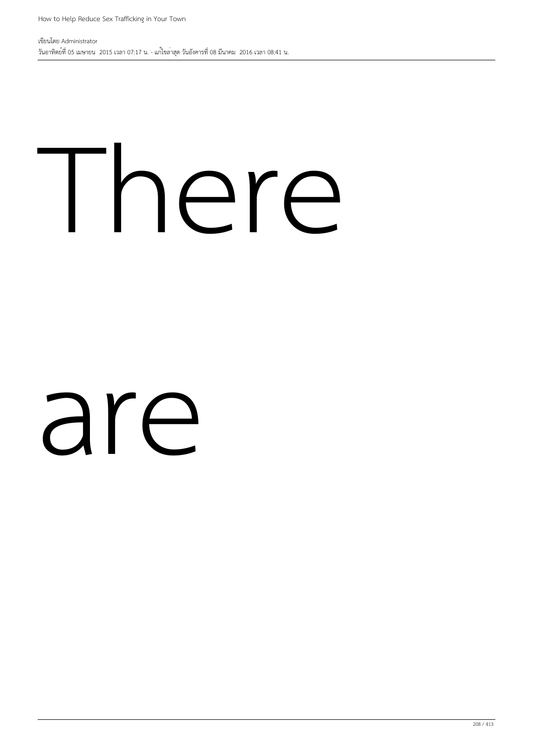### There

#### are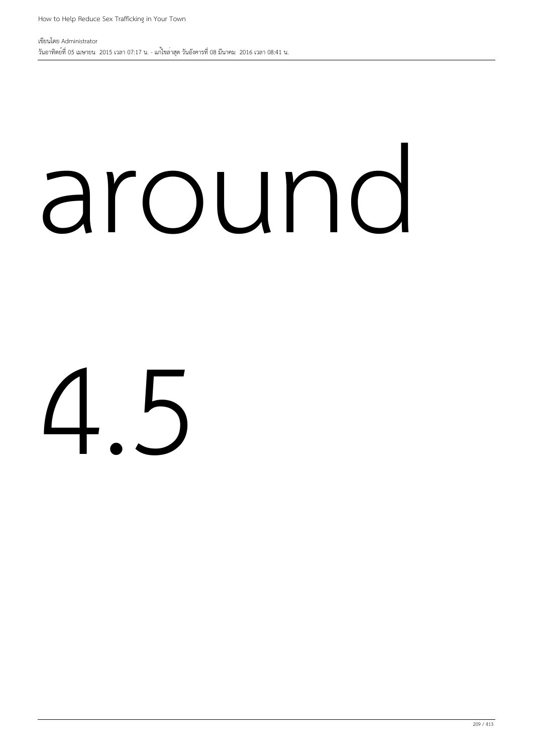### around

#### 4.5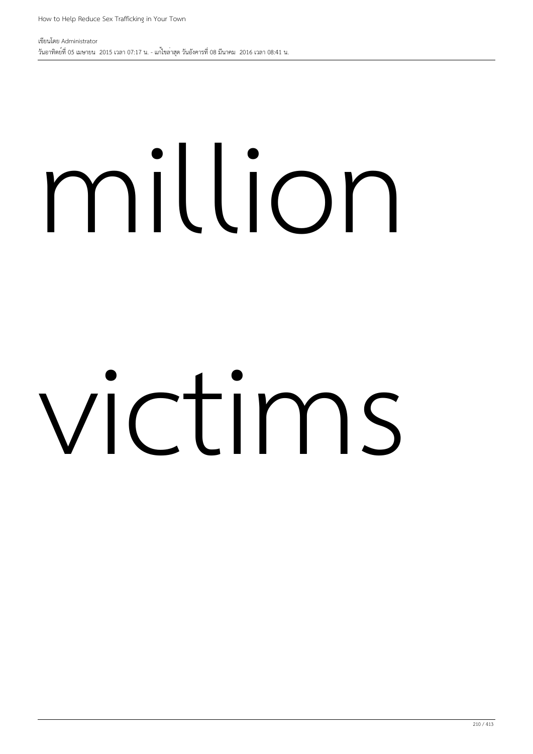# million

victims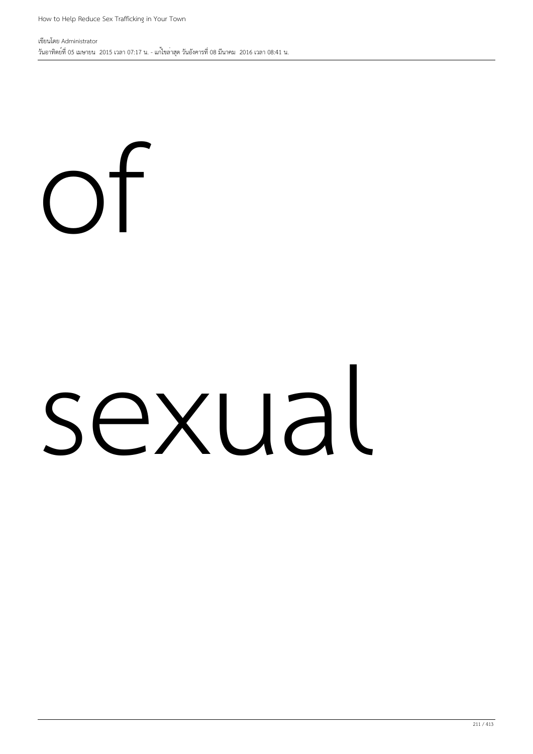### of

#### sexual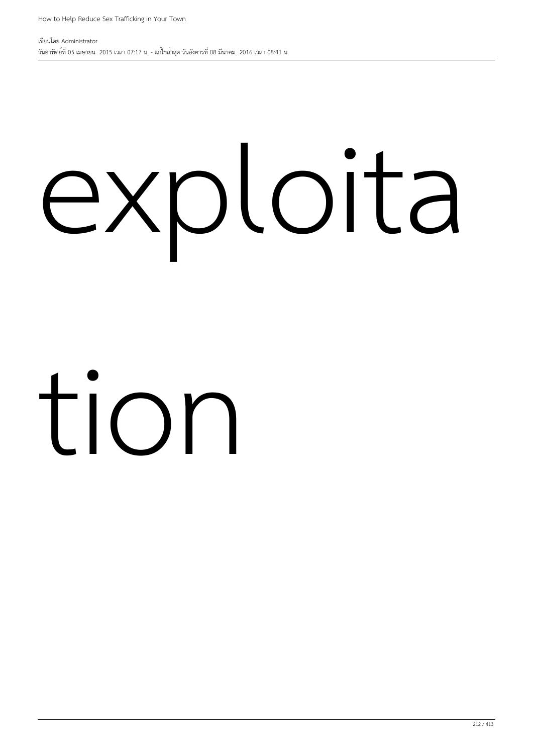### exploita

#### tion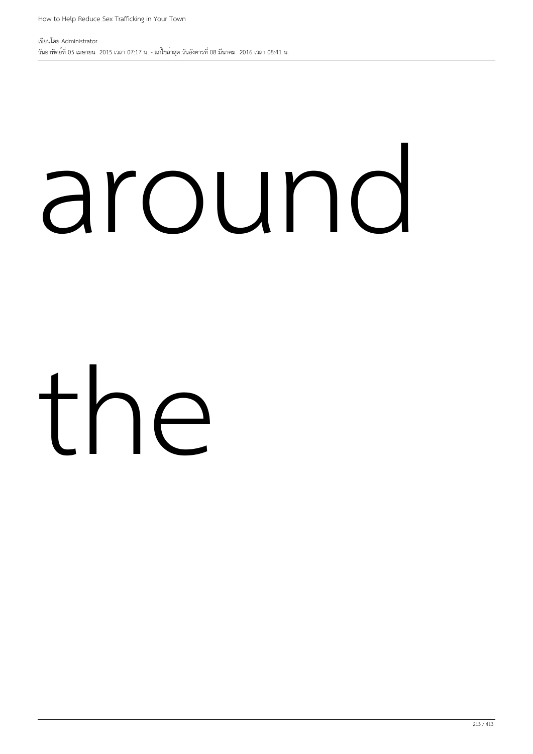### around

#### the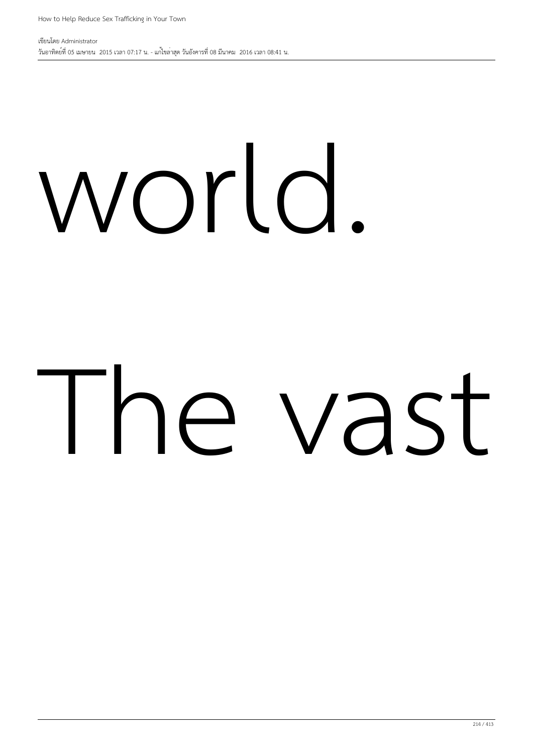### world.

#### I he vast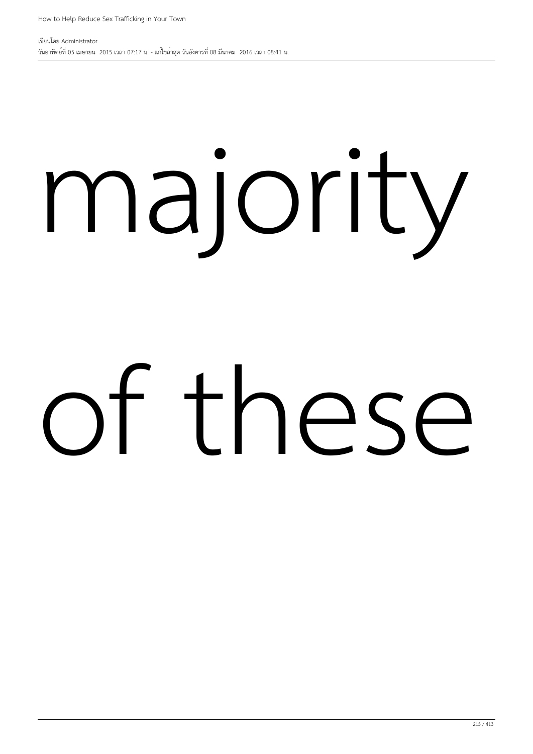### majority

### of these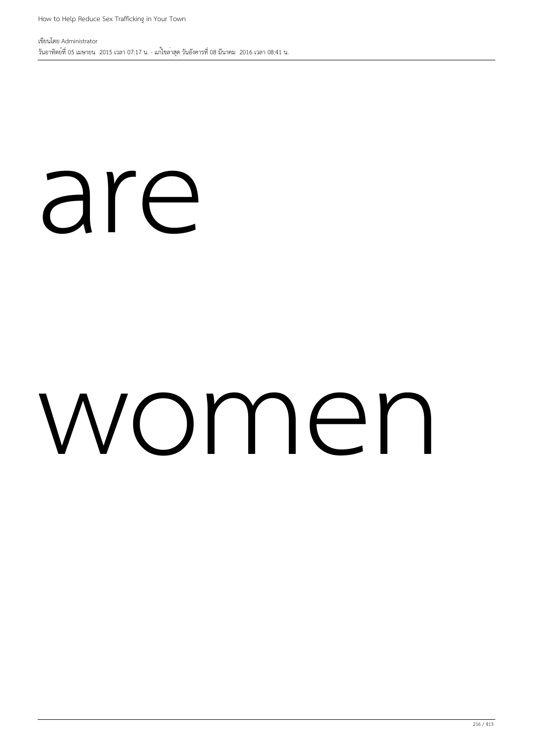#### are

#### women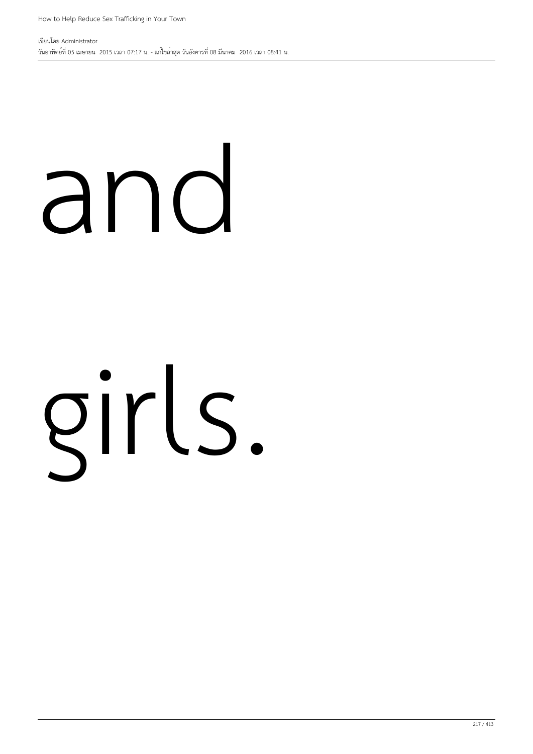### and

## girls.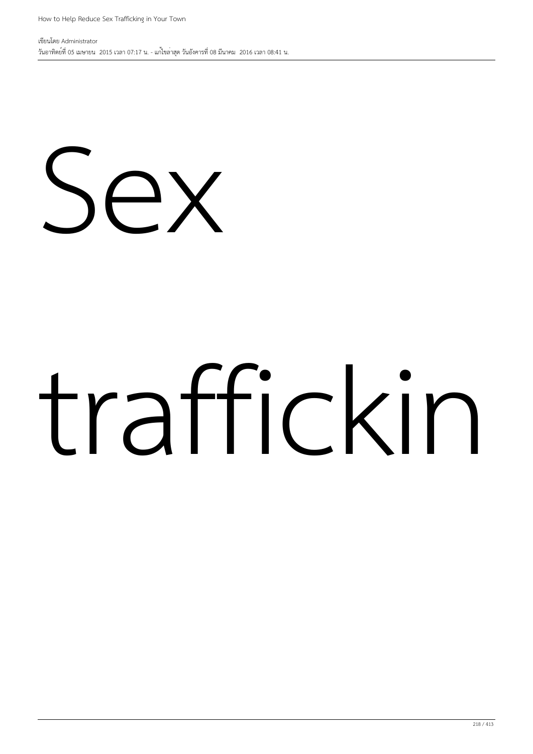Sex

### traffickin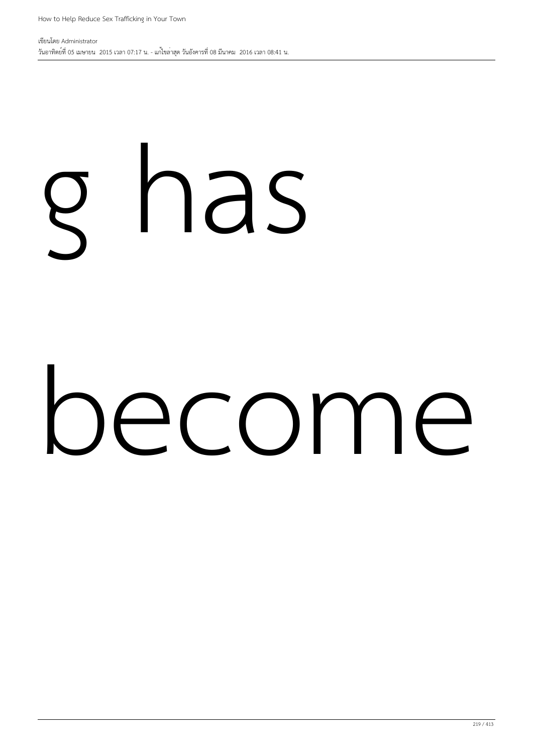### has

#### become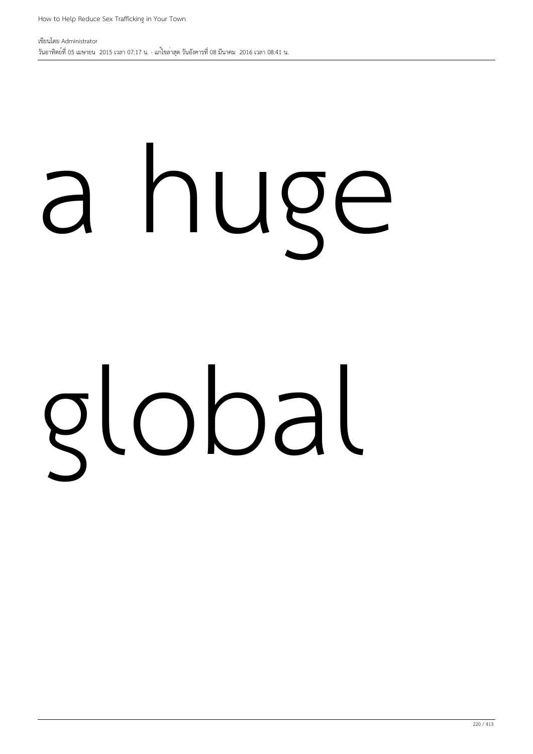# a huge

### global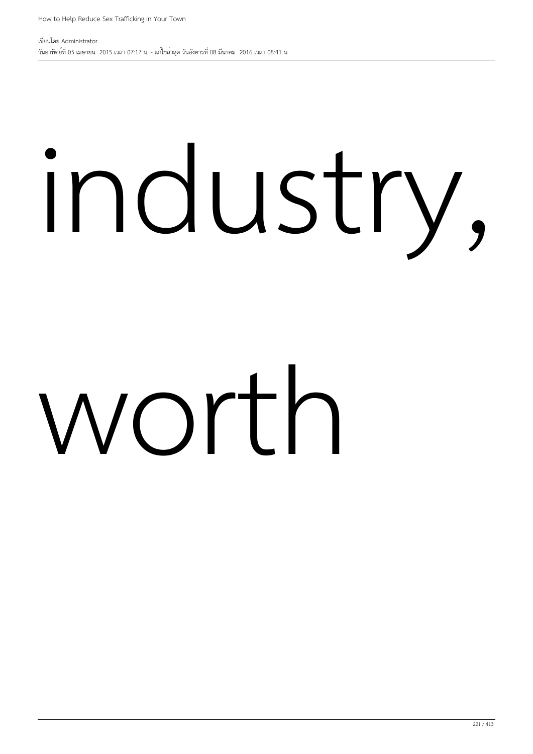## industry,

#### worth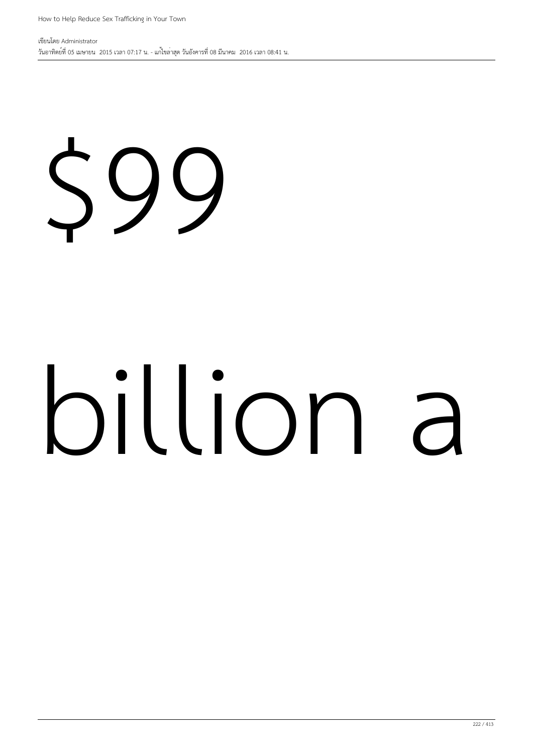S99

### billion a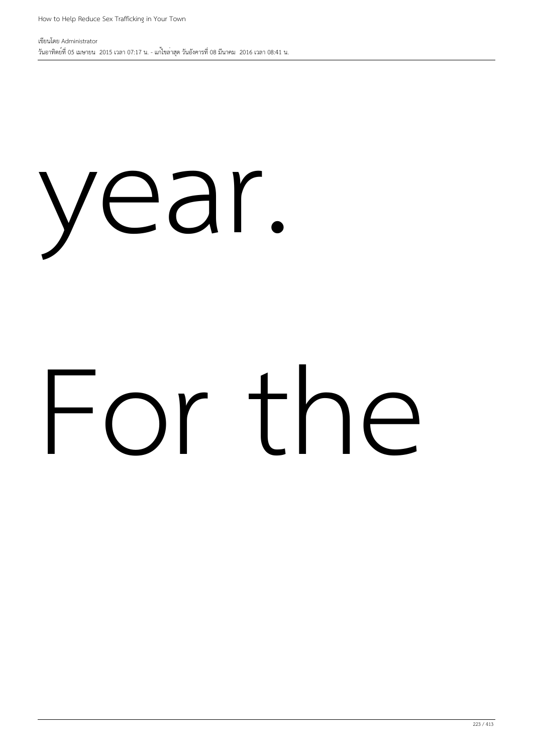#### year.

### For the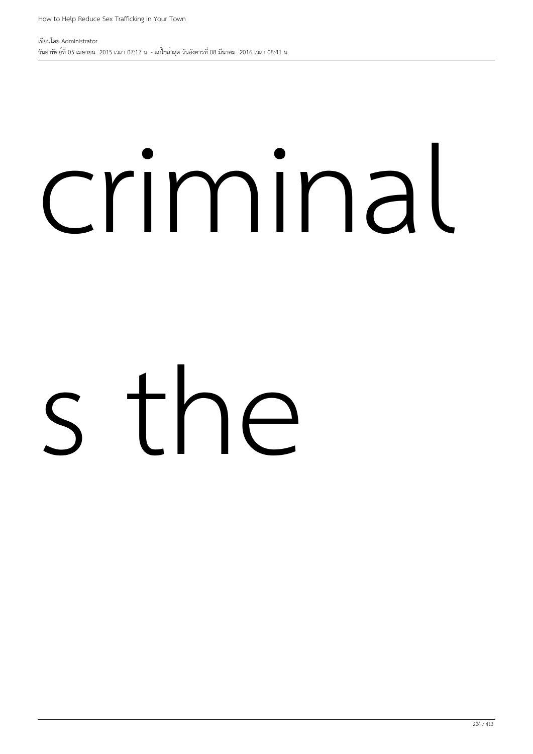## criminal

### s the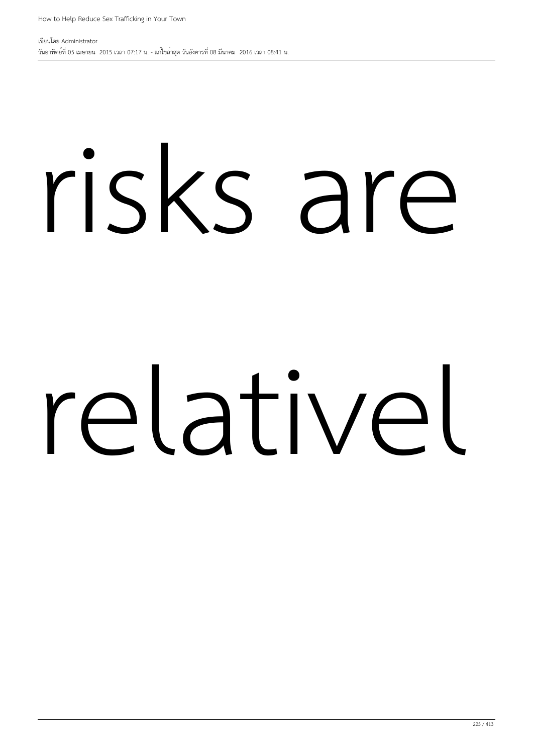## risks are

### relativel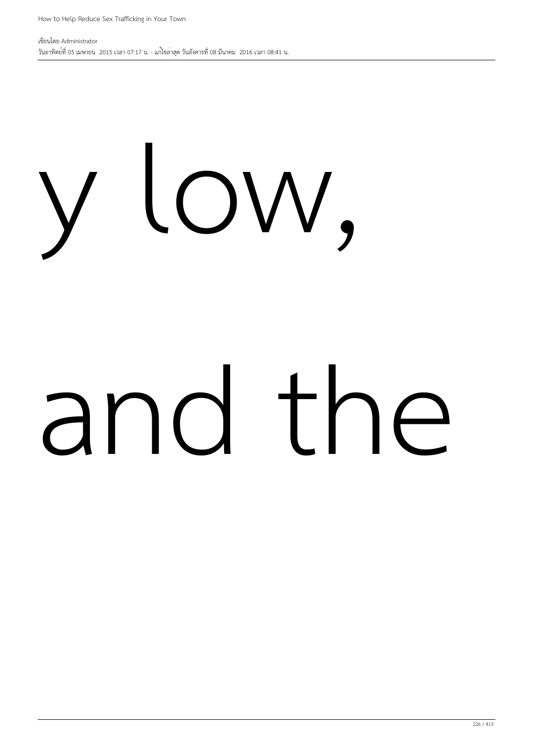## y low, and the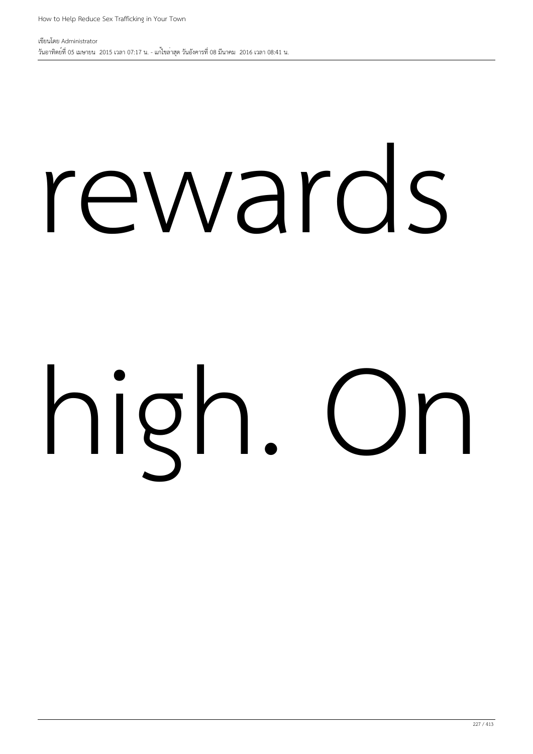## rewards

## high. O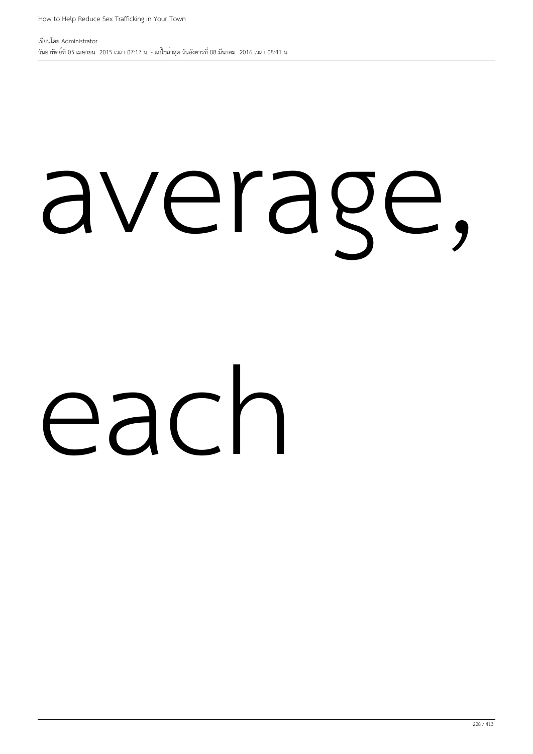### average,

### each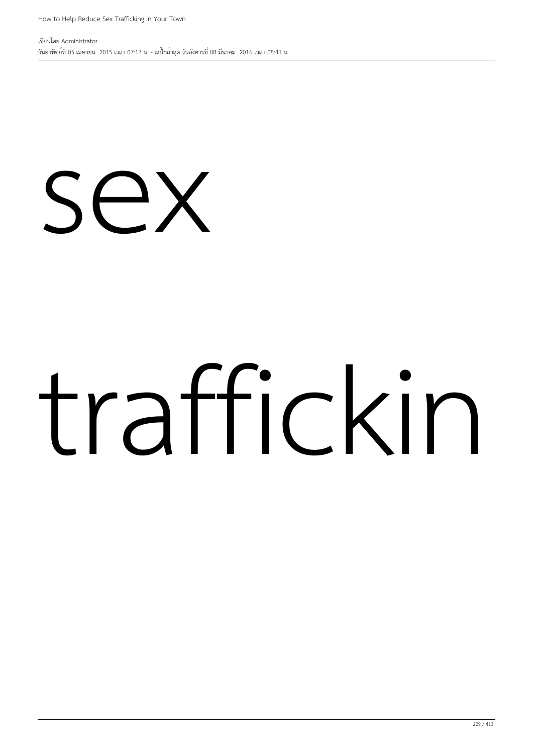#### sex

### traffickin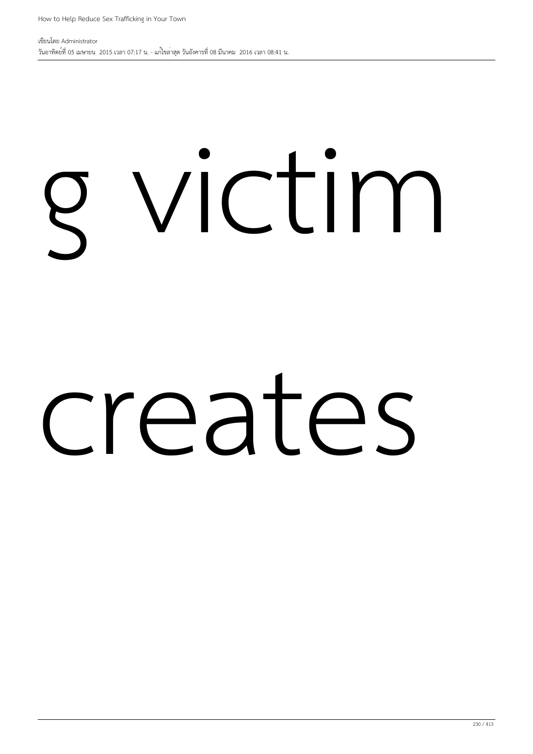## g victim

#### creates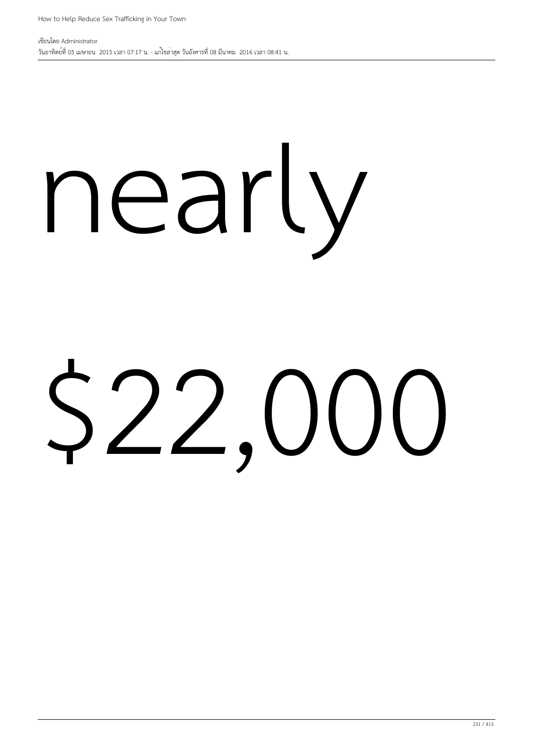## nearly

### \$22,000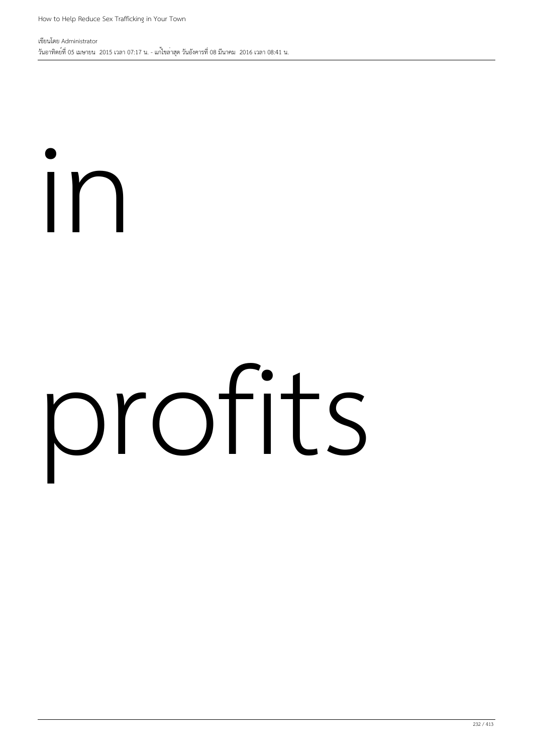in

## profits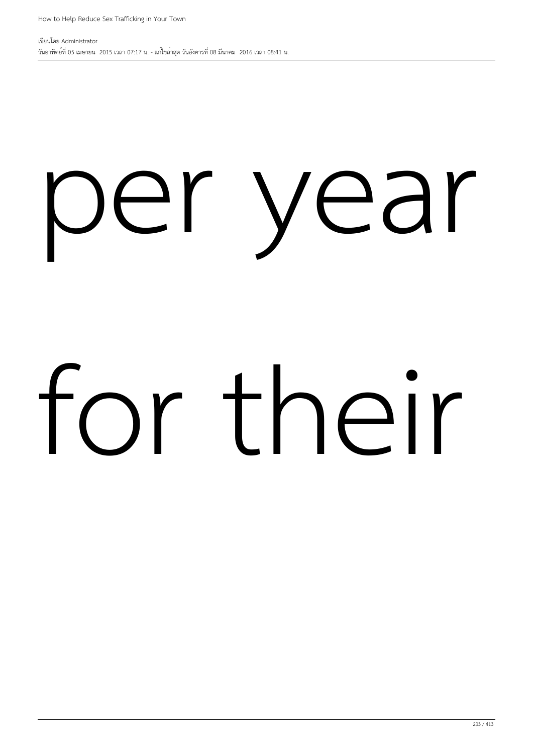### per year

### for their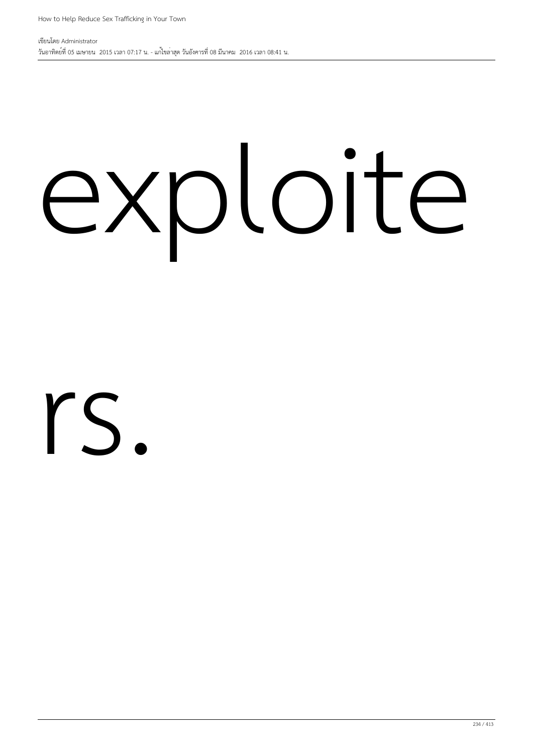## exploite

rs.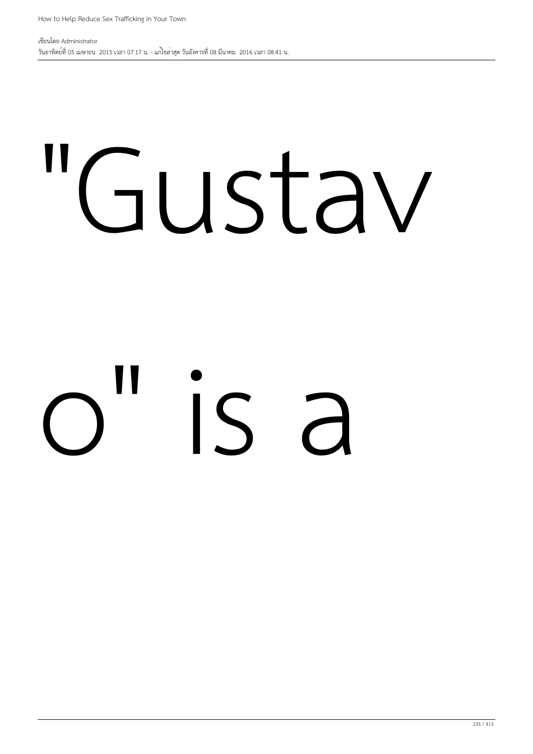### Gustav

### is a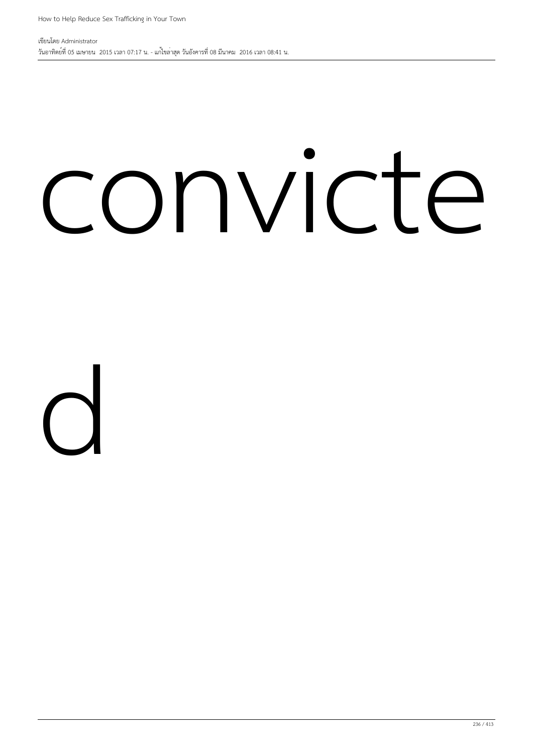### convicte

## d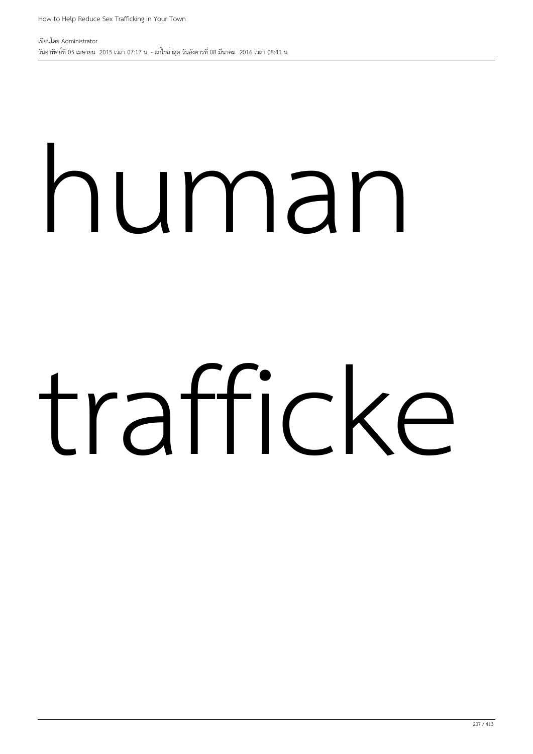### human

### trafficke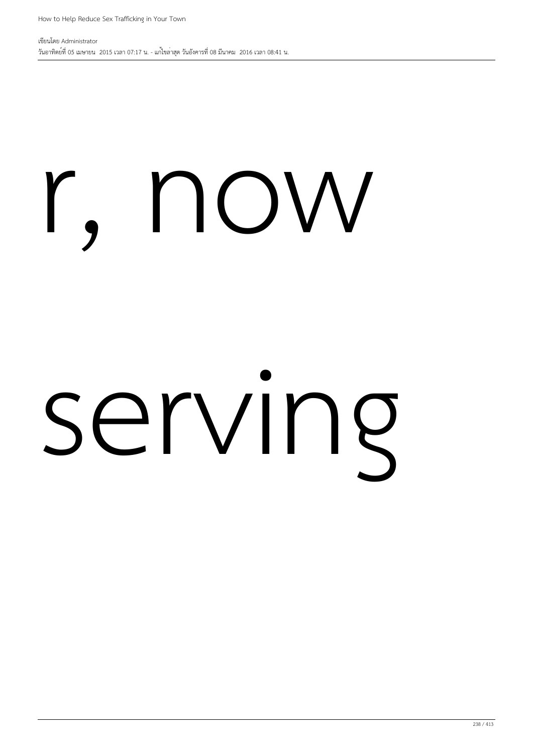## r, now serving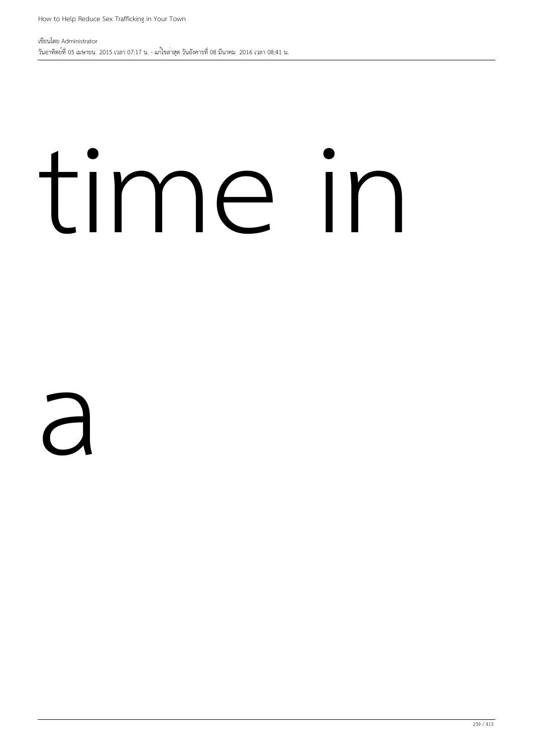### time in

a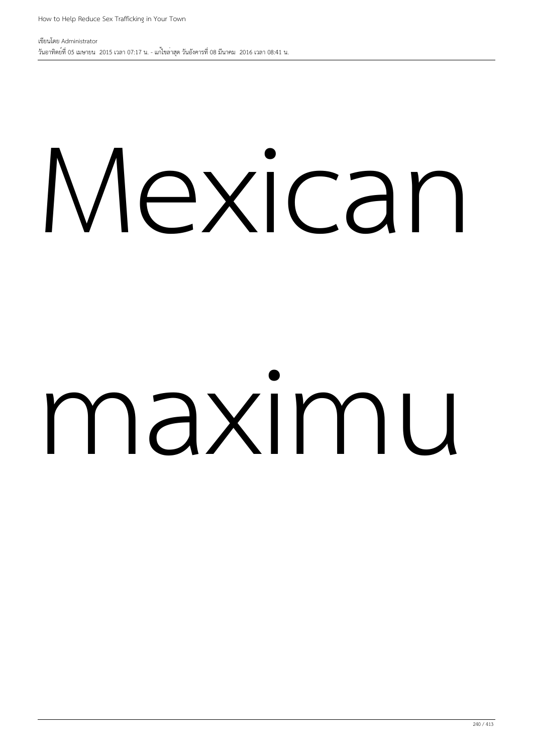### Mexican

#### maximu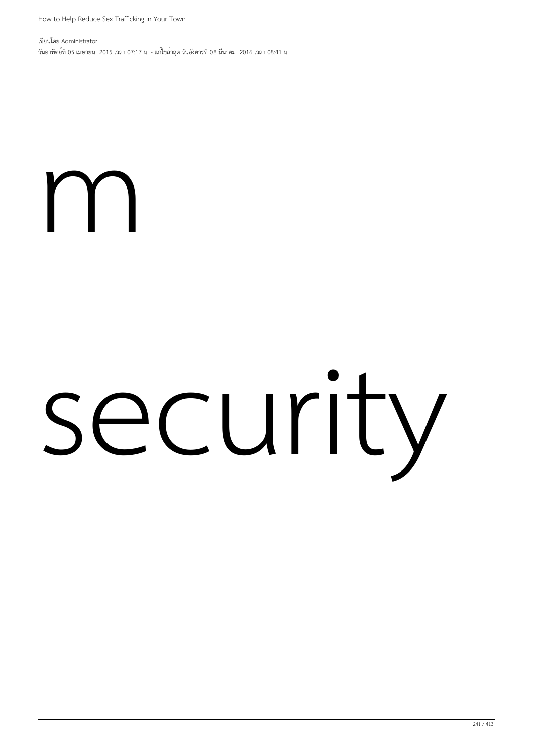m

## security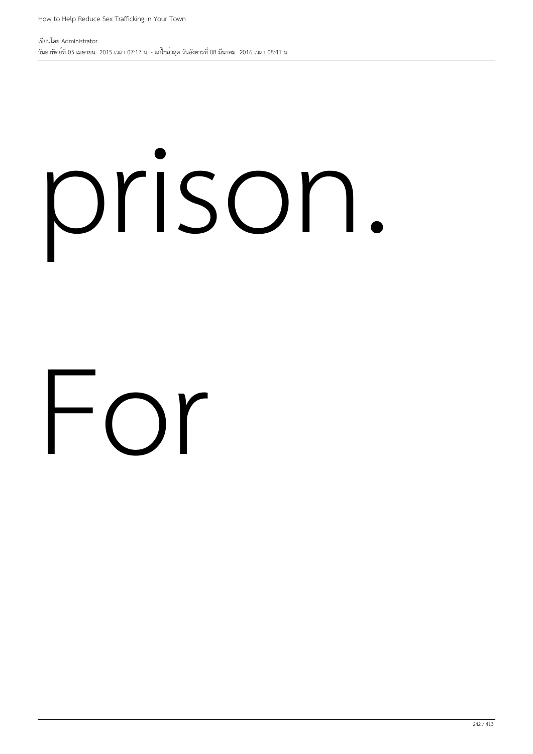### prison.

#### For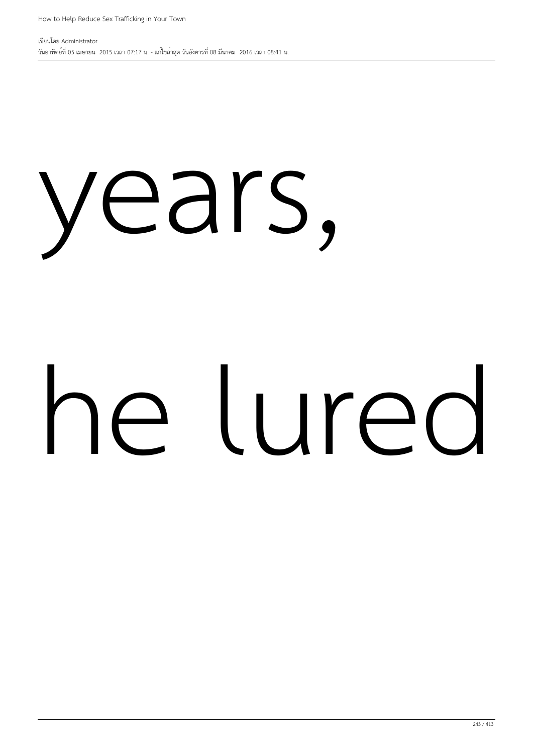#### years,

### he lured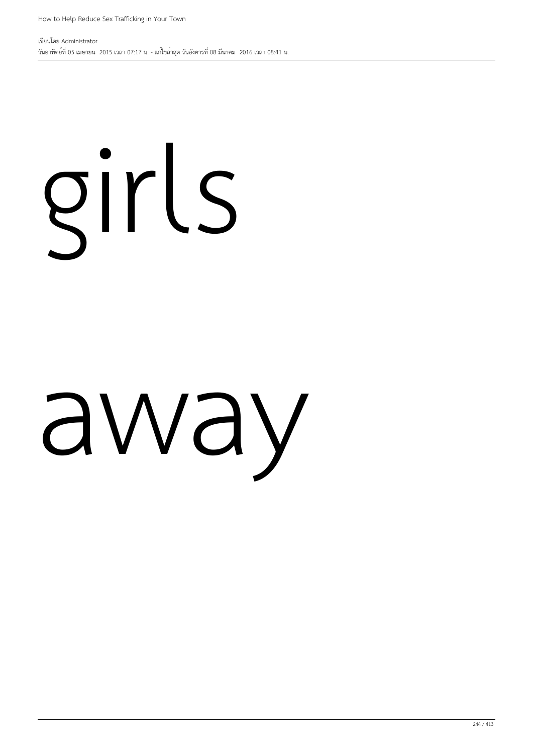## girls

### away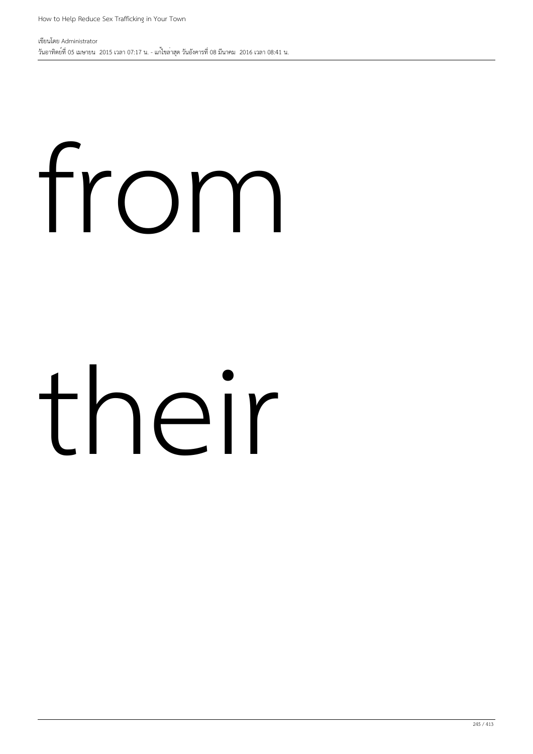### from

### their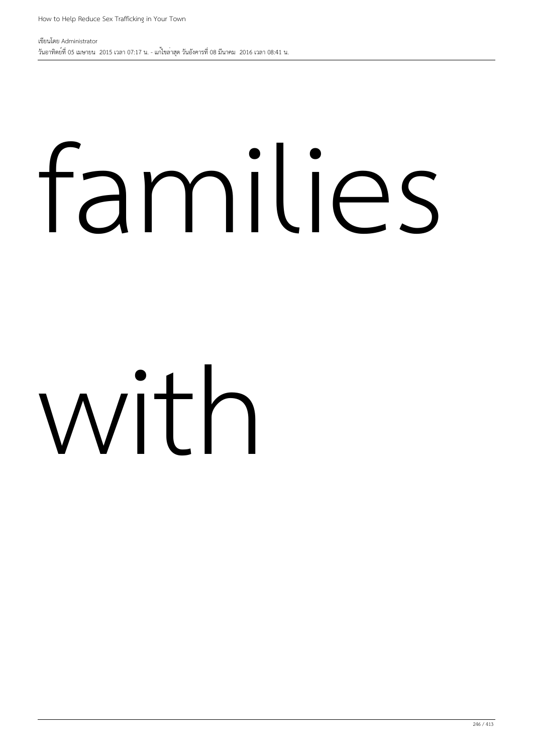### families

### with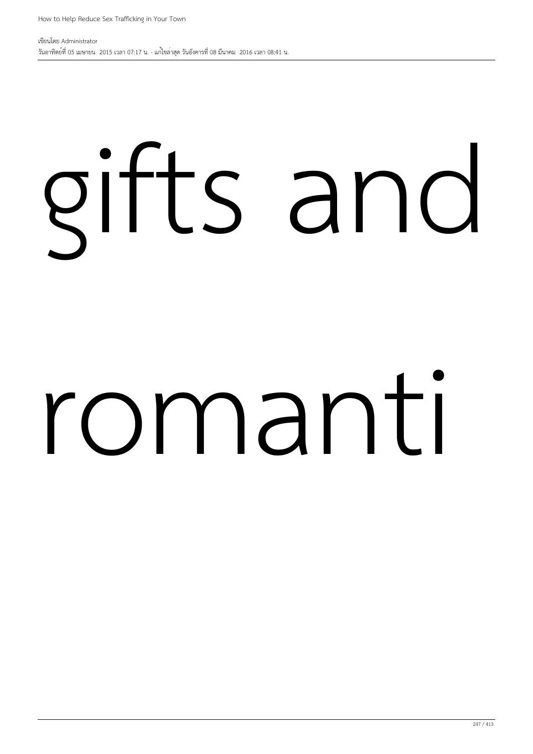## gifts and

### romanti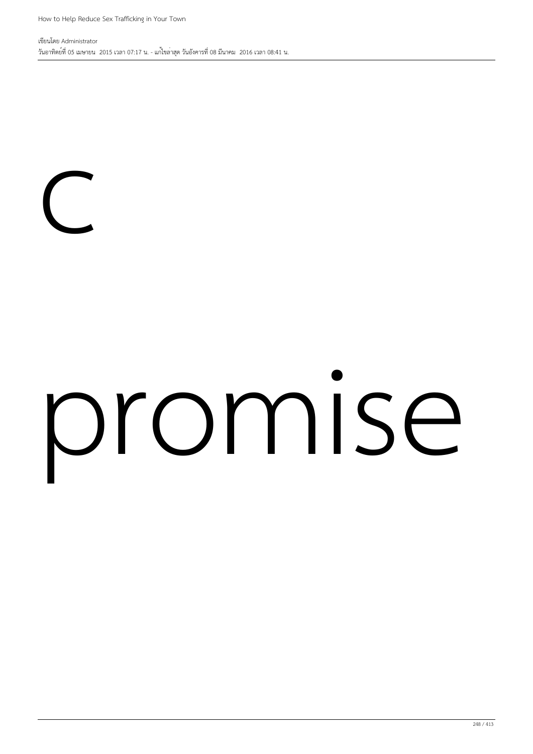How to Help Reduce Sex Trafficking in Your Town

# c promise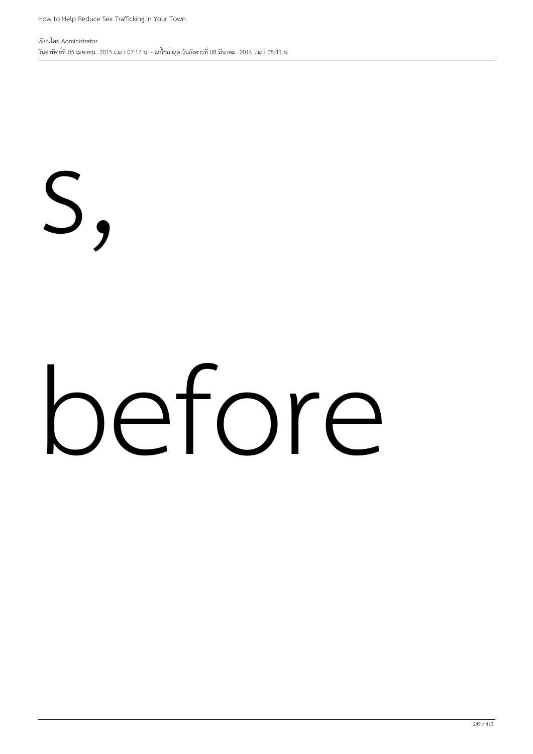## s, before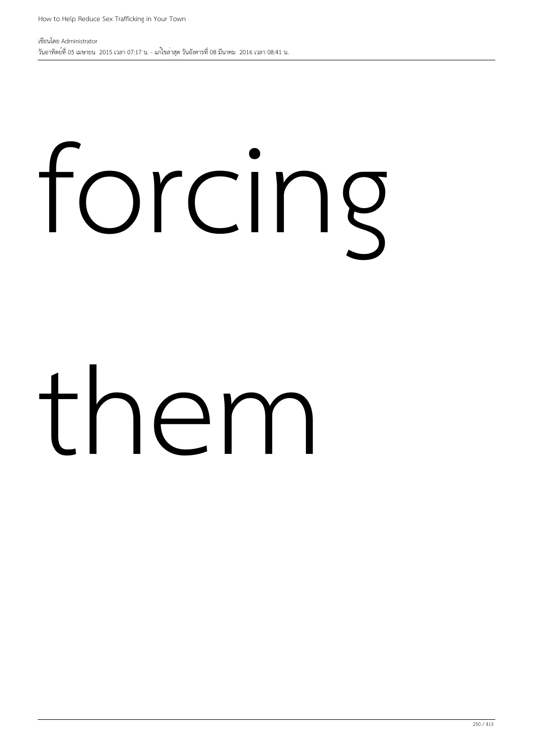## forcing

### them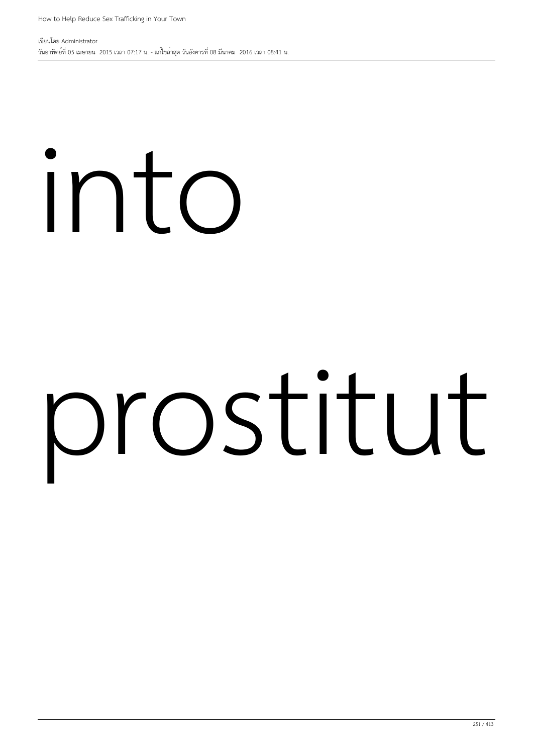### into

### prostitut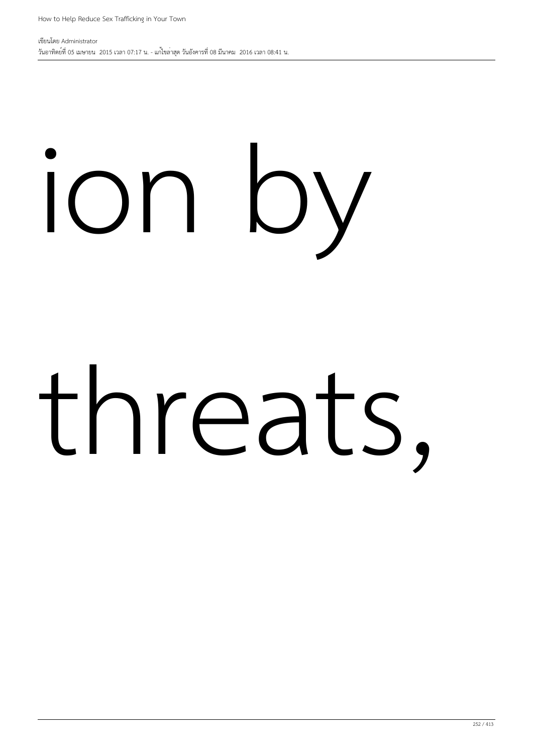## ion by

### threats,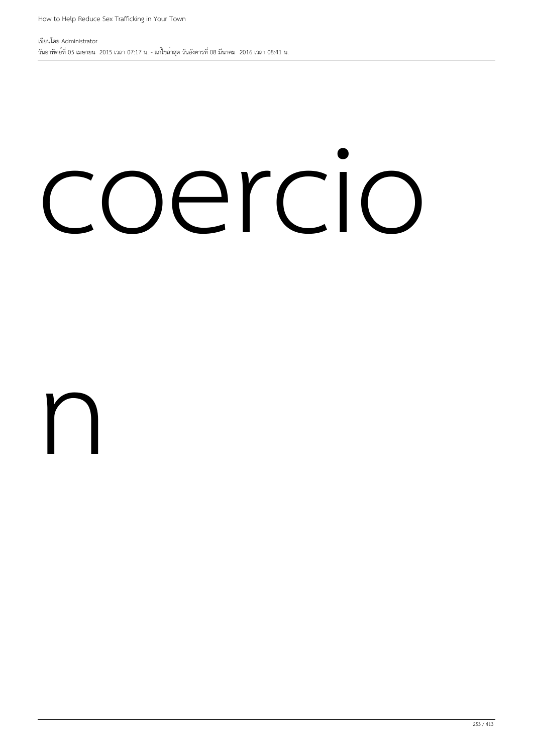### coercio

# n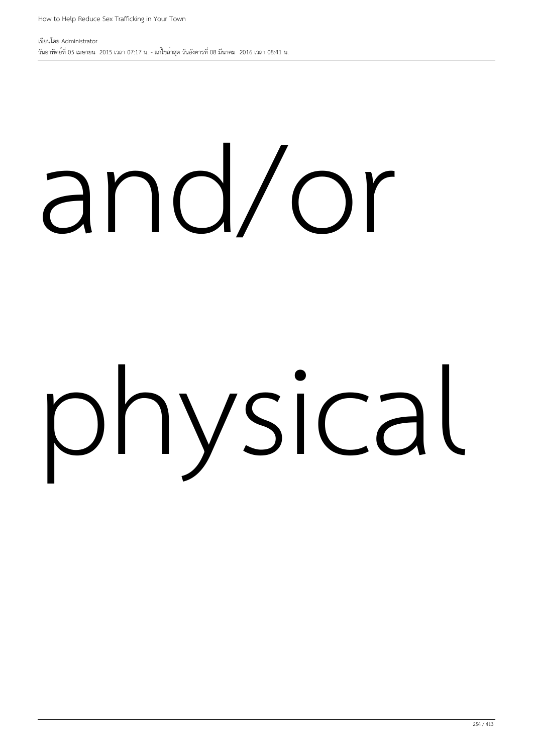# and/or

# physical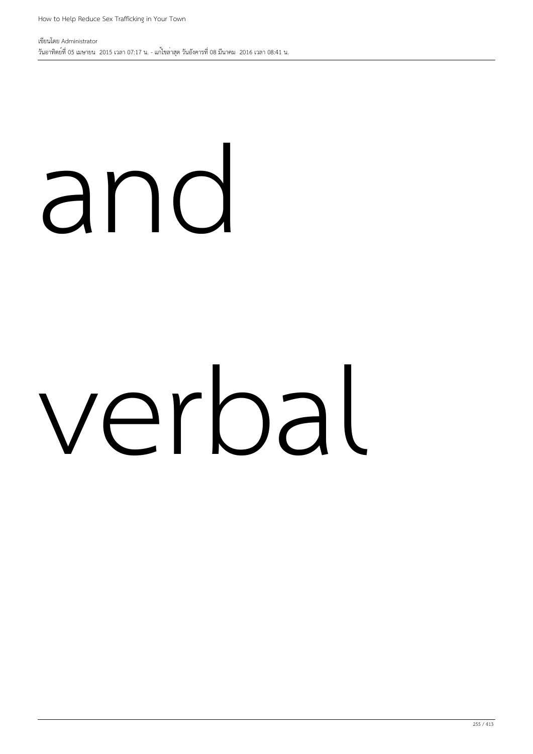### and

### verbal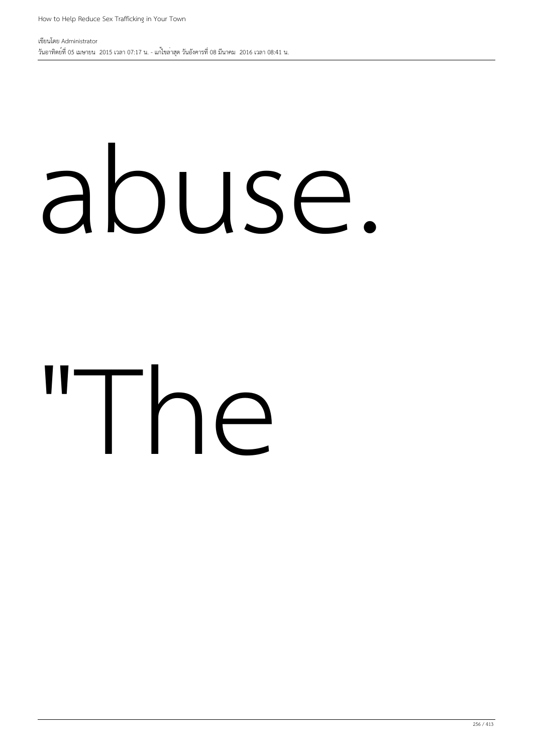### abuse.

### "The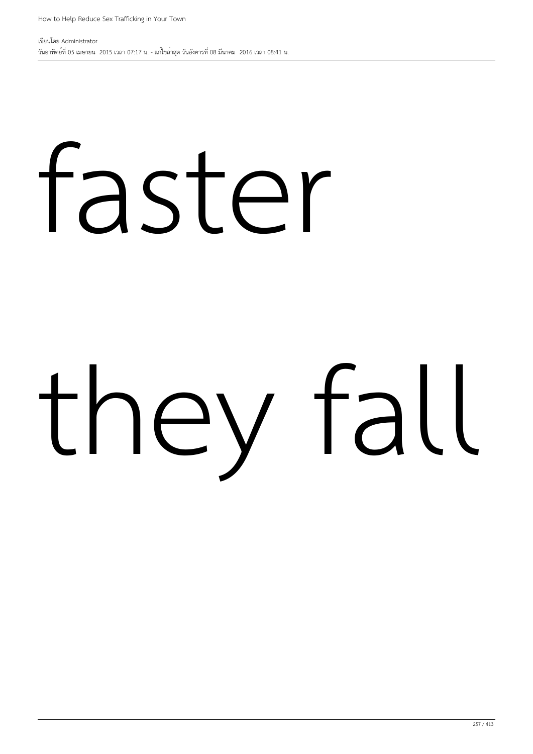### faster

# they fall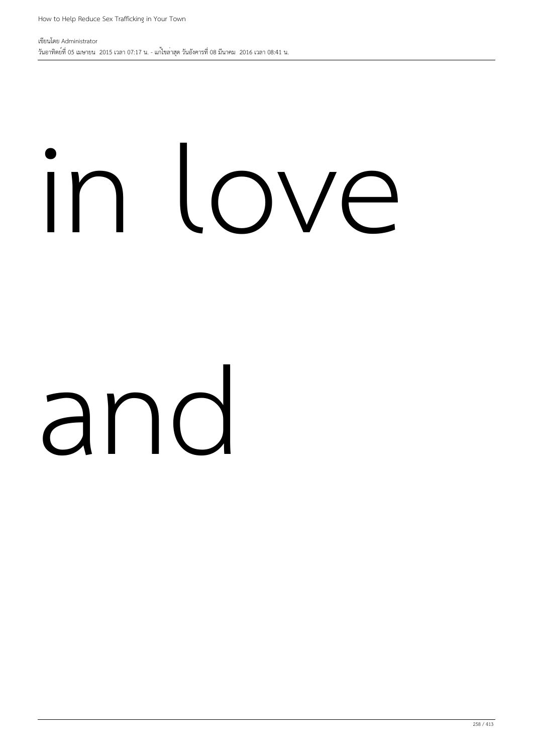### in love

#### and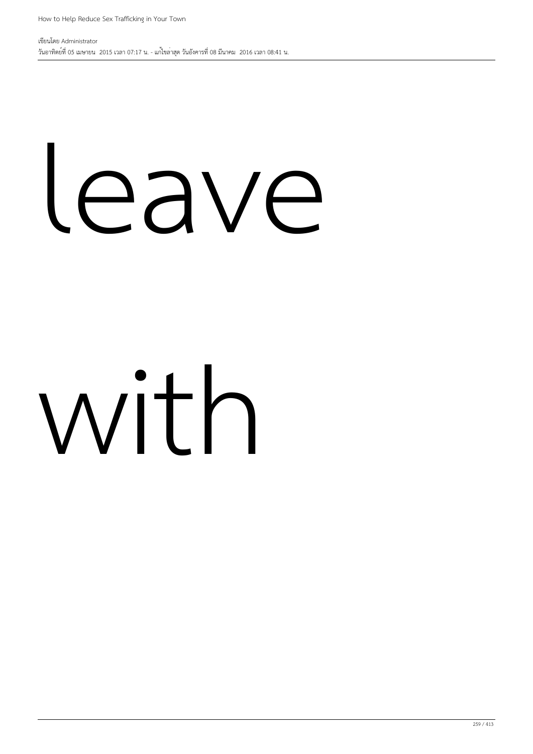#### leave

### with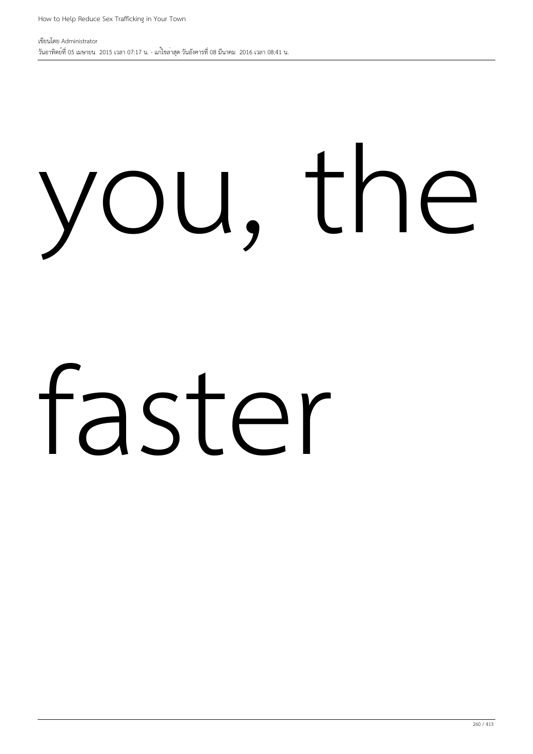# you, the

### faster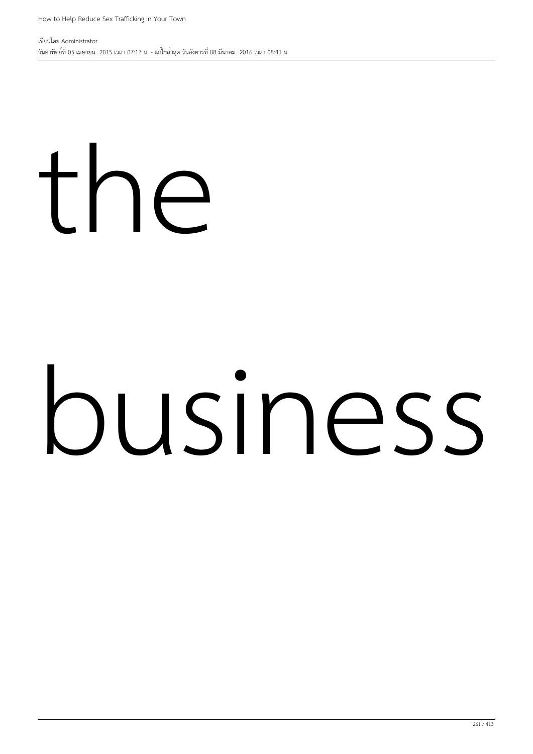### the

#### business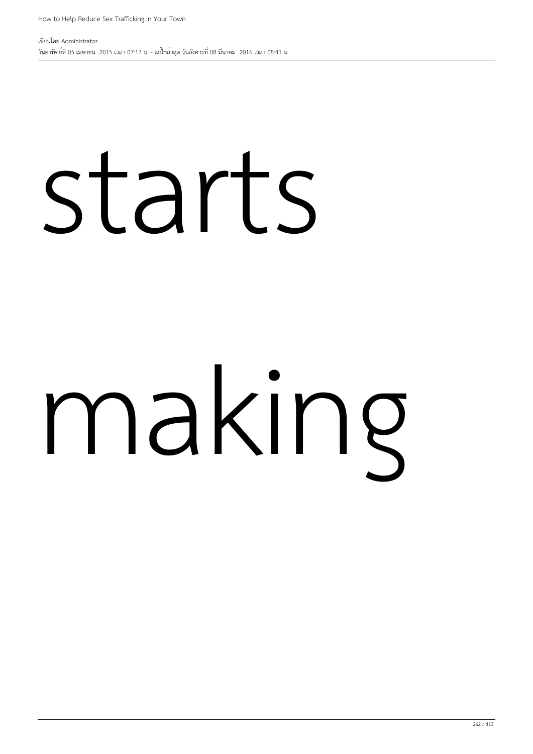### starts

# making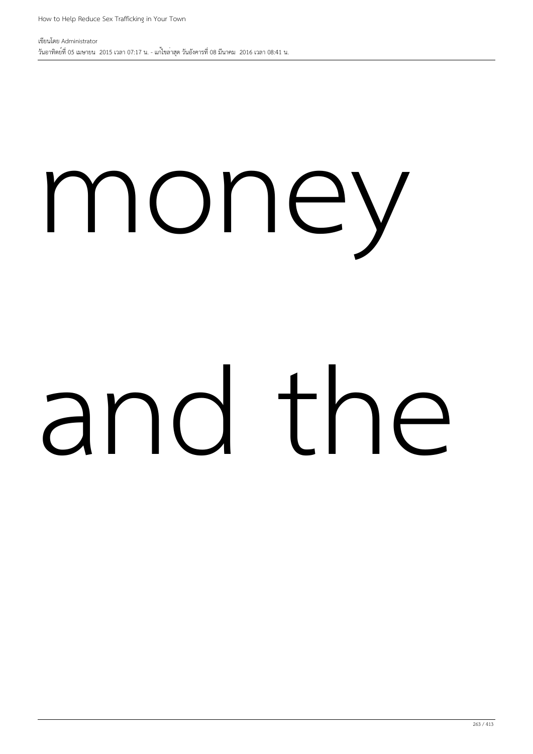## money

### and the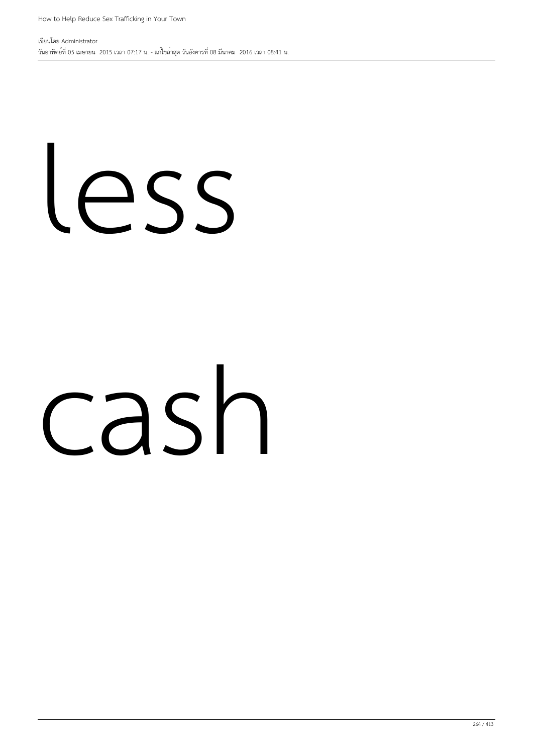#### less

#### cash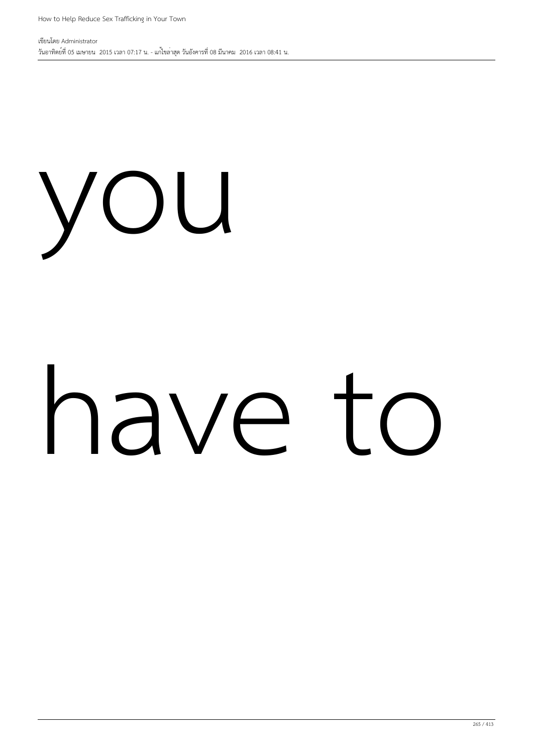#### you

#### have to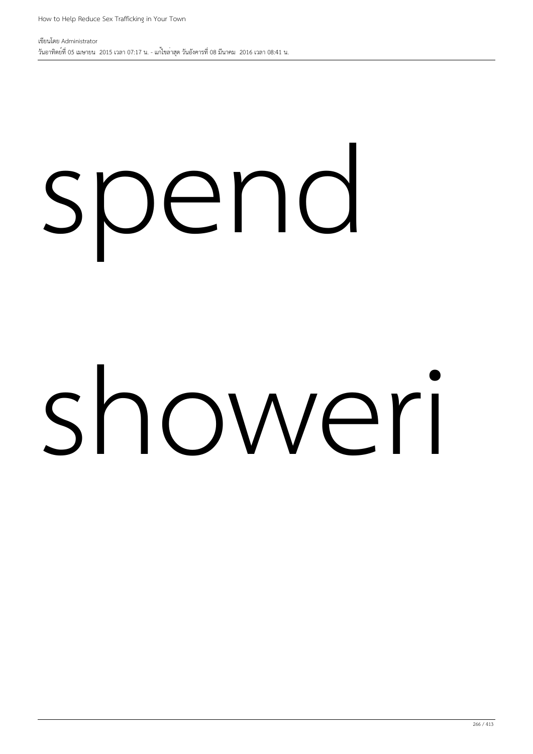# spend showeri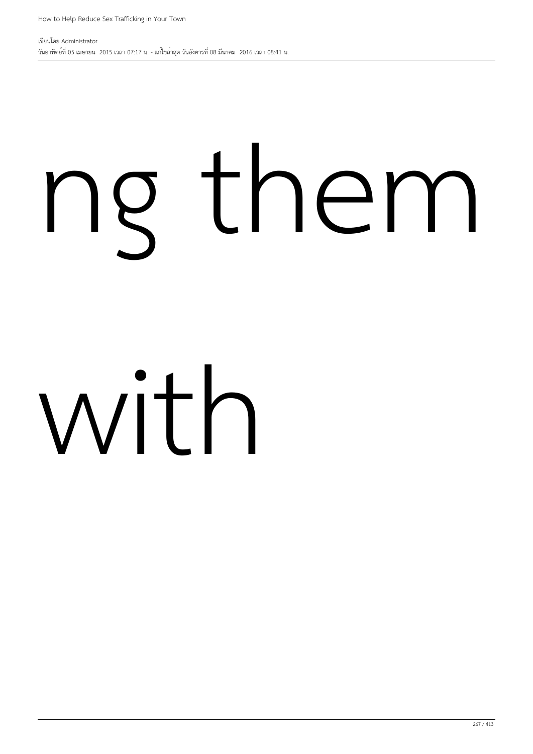# ng them

### with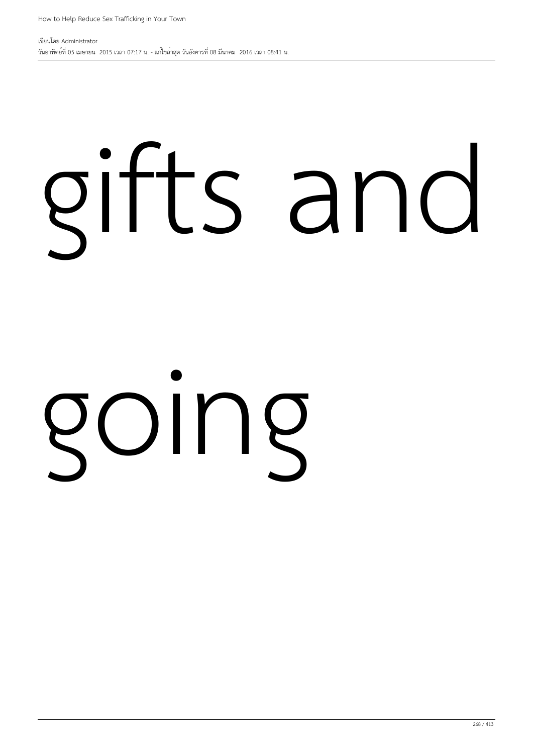# gifts and

# going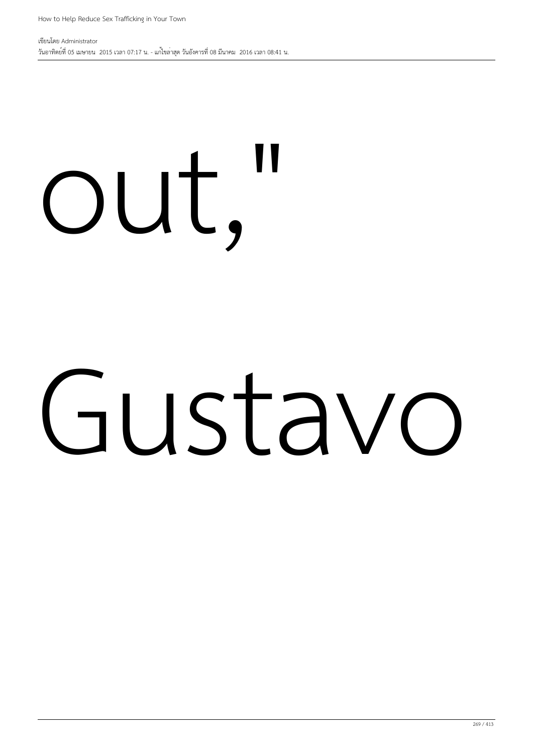## out,"

#### Gustavo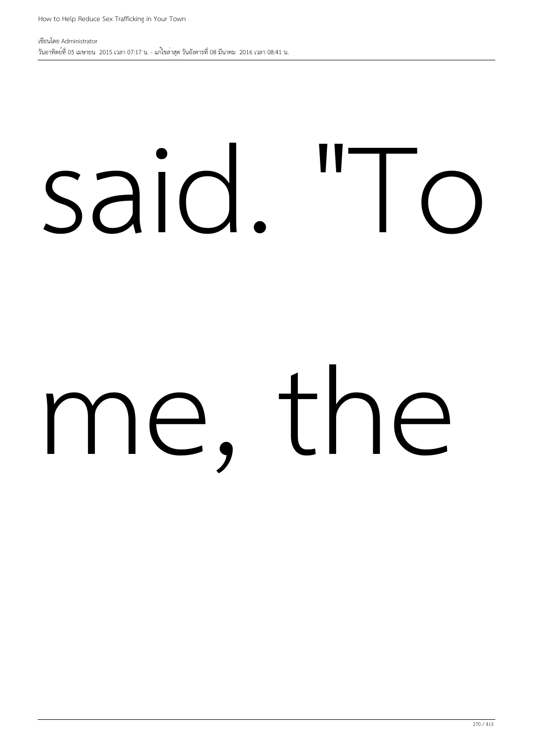# said.

### me, the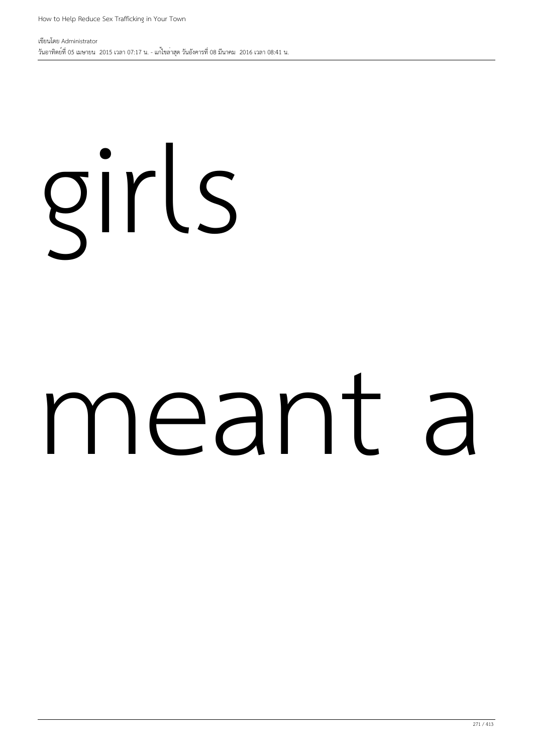# girls

#### meant a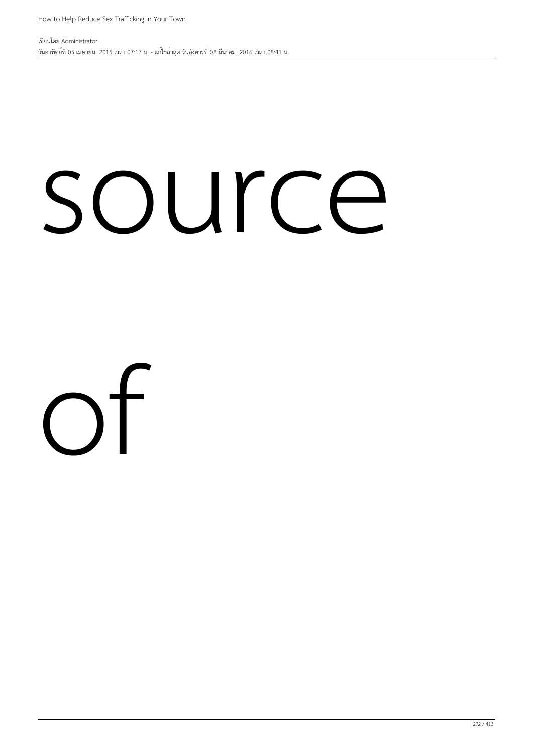#### source

### of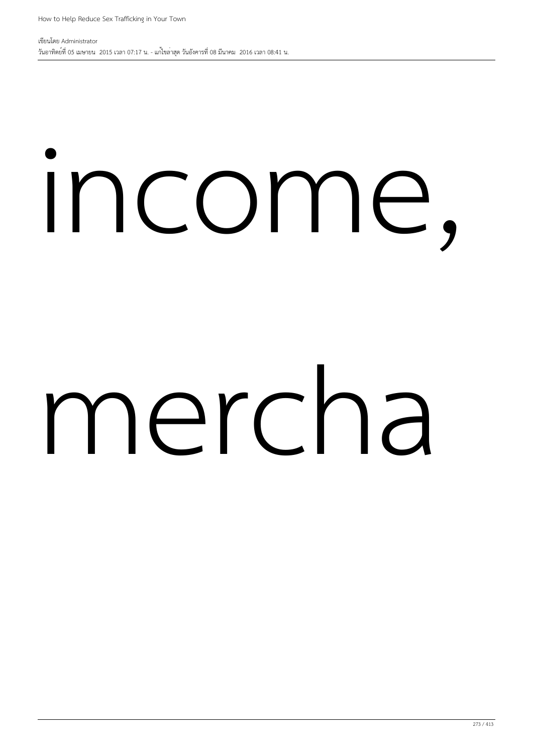# income,

#### mercha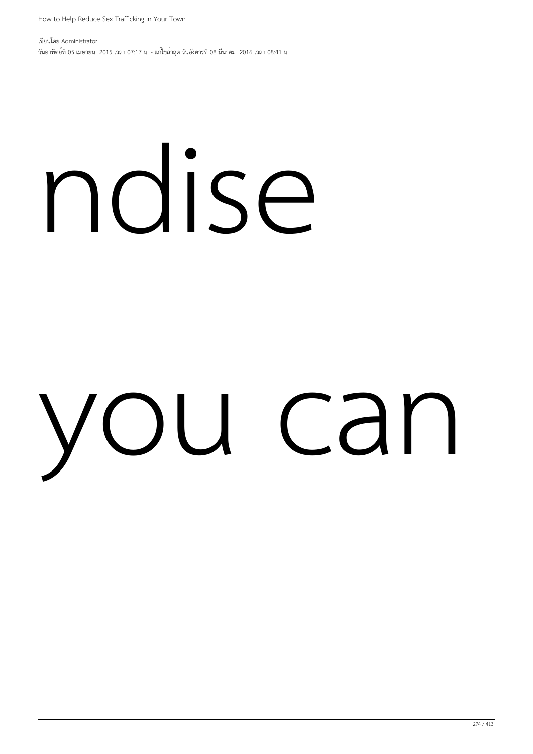### ndise

#### you can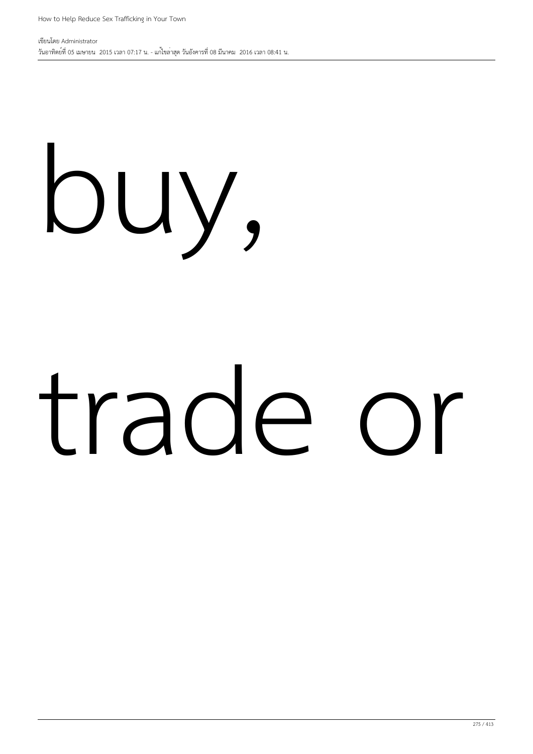# buy,

### trade c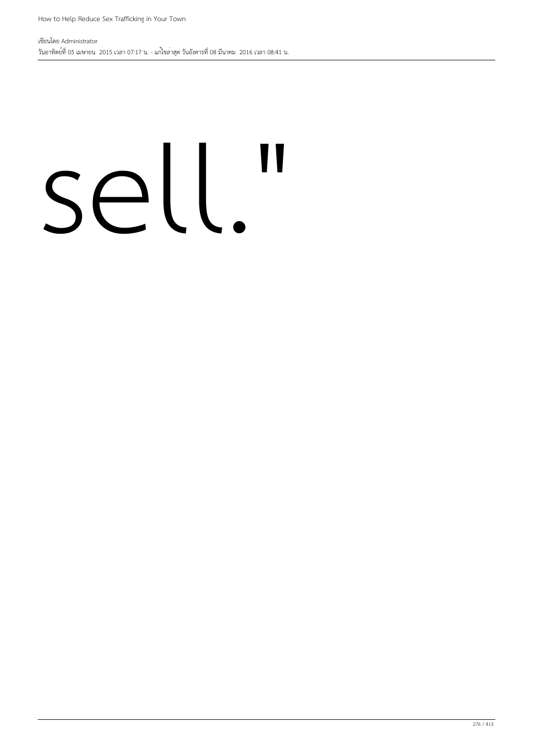### sell."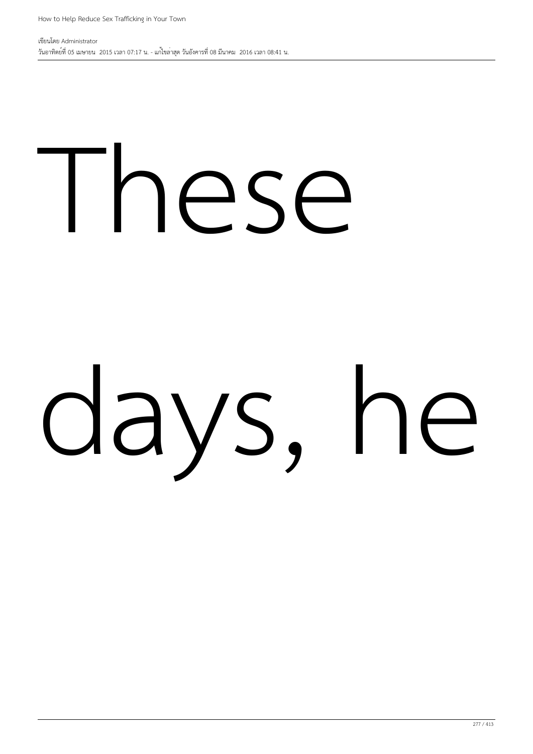### These

# days, he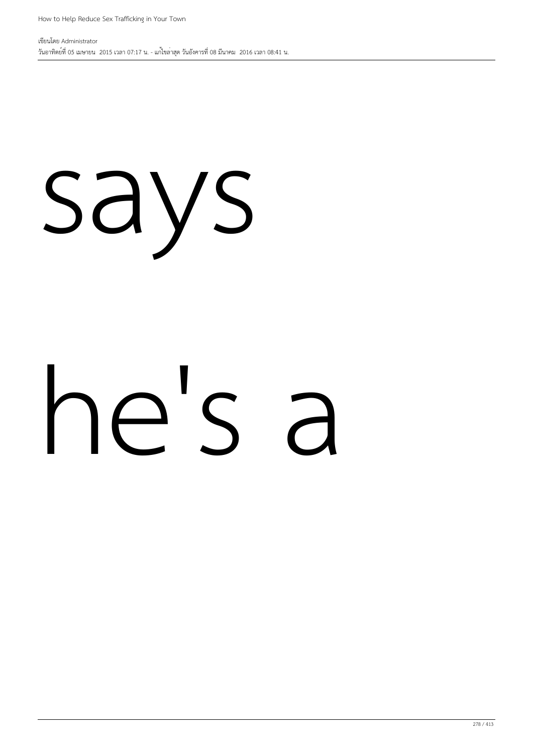# says he's a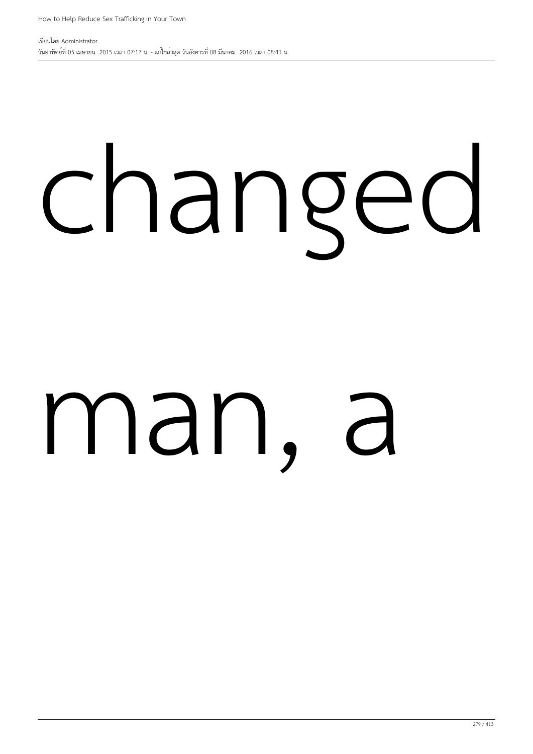# changed

#### man, a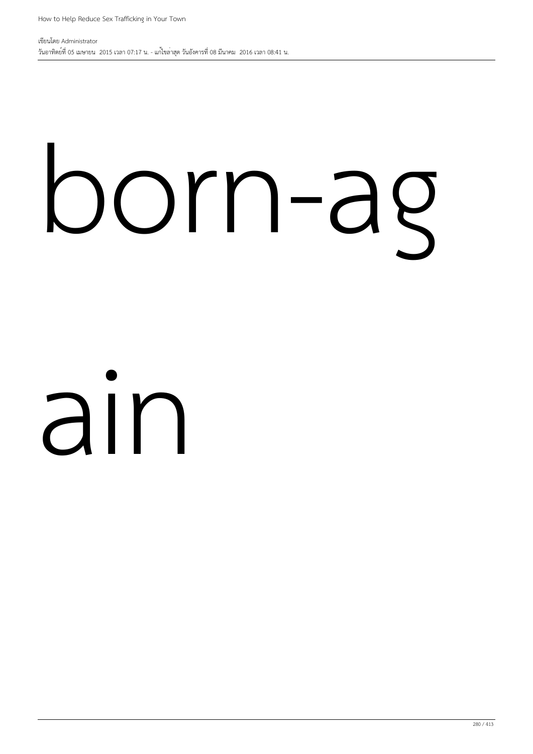## born-ag

#### ain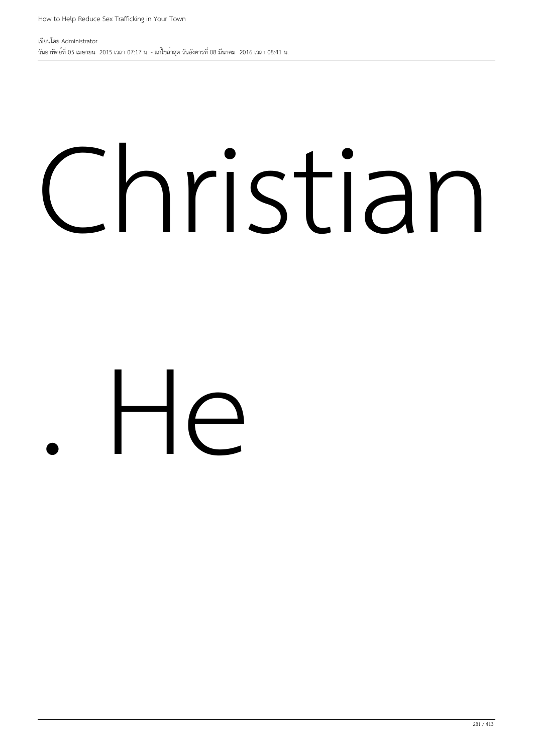### Christian

#### . He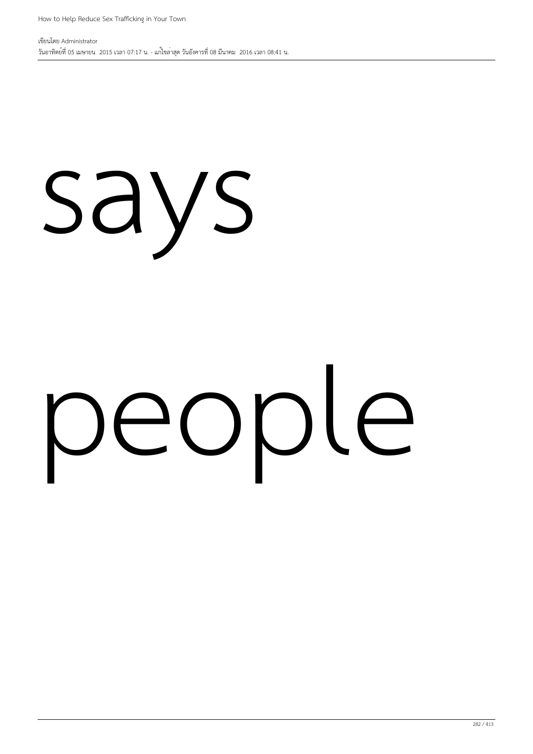#### says

# people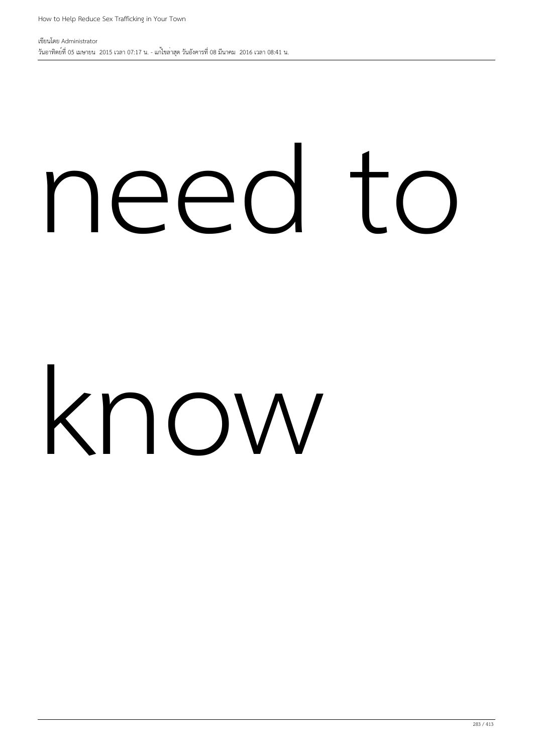### need to

#### know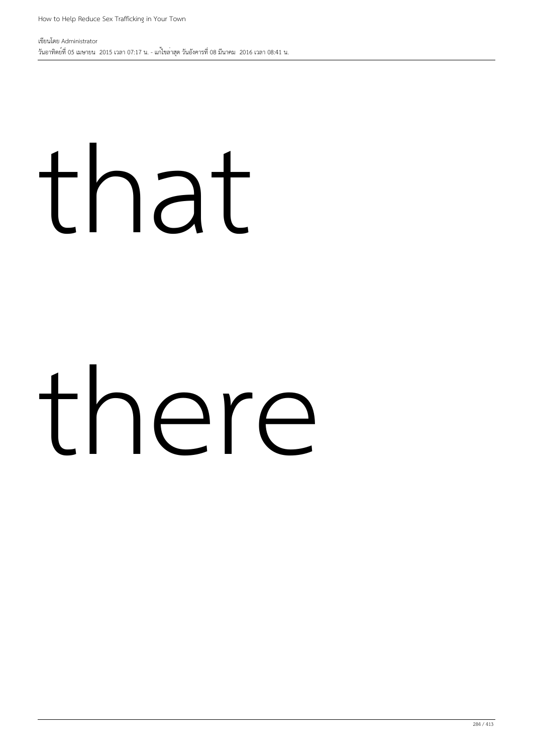## that

### there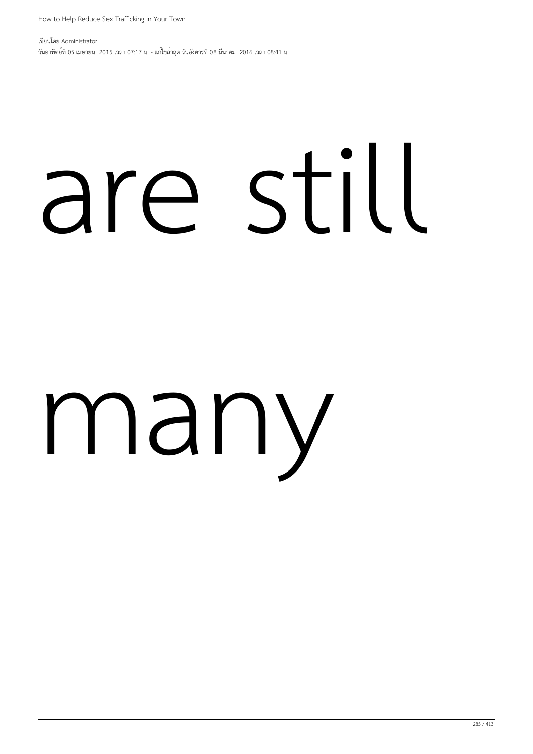### are still

#### many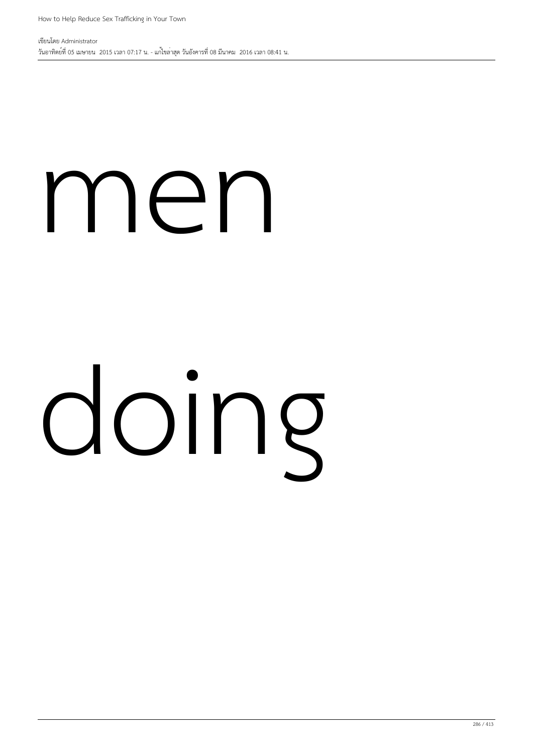#### men

# doing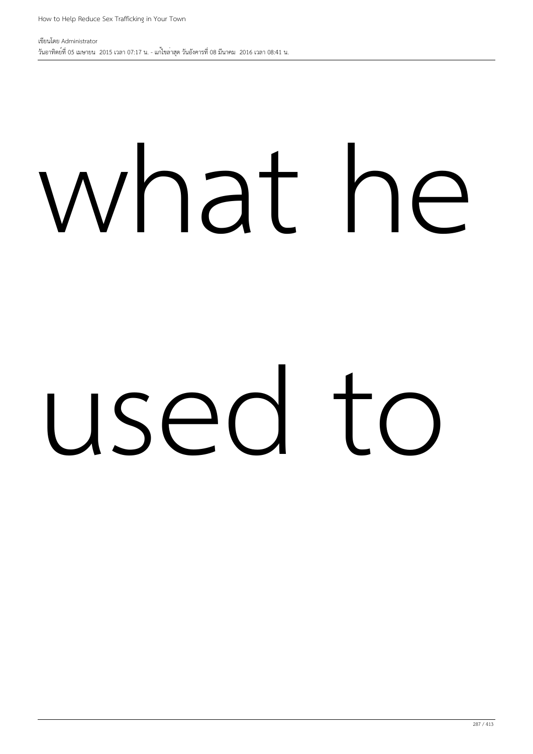# what he used to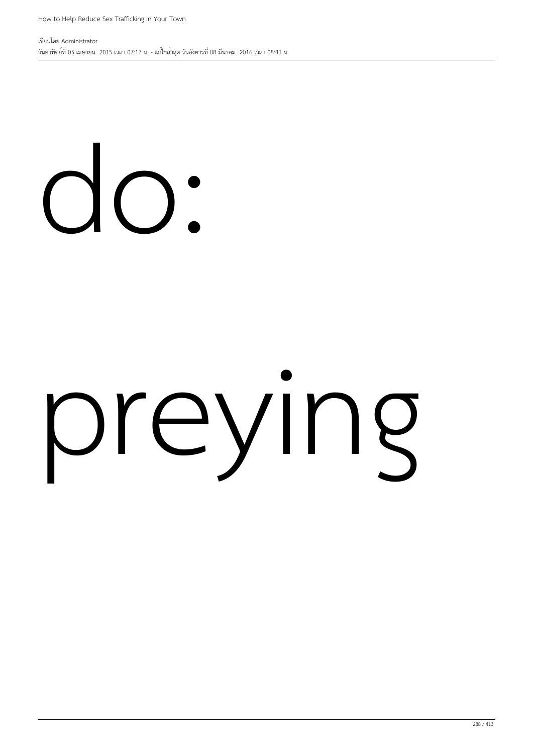### do:

# preying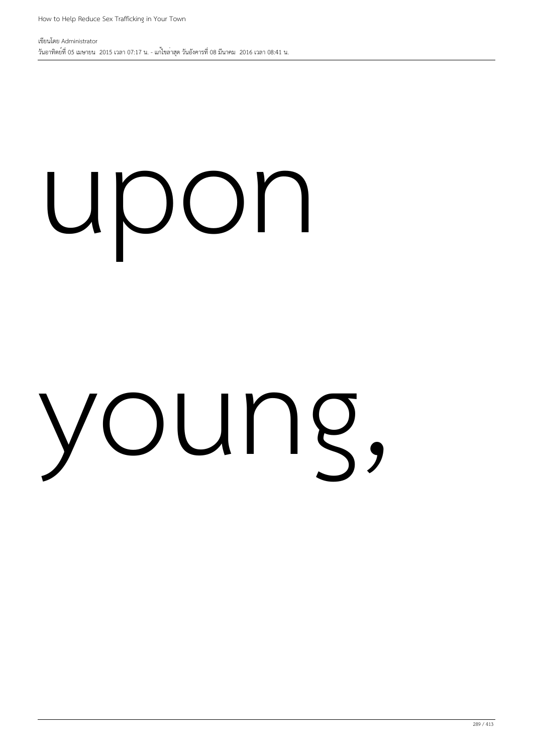#### upon

#### young,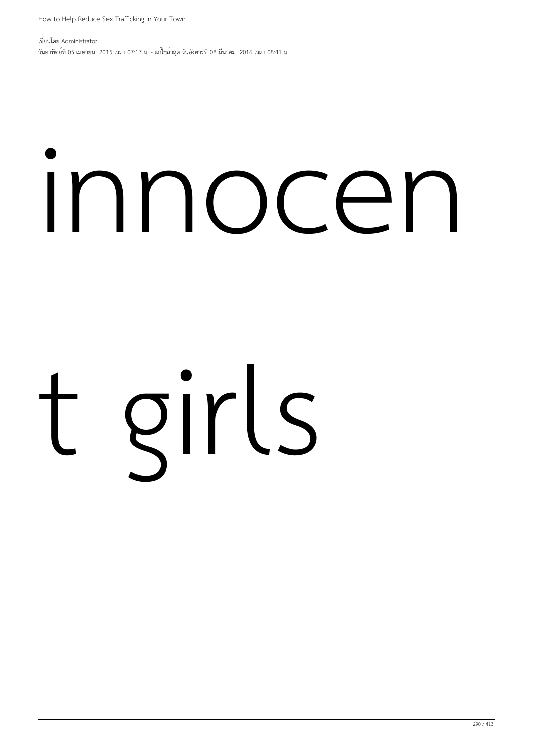#### innocen

## t girls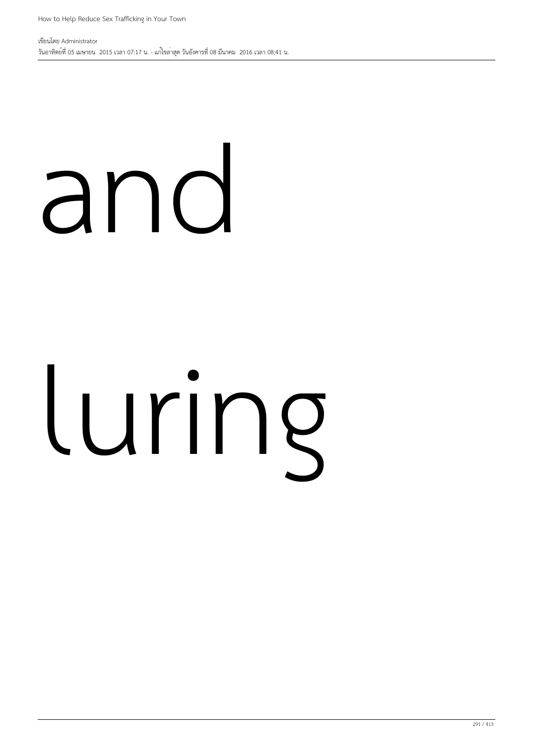## and

## luring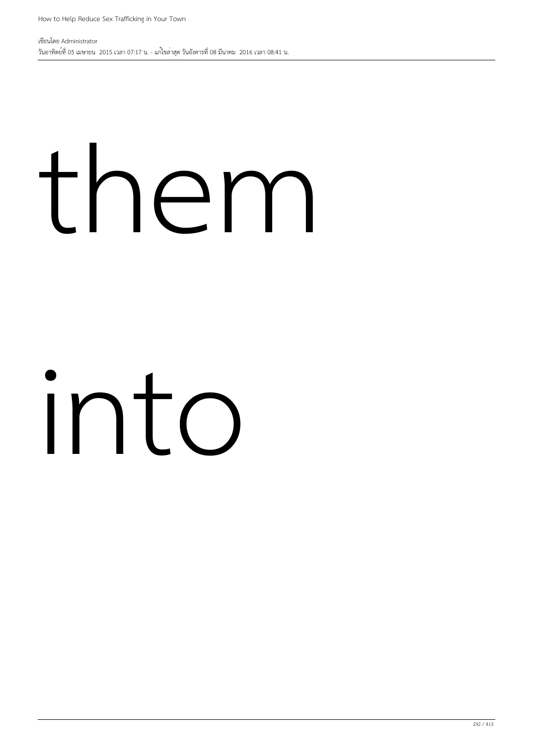### them

#### into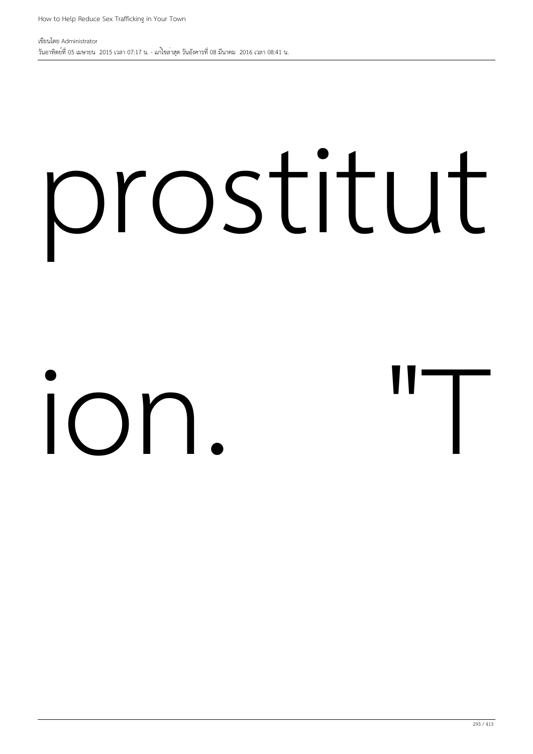## prostitut

#### ion. "T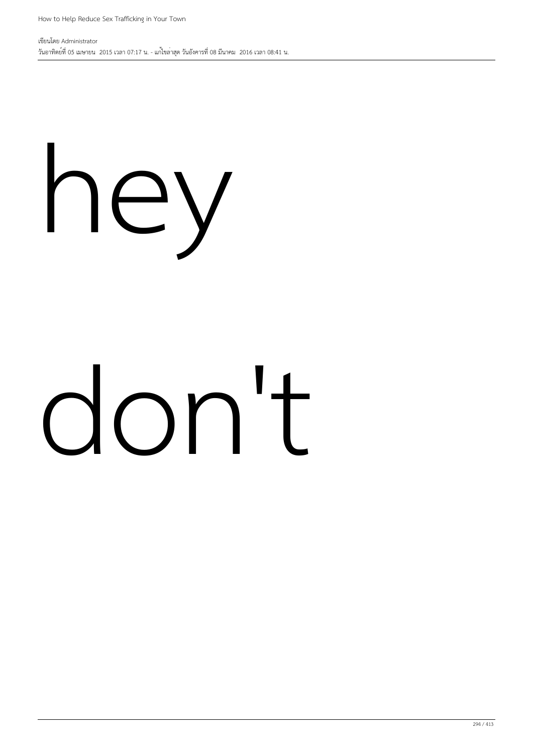## hey

#### don't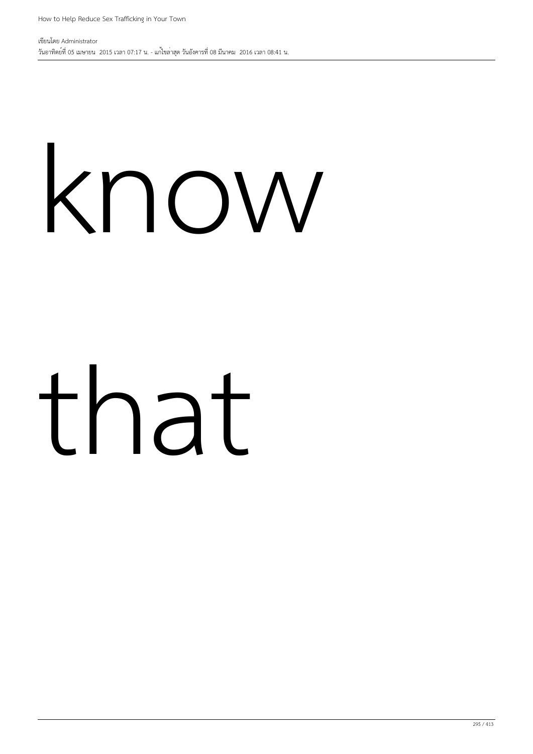## know

#### that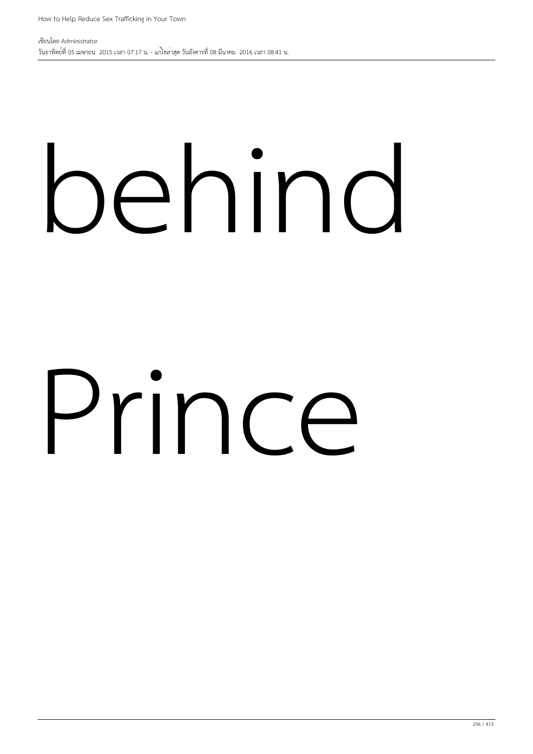### behind

#### Prince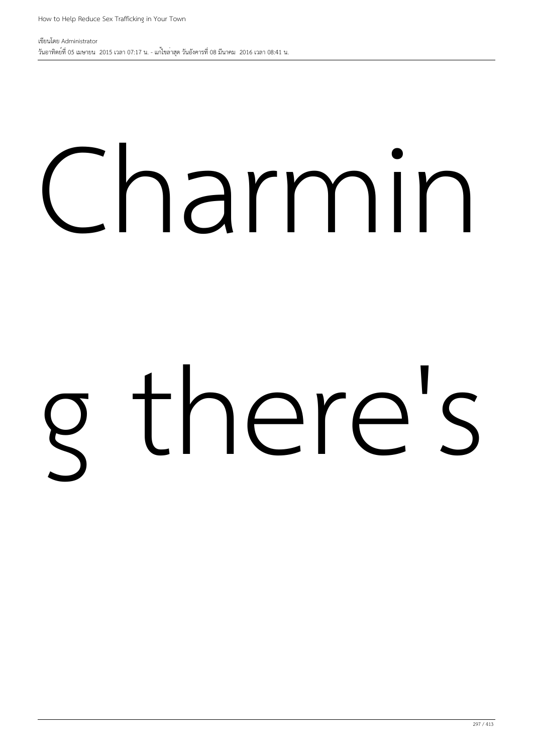# Charmin

## g there's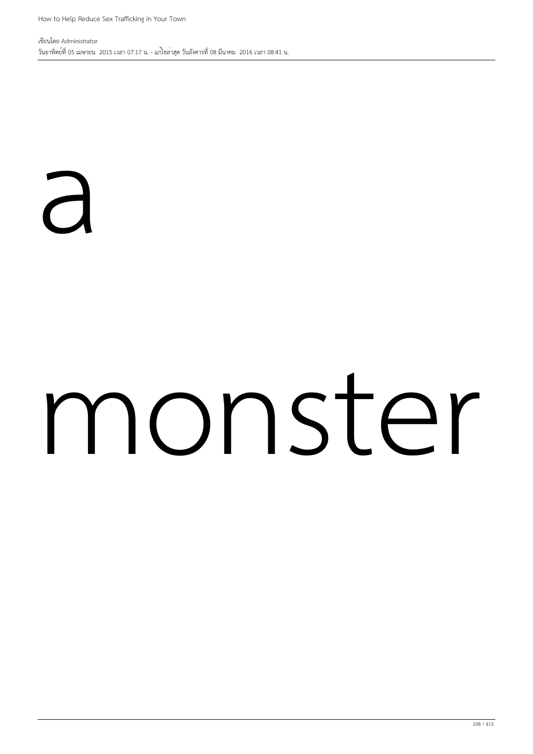## d monster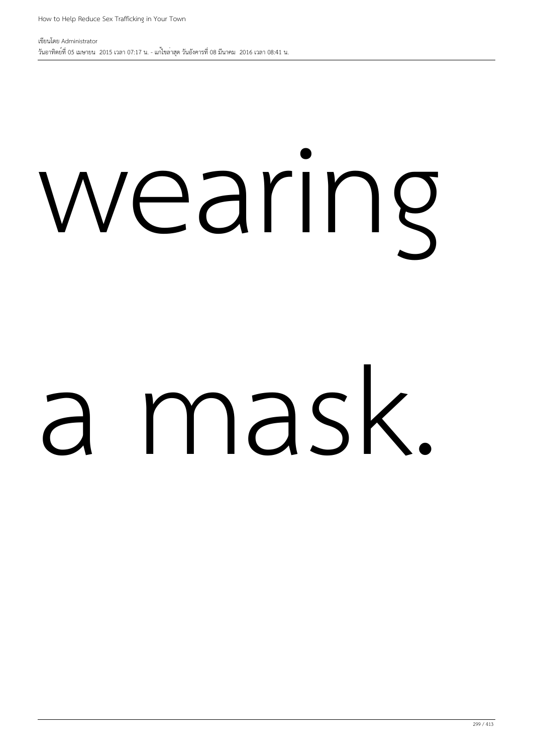# wearing a mask.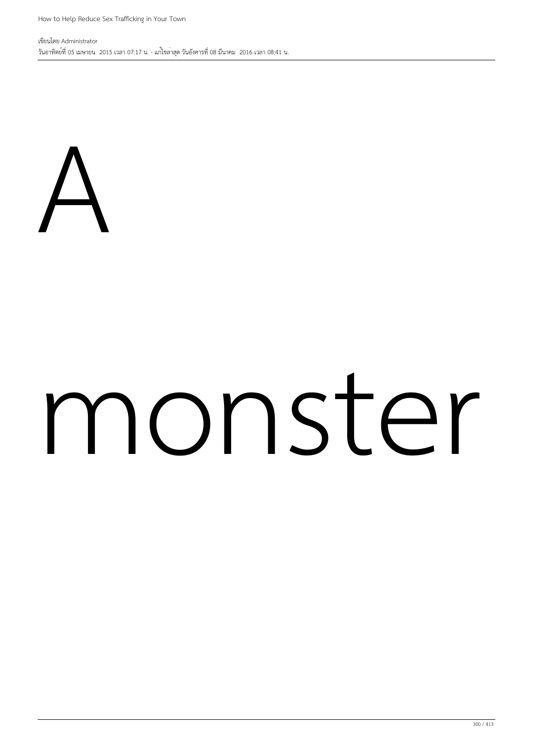# A monster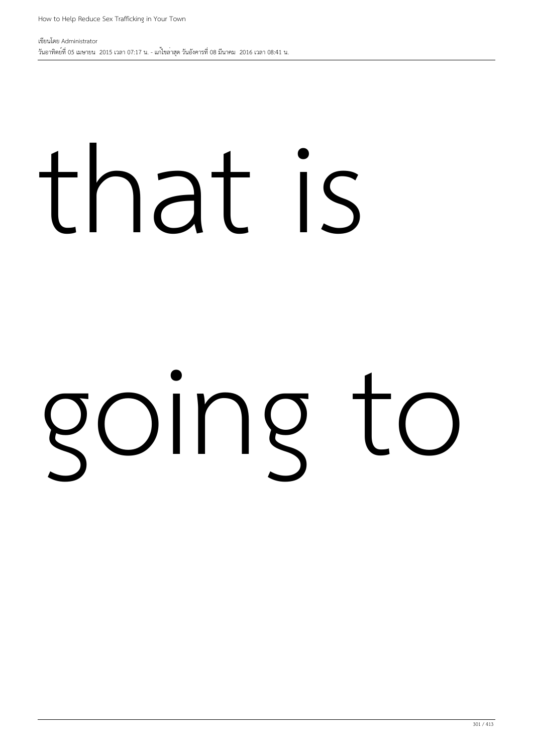## that is

## going to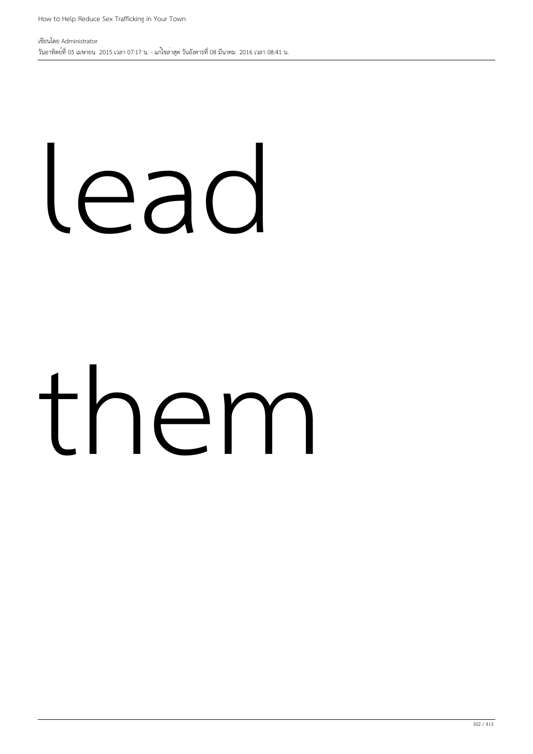### lead

#### them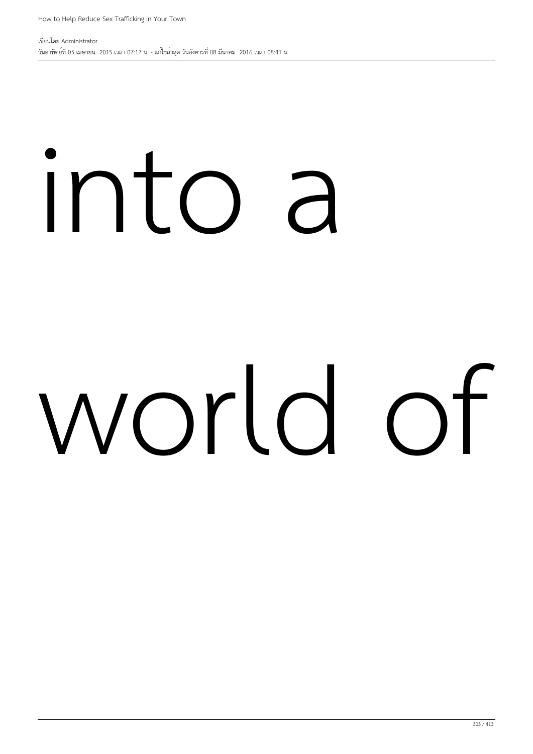# into a world c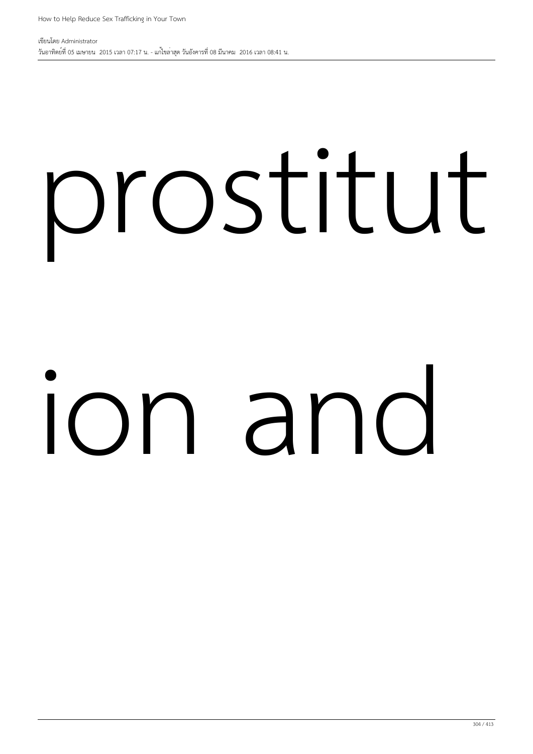## prostitut

#### ion and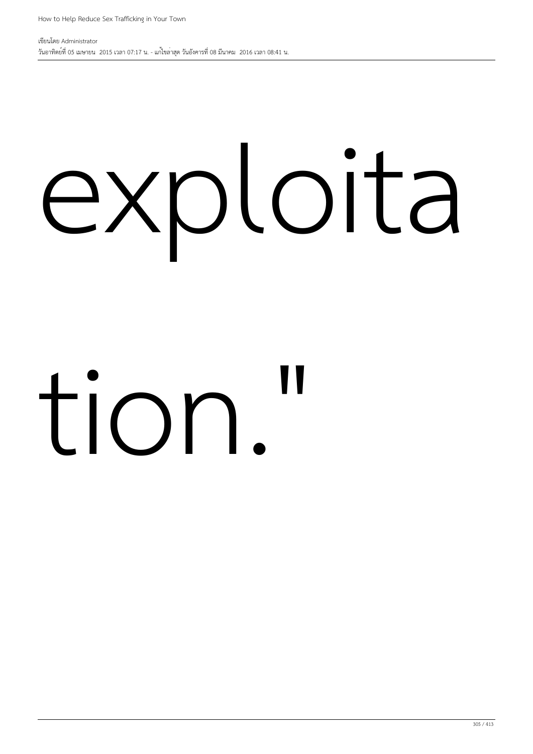## exploita

#### tion."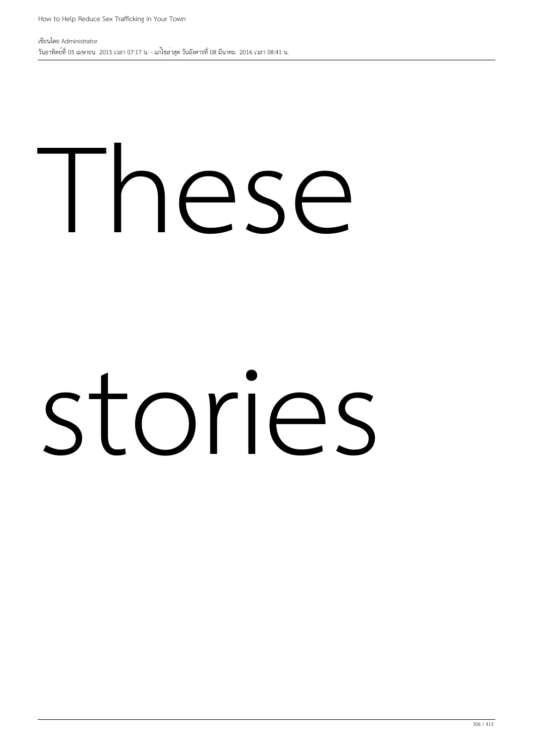### Inese

#### stories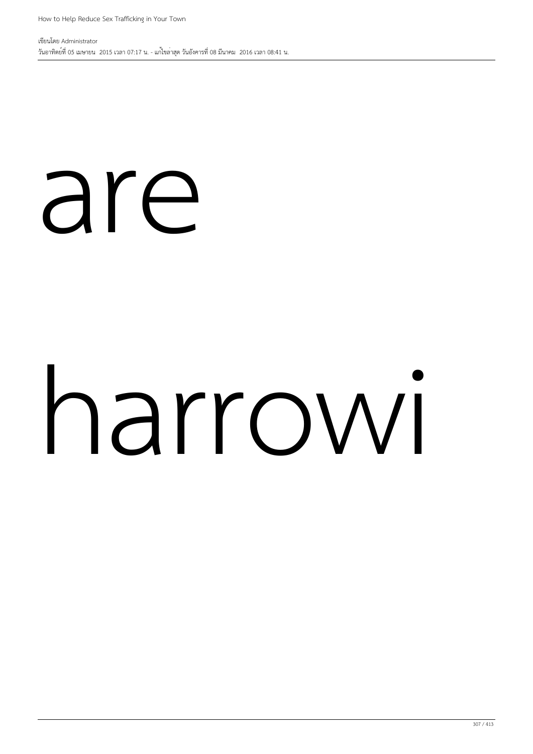#### are

#### harrowi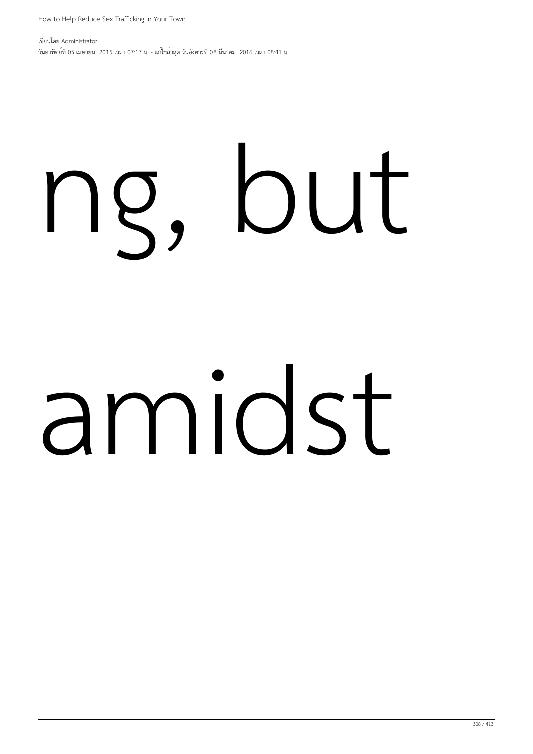# ng, but

#### amidst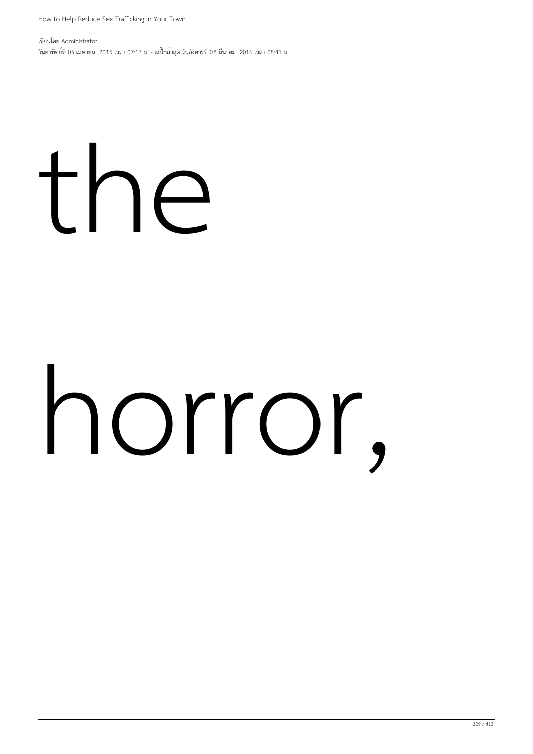#### the

#### horror,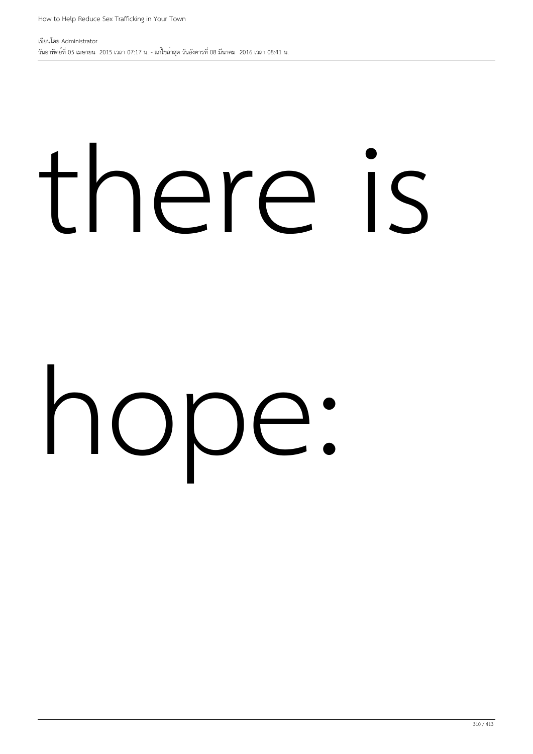## there is

## hope: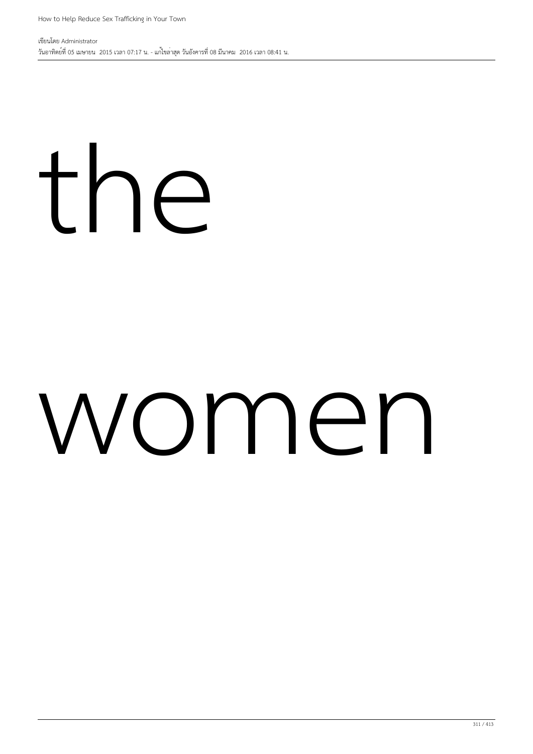#### the

#### women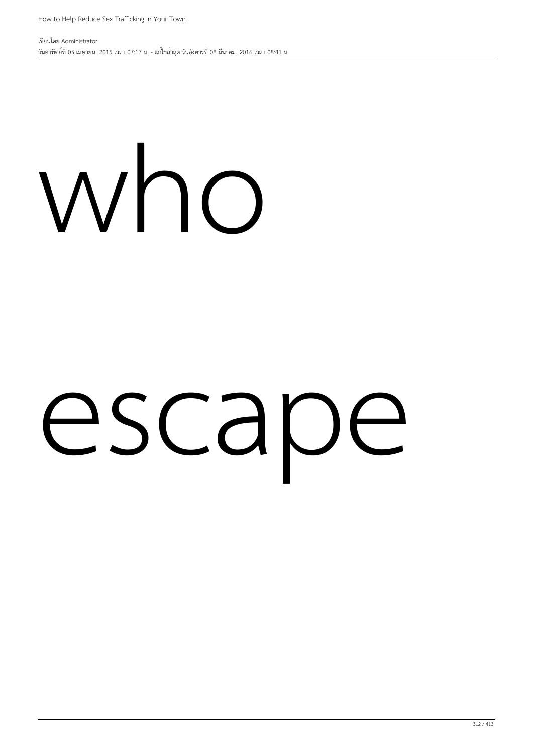## who

#### escape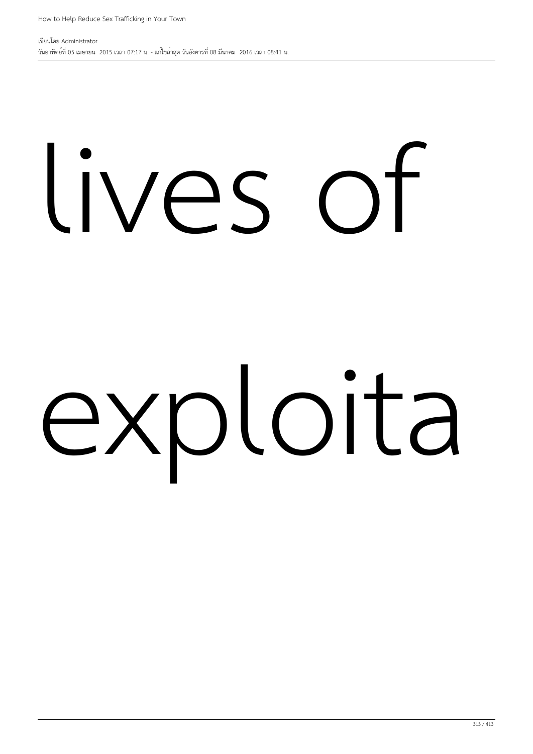## lives of

## exploita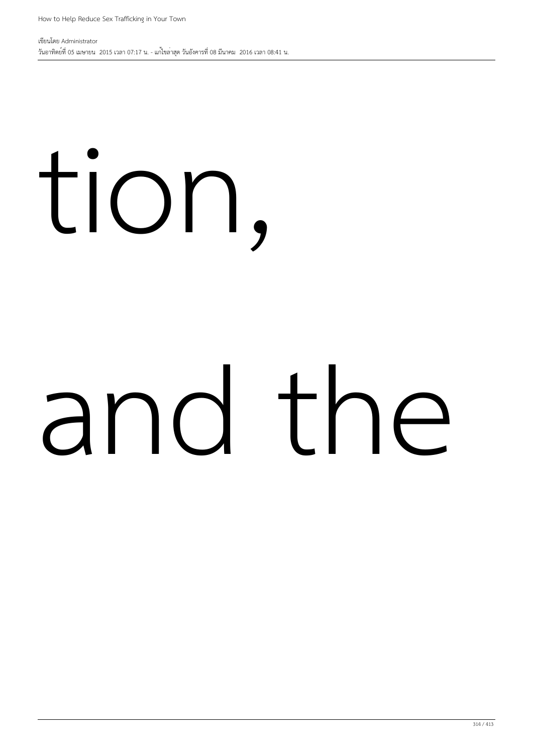## tion, and the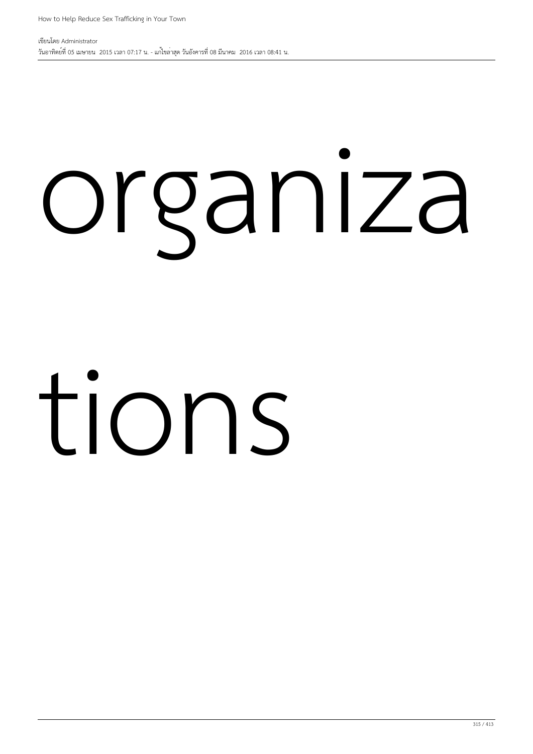## organiza

#### tions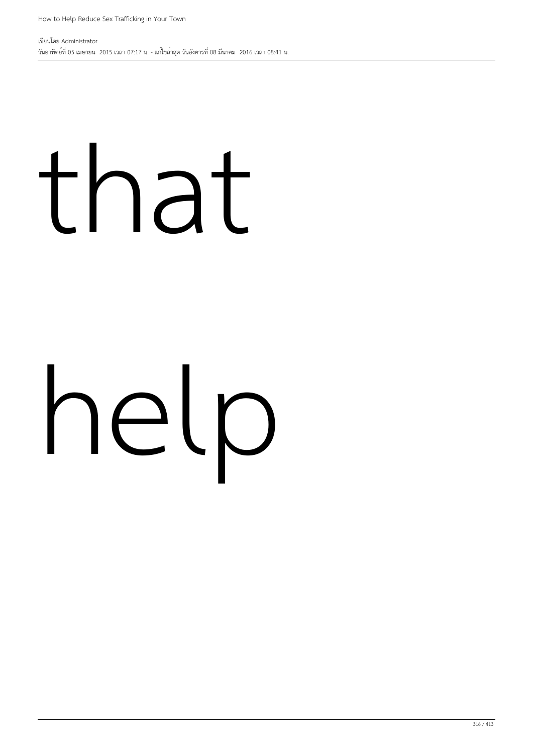## that

## help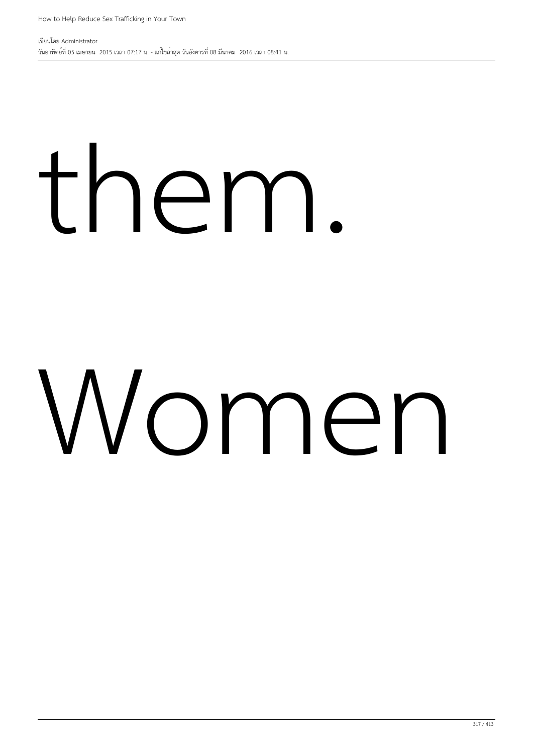## them.

#### Women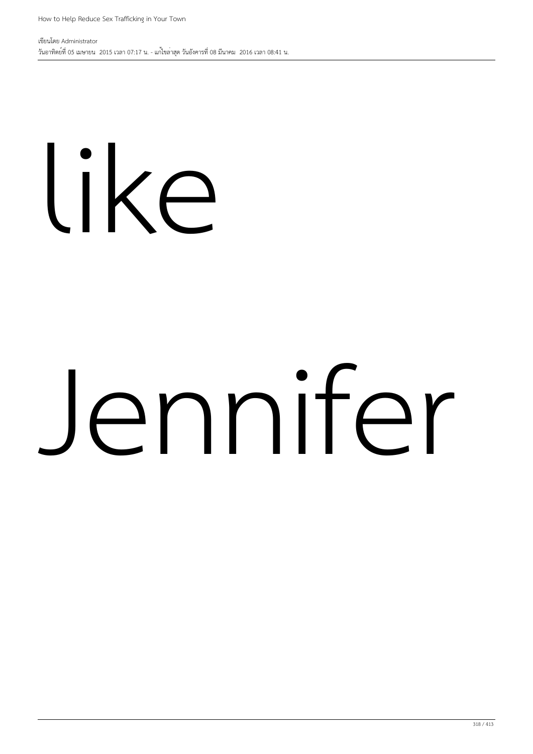#### like

#### Jennifer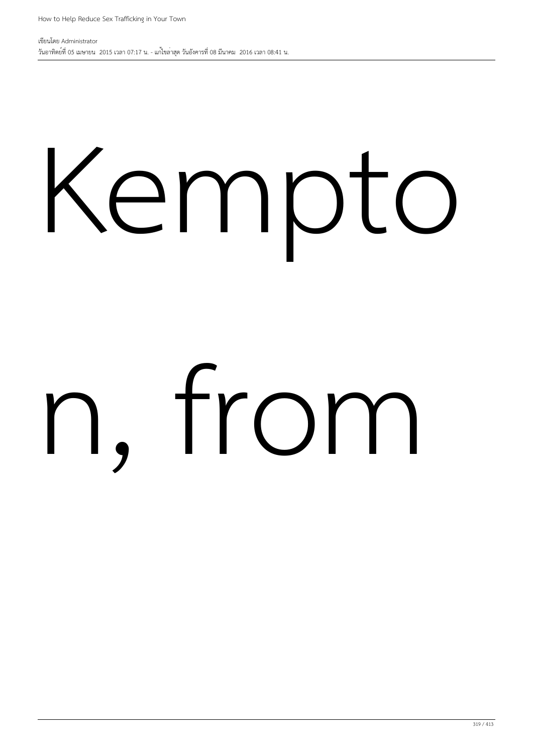## Kempto

#### n, from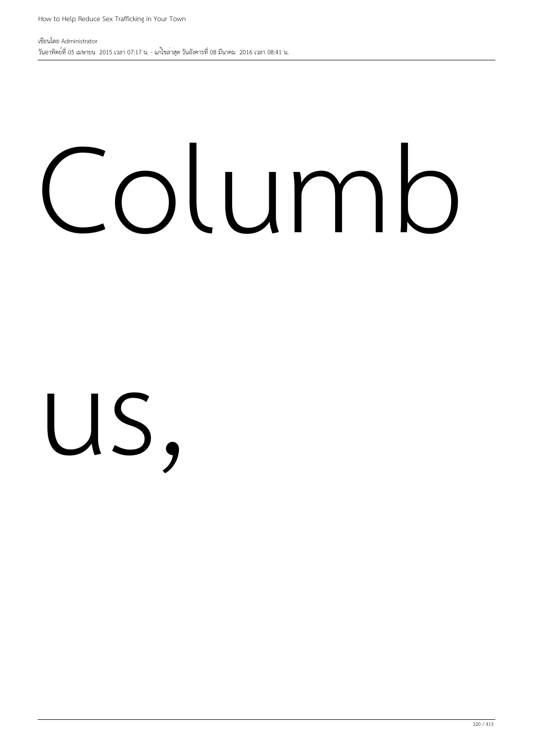### Columb

#### us,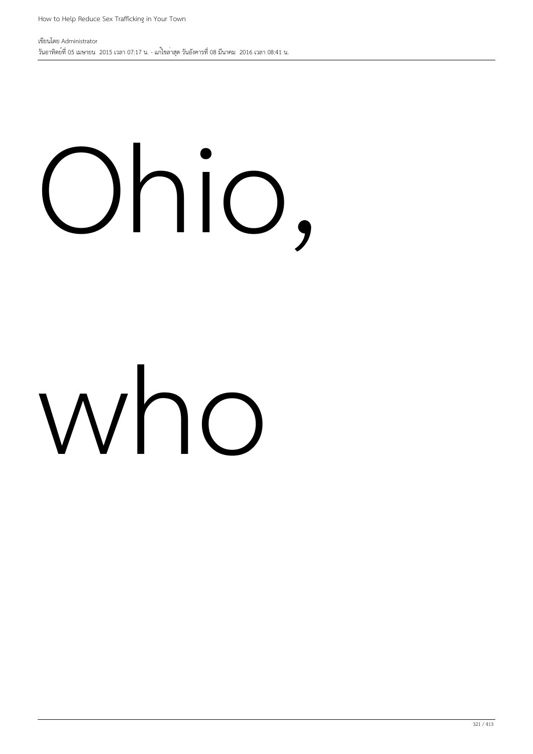## Ohio,

#### who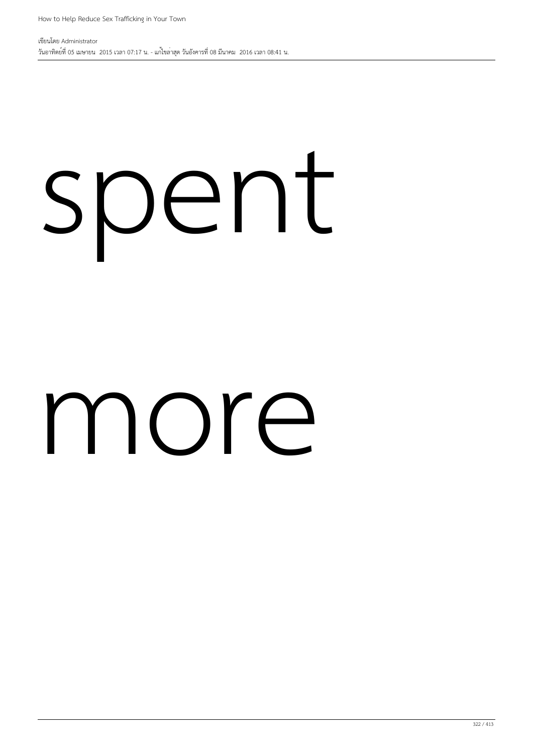## spent

#### more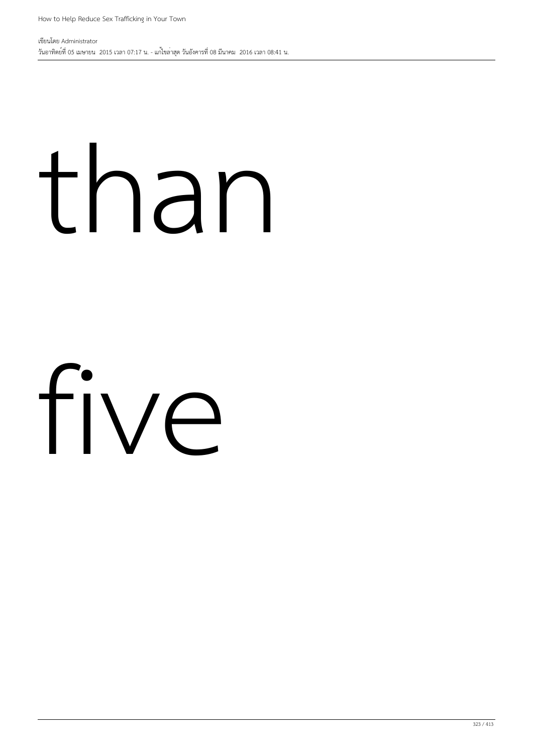### than

#### five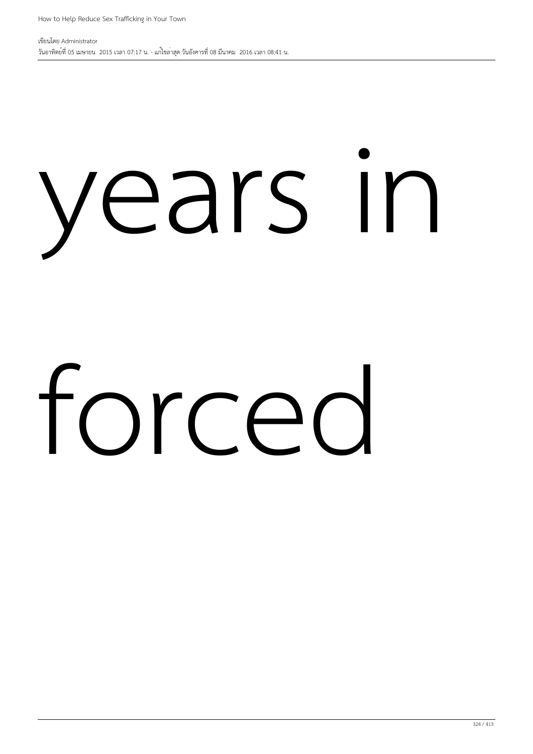## years in

#### forced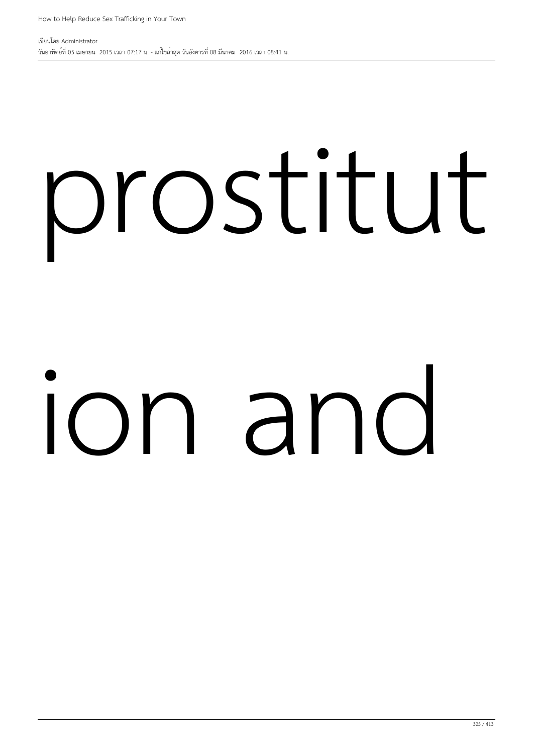# prostitut

### ion and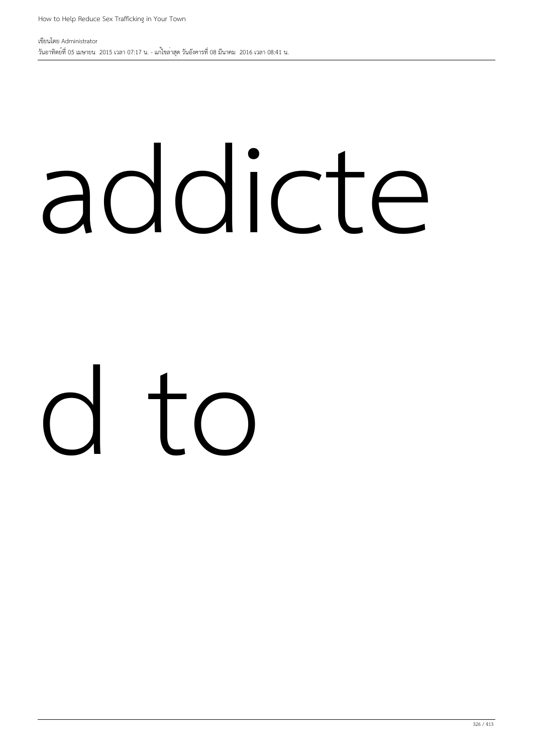### addicte

#### to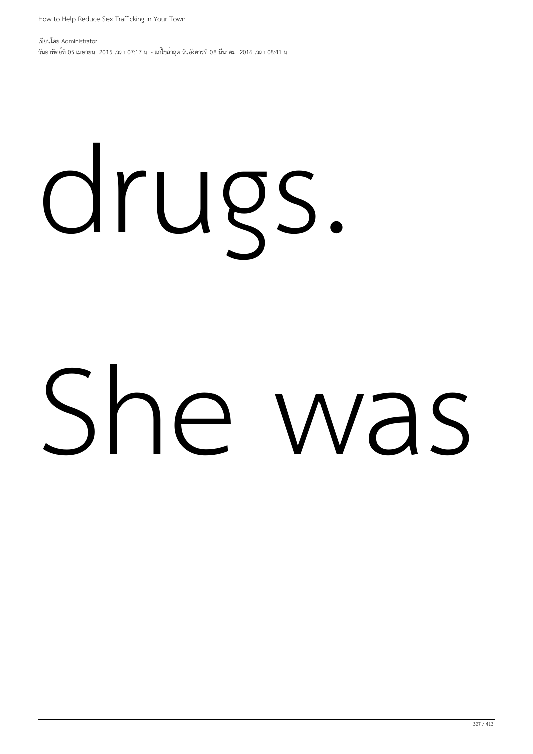# drugs.

#### She was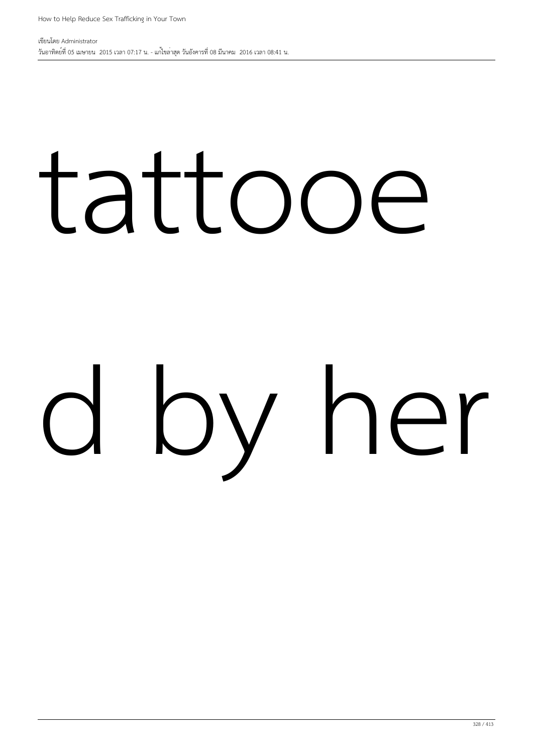# tattooe

# by he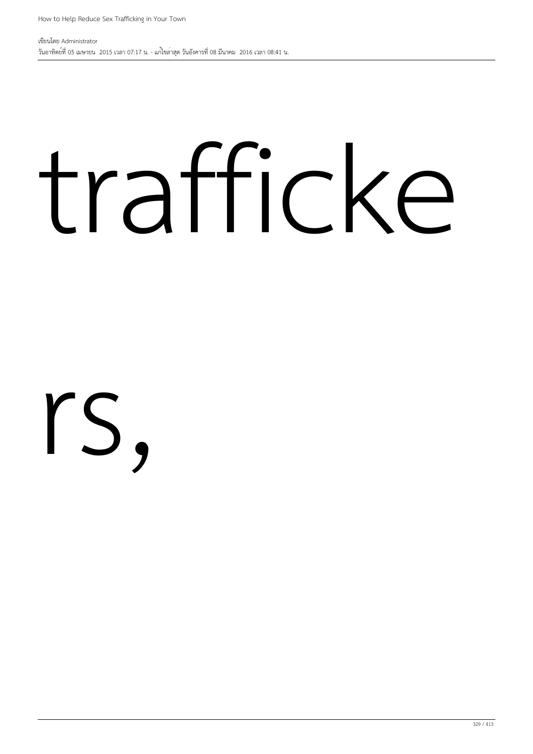### trafficke

#### rs,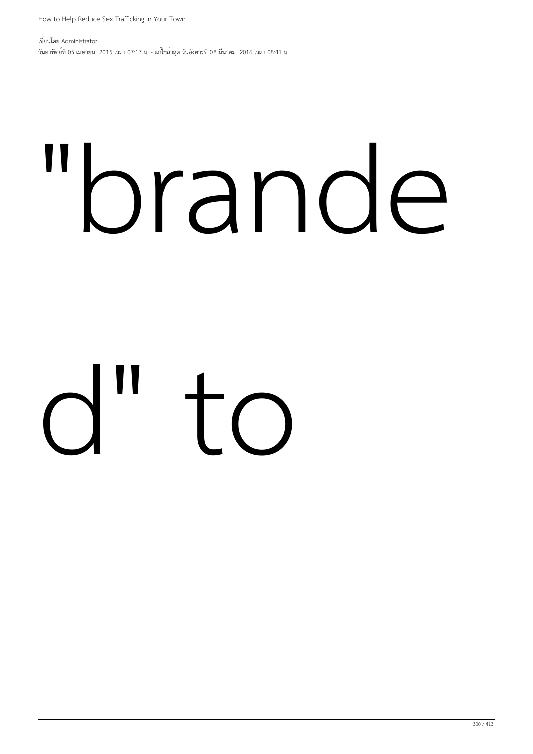# "brande

# d" to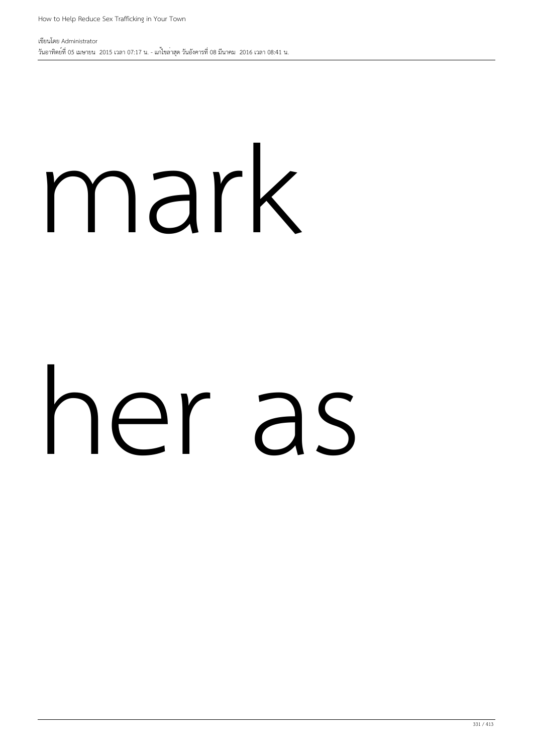### mark

#### her as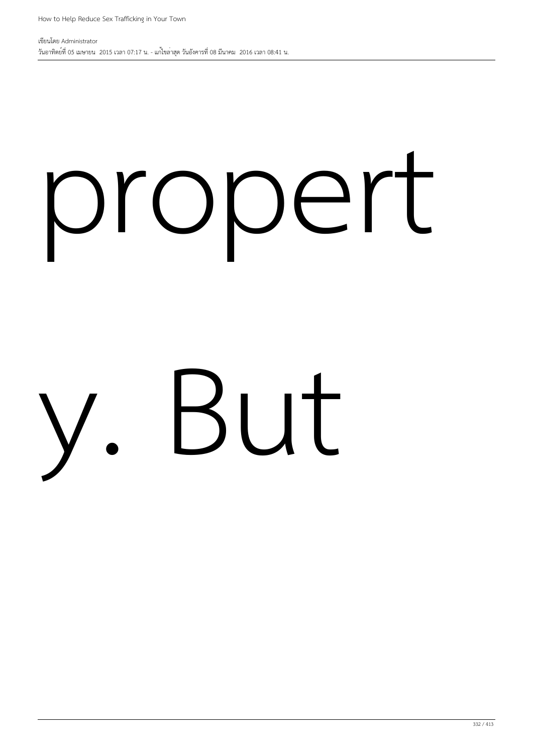# propert

#### y. But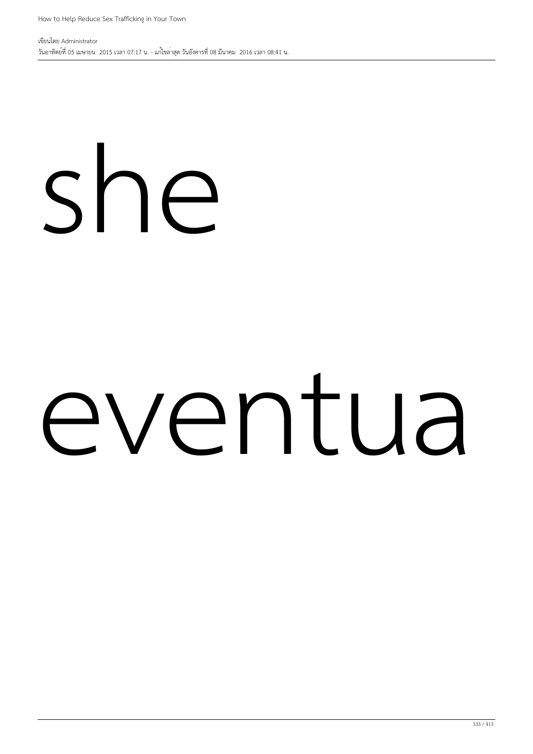### she

#### eventua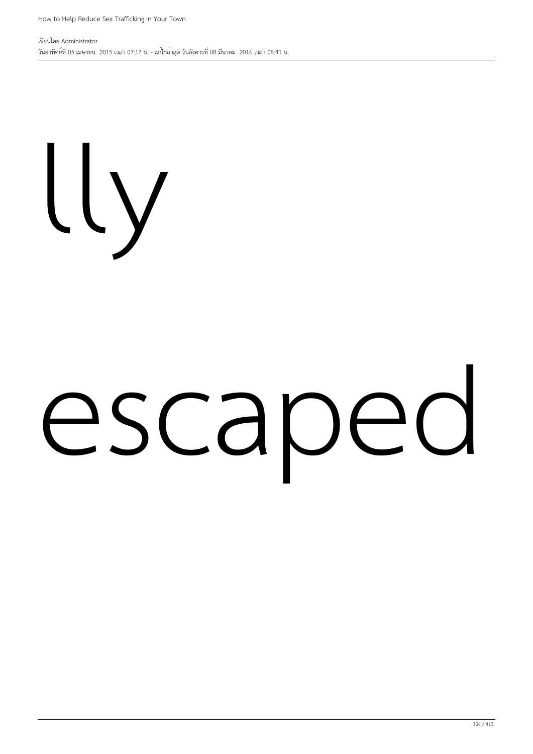# lly

# escaped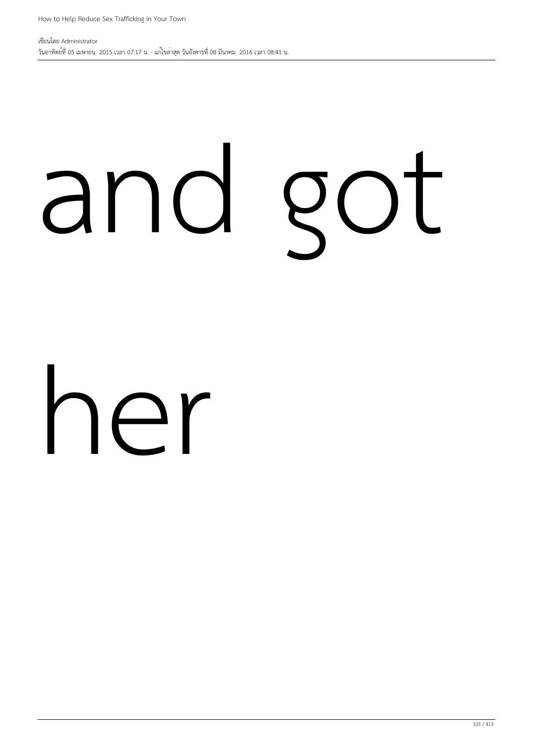# and got

#### her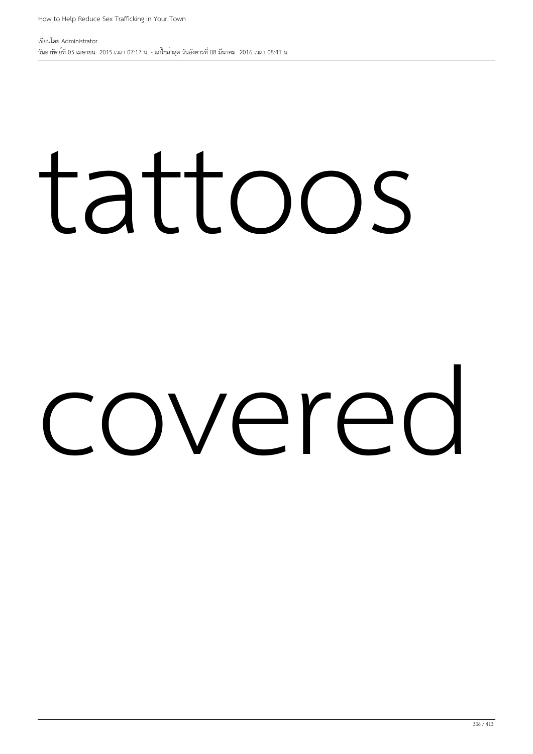### tattoos

#### covered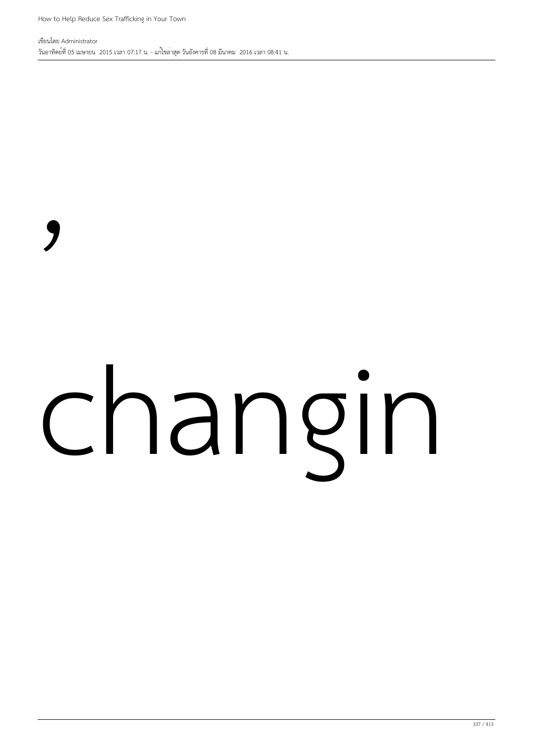,

# changin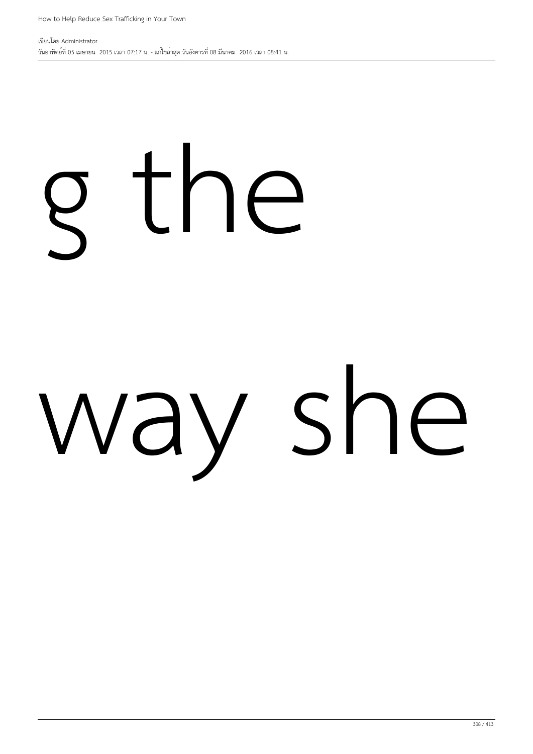# g the way she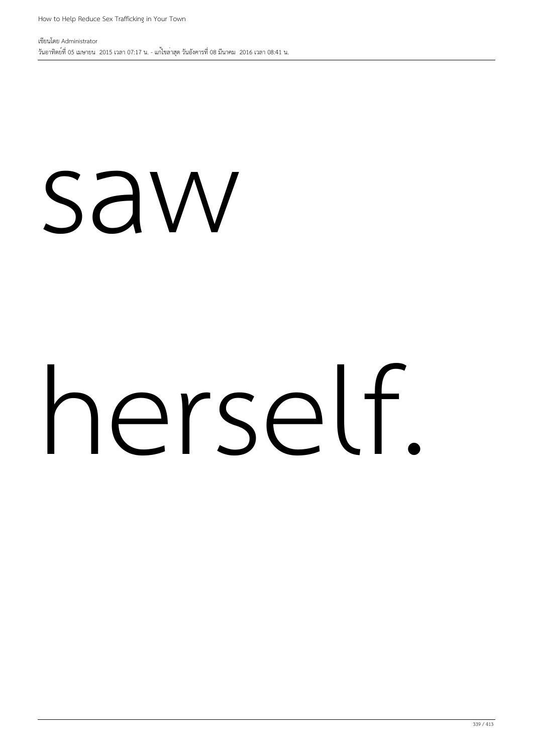#### saw

#### herself.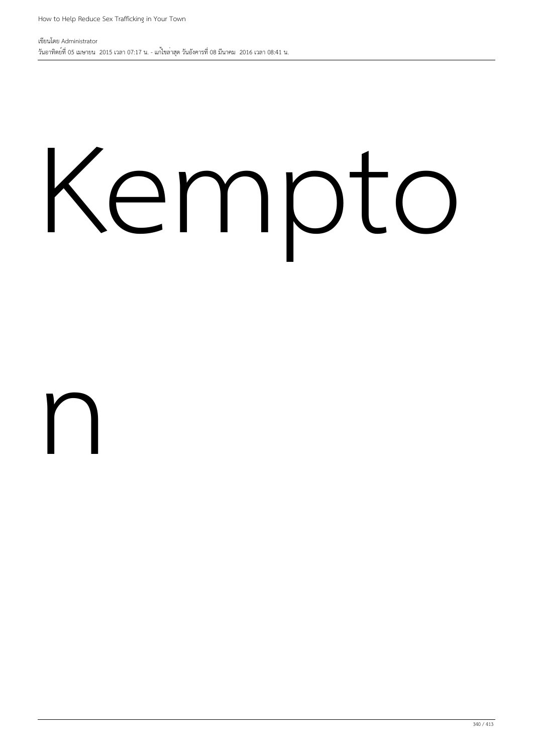# Kempto

# n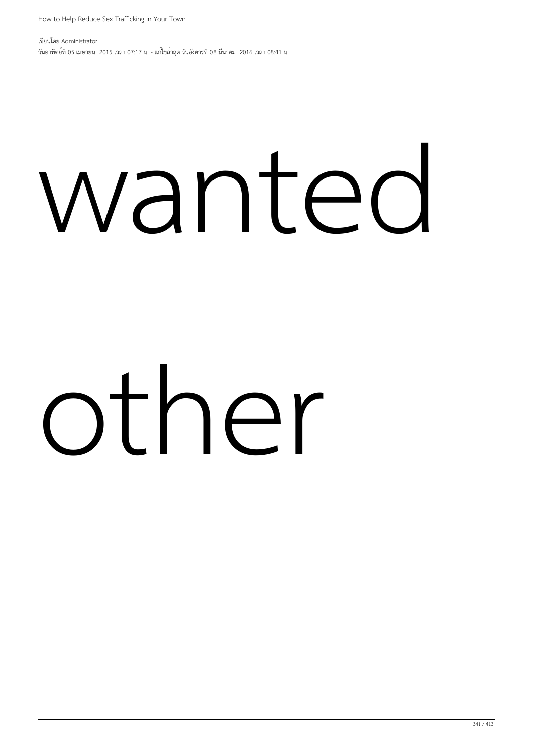## wanted

#### other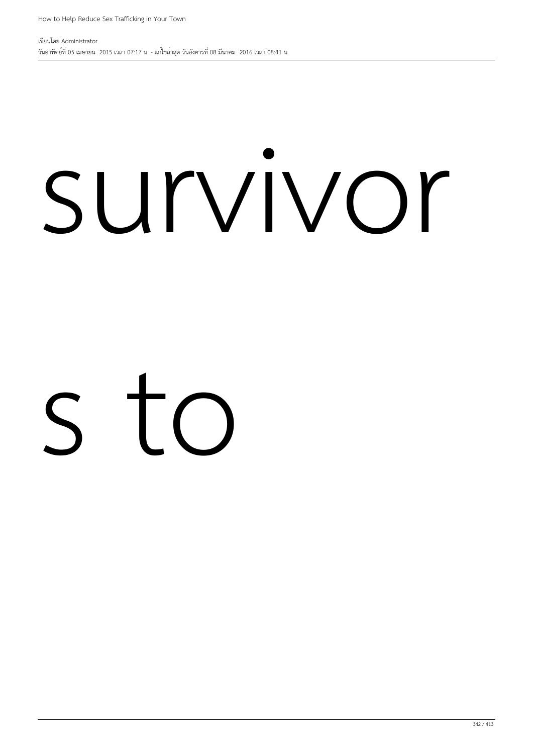### survivor

#### s to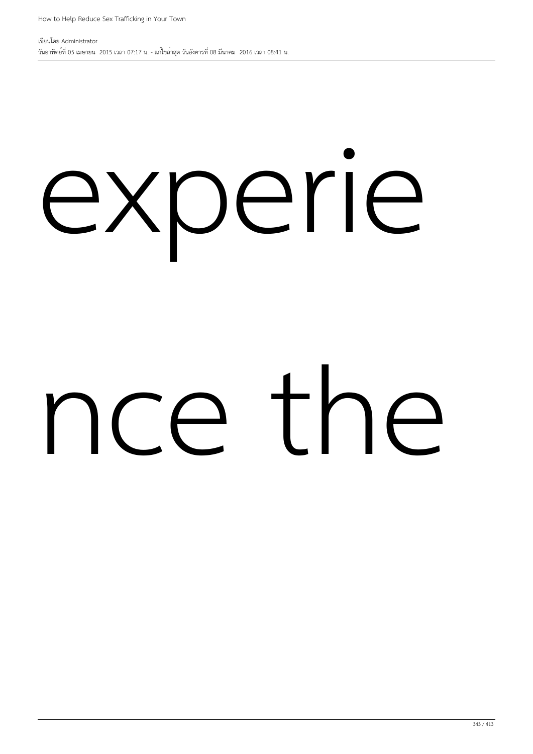# experie

#### nce the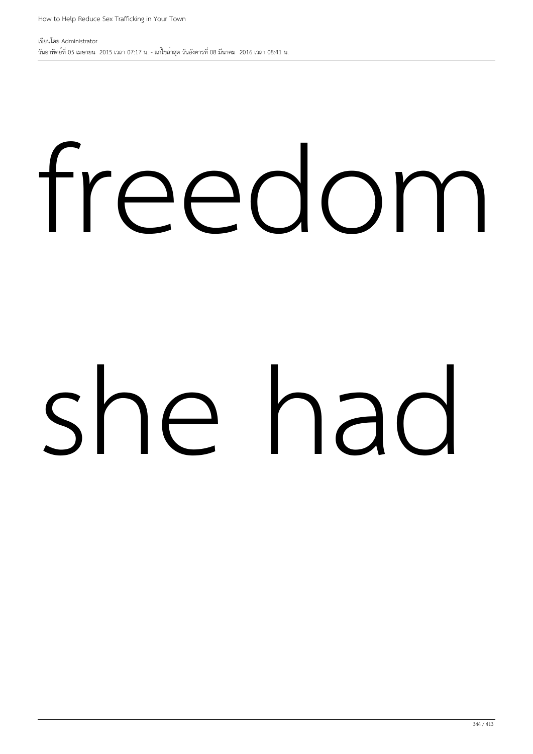# freedom

#### she had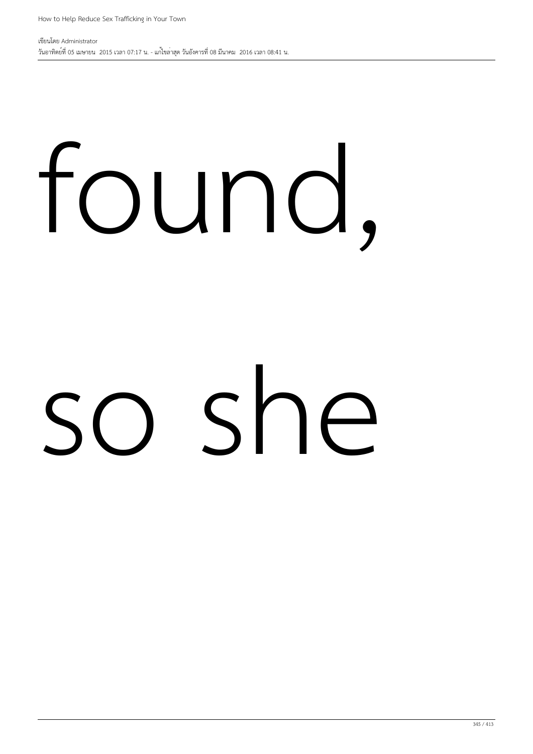# found, so she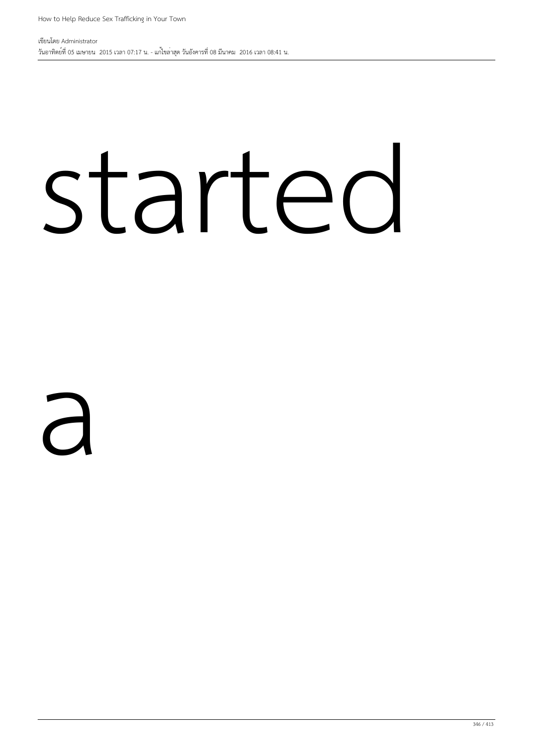### started

a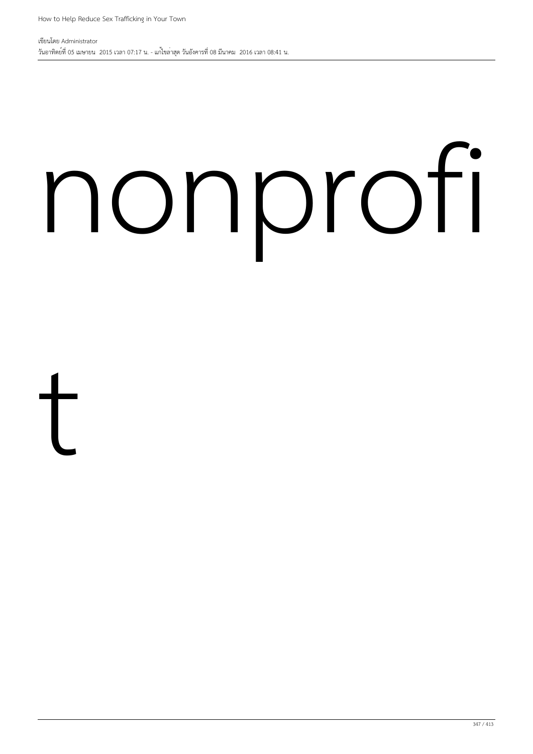# nonprofi

t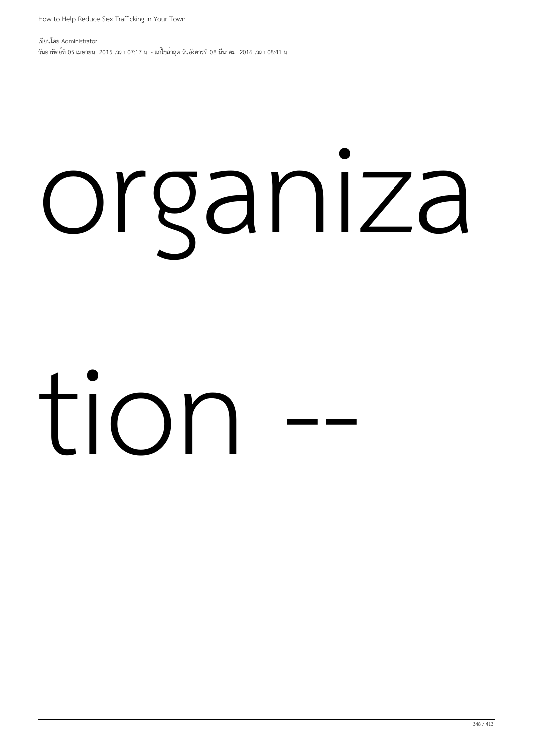# organiza

#### tion --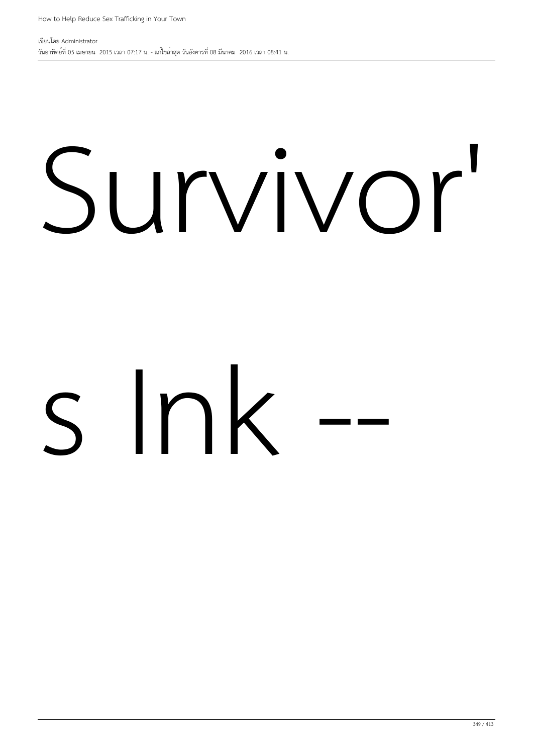### Survivor'

#### s Ink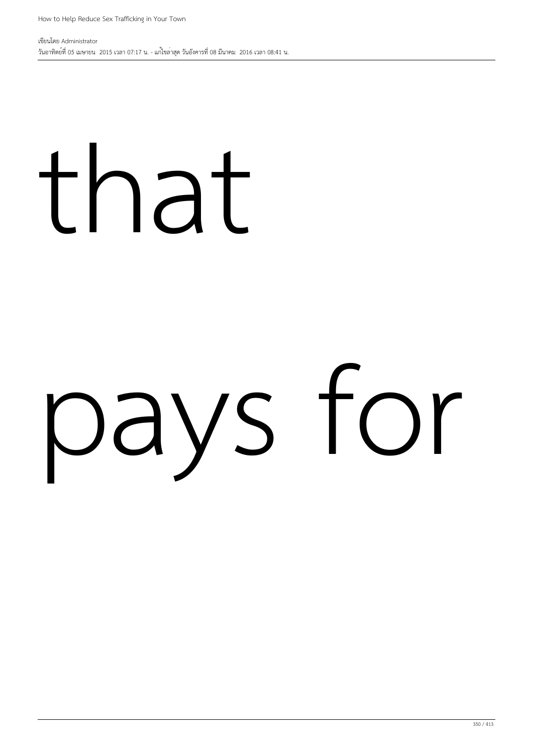### that

## pays for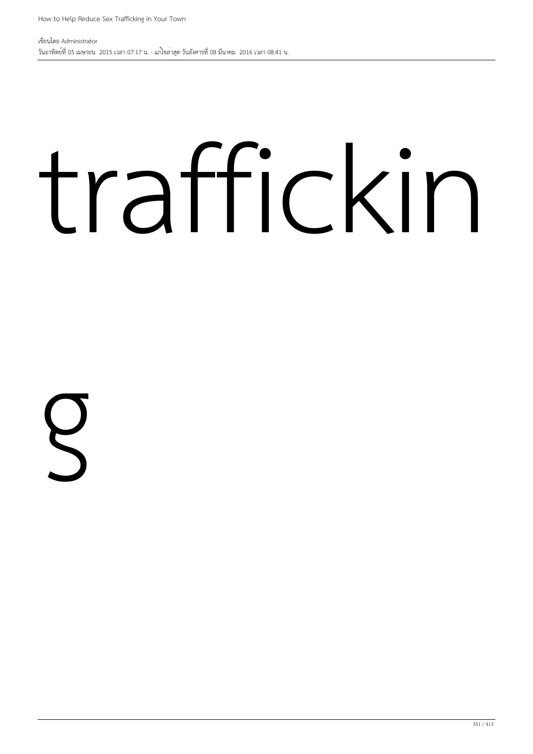## traffickin

 $\bigcup$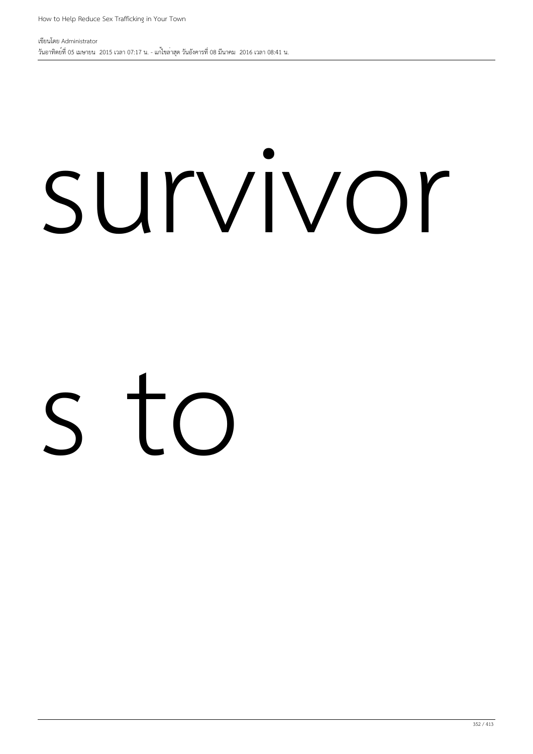### survivor

#### s to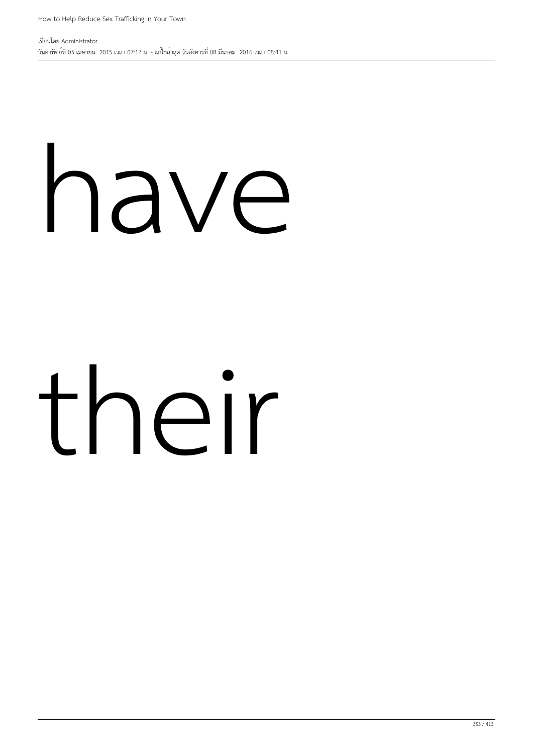### have

#### their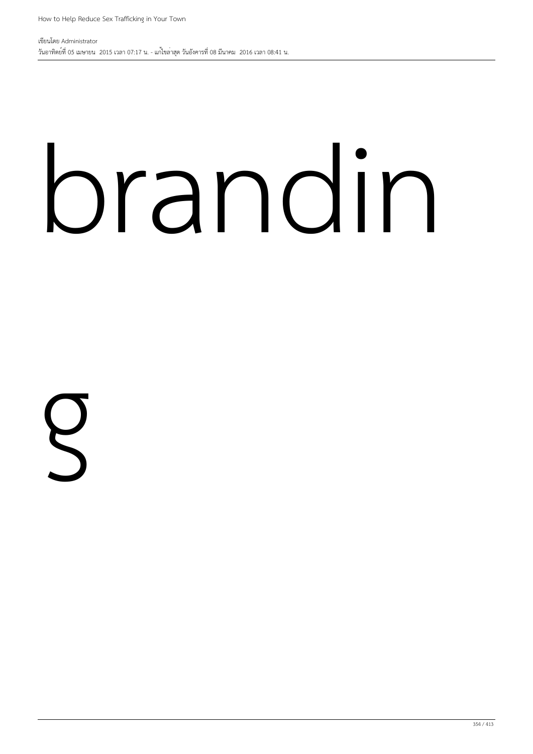### brandin

 $\mathcal{L}% _{G}=\mathcal{L}_{G}$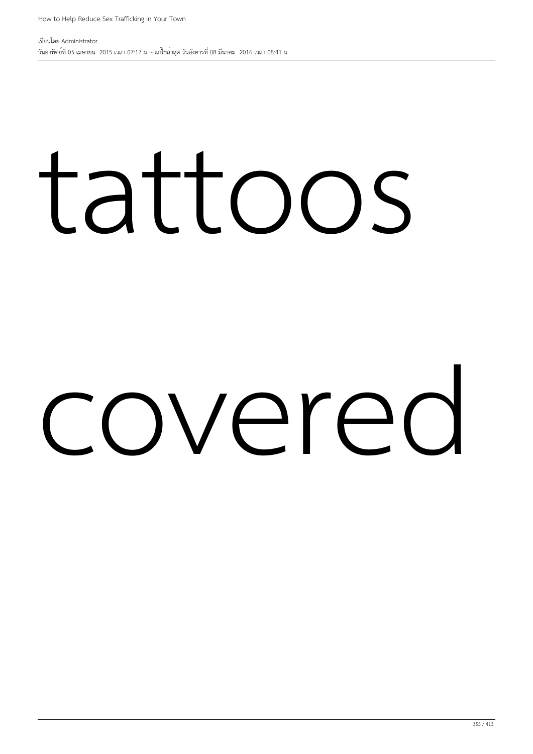### tattoos

#### covered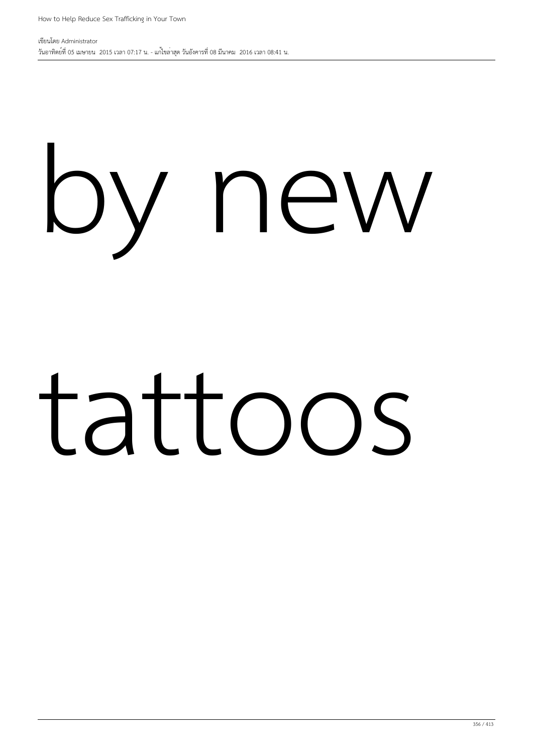# by new

#### tattoos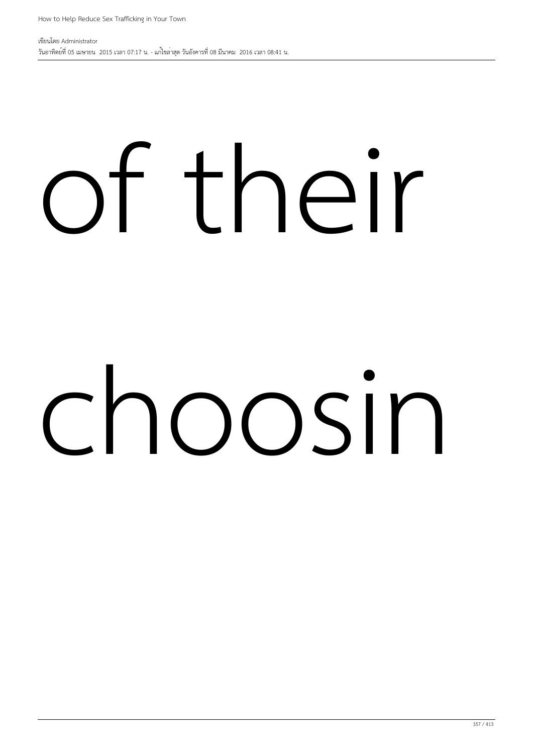## of their

#### choosin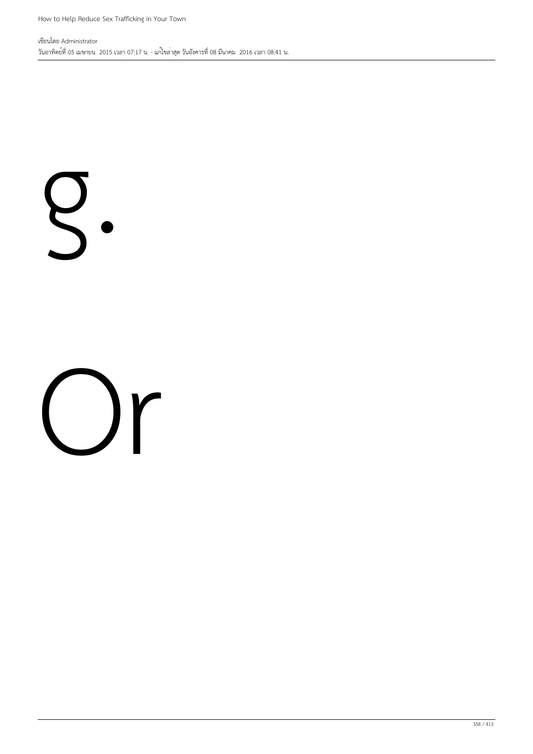### Or

g.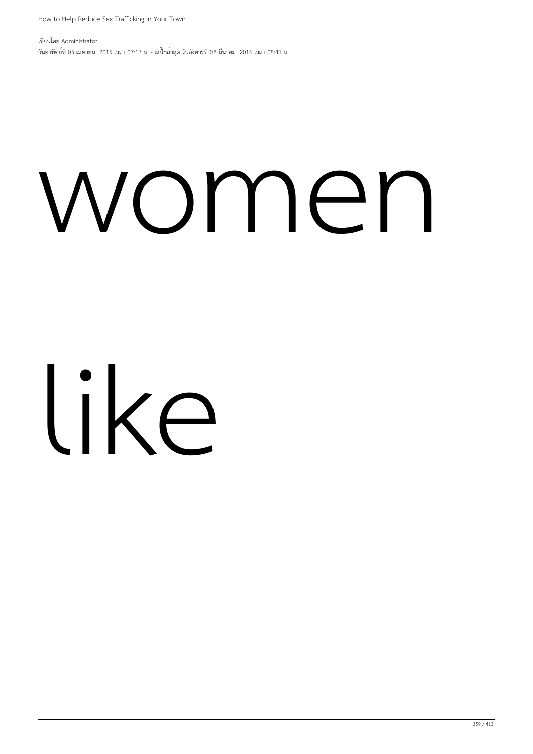#### women

#### like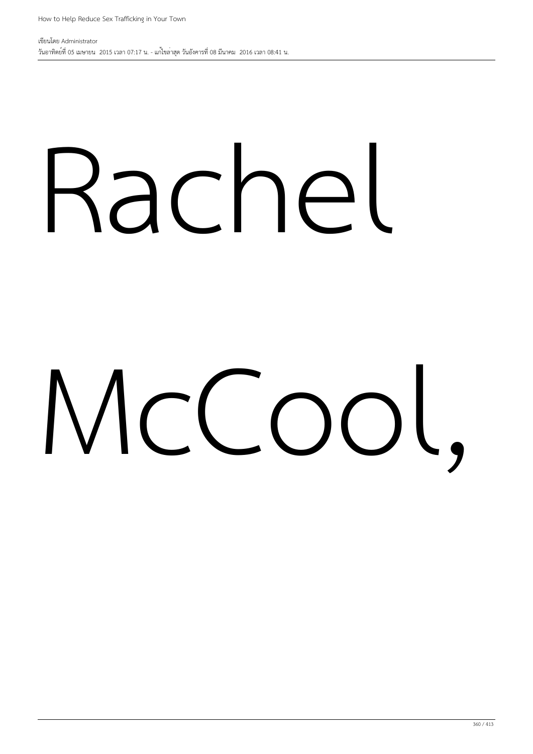## Rachel

### McCool,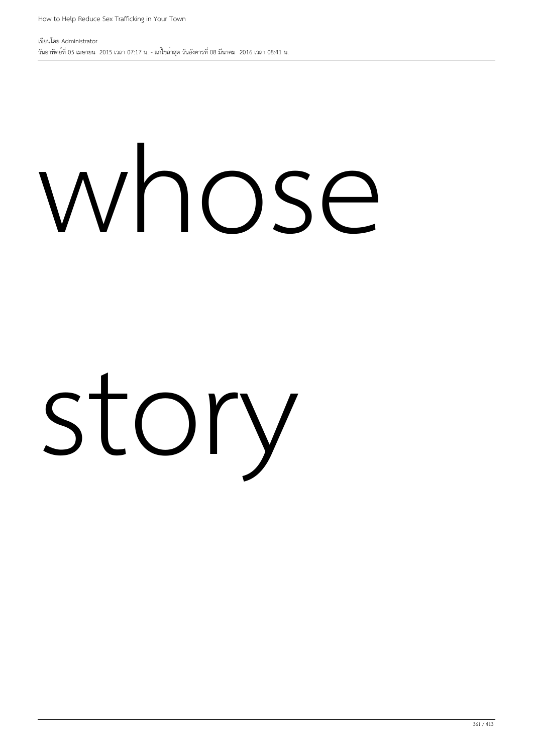## whose

## story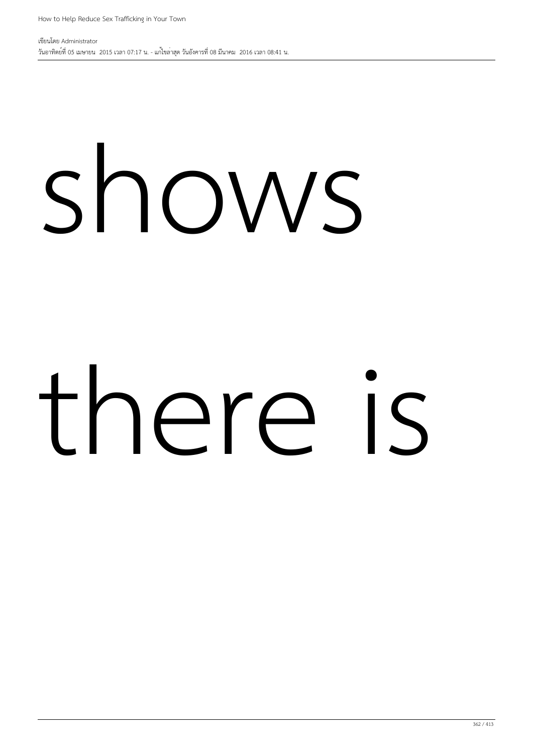# shows there is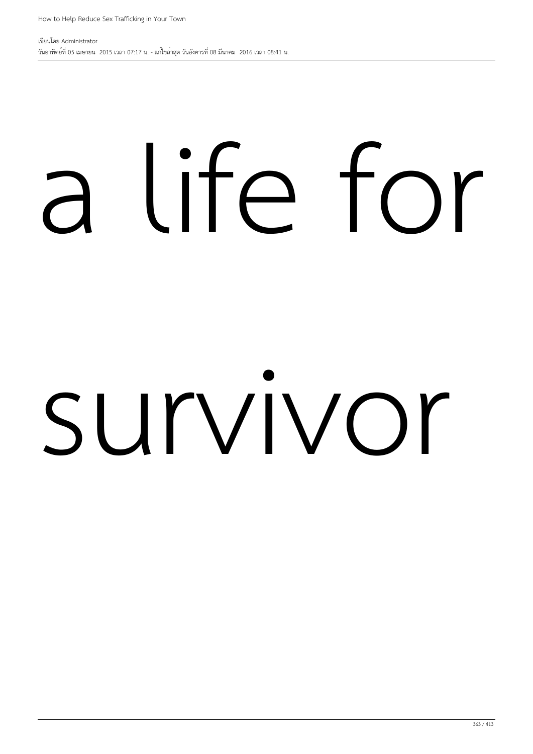# a life for

#### survivor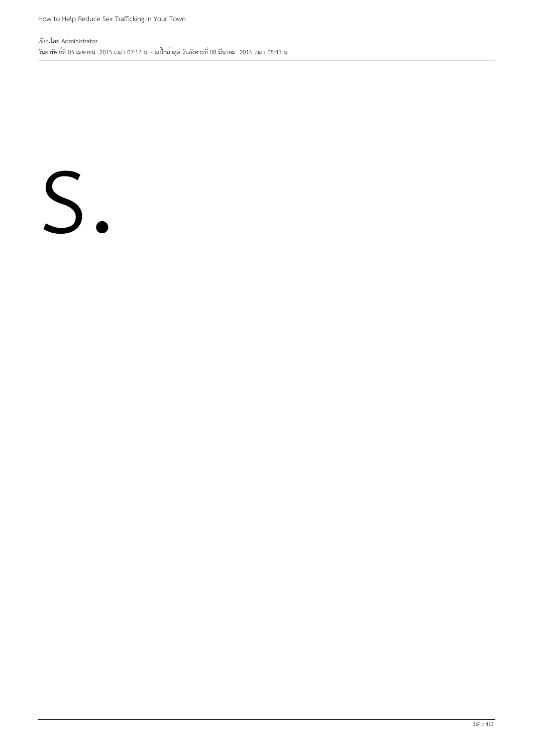#### s.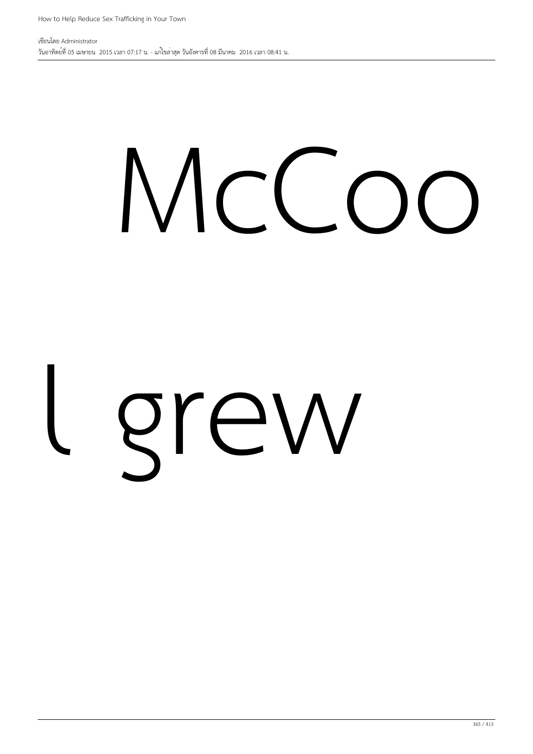### McCoo

### grew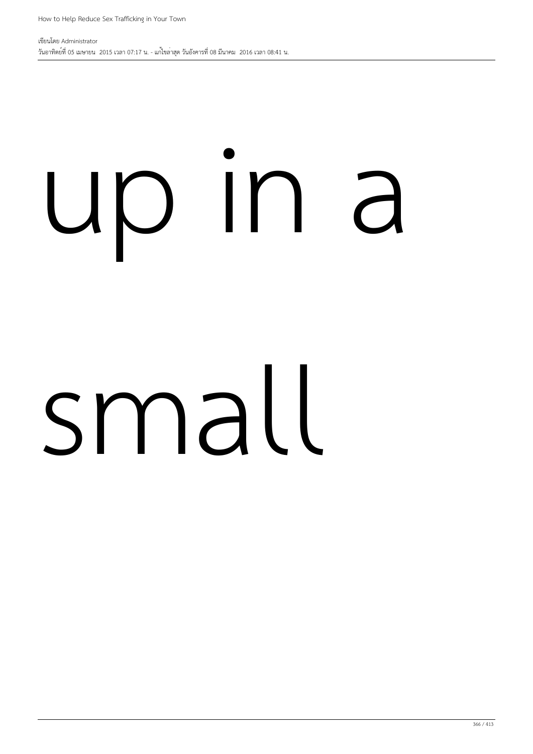# up in a small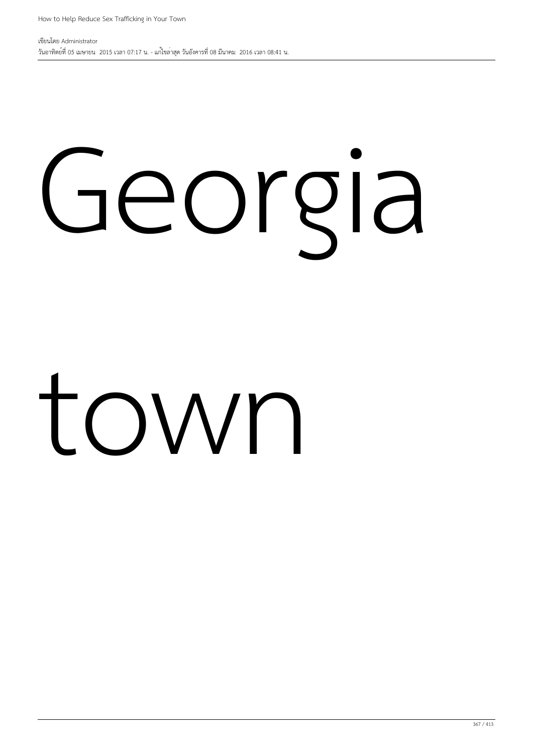# Georgia

#### town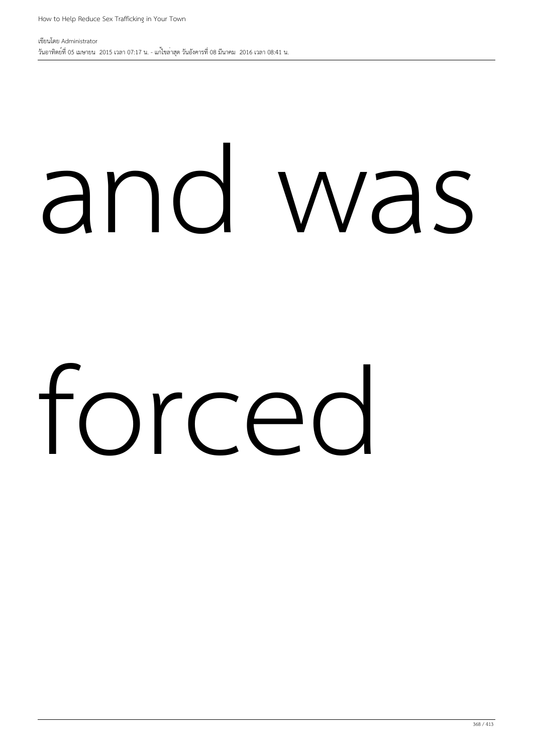# and was

### forced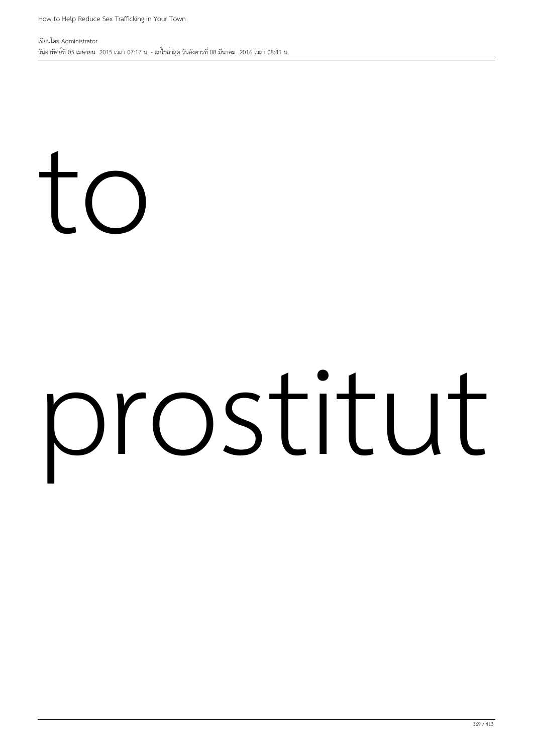### to

## prostitut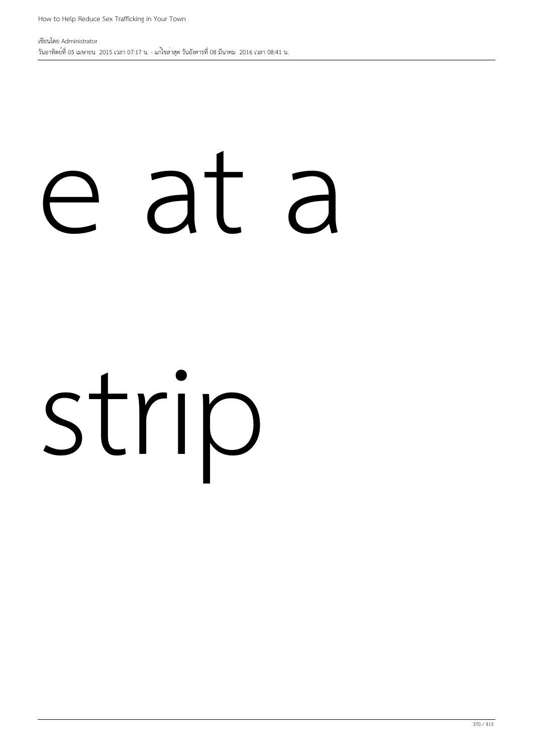## e at a

# strip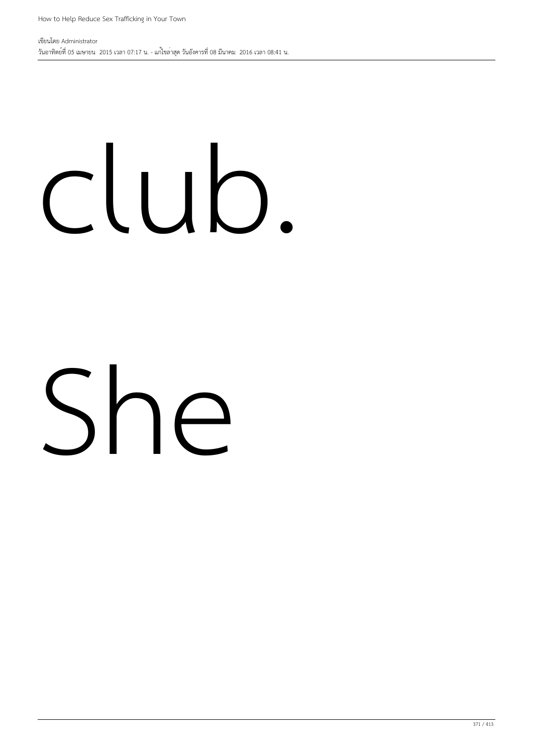### club.

### She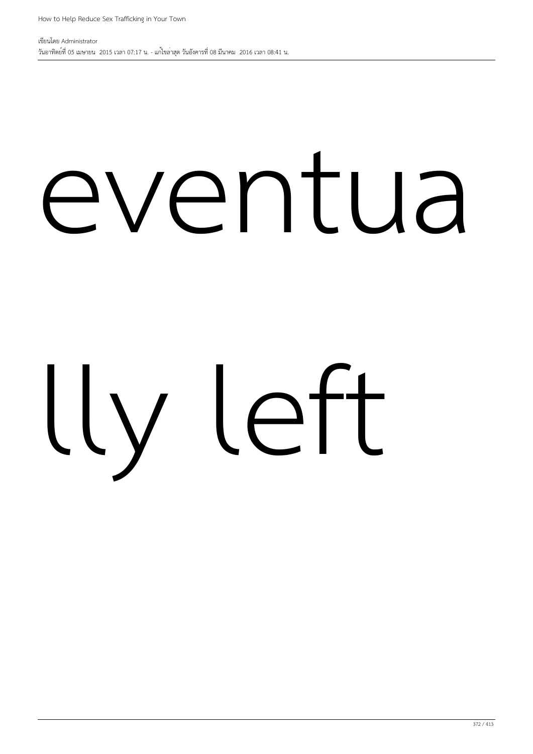## eventua

# lly left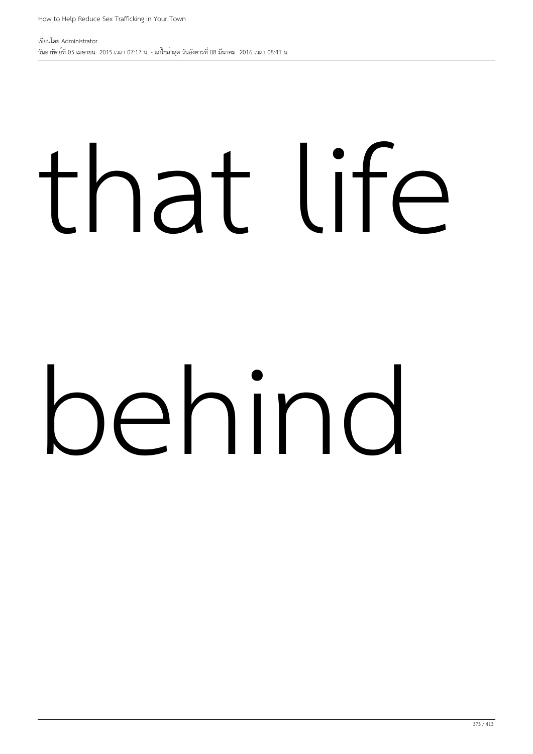# that life

### behind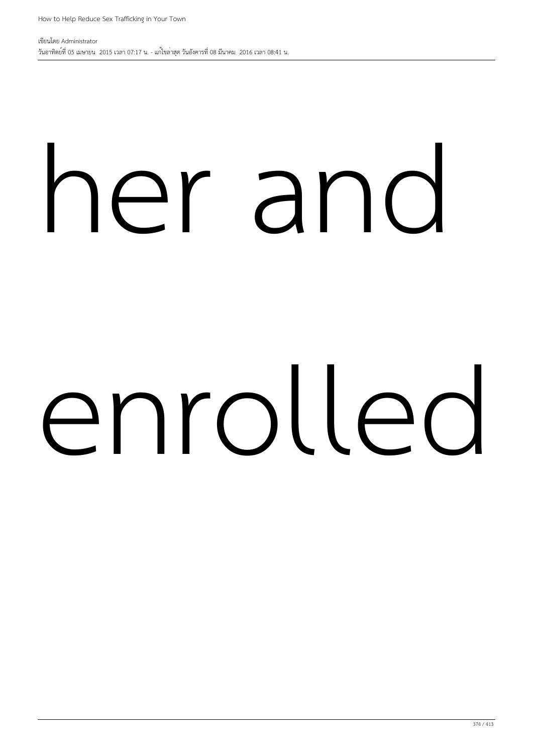# her and enrolled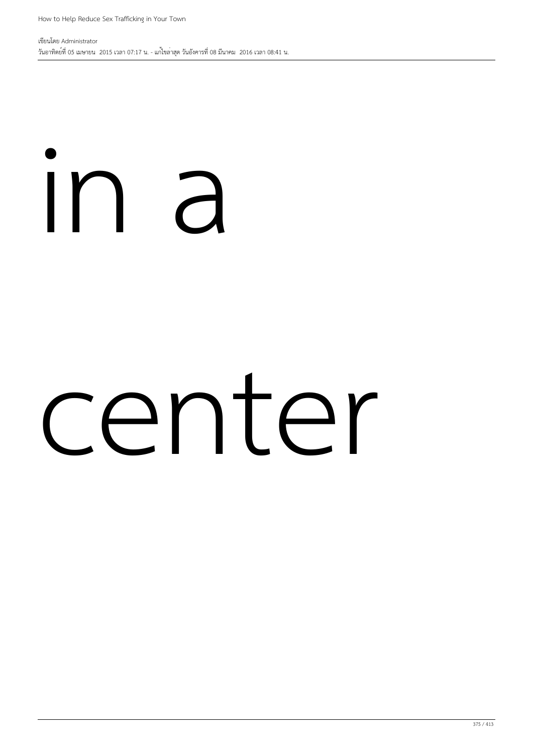### in a

#### center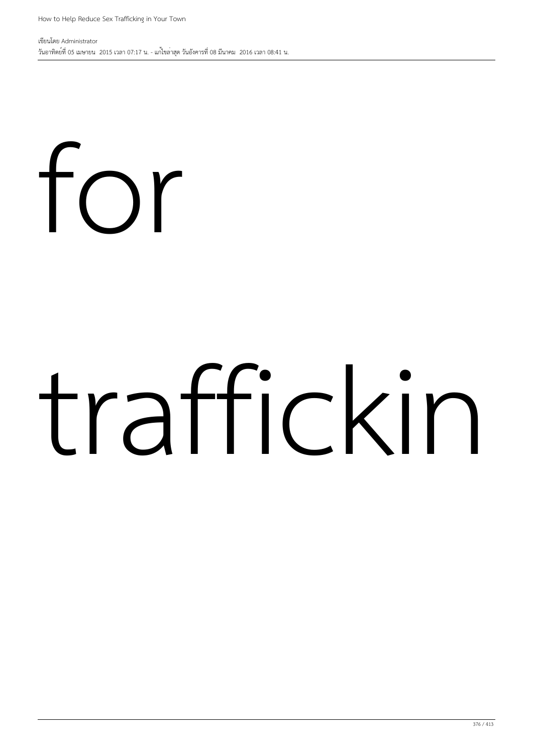### for

### traffickin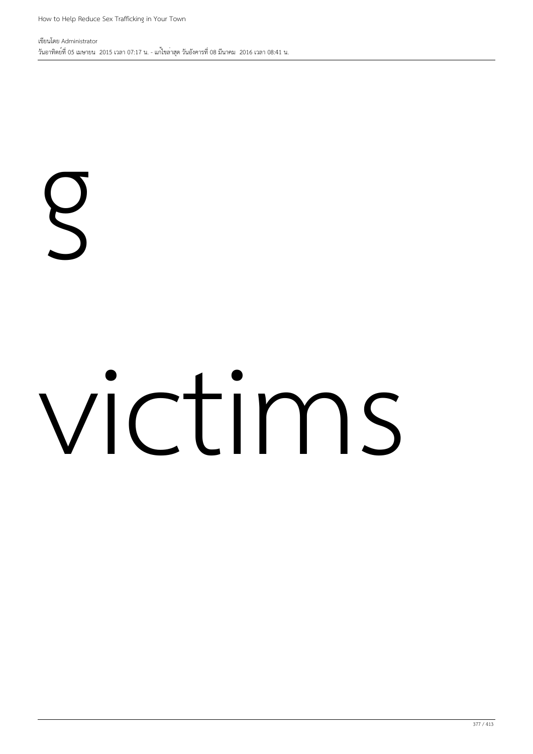# $\boldsymbol{\mathsf{Q}}$ victims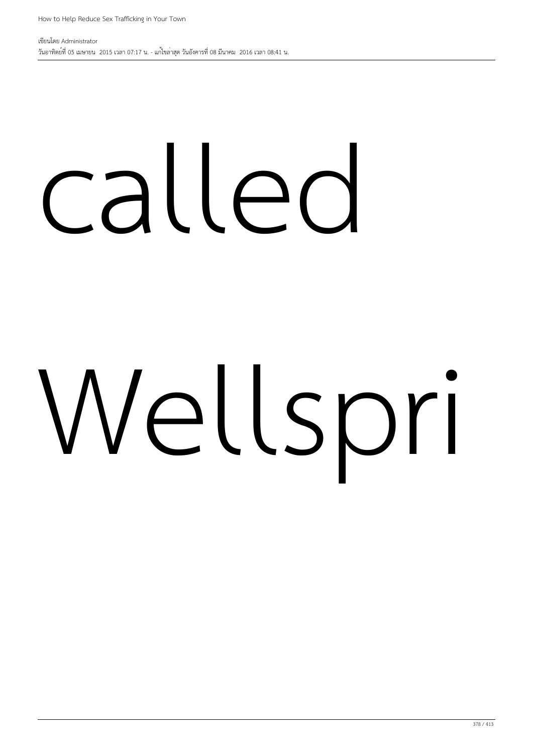## called

# Wellspri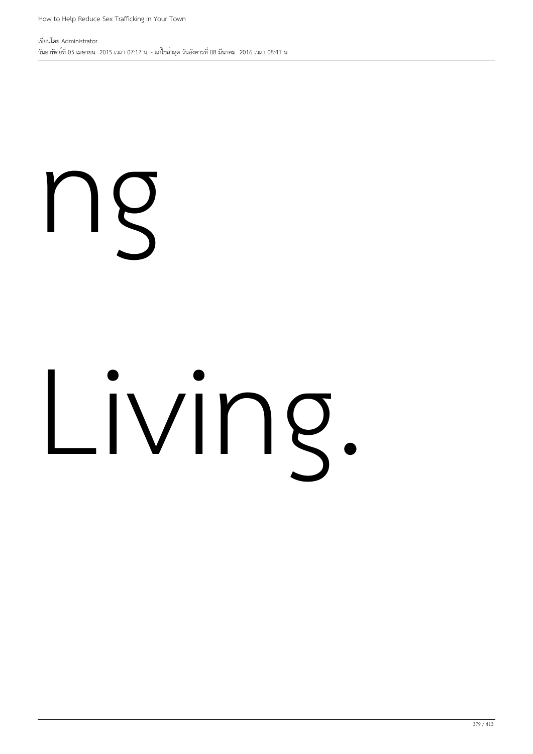# ng Living.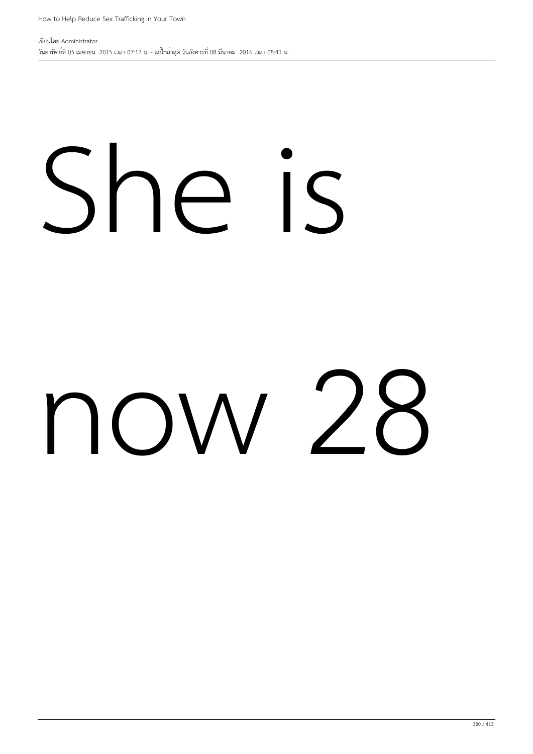# She is

#### now 28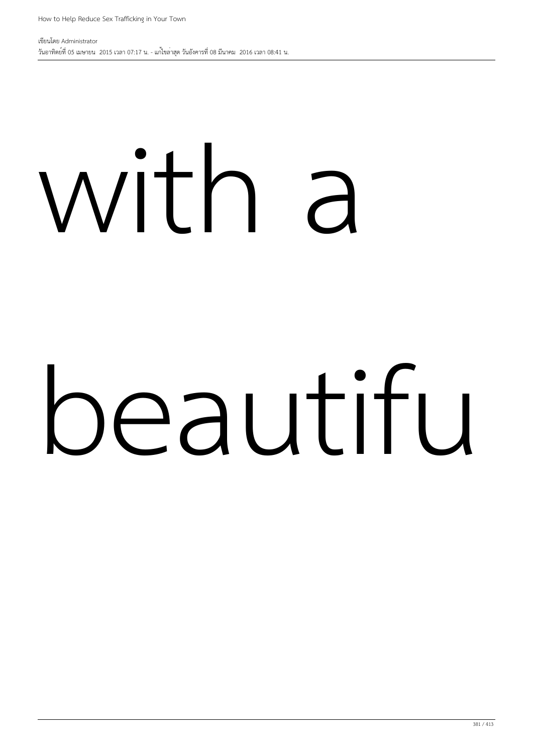# with a beautifu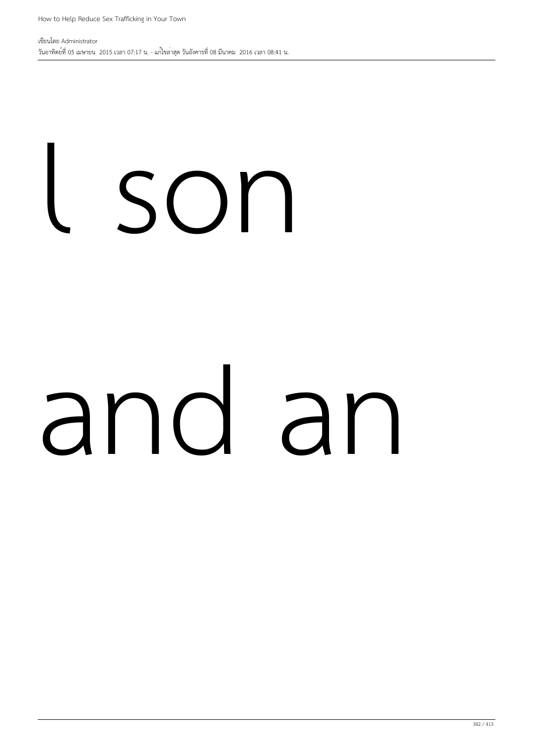# son and an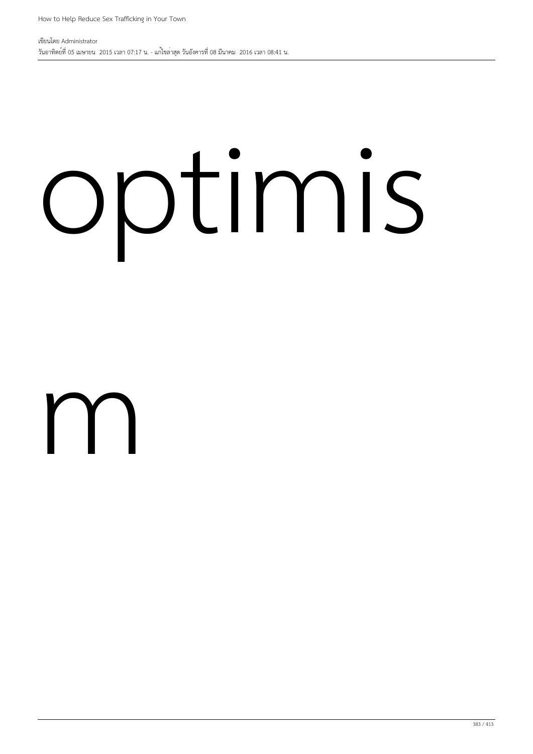# optimis

# m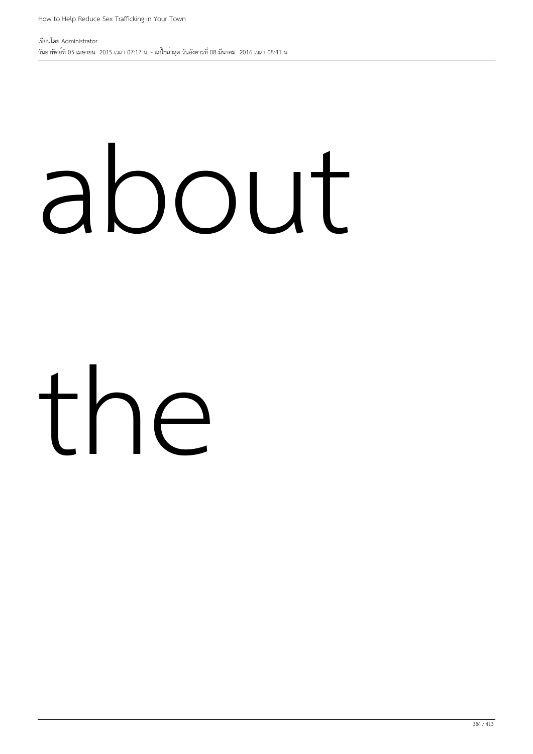## about

### the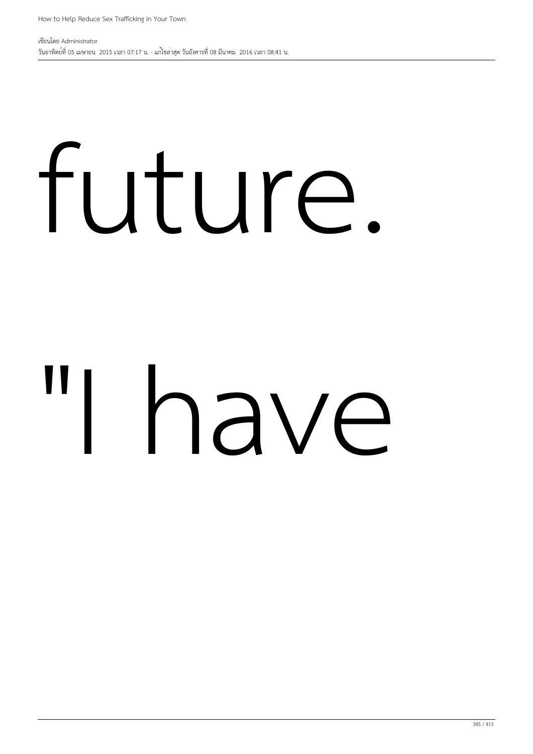## future.

### have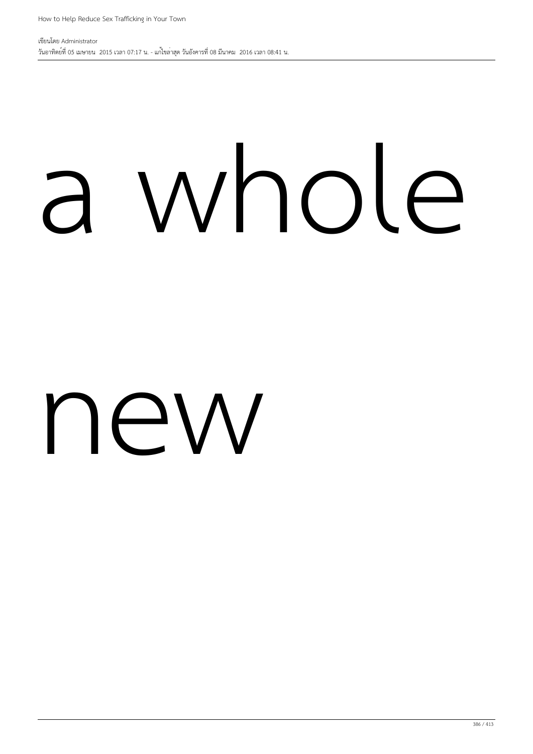## a whole

#### new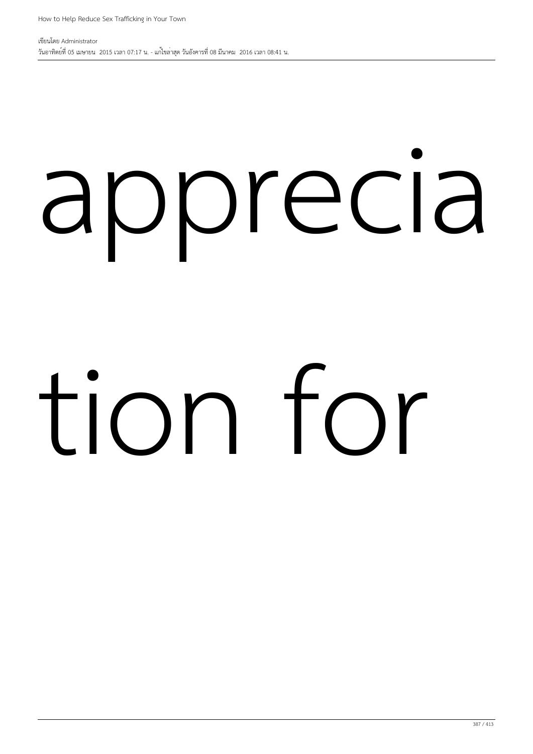# apprecia

### tion for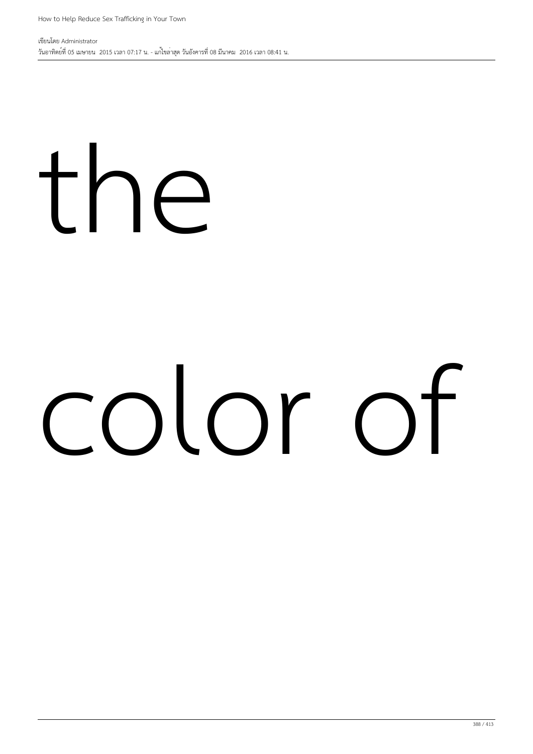# the color of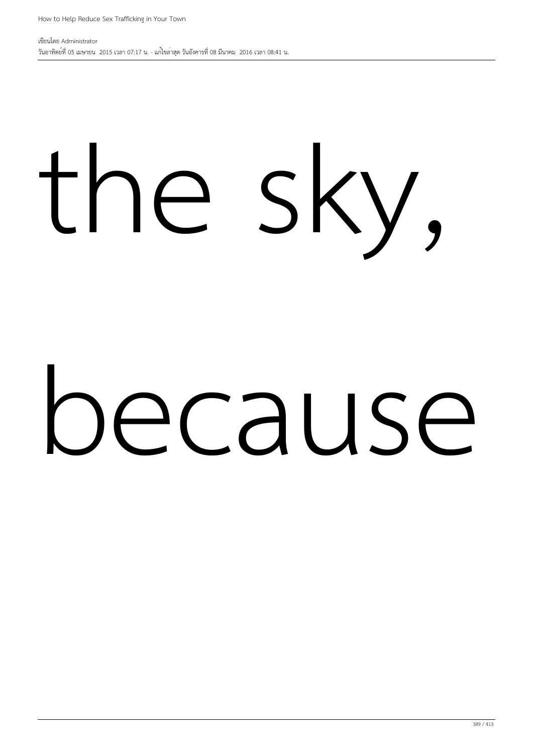# the sky,

#### because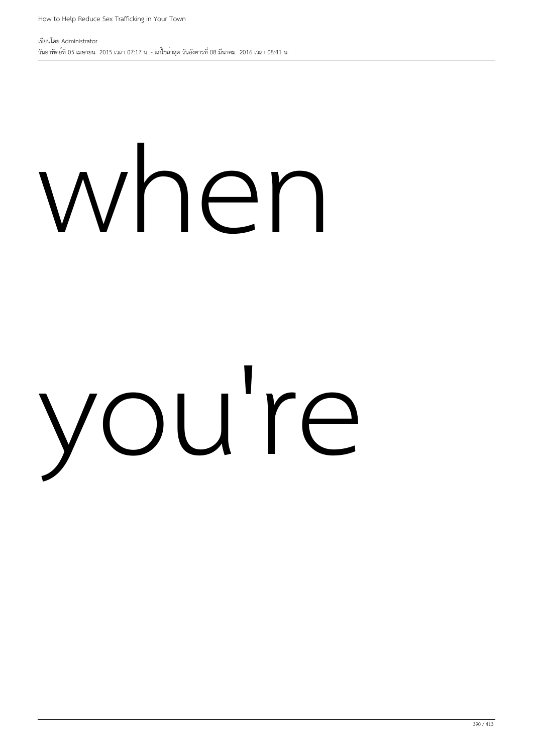# when

# you're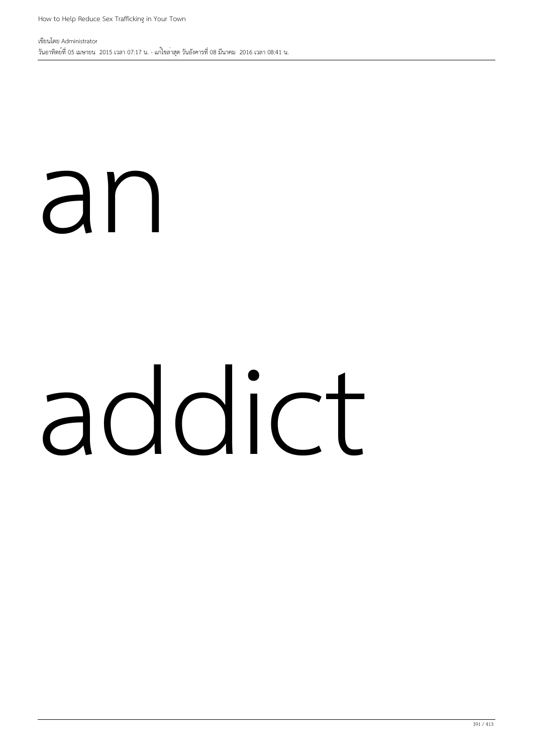an

# addict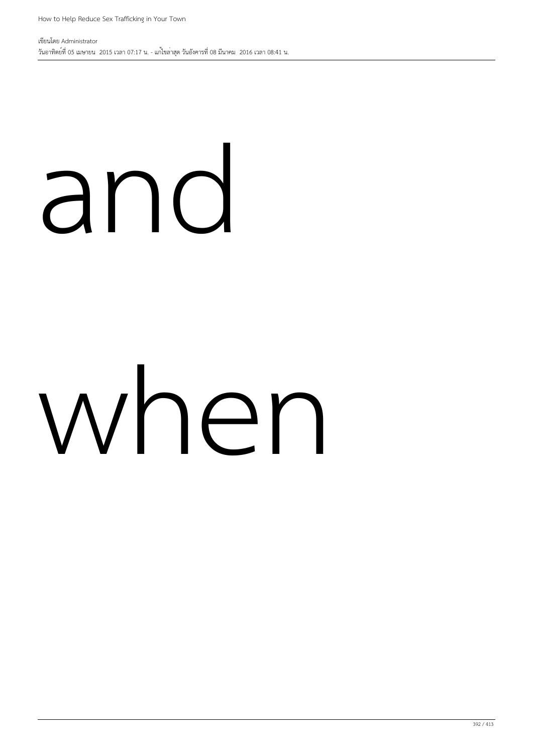## and

### when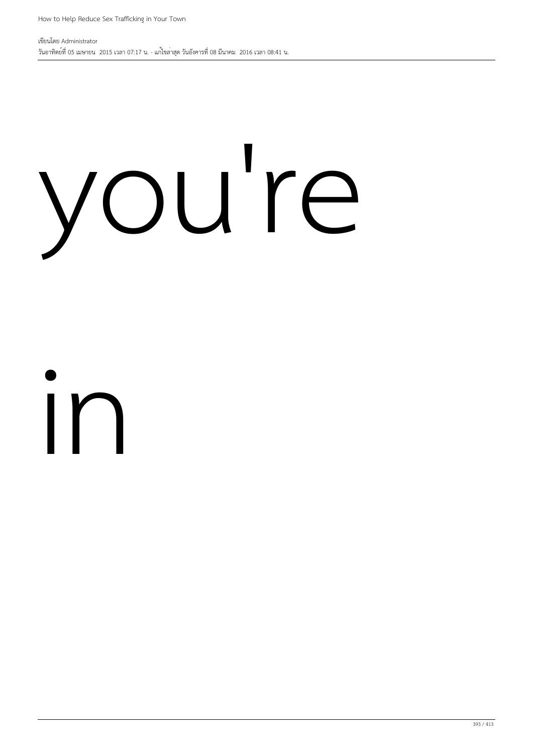# you're

#### in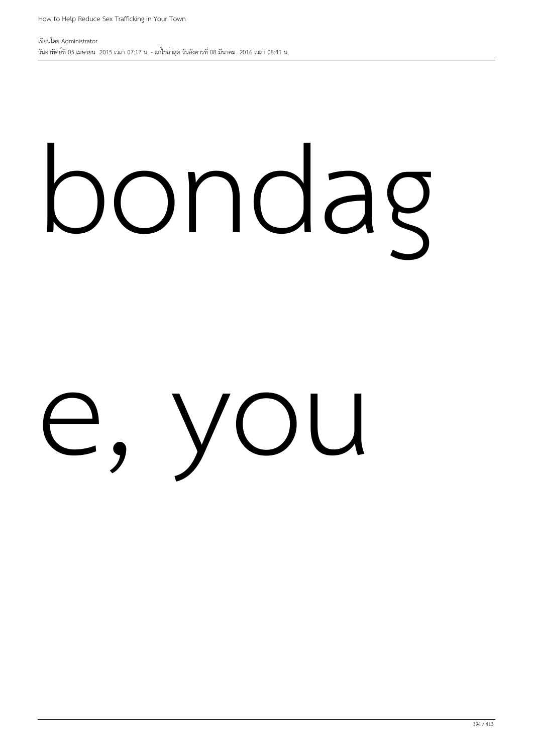# bondag

#### e, you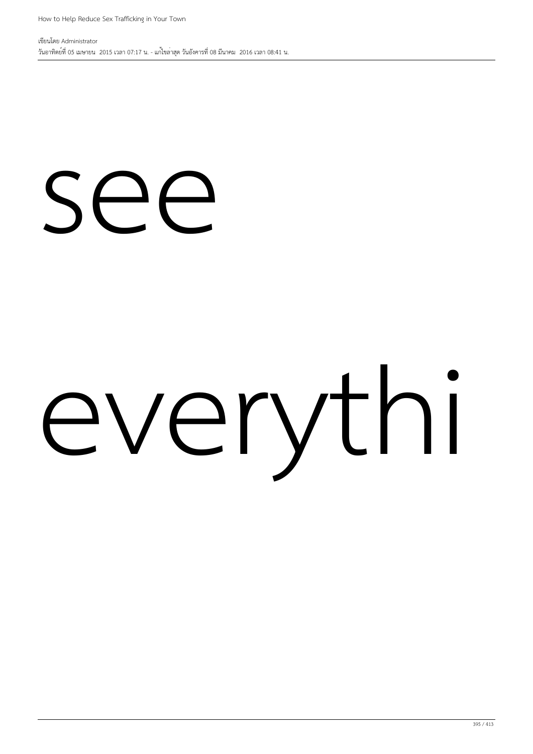#### see

# everythi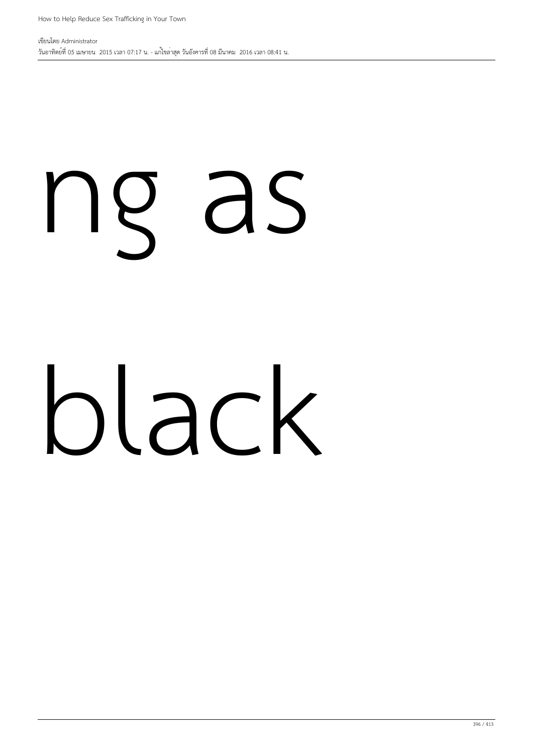# ng as black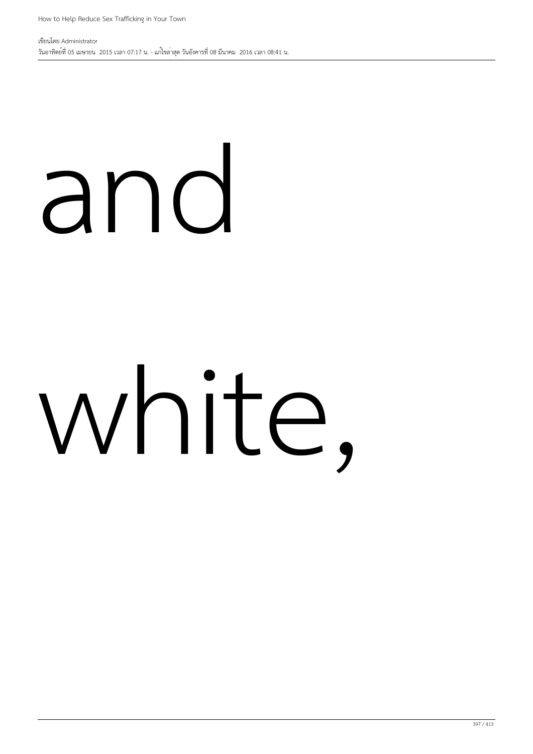## and

### white,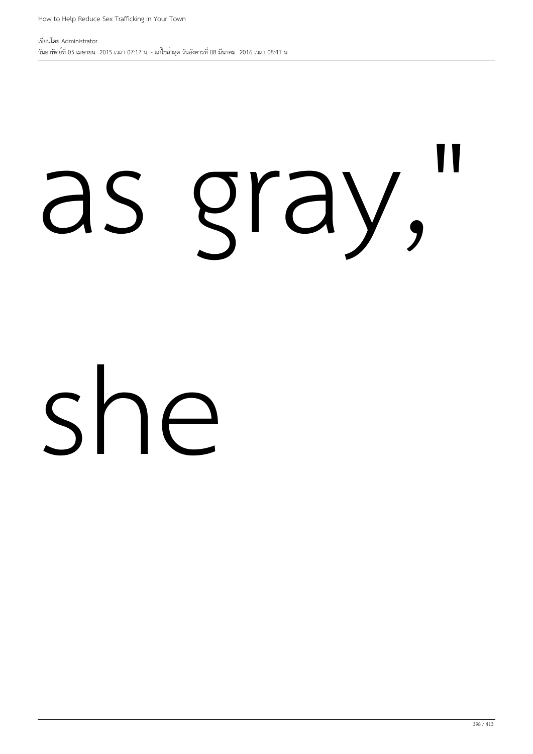# as gray,

#### she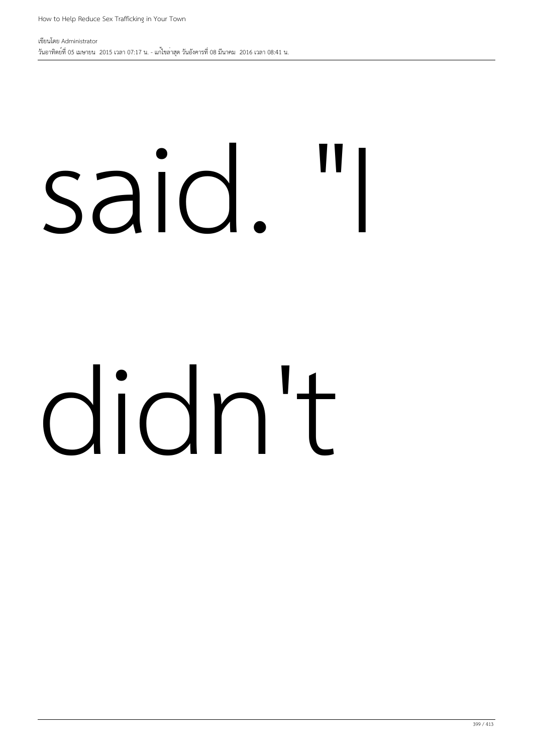# said.

#### didn't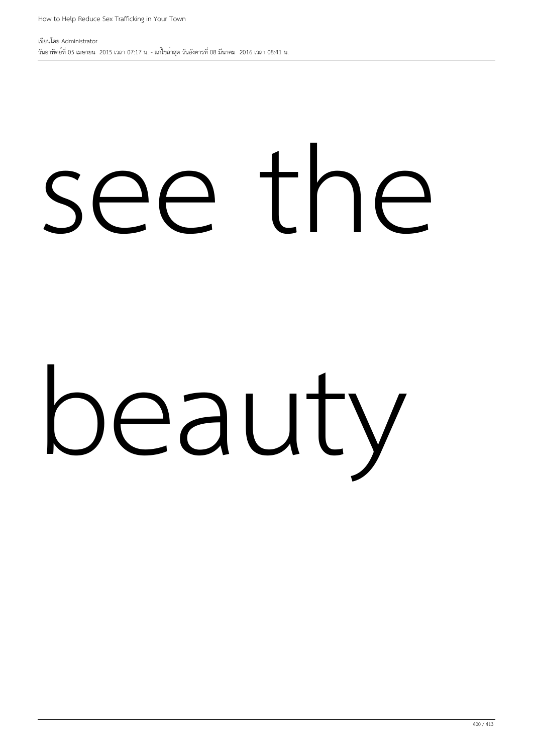## see the

## beauty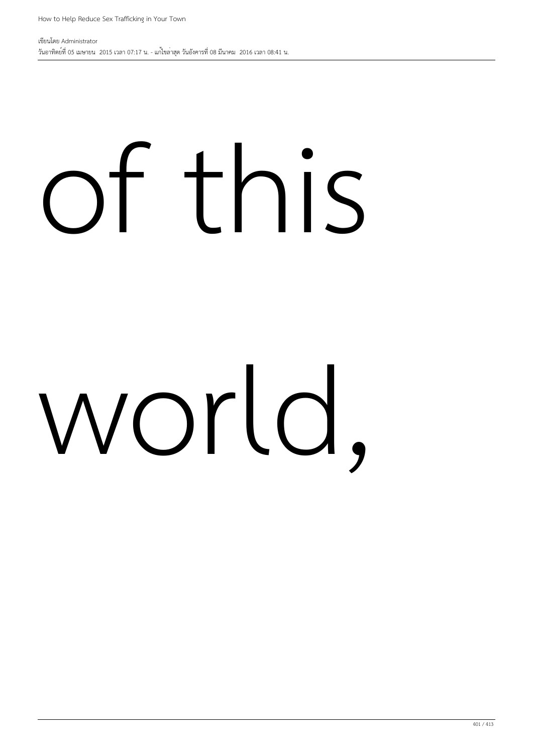# of this

### world,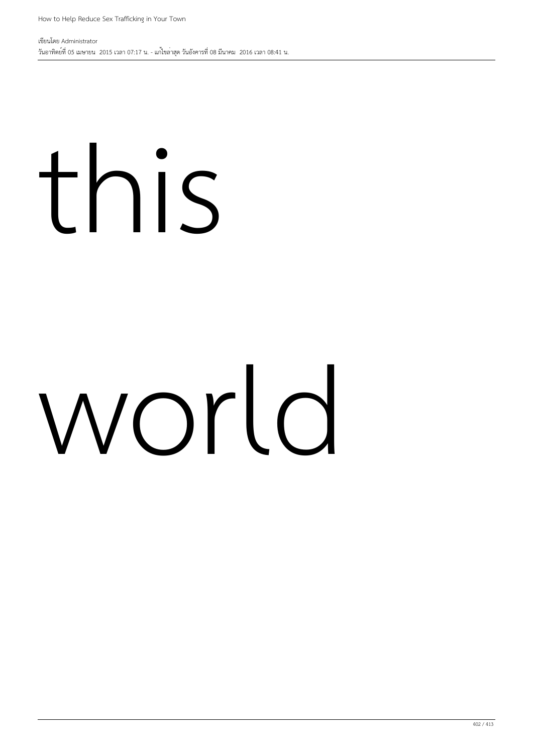# this

#### world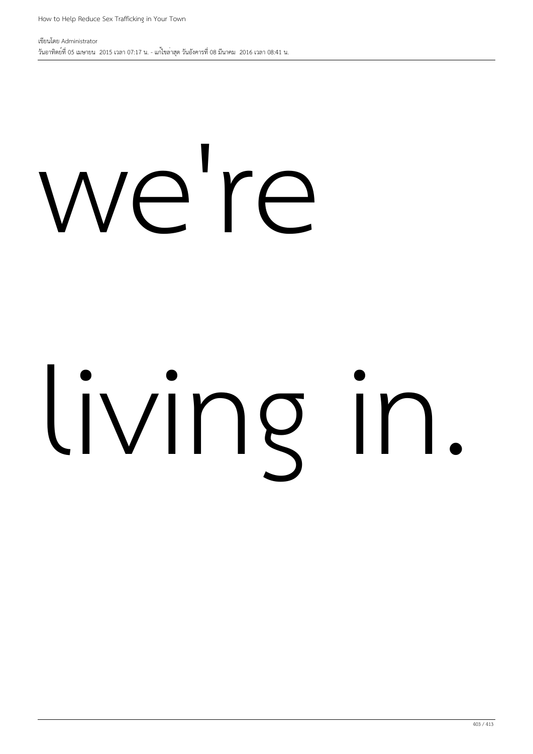### we're

# living in.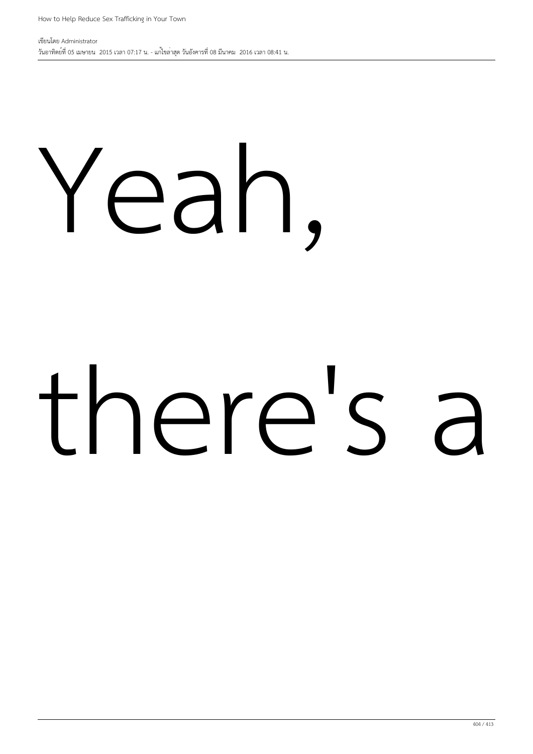# Yeah,

### there's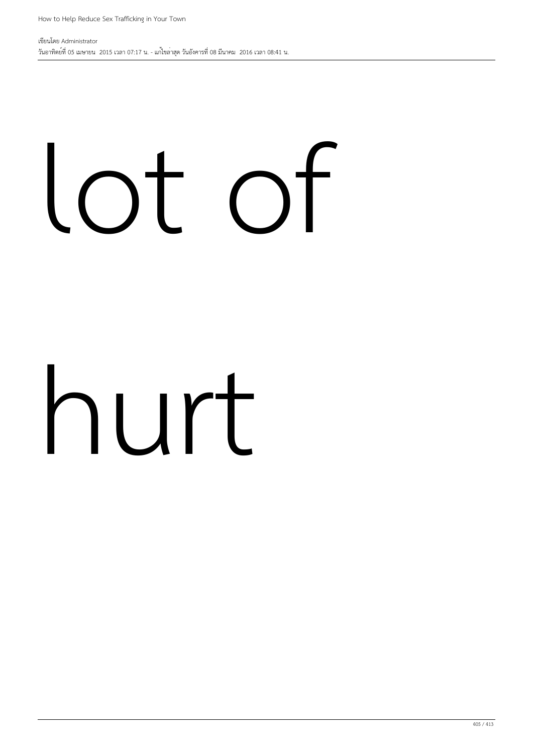## lot of

#### hurt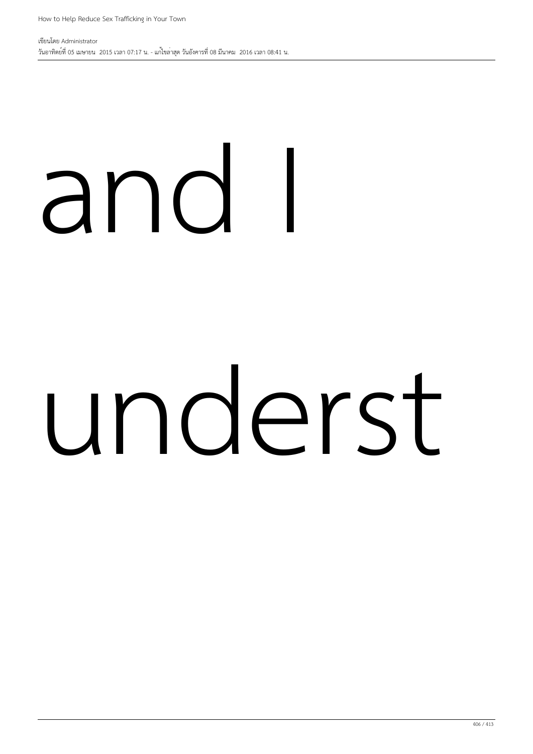# and I underst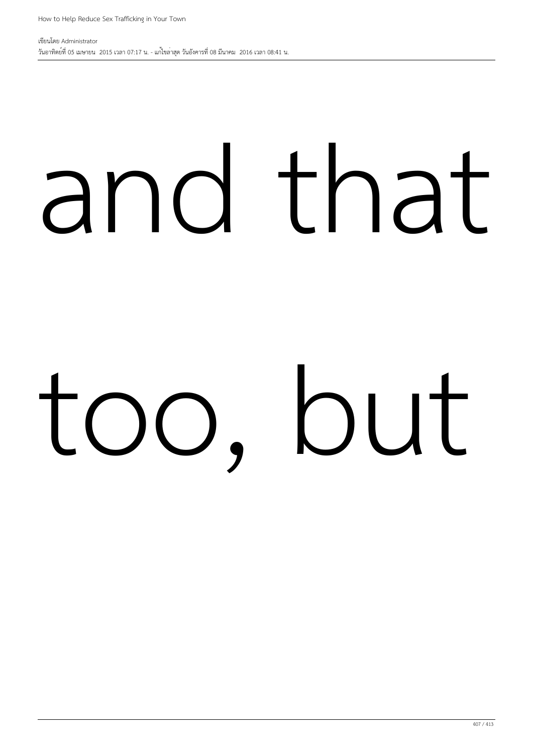# and that too, but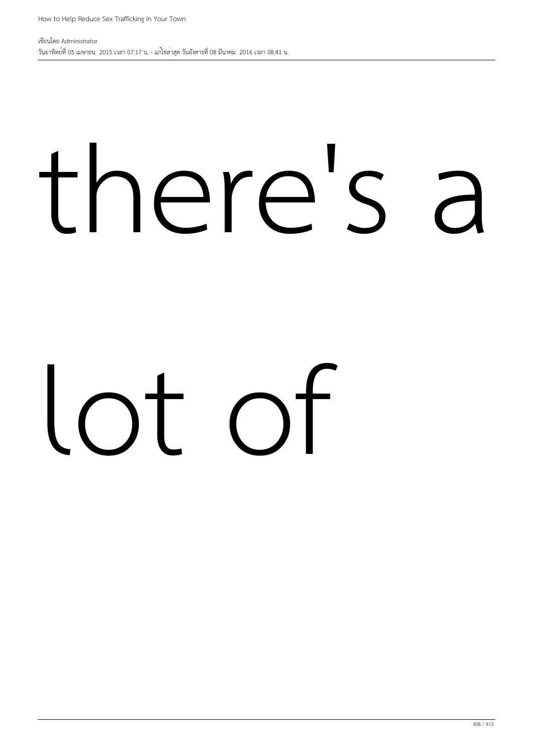# there's a

#### lot of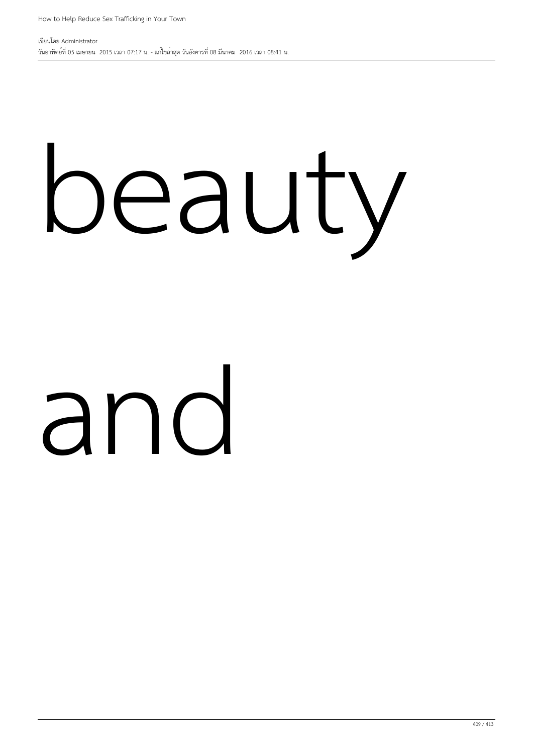# beauty

#### and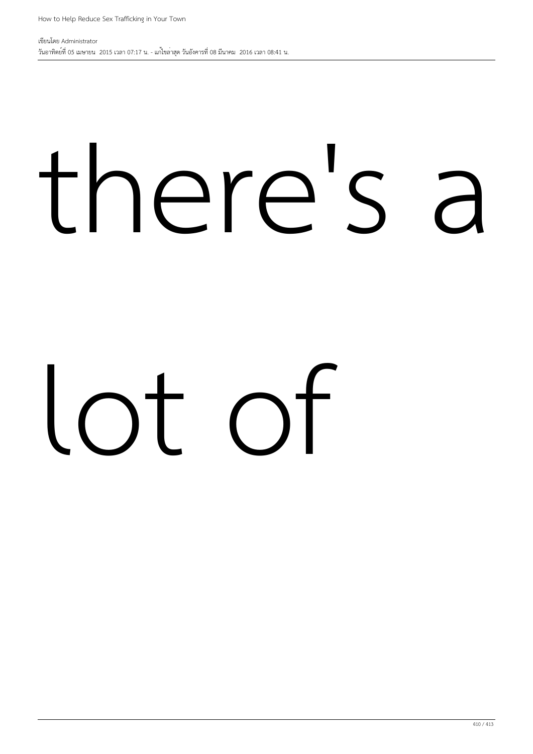# there's a

#### lot of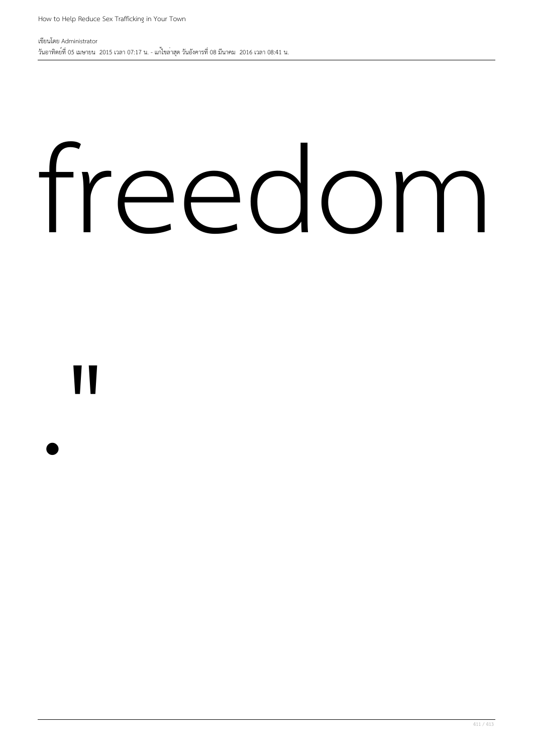## freedom

# ."

411 / 413